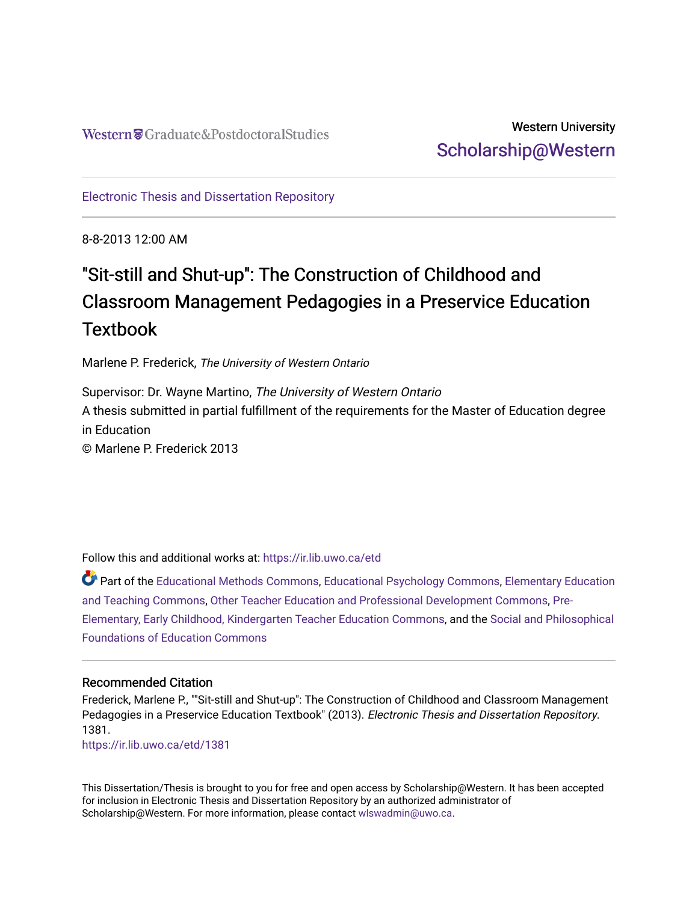# Western University [Scholarship@Western](https://ir.lib.uwo.ca/)

[Electronic Thesis and Dissertation Repository](https://ir.lib.uwo.ca/etd)

8-8-2013 12:00 AM

# "Sit-still and Shut-up": The Construction of Childhood and Classroom Management Pedagogies in a Preservice Education **Textbook**

Marlene P. Frederick, The University of Western Ontario

Supervisor: Dr. Wayne Martino, The University of Western Ontario A thesis submitted in partial fulfillment of the requirements for the Master of Education degree in Education © Marlene P. Frederick 2013

Follow this and additional works at: [https://ir.lib.uwo.ca/etd](https://ir.lib.uwo.ca/etd?utm_source=ir.lib.uwo.ca%2Fetd%2F1381&utm_medium=PDF&utm_campaign=PDFCoverPages) 

Part of the [Educational Methods Commons,](http://network.bepress.com/hgg/discipline/1227?utm_source=ir.lib.uwo.ca%2Fetd%2F1381&utm_medium=PDF&utm_campaign=PDFCoverPages) [Educational Psychology Commons,](http://network.bepress.com/hgg/discipline/798?utm_source=ir.lib.uwo.ca%2Fetd%2F1381&utm_medium=PDF&utm_campaign=PDFCoverPages) [Elementary Education](http://network.bepress.com/hgg/discipline/805?utm_source=ir.lib.uwo.ca%2Fetd%2F1381&utm_medium=PDF&utm_campaign=PDFCoverPages)  [and Teaching Commons](http://network.bepress.com/hgg/discipline/805?utm_source=ir.lib.uwo.ca%2Fetd%2F1381&utm_medium=PDF&utm_campaign=PDFCoverPages), [Other Teacher Education and Professional Development Commons,](http://network.bepress.com/hgg/discipline/810?utm_source=ir.lib.uwo.ca%2Fetd%2F1381&utm_medium=PDF&utm_campaign=PDFCoverPages) [Pre-](http://network.bepress.com/hgg/discipline/808?utm_source=ir.lib.uwo.ca%2Fetd%2F1381&utm_medium=PDF&utm_campaign=PDFCoverPages)[Elementary, Early Childhood, Kindergarten Teacher Education Commons](http://network.bepress.com/hgg/discipline/808?utm_source=ir.lib.uwo.ca%2Fetd%2F1381&utm_medium=PDF&utm_campaign=PDFCoverPages), and the [Social and Philosophical](http://network.bepress.com/hgg/discipline/799?utm_source=ir.lib.uwo.ca%2Fetd%2F1381&utm_medium=PDF&utm_campaign=PDFCoverPages)  [Foundations of Education Commons](http://network.bepress.com/hgg/discipline/799?utm_source=ir.lib.uwo.ca%2Fetd%2F1381&utm_medium=PDF&utm_campaign=PDFCoverPages)

#### Recommended Citation

Frederick, Marlene P., ""Sit-still and Shut-up": The Construction of Childhood and Classroom Management Pedagogies in a Preservice Education Textbook" (2013). Electronic Thesis and Dissertation Repository. 1381.

[https://ir.lib.uwo.ca/etd/1381](https://ir.lib.uwo.ca/etd/1381?utm_source=ir.lib.uwo.ca%2Fetd%2F1381&utm_medium=PDF&utm_campaign=PDFCoverPages)

This Dissertation/Thesis is brought to you for free and open access by Scholarship@Western. It has been accepted for inclusion in Electronic Thesis and Dissertation Repository by an authorized administrator of Scholarship@Western. For more information, please contact [wlswadmin@uwo.ca.](mailto:wlswadmin@uwo.ca)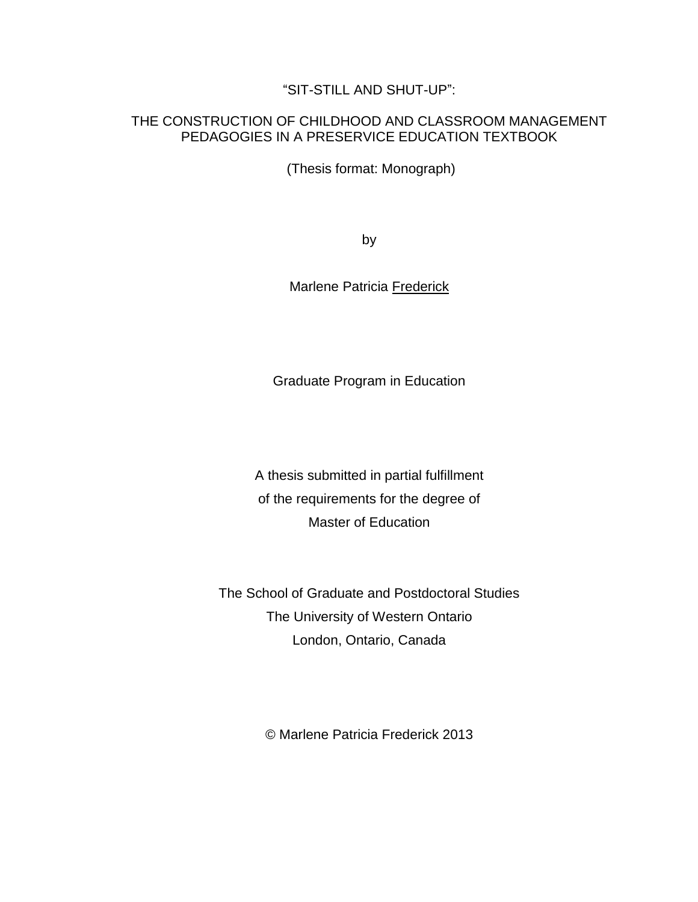## "SIT-STILL AND SHUT-UP":

### THE CONSTRUCTION OF CHILDHOOD AND CLASSROOM MANAGEMENT PEDAGOGIES IN A PRESERVICE EDUCATION TEXTBOOK

(Thesis format: Monograph)

by

Marlene Patricia Frederick

Graduate Program in Education

A thesis submitted in partial fulfillment of the requirements for the degree of Master of Education

The School of Graduate and Postdoctoral Studies The University of Western Ontario London, Ontario, Canada

© Marlene Patricia Frederick 2013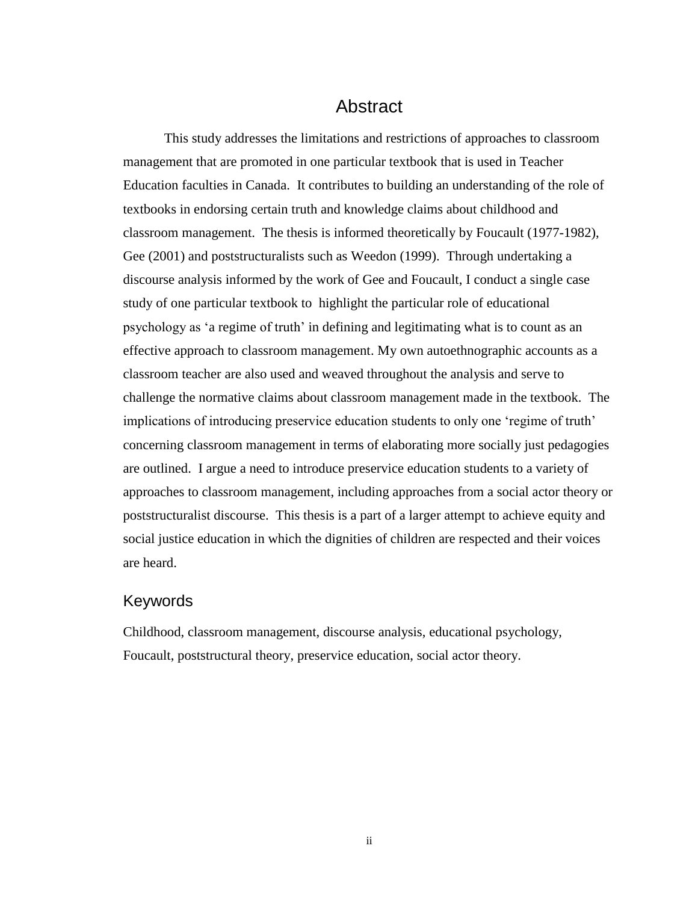# Abstract

<span id="page-2-0"></span>This study addresses the limitations and restrictions of approaches to classroom management that are promoted in one particular textbook that is used in Teacher Education faculties in Canada. It contributes to building an understanding of the role of textbooks in endorsing certain truth and knowledge claims about childhood and classroom management. The thesis is informed theoretically by Foucault (1977-1982), Gee (2001) and poststructuralists such as Weedon (1999). Through undertaking a discourse analysis informed by the work of Gee and Foucault, I conduct a single case study of one particular textbook to highlight the particular role of educational psychology as 'a regime of truth' in defining and legitimating what is to count as an effective approach to classroom management. My own autoethnographic accounts as a classroom teacher are also used and weaved throughout the analysis and serve to challenge the normative claims about classroom management made in the textbook. The implications of introducing preservice education students to only one 'regime of truth' concerning classroom management in terms of elaborating more socially just pedagogies are outlined. I argue a need to introduce preservice education students to a variety of approaches to classroom management, including approaches from a social actor theory or poststructuralist discourse. This thesis is a part of a larger attempt to achieve equity and social justice education in which the dignities of children are respected and their voices are heard.

### <span id="page-2-1"></span>Keywords

Childhood, classroom management, discourse analysis, educational psychology, Foucault, poststructural theory, preservice education, social actor theory.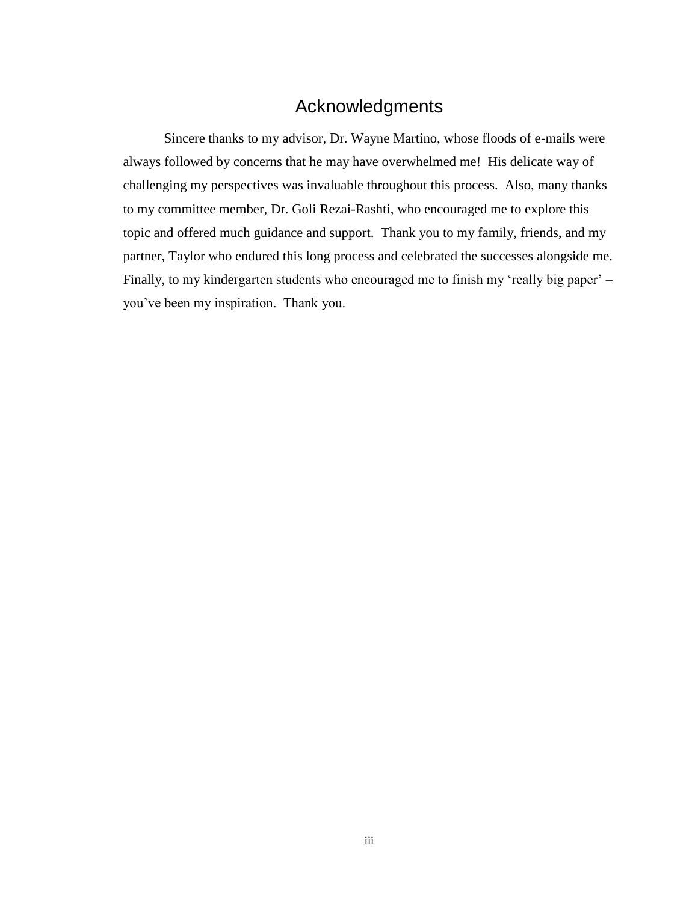# Acknowledgments

<span id="page-3-0"></span>Sincere thanks to my advisor, Dr. Wayne Martino, whose floods of e-mails were always followed by concerns that he may have overwhelmed me! His delicate way of challenging my perspectives was invaluable throughout this process. Also, many thanks to my committee member, Dr. Goli Rezai-Rashti, who encouraged me to explore this topic and offered much guidance and support. Thank you to my family, friends, and my partner, Taylor who endured this long process and celebrated the successes alongside me. Finally, to my kindergarten students who encouraged me to finish my 'really big paper' – you've been my inspiration. Thank you.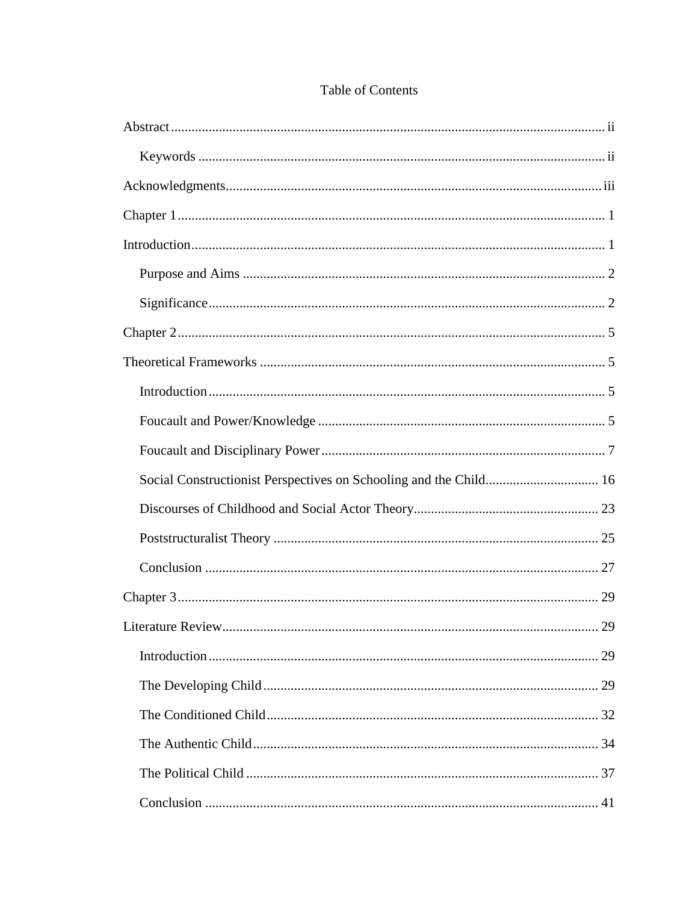| Social Constructionist Perspectives on Schooling and the Child 16 |    |
|-------------------------------------------------------------------|----|
|                                                                   |    |
|                                                                   |    |
|                                                                   |    |
|                                                                   |    |
|                                                                   |    |
|                                                                   | 29 |
|                                                                   |    |
| I iterature Review                                                |    |
|                                                                   |    |
|                                                                   |    |
|                                                                   |    |

# Table of Contents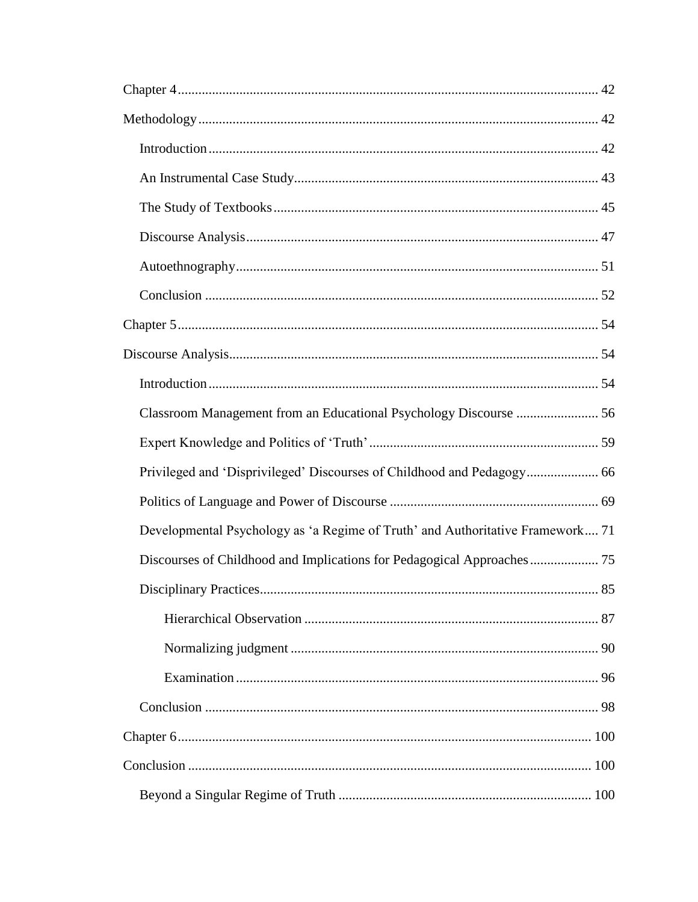| Privileged and 'Disprivileged' Discourses of Childhood and Pedagogy 66         |
|--------------------------------------------------------------------------------|
|                                                                                |
| Developmental Psychology as 'a Regime of Truth' and Authoritative Framework 71 |
|                                                                                |
|                                                                                |
|                                                                                |
|                                                                                |
|                                                                                |
|                                                                                |
|                                                                                |
|                                                                                |
|                                                                                |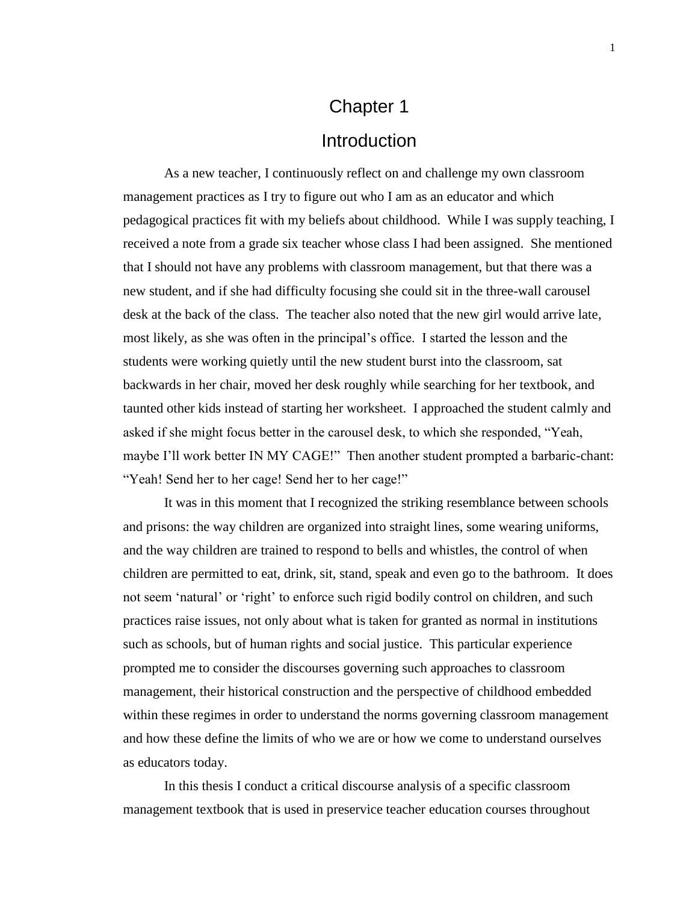# Chapter 1 **Introduction**

<span id="page-7-1"></span><span id="page-7-0"></span>As a new teacher, I continuously reflect on and challenge my own classroom management practices as I try to figure out who I am as an educator and which pedagogical practices fit with my beliefs about childhood. While I was supply teaching, I received a note from a grade six teacher whose class I had been assigned. She mentioned that I should not have any problems with classroom management, but that there was a new student, and if she had difficulty focusing she could sit in the three-wall carousel desk at the back of the class. The teacher also noted that the new girl would arrive late, most likely, as she was often in the principal's office. I started the lesson and the students were working quietly until the new student burst into the classroom, sat backwards in her chair, moved her desk roughly while searching for her textbook, and taunted other kids instead of starting her worksheet. I approached the student calmly and asked if she might focus better in the carousel desk, to which she responded, "Yeah, maybe I'll work better IN MY CAGE!" Then another student prompted a barbaric-chant: "Yeah! Send her to her cage! Send her to her cage!"

It was in this moment that I recognized the striking resemblance between schools and prisons: the way children are organized into straight lines, some wearing uniforms, and the way children are trained to respond to bells and whistles, the control of when children are permitted to eat, drink, sit, stand, speak and even go to the bathroom. It does not seem 'natural' or 'right' to enforce such rigid bodily control on children, and such practices raise issues, not only about what is taken for granted as normal in institutions such as schools, but of human rights and social justice. This particular experience prompted me to consider the discourses governing such approaches to classroom management, their historical construction and the perspective of childhood embedded within these regimes in order to understand the norms governing classroom management and how these define the limits of who we are or how we come to understand ourselves as educators today.

In this thesis I conduct a critical discourse analysis of a specific classroom management textbook that is used in preservice teacher education courses throughout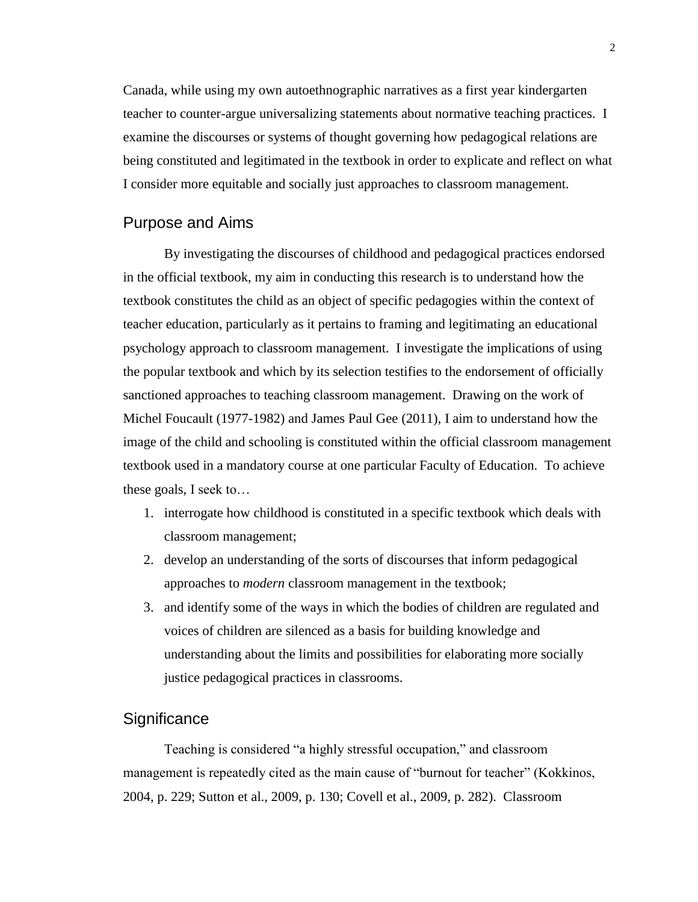Canada, while using my own autoethnographic narratives as a first year kindergarten teacher to counter-argue universalizing statements about normative teaching practices. I examine the discourses or systems of thought governing how pedagogical relations are being constituted and legitimated in the textbook in order to explicate and reflect on what I consider more equitable and socially just approaches to classroom management.

## <span id="page-8-0"></span>Purpose and Aims

By investigating the discourses of childhood and pedagogical practices endorsed in the official textbook, my aim in conducting this research is to understand how the textbook constitutes the child as an object of specific pedagogies within the context of teacher education, particularly as it pertains to framing and legitimating an educational psychology approach to classroom management. I investigate the implications of using the popular textbook and which by its selection testifies to the endorsement of officially sanctioned approaches to teaching classroom management. Drawing on the work of Michel Foucault (1977-1982) and James Paul Gee (2011), I aim to understand how the image of the child and schooling is constituted within the official classroom management textbook used in a mandatory course at one particular Faculty of Education. To achieve these goals, I seek to…

- 1. interrogate how childhood is constituted in a specific textbook which deals with classroom management;
- 2. develop an understanding of the sorts of discourses that inform pedagogical approaches to *modern* classroom management in the textbook;
- 3. and identify some of the ways in which the bodies of children are regulated and voices of children are silenced as a basis for building knowledge and understanding about the limits and possibilities for elaborating more socially justice pedagogical practices in classrooms.

## <span id="page-8-1"></span>**Significance**

Teaching is considered "a highly stressful occupation," and classroom management is repeatedly cited as the main cause of "burnout for teacher" (Kokkinos, 2004, p. 229; Sutton et al., 2009, p. 130; Covell et al., 2009, p. 282). Classroom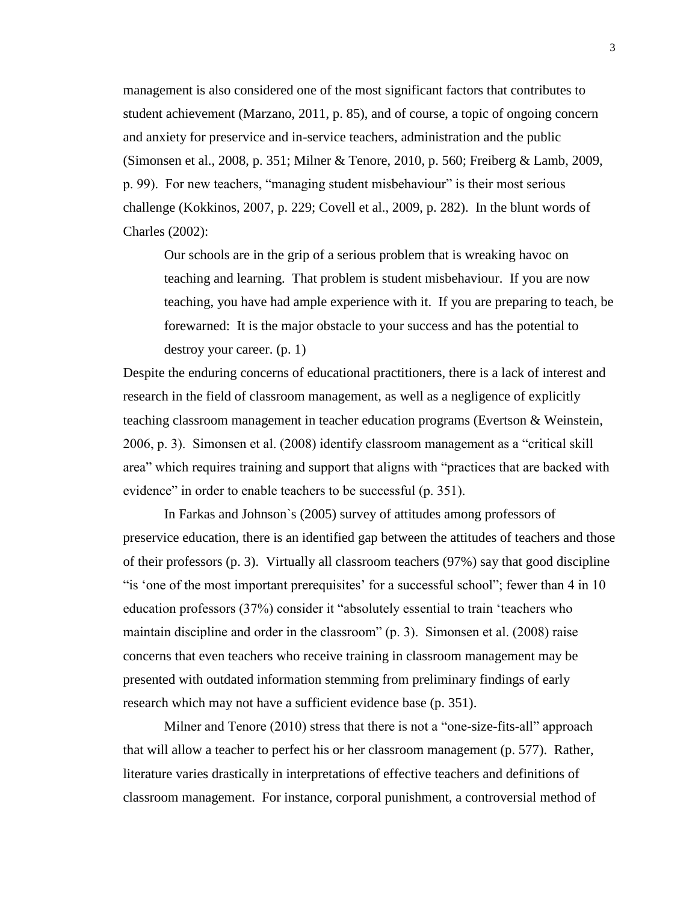management is also considered one of the most significant factors that contributes to student achievement (Marzano, 2011, p. 85), and of course, a topic of ongoing concern and anxiety for preservice and in-service teachers, administration and the public (Simonsen et al., 2008, p. 351; Milner & Tenore, 2010, p. 560; Freiberg & Lamb, 2009, p. 99). For new teachers, "managing student misbehaviour" is their most serious challenge (Kokkinos, 2007, p. 229; Covell et al., 2009, p. 282). In the blunt words of Charles (2002):

Our schools are in the grip of a serious problem that is wreaking havoc on teaching and learning. That problem is student misbehaviour. If you are now teaching, you have had ample experience with it. If you are preparing to teach, be forewarned: It is the major obstacle to your success and has the potential to destroy your career. (p. 1)

Despite the enduring concerns of educational practitioners, there is a lack of interest and research in the field of classroom management, as well as a negligence of explicitly teaching classroom management in teacher education programs (Evertson & Weinstein, 2006, p. 3). Simonsen et al. (2008) identify classroom management as a "critical skill area" which requires training and support that aligns with "practices that are backed with evidence" in order to enable teachers to be successful (p. 351).

In Farkas and Johnson`s (2005) survey of attitudes among professors of preservice education, there is an identified gap between the attitudes of teachers and those of their professors (p. 3). Virtually all classroom teachers (97%) say that good discipline "is 'one of the most important prerequisites' for a successful school"; fewer than 4 in 10 education professors (37%) consider it "absolutely essential to train 'teachers who maintain discipline and order in the classroom" (p. 3). Simonsen et al. (2008) raise concerns that even teachers who receive training in classroom management may be presented with outdated information stemming from preliminary findings of early research which may not have a sufficient evidence base (p. 351).

Milner and Tenore (2010) stress that there is not a "one-size-fits-all" approach that will allow a teacher to perfect his or her classroom management (p. 577). Rather, literature varies drastically in interpretations of effective teachers and definitions of classroom management. For instance, corporal punishment, a controversial method of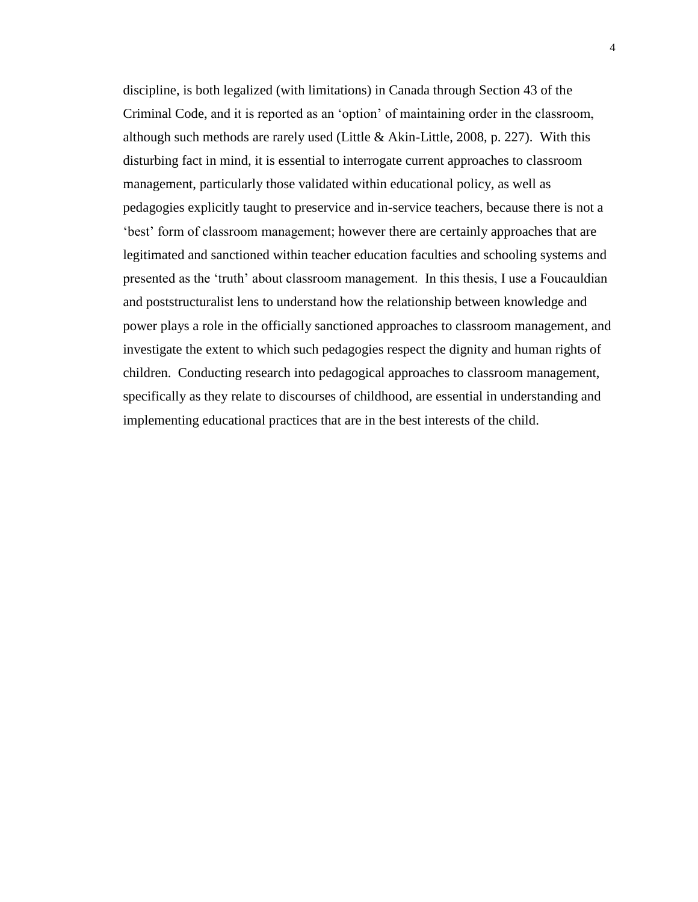discipline, is both legalized (with limitations) in Canada through Section 43 of the Criminal Code, and it is reported as an 'option' of maintaining order in the classroom, although such methods are rarely used (Little & Akin-Little, 2008, p. 227). With this disturbing fact in mind, it is essential to interrogate current approaches to classroom management, particularly those validated within educational policy, as well as pedagogies explicitly taught to preservice and in-service teachers, because there is not a 'best' form of classroom management; however there are certainly approaches that are legitimated and sanctioned within teacher education faculties and schooling systems and presented as the 'truth' about classroom management. In this thesis, I use a Foucauldian and poststructuralist lens to understand how the relationship between knowledge and power plays a role in the officially sanctioned approaches to classroom management, and investigate the extent to which such pedagogies respect the dignity and human rights of children. Conducting research into pedagogical approaches to classroom management, specifically as they relate to discourses of childhood, are essential in understanding and implementing educational practices that are in the best interests of the child.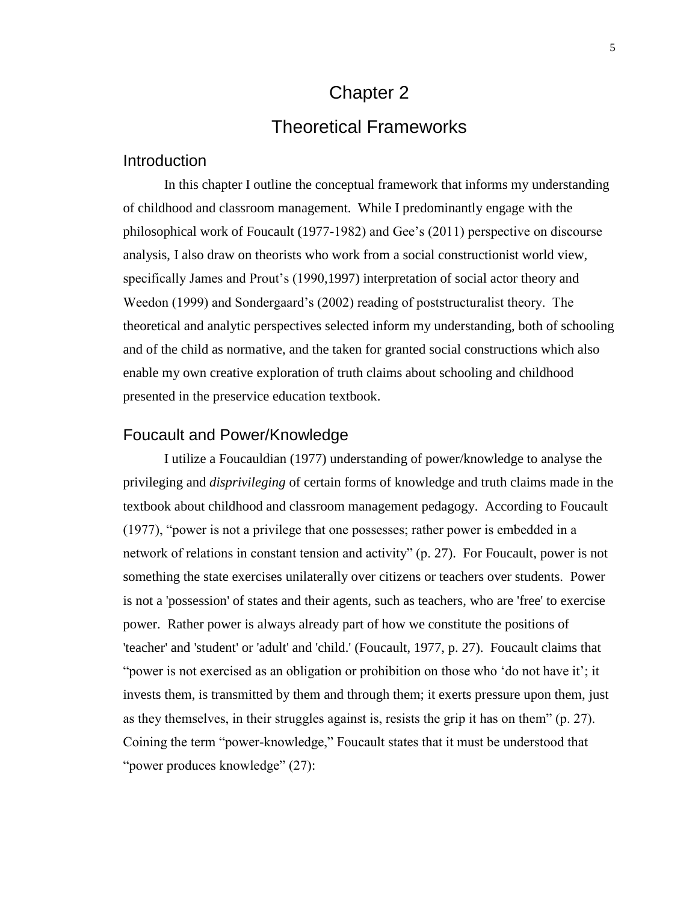# Chapter 2 Theoretical Frameworks

### <span id="page-11-2"></span><span id="page-11-1"></span><span id="page-11-0"></span>**Introduction**

In this chapter I outline the conceptual framework that informs my understanding of childhood and classroom management. While I predominantly engage with the philosophical work of Foucault (1977-1982) and Gee's (2011) perspective on discourse analysis, I also draw on theorists who work from a social constructionist world view, specifically James and Prout's (1990,1997) interpretation of social actor theory and Weedon (1999) and Sondergaard's (2002) reading of poststructuralist theory. The theoretical and analytic perspectives selected inform my understanding, both of schooling and of the child as normative, and the taken for granted social constructions which also enable my own creative exploration of truth claims about schooling and childhood presented in the preservice education textbook.

### <span id="page-11-3"></span>Foucault and Power/Knowledge

I utilize a Foucauldian (1977) understanding of power/knowledge to analyse the privileging and *disprivileging* of certain forms of knowledge and truth claims made in the textbook about childhood and classroom management pedagogy. According to Foucault (1977), "power is not a privilege that one possesses; rather power is embedded in a network of relations in constant tension and activity" (p. 27). For Foucault, power is not something the state exercises unilaterally over citizens or teachers over students. Power is not a 'possession' of states and their agents, such as teachers, who are 'free' to exercise power. Rather power is always already part of how we constitute the positions of 'teacher' and 'student' or 'adult' and 'child.' (Foucault, 1977, p. 27). Foucault claims that "power is not exercised as an obligation or prohibition on those who 'do not have it'; it invests them, is transmitted by them and through them; it exerts pressure upon them, just as they themselves, in their struggles against is, resists the grip it has on them" (p. 27). Coining the term "power-knowledge," Foucault states that it must be understood that "power produces knowledge" (27):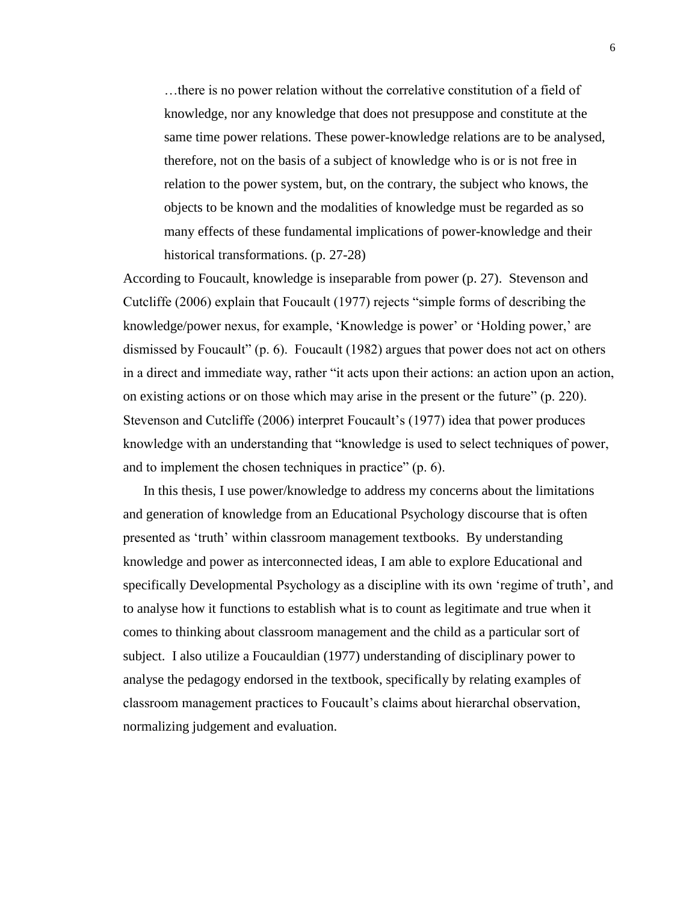…there is no power relation without the correlative constitution of a field of knowledge, nor any knowledge that does not presuppose and constitute at the same time power relations. These power-knowledge relations are to be analysed, therefore, not on the basis of a subject of knowledge who is or is not free in relation to the power system, but, on the contrary, the subject who knows, the objects to be known and the modalities of knowledge must be regarded as so many effects of these fundamental implications of power-knowledge and their historical transformations. (p. 27-28)

According to Foucault, knowledge is inseparable from power (p. 27). Stevenson and Cutcliffe (2006) explain that Foucault (1977) rejects "simple forms of describing the knowledge/power nexus, for example, 'Knowledge is power' or 'Holding power,' are dismissed by Foucault" (p. 6). Foucault (1982) argues that power does not act on others in a direct and immediate way, rather "it acts upon their actions: an action upon an action, on existing actions or on those which may arise in the present or the future" (p. 220). Stevenson and Cutcliffe (2006) interpret Foucault's (1977) idea that power produces knowledge with an understanding that "knowledge is used to select techniques of power, and to implement the chosen techniques in practice" (p. 6).

In this thesis, I use power/knowledge to address my concerns about the limitations and generation of knowledge from an Educational Psychology discourse that is often presented as 'truth' within classroom management textbooks. By understanding knowledge and power as interconnected ideas, I am able to explore Educational and specifically Developmental Psychology as a discipline with its own 'regime of truth', and to analyse how it functions to establish what is to count as legitimate and true when it comes to thinking about classroom management and the child as a particular sort of subject. I also utilize a Foucauldian (1977) understanding of disciplinary power to analyse the pedagogy endorsed in the textbook, specifically by relating examples of classroom management practices to Foucault's claims about hierarchal observation, normalizing judgement and evaluation.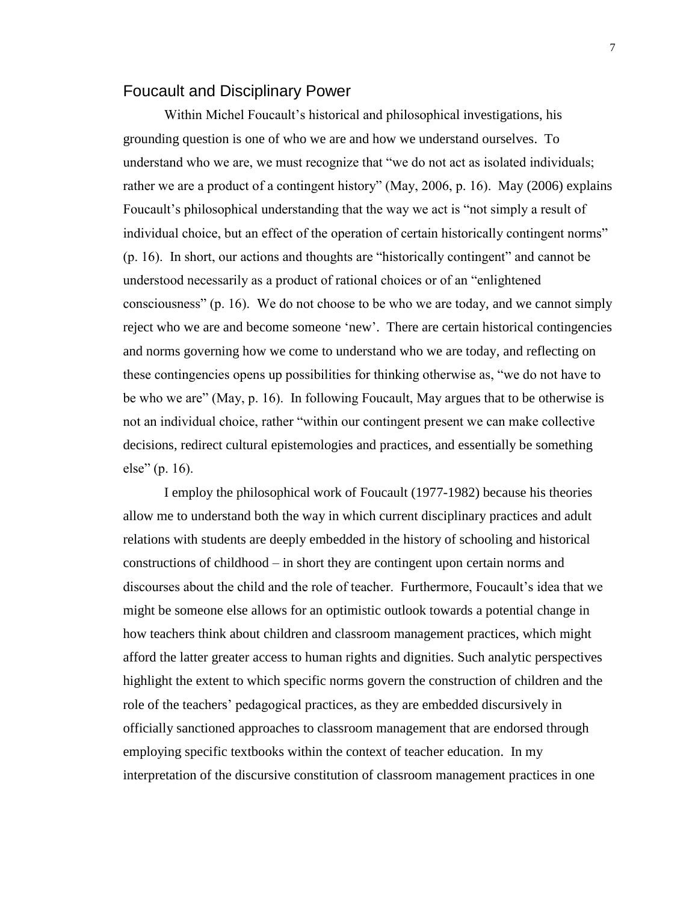#### <span id="page-13-0"></span>Foucault and Disciplinary Power

Within Michel Foucault's historical and philosophical investigations, his grounding question is one of who we are and how we understand ourselves. To understand who we are, we must recognize that "we do not act as isolated individuals; rather we are a product of a contingent history" (May, 2006, p. 16). May (2006) explains Foucault's philosophical understanding that the way we act is "not simply a result of individual choice, but an effect of the operation of certain historically contingent norms" (p. 16). In short, our actions and thoughts are "historically contingent" and cannot be understood necessarily as a product of rational choices or of an "enlightened consciousness" (p. 16). We do not choose to be who we are today, and we cannot simply reject who we are and become someone 'new'. There are certain historical contingencies and norms governing how we come to understand who we are today, and reflecting on these contingencies opens up possibilities for thinking otherwise as, "we do not have to be who we are" (May, p. 16). In following Foucault, May argues that to be otherwise is not an individual choice, rather "within our contingent present we can make collective decisions, redirect cultural epistemologies and practices, and essentially be something else" (p. 16).

I employ the philosophical work of Foucault (1977-1982) because his theories allow me to understand both the way in which current disciplinary practices and adult relations with students are deeply embedded in the history of schooling and historical constructions of childhood – in short they are contingent upon certain norms and discourses about the child and the role of teacher. Furthermore, Foucault's idea that we might be someone else allows for an optimistic outlook towards a potential change in how teachers think about children and classroom management practices, which might afford the latter greater access to human rights and dignities. Such analytic perspectives highlight the extent to which specific norms govern the construction of children and the role of the teachers' pedagogical practices, as they are embedded discursively in officially sanctioned approaches to classroom management that are endorsed through employing specific textbooks within the context of teacher education. In my interpretation of the discursive constitution of classroom management practices in one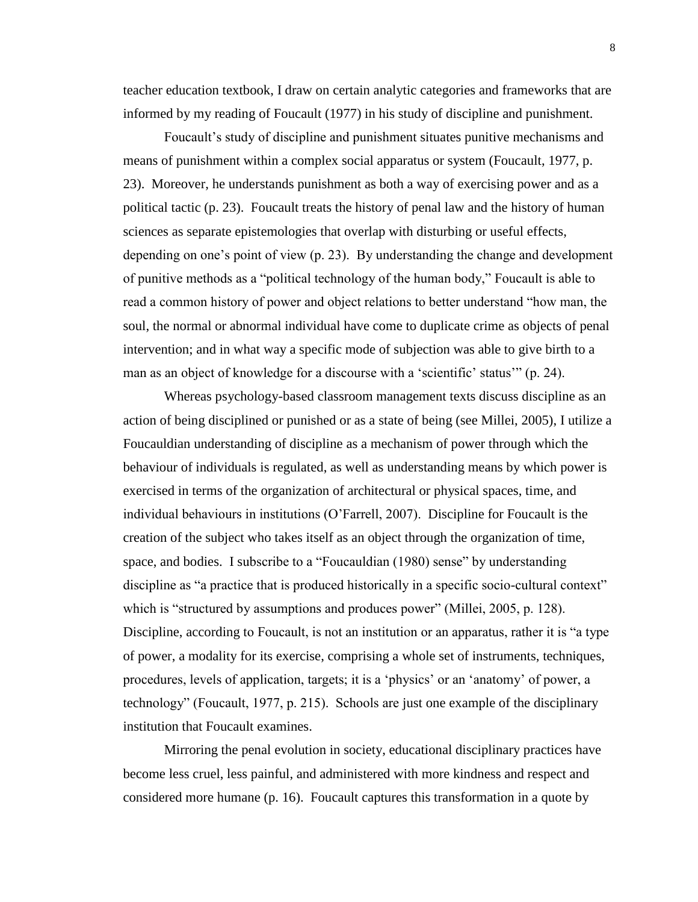teacher education textbook, I draw on certain analytic categories and frameworks that are informed by my reading of Foucault (1977) in his study of discipline and punishment.

Foucault's study of discipline and punishment situates punitive mechanisms and means of punishment within a complex social apparatus or system (Foucault, 1977, p. 23). Moreover, he understands punishment as both a way of exercising power and as a political tactic (p. 23). Foucault treats the history of penal law and the history of human sciences as separate epistemologies that overlap with disturbing or useful effects, depending on one's point of view (p. 23). By understanding the change and development of punitive methods as a "political technology of the human body," Foucault is able to read a common history of power and object relations to better understand "how man, the soul, the normal or abnormal individual have come to duplicate crime as objects of penal intervention; and in what way a specific mode of subjection was able to give birth to a man as an object of knowledge for a discourse with a 'scientific' status'" (p. 24).

Whereas psychology-based classroom management texts discuss discipline as an action of being disciplined or punished or as a state of being (see Millei, 2005), I utilize a Foucauldian understanding of discipline as a mechanism of power through which the behaviour of individuals is regulated, as well as understanding means by which power is exercised in terms of the organization of architectural or physical spaces, time, and individual behaviours in institutions (O'Farrell, 2007). Discipline for Foucault is the creation of the subject who takes itself as an object through the organization of time, space, and bodies. I subscribe to a "Foucauldian (1980) sense" by understanding discipline as "a practice that is produced historically in a specific socio-cultural context" which is "structured by assumptions and produces power" (Millei, 2005, p. 128). Discipline, according to Foucault, is not an institution or an apparatus, rather it is "a type of power, a modality for its exercise, comprising a whole set of instruments, techniques, procedures, levels of application, targets; it is a 'physics' or an 'anatomy' of power, a technology" (Foucault, 1977, p. 215). Schools are just one example of the disciplinary institution that Foucault examines.

Mirroring the penal evolution in society, educational disciplinary practices have become less cruel, less painful, and administered with more kindness and respect and considered more humane (p. 16). Foucault captures this transformation in a quote by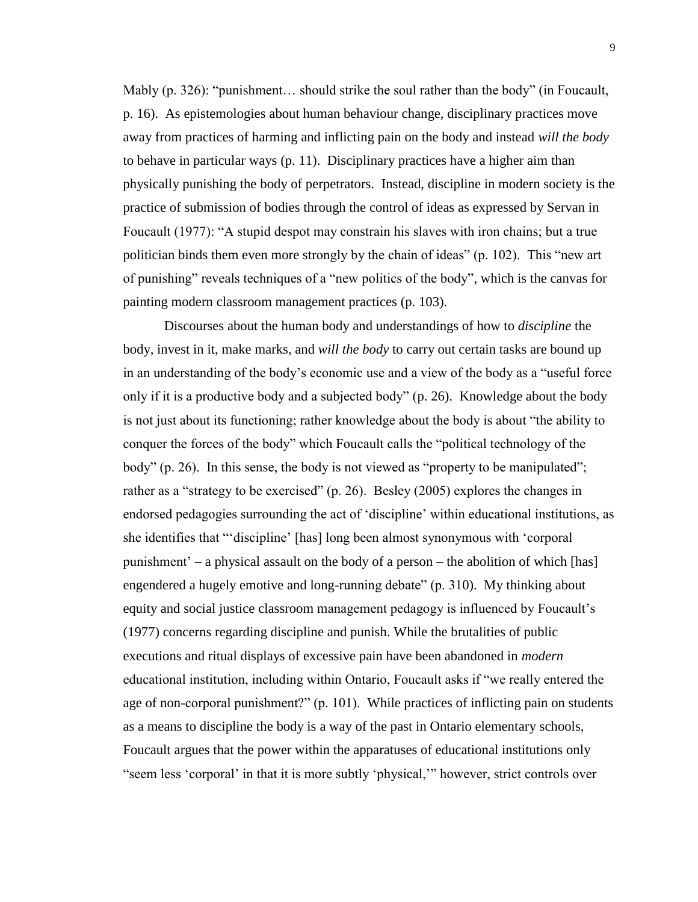Mably (p. 326): "punishment... should strike the soul rather than the body" (in Foucault, p. 16). As epistemologies about human behaviour change, disciplinary practices move away from practices of harming and inflicting pain on the body and instead *will the body* to behave in particular ways (p. 11). Disciplinary practices have a higher aim than physically punishing the body of perpetrators. Instead, discipline in modern society is the practice of submission of bodies through the control of ideas as expressed by Servan in Foucault (1977): "A stupid despot may constrain his slaves with iron chains; but a true politician binds them even more strongly by the chain of ideas" (p. 102). This "new art of punishing" reveals techniques of a "new politics of the body", which is the canvas for painting modern classroom management practices (p. 103).

Discourses about the human body and understandings of how to *discipline* the body, invest in it, make marks, and *will the body* to carry out certain tasks are bound up in an understanding of the body's economic use and a view of the body as a "useful force only if it is a productive body and a subjected body" (p. 26). Knowledge about the body is not just about its functioning; rather knowledge about the body is about "the ability to conquer the forces of the body" which Foucault calls the "political technology of the body" (p. 26). In this sense, the body is not viewed as "property to be manipulated"; rather as a "strategy to be exercised" (p. 26). Besley (2005) explores the changes in endorsed pedagogies surrounding the act of 'discipline' within educational institutions, as she identifies that "'discipline' [has] long been almost synonymous with 'corporal punishment' – a physical assault on the body of a person – the abolition of which [has] engendered a hugely emotive and long-running debate" (p. 310). My thinking about equity and social justice classroom management pedagogy is influenced by Foucault's (1977) concerns regarding discipline and punish. While the brutalities of public executions and ritual displays of excessive pain have been abandoned in *modern* educational institution, including within Ontario, Foucault asks if "we really entered the age of non-corporal punishment?" (p. 101). While practices of inflicting pain on students as a means to discipline the body is a way of the past in Ontario elementary schools, Foucault argues that the power within the apparatuses of educational institutions only "seem less 'corporal' in that it is more subtly 'physical,'" however, strict controls over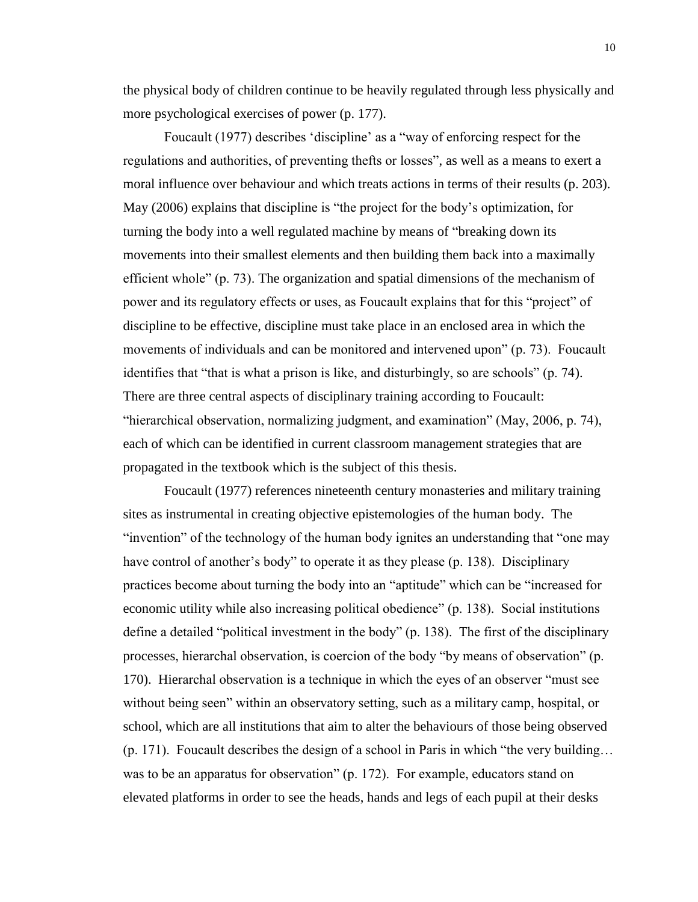the physical body of children continue to be heavily regulated through less physically and more psychological exercises of power (p. 177).

Foucault (1977) describes 'discipline' as a "way of enforcing respect for the regulations and authorities, of preventing thefts or losses", as well as a means to exert a moral influence over behaviour and which treats actions in terms of their results (p. 203). May (2006) explains that discipline is "the project for the body's optimization, for turning the body into a well regulated machine by means of "breaking down its movements into their smallest elements and then building them back into a maximally efficient whole" (p. 73). The organization and spatial dimensions of the mechanism of power and its regulatory effects or uses, as Foucault explains that for this "project" of discipline to be effective, discipline must take place in an enclosed area in which the movements of individuals and can be monitored and intervened upon" (p. 73). Foucault identifies that "that is what a prison is like, and disturbingly, so are schools" (p. 74). There are three central aspects of disciplinary training according to Foucault: "hierarchical observation, normalizing judgment, and examination" (May, 2006, p. 74), each of which can be identified in current classroom management strategies that are propagated in the textbook which is the subject of this thesis.

Foucault (1977) references nineteenth century monasteries and military training sites as instrumental in creating objective epistemologies of the human body. The "invention" of the technology of the human body ignites an understanding that "one may have control of another's body" to operate it as they please (p. 138). Disciplinary practices become about turning the body into an "aptitude" which can be "increased for economic utility while also increasing political obedience" (p. 138). Social institutions define a detailed "political investment in the body" (p. 138). The first of the disciplinary processes, hierarchal observation, is coercion of the body "by means of observation" (p. 170). Hierarchal observation is a technique in which the eyes of an observer "must see without being seen" within an observatory setting, such as a military camp, hospital, or school, which are all institutions that aim to alter the behaviours of those being observed (p. 171). Foucault describes the design of a school in Paris in which "the very building… was to be an apparatus for observation" (p. 172). For example, educators stand on elevated platforms in order to see the heads, hands and legs of each pupil at their desks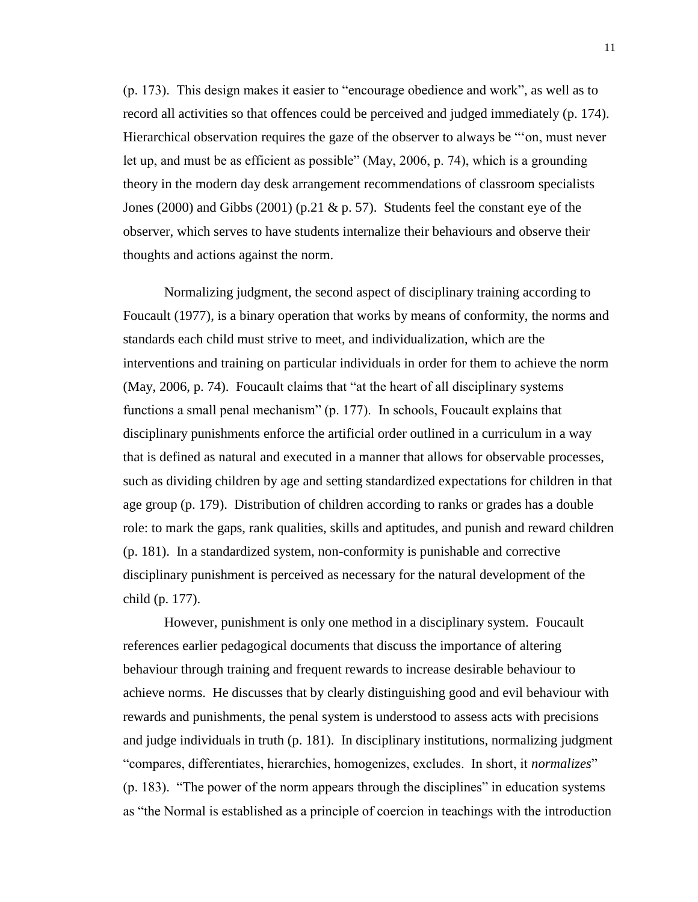(p. 173). This design makes it easier to "encourage obedience and work", as well as to record all activities so that offences could be perceived and judged immediately (p. 174). Hierarchical observation requires the gaze of the observer to always be "'on, must never let up, and must be as efficient as possible" (May, 2006, p. 74), which is a grounding theory in the modern day desk arrangement recommendations of classroom specialists Jones (2000) and Gibbs (2001) (p.21  $\&$  p. 57). Students feel the constant eye of the observer, which serves to have students internalize their behaviours and observe their thoughts and actions against the norm.

Normalizing judgment, the second aspect of disciplinary training according to Foucault (1977), is a binary operation that works by means of conformity, the norms and standards each child must strive to meet, and individualization, which are the interventions and training on particular individuals in order for them to achieve the norm (May, 2006, p. 74). Foucault claims that "at the heart of all disciplinary systems functions a small penal mechanism" (p. 177). In schools, Foucault explains that disciplinary punishments enforce the artificial order outlined in a curriculum in a way that is defined as natural and executed in a manner that allows for observable processes, such as dividing children by age and setting standardized expectations for children in that age group (p. 179). Distribution of children according to ranks or grades has a double role: to mark the gaps, rank qualities, skills and aptitudes, and punish and reward children (p. 181). In a standardized system, non-conformity is punishable and corrective disciplinary punishment is perceived as necessary for the natural development of the child (p. 177).

However, punishment is only one method in a disciplinary system. Foucault references earlier pedagogical documents that discuss the importance of altering behaviour through training and frequent rewards to increase desirable behaviour to achieve norms. He discusses that by clearly distinguishing good and evil behaviour with rewards and punishments, the penal system is understood to assess acts with precisions and judge individuals in truth (p. 181). In disciplinary institutions, normalizing judgment "compares, differentiates, hierarchies, homogenizes, excludes. In short, it *normalizes*" (p. 183). "The power of the norm appears through the disciplines" in education systems as "the Normal is established as a principle of coercion in teachings with the introduction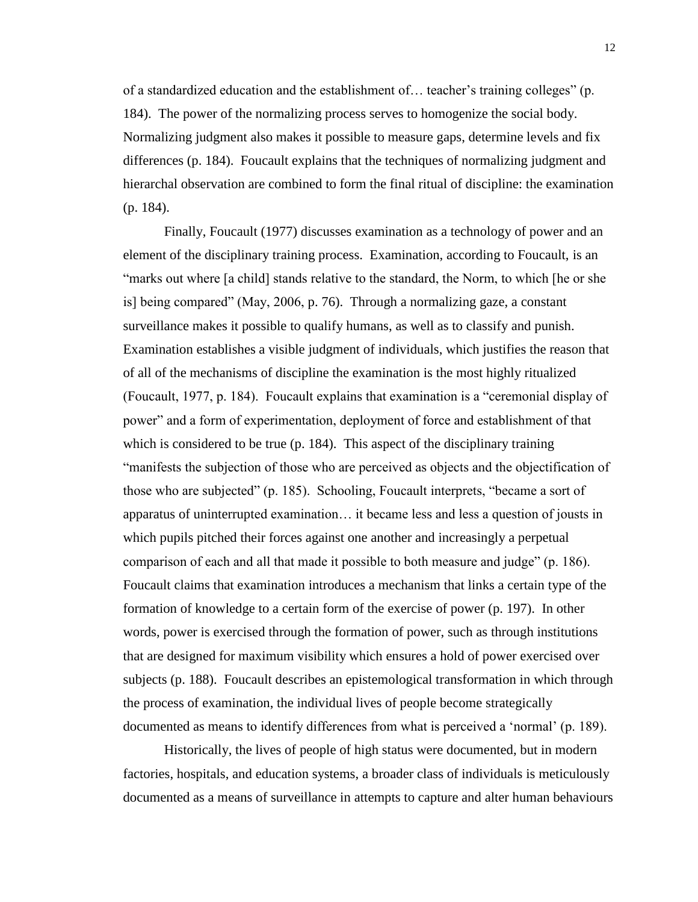of a standardized education and the establishment of… teacher's training colleges" (p. 184). The power of the normalizing process serves to homogenize the social body. Normalizing judgment also makes it possible to measure gaps, determine levels and fix differences (p. 184). Foucault explains that the techniques of normalizing judgment and hierarchal observation are combined to form the final ritual of discipline: the examination (p. 184).

Finally, Foucault (1977) discusses examination as a technology of power and an element of the disciplinary training process. Examination, according to Foucault, is an "marks out where [a child] stands relative to the standard, the Norm, to which [he or she is] being compared" (May, 2006, p. 76). Through a normalizing gaze, a constant surveillance makes it possible to qualify humans, as well as to classify and punish. Examination establishes a visible judgment of individuals, which justifies the reason that of all of the mechanisms of discipline the examination is the most highly ritualized (Foucault, 1977, p. 184). Foucault explains that examination is a "ceremonial display of power" and a form of experimentation, deployment of force and establishment of that which is considered to be true (p. 184). This aspect of the disciplinary training "manifests the subjection of those who are perceived as objects and the objectification of those who are subjected" (p. 185). Schooling, Foucault interprets, "became a sort of apparatus of uninterrupted examination… it became less and less a question of jousts in which pupils pitched their forces against one another and increasingly a perpetual comparison of each and all that made it possible to both measure and judge" (p. 186). Foucault claims that examination introduces a mechanism that links a certain type of the formation of knowledge to a certain form of the exercise of power (p. 197). In other words, power is exercised through the formation of power, such as through institutions that are designed for maximum visibility which ensures a hold of power exercised over subjects (p. 188). Foucault describes an epistemological transformation in which through the process of examination, the individual lives of people become strategically documented as means to identify differences from what is perceived a 'normal' (p. 189).

Historically, the lives of people of high status were documented, but in modern factories, hospitals, and education systems, a broader class of individuals is meticulously documented as a means of surveillance in attempts to capture and alter human behaviours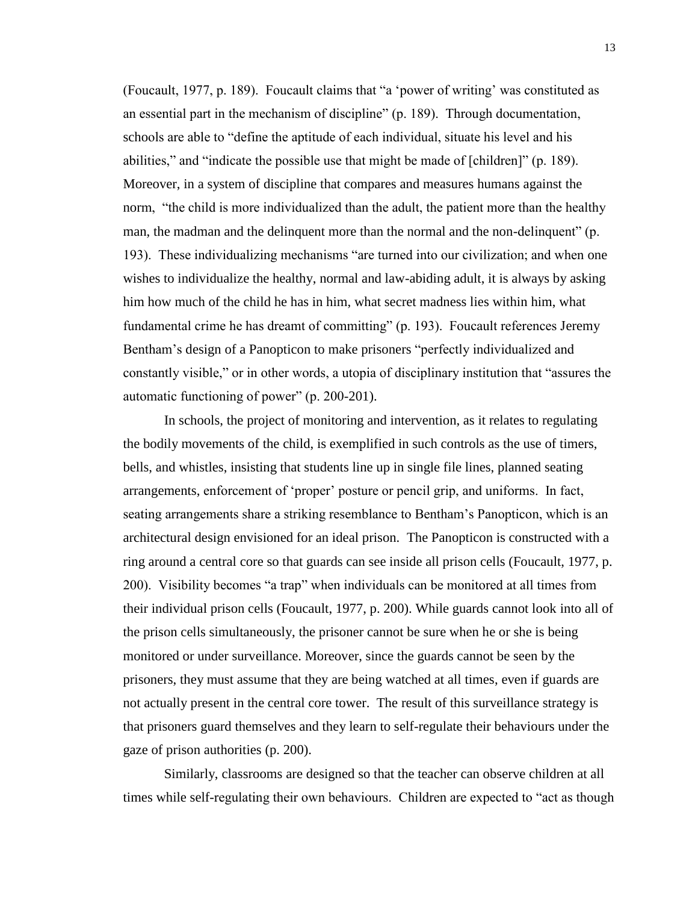(Foucault, 1977, p. 189). Foucault claims that "a 'power of writing' was constituted as an essential part in the mechanism of discipline" (p. 189). Through documentation, schools are able to "define the aptitude of each individual, situate his level and his abilities," and "indicate the possible use that might be made of [children]" (p. 189). Moreover, in a system of discipline that compares and measures humans against the norm, "the child is more individualized than the adult, the patient more than the healthy man, the madman and the delinquent more than the normal and the non-delinquent" (p. 193). These individualizing mechanisms "are turned into our civilization; and when one wishes to individualize the healthy, normal and law-abiding adult, it is always by asking him how much of the child he has in him, what secret madness lies within him, what fundamental crime he has dreamt of committing" (p. 193). Foucault references Jeremy Bentham's design of a Panopticon to make prisoners "perfectly individualized and constantly visible," or in other words, a utopia of disciplinary institution that "assures the automatic functioning of power" (p. 200-201).

In schools, the project of monitoring and intervention, as it relates to regulating the bodily movements of the child, is exemplified in such controls as the use of timers, bells, and whistles, insisting that students line up in single file lines, planned seating arrangements, enforcement of 'proper' posture or pencil grip, and uniforms. In fact, seating arrangements share a striking resemblance to Bentham's Panopticon, which is an architectural design envisioned for an ideal prison. The Panopticon is constructed with a ring around a central core so that guards can see inside all prison cells (Foucault, 1977, p. 200). Visibility becomes "a trap" when individuals can be monitored at all times from their individual prison cells (Foucault, 1977, p. 200). While guards cannot look into all of the prison cells simultaneously, the prisoner cannot be sure when he or she is being monitored or under surveillance. Moreover, since the guards cannot be seen by the prisoners, they must assume that they are being watched at all times, even if guards are not actually present in the central core tower. The result of this surveillance strategy is that prisoners guard themselves and they learn to self-regulate their behaviours under the gaze of prison authorities (p. 200).

Similarly, classrooms are designed so that the teacher can observe children at all times while self-regulating their own behaviours. Children are expected to "act as though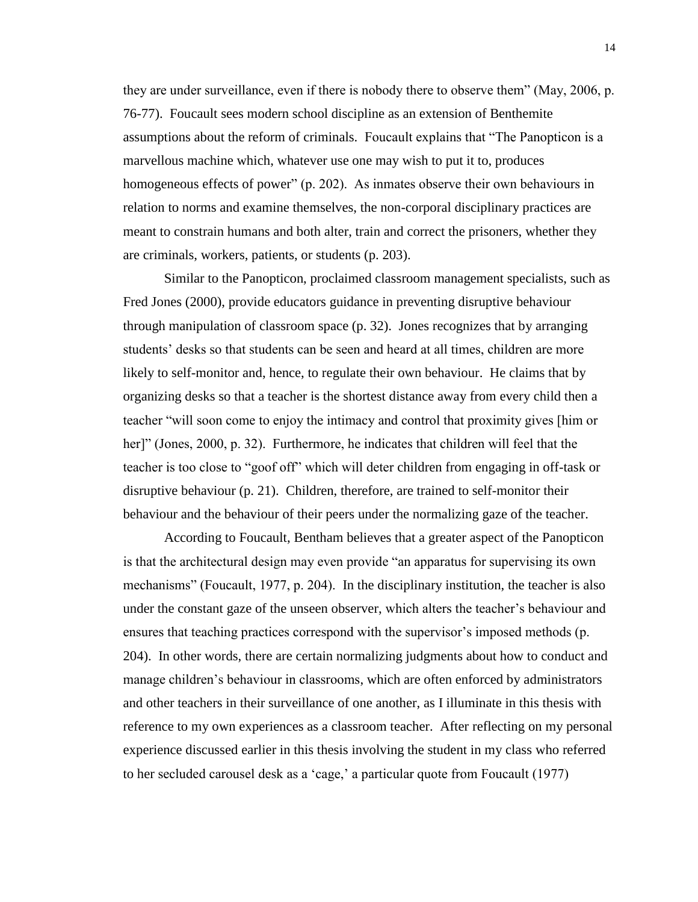they are under surveillance, even if there is nobody there to observe them" (May, 2006, p. 76-77). Foucault sees modern school discipline as an extension of Benthemite assumptions about the reform of criminals. Foucault explains that "The Panopticon is a marvellous machine which, whatever use one may wish to put it to, produces homogeneous effects of power" (p. 202). As inmates observe their own behaviours in relation to norms and examine themselves, the non-corporal disciplinary practices are meant to constrain humans and both alter, train and correct the prisoners, whether they are criminals, workers, patients, or students (p. 203).

Similar to the Panopticon, proclaimed classroom management specialists, such as Fred Jones (2000), provide educators guidance in preventing disruptive behaviour through manipulation of classroom space (p. 32). Jones recognizes that by arranging students' desks so that students can be seen and heard at all times, children are more likely to self-monitor and, hence, to regulate their own behaviour. He claims that by organizing desks so that a teacher is the shortest distance away from every child then a teacher "will soon come to enjoy the intimacy and control that proximity gives [him or her]" (Jones, 2000, p. 32). Furthermore, he indicates that children will feel that the teacher is too close to "goof off" which will deter children from engaging in off-task or disruptive behaviour (p. 21). Children, therefore, are trained to self-monitor their behaviour and the behaviour of their peers under the normalizing gaze of the teacher.

According to Foucault, Bentham believes that a greater aspect of the Panopticon is that the architectural design may even provide "an apparatus for supervising its own mechanisms" (Foucault, 1977, p. 204). In the disciplinary institution, the teacher is also under the constant gaze of the unseen observer, which alters the teacher's behaviour and ensures that teaching practices correspond with the supervisor's imposed methods (p. 204). In other words, there are certain normalizing judgments about how to conduct and manage children's behaviour in classrooms, which are often enforced by administrators and other teachers in their surveillance of one another, as I illuminate in this thesis with reference to my own experiences as a classroom teacher. After reflecting on my personal experience discussed earlier in this thesis involving the student in my class who referred to her secluded carousel desk as a 'cage,' a particular quote from Foucault (1977)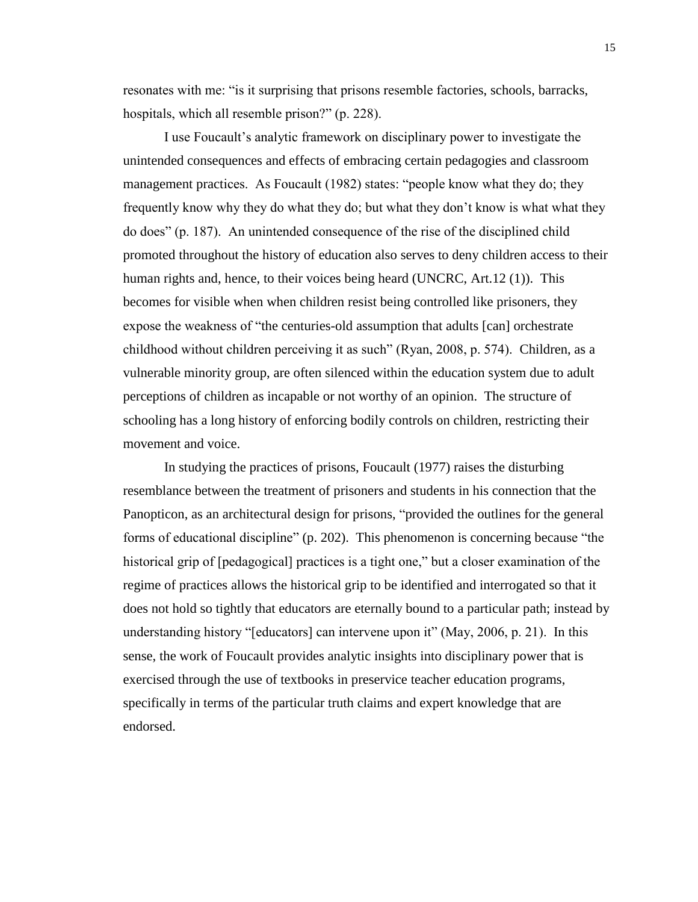resonates with me: "is it surprising that prisons resemble factories, schools, barracks, hospitals, which all resemble prison?" (p. 228).

I use Foucault's analytic framework on disciplinary power to investigate the unintended consequences and effects of embracing certain pedagogies and classroom management practices. As Foucault (1982) states: "people know what they do; they frequently know why they do what they do; but what they don't know is what what they do does" (p. 187). An unintended consequence of the rise of the disciplined child promoted throughout the history of education also serves to deny children access to their human rights and, hence, to their voices being heard (UNCRC, Art.12 (1)). This becomes for visible when when children resist being controlled like prisoners, they expose the weakness of "the centuries-old assumption that adults [can] orchestrate childhood without children perceiving it as such" (Ryan, 2008, p. 574). Children, as a vulnerable minority group, are often silenced within the education system due to adult perceptions of children as incapable or not worthy of an opinion. The structure of schooling has a long history of enforcing bodily controls on children, restricting their movement and voice.

In studying the practices of prisons, Foucault (1977) raises the disturbing resemblance between the treatment of prisoners and students in his connection that the Panopticon, as an architectural design for prisons, "provided the outlines for the general forms of educational discipline" (p. 202). This phenomenon is concerning because "the historical grip of [pedagogical] practices is a tight one," but a closer examination of the regime of practices allows the historical grip to be identified and interrogated so that it does not hold so tightly that educators are eternally bound to a particular path; instead by understanding history "[educators] can intervene upon it" (May, 2006, p. 21). In this sense, the work of Foucault provides analytic insights into disciplinary power that is exercised through the use of textbooks in preservice teacher education programs, specifically in terms of the particular truth claims and expert knowledge that are endorsed.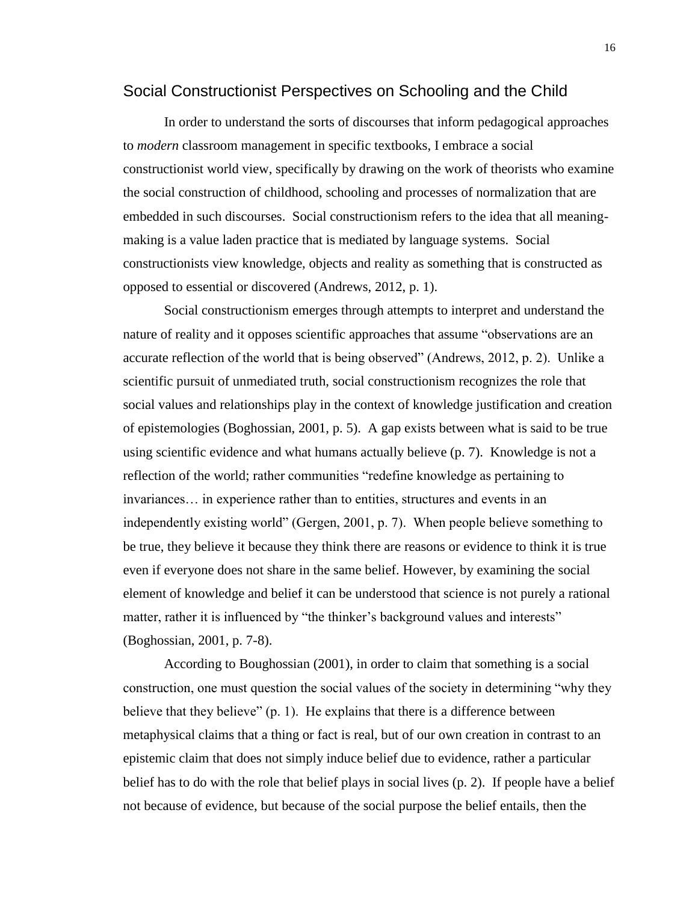### <span id="page-22-0"></span>Social Constructionist Perspectives on Schooling and the Child

In order to understand the sorts of discourses that inform pedagogical approaches to *modern* classroom management in specific textbooks, I embrace a social constructionist world view, specifically by drawing on the work of theorists who examine the social construction of childhood, schooling and processes of normalization that are embedded in such discourses. Social constructionism refers to the idea that all meaningmaking is a value laden practice that is mediated by language systems. Social constructionists view knowledge, objects and reality as something that is constructed as opposed to essential or discovered (Andrews, 2012, p. 1).

Social constructionism emerges through attempts to interpret and understand the nature of reality and it opposes scientific approaches that assume "observations are an accurate reflection of the world that is being observed" (Andrews, 2012, p. 2). Unlike a scientific pursuit of unmediated truth, social constructionism recognizes the role that social values and relationships play in the context of knowledge justification and creation of epistemologies (Boghossian, 2001, p. 5). A gap exists between what is said to be true using scientific evidence and what humans actually believe (p. 7). Knowledge is not a reflection of the world; rather communities "redefine knowledge as pertaining to invariances… in experience rather than to entities, structures and events in an independently existing world" (Gergen, 2001, p. 7). When people believe something to be true, they believe it because they think there are reasons or evidence to think it is true even if everyone does not share in the same belief. However, by examining the social element of knowledge and belief it can be understood that science is not purely a rational matter, rather it is influenced by "the thinker's background values and interests" (Boghossian, 2001, p. 7-8).

According to Boughossian (2001), in order to claim that something is a social construction, one must question the social values of the society in determining "why they believe that they believe" (p. 1). He explains that there is a difference between metaphysical claims that a thing or fact is real, but of our own creation in contrast to an epistemic claim that does not simply induce belief due to evidence, rather a particular belief has to do with the role that belief plays in social lives (p. 2). If people have a belief not because of evidence, but because of the social purpose the belief entails, then the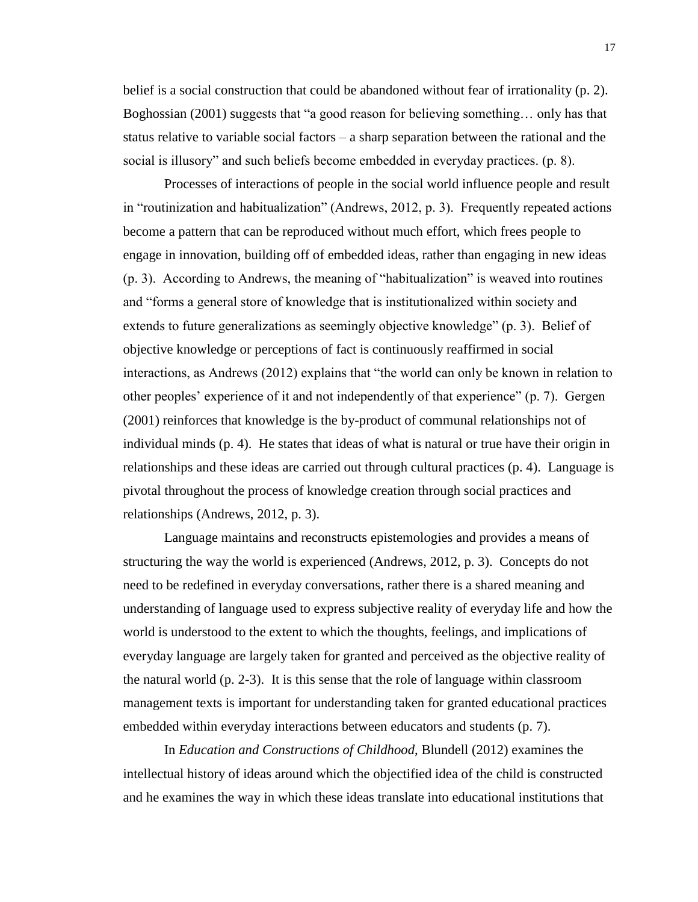belief is a social construction that could be abandoned without fear of irrationality (p. 2). Boghossian (2001) suggests that "a good reason for believing something… only has that status relative to variable social factors – a sharp separation between the rational and the social is illusory" and such beliefs become embedded in everyday practices. (p. 8).

Processes of interactions of people in the social world influence people and result in "routinization and habitualization" (Andrews, 2012, p. 3). Frequently repeated actions become a pattern that can be reproduced without much effort, which frees people to engage in innovation, building off of embedded ideas, rather than engaging in new ideas (p. 3). According to Andrews, the meaning of "habitualization" is weaved into routines and "forms a general store of knowledge that is institutionalized within society and extends to future generalizations as seemingly objective knowledge" (p. 3). Belief of objective knowledge or perceptions of fact is continuously reaffirmed in social interactions, as Andrews (2012) explains that "the world can only be known in relation to other peoples' experience of it and not independently of that experience" (p. 7). Gergen (2001) reinforces that knowledge is the by-product of communal relationships not of individual minds (p. 4). He states that ideas of what is natural or true have their origin in relationships and these ideas are carried out through cultural practices (p. 4). Language is pivotal throughout the process of knowledge creation through social practices and relationships (Andrews, 2012, p. 3).

Language maintains and reconstructs epistemologies and provides a means of structuring the way the world is experienced (Andrews, 2012, p. 3). Concepts do not need to be redefined in everyday conversations, rather there is a shared meaning and understanding of language used to express subjective reality of everyday life and how the world is understood to the extent to which the thoughts, feelings, and implications of everyday language are largely taken for granted and perceived as the objective reality of the natural world  $(p, 2-3)$ . It is this sense that the role of language within classroom management texts is important for understanding taken for granted educational practices embedded within everyday interactions between educators and students (p. 7).

In *Education and Constructions of Childhood*, Blundell (2012) examines the intellectual history of ideas around which the objectified idea of the child is constructed and he examines the way in which these ideas translate into educational institutions that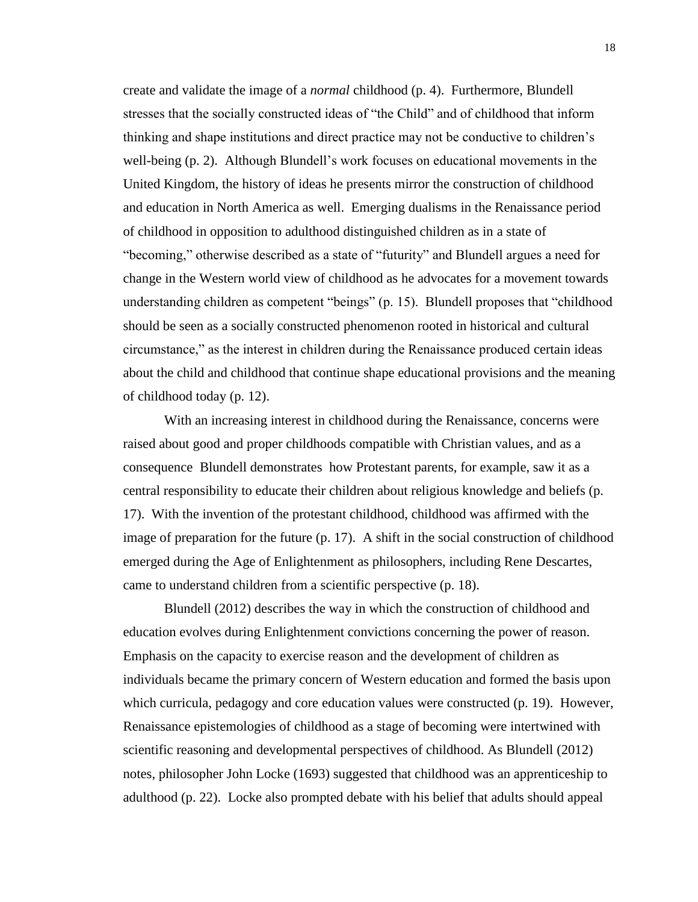create and validate the image of a *normal* childhood (p. 4). Furthermore, Blundell stresses that the socially constructed ideas of "the Child" and of childhood that inform thinking and shape institutions and direct practice may not be conductive to children's well-being (p. 2). Although Blundell's work focuses on educational movements in the United Kingdom, the history of ideas he presents mirror the construction of childhood and education in North America as well. Emerging dualisms in the Renaissance period of childhood in opposition to adulthood distinguished children as in a state of "becoming," otherwise described as a state of "futurity" and Blundell argues a need for change in the Western world view of childhood as he advocates for a movement towards understanding children as competent "beings" (p. 15). Blundell proposes that "childhood should be seen as a socially constructed phenomenon rooted in historical and cultural circumstance," as the interest in children during the Renaissance produced certain ideas about the child and childhood that continue shape educational provisions and the meaning of childhood today (p. 12).

With an increasing interest in childhood during the Renaissance, concerns were raised about good and proper childhoods compatible with Christian values, and as a consequence Blundell demonstrates how Protestant parents, for example, saw it as a central responsibility to educate their children about religious knowledge and beliefs (p. 17). With the invention of the protestant childhood, childhood was affirmed with the image of preparation for the future (p. 17). A shift in the social construction of childhood emerged during the Age of Enlightenment as philosophers, including Rene Descartes, came to understand children from a scientific perspective (p. 18).

Blundell (2012) describes the way in which the construction of childhood and education evolves during Enlightenment convictions concerning the power of reason. Emphasis on the capacity to exercise reason and the development of children as individuals became the primary concern of Western education and formed the basis upon which curricula, pedagogy and core education values were constructed (p. 19). However, Renaissance epistemologies of childhood as a stage of becoming were intertwined with scientific reasoning and developmental perspectives of childhood. As Blundell (2012) notes, philosopher John Locke (1693) suggested that childhood was an apprenticeship to adulthood (p. 22). Locke also prompted debate with his belief that adults should appeal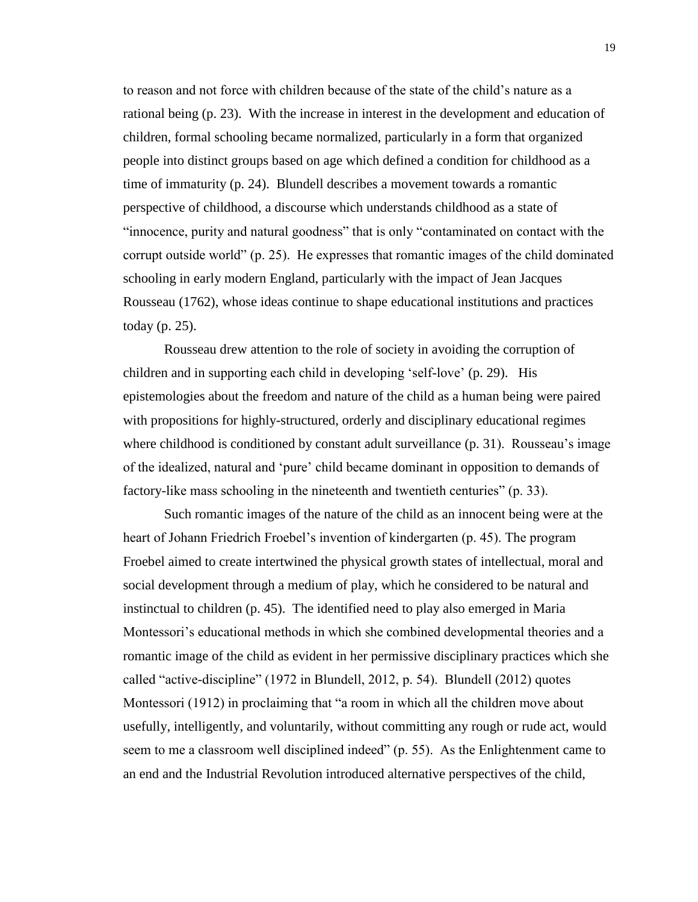to reason and not force with children because of the state of the child's nature as a rational being (p. 23). With the increase in interest in the development and education of children, formal schooling became normalized, particularly in a form that organized people into distinct groups based on age which defined a condition for childhood as a time of immaturity (p. 24). Blundell describes a movement towards a romantic perspective of childhood, a discourse which understands childhood as a state of "innocence, purity and natural goodness" that is only "contaminated on contact with the corrupt outside world" (p. 25). He expresses that romantic images of the child dominated schooling in early modern England, particularly with the impact of Jean Jacques Rousseau (1762), whose ideas continue to shape educational institutions and practices today (p. 25).

Rousseau drew attention to the role of society in avoiding the corruption of children and in supporting each child in developing 'self-love' (p. 29). His epistemologies about the freedom and nature of the child as a human being were paired with propositions for highly-structured, orderly and disciplinary educational regimes where childhood is conditioned by constant adult surveillance (p. 31). Rousseau's image of the idealized, natural and 'pure' child became dominant in opposition to demands of factory-like mass schooling in the nineteenth and twentieth centuries" (p. 33).

Such romantic images of the nature of the child as an innocent being were at the heart of Johann Friedrich Froebel's invention of kindergarten (p. 45). The program Froebel aimed to create intertwined the physical growth states of intellectual, moral and social development through a medium of play, which he considered to be natural and instinctual to children (p. 45). The identified need to play also emerged in Maria Montessori's educational methods in which she combined developmental theories and a romantic image of the child as evident in her permissive disciplinary practices which she called "active-discipline" (1972 in Blundell, 2012, p. 54). Blundell (2012) quotes Montessori (1912) in proclaiming that "a room in which all the children move about usefully, intelligently, and voluntarily, without committing any rough or rude act, would seem to me a classroom well disciplined indeed" (p. 55). As the Enlightenment came to an end and the Industrial Revolution introduced alternative perspectives of the child,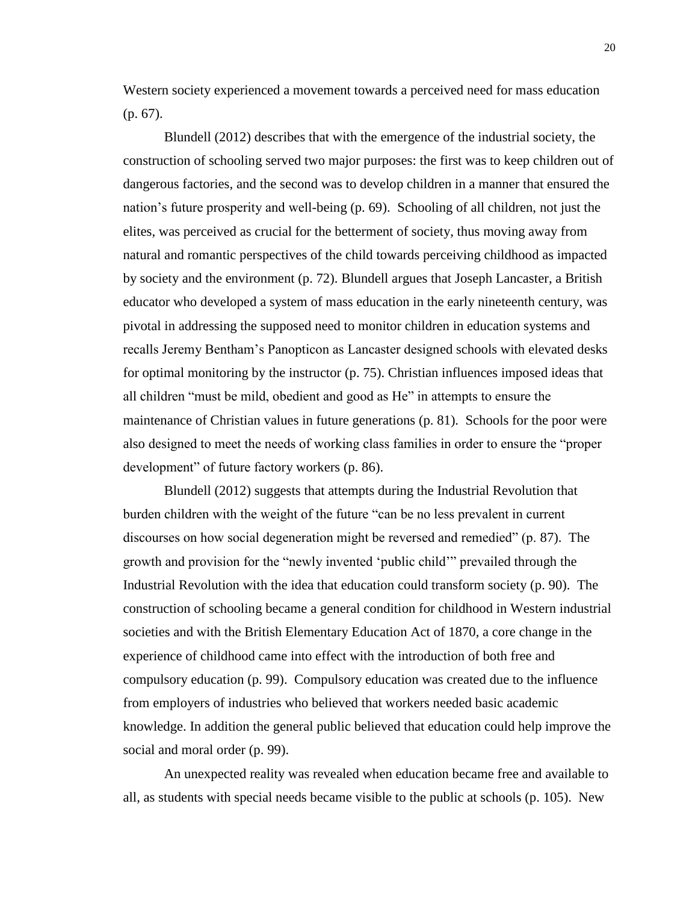Western society experienced a movement towards a perceived need for mass education (p. 67).

Blundell (2012) describes that with the emergence of the industrial society, the construction of schooling served two major purposes: the first was to keep children out of dangerous factories, and the second was to develop children in a manner that ensured the nation's future prosperity and well-being (p. 69). Schooling of all children, not just the elites, was perceived as crucial for the betterment of society, thus moving away from natural and romantic perspectives of the child towards perceiving childhood as impacted by society and the environment (p. 72). Blundell argues that Joseph Lancaster, a British educator who developed a system of mass education in the early nineteenth century, was pivotal in addressing the supposed need to monitor children in education systems and recalls Jeremy Bentham's Panopticon as Lancaster designed schools with elevated desks for optimal monitoring by the instructor (p. 75). Christian influences imposed ideas that all children "must be mild, obedient and good as He" in attempts to ensure the maintenance of Christian values in future generations (p. 81). Schools for the poor were also designed to meet the needs of working class families in order to ensure the "proper development" of future factory workers (p. 86).

Blundell (2012) suggests that attempts during the Industrial Revolution that burden children with the weight of the future "can be no less prevalent in current discourses on how social degeneration might be reversed and remedied" (p. 87). The growth and provision for the "newly invented 'public child'" prevailed through the Industrial Revolution with the idea that education could transform society (p. 90). The construction of schooling became a general condition for childhood in Western industrial societies and with the British Elementary Education Act of 1870, a core change in the experience of childhood came into effect with the introduction of both free and compulsory education (p. 99). Compulsory education was created due to the influence from employers of industries who believed that workers needed basic academic knowledge. In addition the general public believed that education could help improve the social and moral order (p. 99).

An unexpected reality was revealed when education became free and available to all, as students with special needs became visible to the public at schools (p. 105). New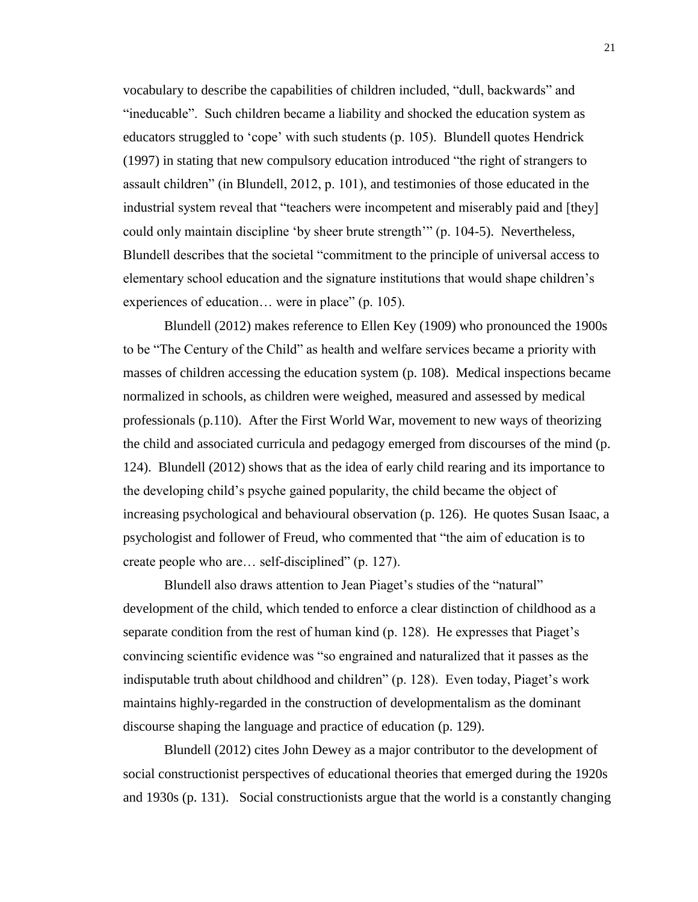vocabulary to describe the capabilities of children included, "dull, backwards" and "ineducable". Such children became a liability and shocked the education system as educators struggled to 'cope' with such students (p. 105). Blundell quotes Hendrick (1997) in stating that new compulsory education introduced "the right of strangers to assault children" (in Blundell, 2012, p. 101), and testimonies of those educated in the industrial system reveal that "teachers were incompetent and miserably paid and [they] could only maintain discipline 'by sheer brute strength'" (p. 104-5). Nevertheless, Blundell describes that the societal "commitment to the principle of universal access to elementary school education and the signature institutions that would shape children's experiences of education… were in place" (p. 105).

Blundell (2012) makes reference to Ellen Key (1909) who pronounced the 1900s to be "The Century of the Child" as health and welfare services became a priority with masses of children accessing the education system (p. 108). Medical inspections became normalized in schools, as children were weighed, measured and assessed by medical professionals (p.110). After the First World War, movement to new ways of theorizing the child and associated curricula and pedagogy emerged from discourses of the mind (p. 124). Blundell (2012) shows that as the idea of early child rearing and its importance to the developing child's psyche gained popularity, the child became the object of increasing psychological and behavioural observation (p. 126). He quotes Susan Isaac, a psychologist and follower of Freud, who commented that "the aim of education is to create people who are… self-disciplined" (p. 127).

Blundell also draws attention to Jean Piaget's studies of the "natural" development of the child, which tended to enforce a clear distinction of childhood as a separate condition from the rest of human kind (p. 128). He expresses that Piaget's convincing scientific evidence was "so engrained and naturalized that it passes as the indisputable truth about childhood and children" (p. 128). Even today, Piaget's work maintains highly-regarded in the construction of developmentalism as the dominant discourse shaping the language and practice of education (p. 129).

Blundell (2012) cites John Dewey as a major contributor to the development of social constructionist perspectives of educational theories that emerged during the 1920s and 1930s (p. 131). Social constructionists argue that the world is a constantly changing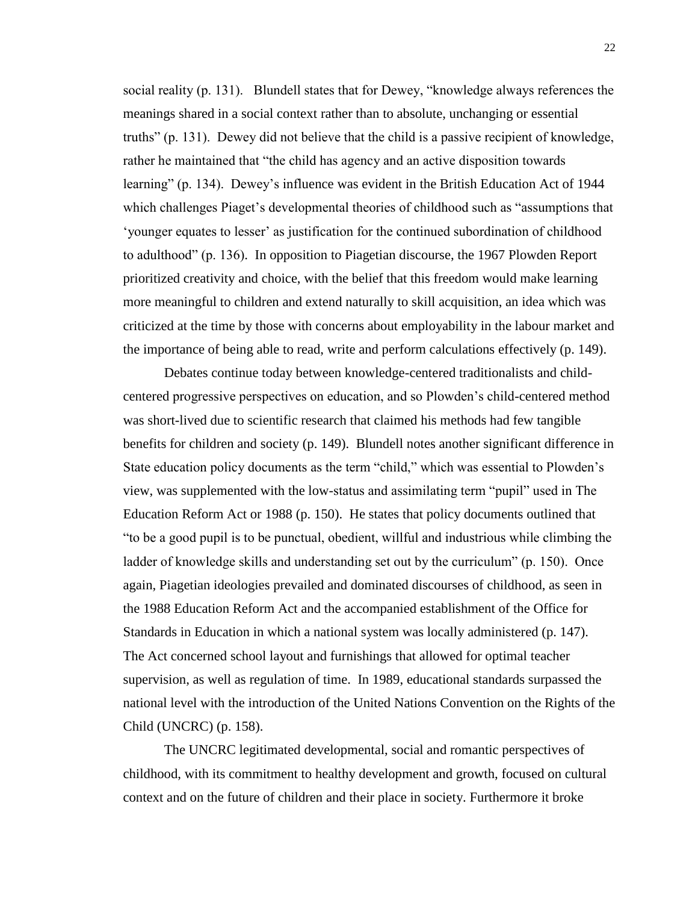social reality (p. 131). Blundell states that for Dewey, "knowledge always references the meanings shared in a social context rather than to absolute, unchanging or essential truths" (p. 131). Dewey did not believe that the child is a passive recipient of knowledge, rather he maintained that "the child has agency and an active disposition towards learning" (p. 134). Dewey's influence was evident in the British Education Act of 1944 which challenges Piaget's developmental theories of childhood such as "assumptions that 'younger equates to lesser' as justification for the continued subordination of childhood to adulthood" (p. 136). In opposition to Piagetian discourse, the 1967 Plowden Report prioritized creativity and choice, with the belief that this freedom would make learning more meaningful to children and extend naturally to skill acquisition, an idea which was criticized at the time by those with concerns about employability in the labour market and the importance of being able to read, write and perform calculations effectively (p. 149).

Debates continue today between knowledge-centered traditionalists and childcentered progressive perspectives on education, and so Plowden's child-centered method was short-lived due to scientific research that claimed his methods had few tangible benefits for children and society (p. 149). Blundell notes another significant difference in State education policy documents as the term "child," which was essential to Plowden's view, was supplemented with the low-status and assimilating term "pupil" used in The Education Reform Act or 1988 (p. 150). He states that policy documents outlined that "to be a good pupil is to be punctual, obedient, willful and industrious while climbing the ladder of knowledge skills and understanding set out by the curriculum" (p. 150). Once again, Piagetian ideologies prevailed and dominated discourses of childhood, as seen in the 1988 Education Reform Act and the accompanied establishment of the Office for Standards in Education in which a national system was locally administered (p. 147). The Act concerned school layout and furnishings that allowed for optimal teacher supervision, as well as regulation of time. In 1989, educational standards surpassed the national level with the introduction of the United Nations Convention on the Rights of the Child (UNCRC) (p. 158).

The UNCRC legitimated developmental, social and romantic perspectives of childhood, with its commitment to healthy development and growth, focused on cultural context and on the future of children and their place in society. Furthermore it broke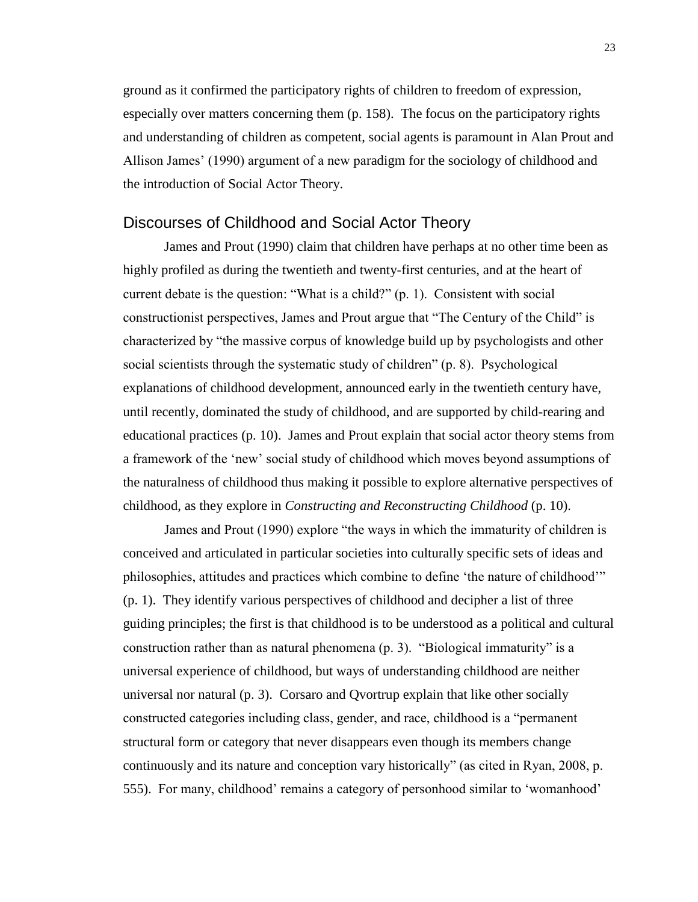ground as it confirmed the participatory rights of children to freedom of expression, especially over matters concerning them (p. 158). The focus on the participatory rights and understanding of children as competent, social agents is paramount in Alan Prout and Allison James' (1990) argument of a new paradigm for the sociology of childhood and the introduction of Social Actor Theory.

### <span id="page-29-0"></span>Discourses of Childhood and Social Actor Theory

James and Prout (1990) claim that children have perhaps at no other time been as highly profiled as during the twentieth and twenty-first centuries, and at the heart of current debate is the question: "What is a child?" (p. 1). Consistent with social constructionist perspectives, James and Prout argue that "The Century of the Child" is characterized by "the massive corpus of knowledge build up by psychologists and other social scientists through the systematic study of children" (p. 8). Psychological explanations of childhood development, announced early in the twentieth century have, until recently, dominated the study of childhood, and are supported by child-rearing and educational practices (p. 10). James and Prout explain that social actor theory stems from a framework of the 'new' social study of childhood which moves beyond assumptions of the naturalness of childhood thus making it possible to explore alternative perspectives of childhood, as they explore in *Constructing and Reconstructing Childhood* (p. 10).

James and Prout (1990) explore "the ways in which the immaturity of children is conceived and articulated in particular societies into culturally specific sets of ideas and philosophies, attitudes and practices which combine to define 'the nature of childhood'" (p. 1). They identify various perspectives of childhood and decipher a list of three guiding principles; the first is that childhood is to be understood as a political and cultural construction rather than as natural phenomena (p. 3). "Biological immaturity" is a universal experience of childhood, but ways of understanding childhood are neither universal nor natural (p. 3). Corsaro and Qvortrup explain that like other socially constructed categories including class, gender, and race, childhood is a "permanent structural form or category that never disappears even though its members change continuously and its nature and conception vary historically" (as cited in Ryan, 2008, p. 555). For many, childhood' remains a category of personhood similar to 'womanhood'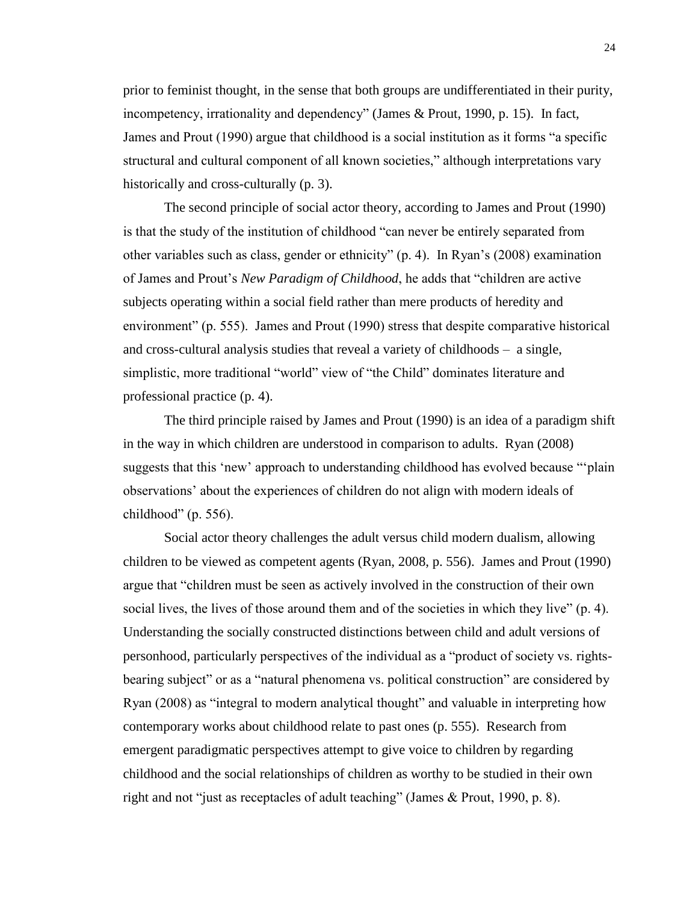prior to feminist thought, in the sense that both groups are undifferentiated in their purity, incompetency, irrationality and dependency" (James & Prout, 1990, p. 15). In fact, James and Prout (1990) argue that childhood is a social institution as it forms "a specific structural and cultural component of all known societies," although interpretations vary historically and cross-culturally (p. 3).

The second principle of social actor theory, according to James and Prout (1990) is that the study of the institution of childhood "can never be entirely separated from other variables such as class, gender or ethnicity" (p. 4). In Ryan's (2008) examination of James and Prout's *New Paradigm of Childhood*, he adds that "children are active subjects operating within a social field rather than mere products of heredity and environment" (p. 555). James and Prout (1990) stress that despite comparative historical and cross-cultural analysis studies that reveal a variety of childhoods – a single, simplistic, more traditional "world" view of "the Child" dominates literature and professional practice (p. 4).

The third principle raised by James and Prout (1990) is an idea of a paradigm shift in the way in which children are understood in comparison to adults. Ryan (2008) suggests that this 'new' approach to understanding childhood has evolved because "'plain observations' about the experiences of children do not align with modern ideals of childhood" (p. 556).

Social actor theory challenges the adult versus child modern dualism, allowing children to be viewed as competent agents (Ryan, 2008, p. 556). James and Prout (1990) argue that "children must be seen as actively involved in the construction of their own social lives, the lives of those around them and of the societies in which they live" (p. 4). Understanding the socially constructed distinctions between child and adult versions of personhood, particularly perspectives of the individual as a "product of society vs. rightsbearing subject" or as a "natural phenomena vs. political construction" are considered by Ryan (2008) as "integral to modern analytical thought" and valuable in interpreting how contemporary works about childhood relate to past ones (p. 555). Research from emergent paradigmatic perspectives attempt to give voice to children by regarding childhood and the social relationships of children as worthy to be studied in their own right and not "just as receptacles of adult teaching" (James & Prout, 1990, p. 8).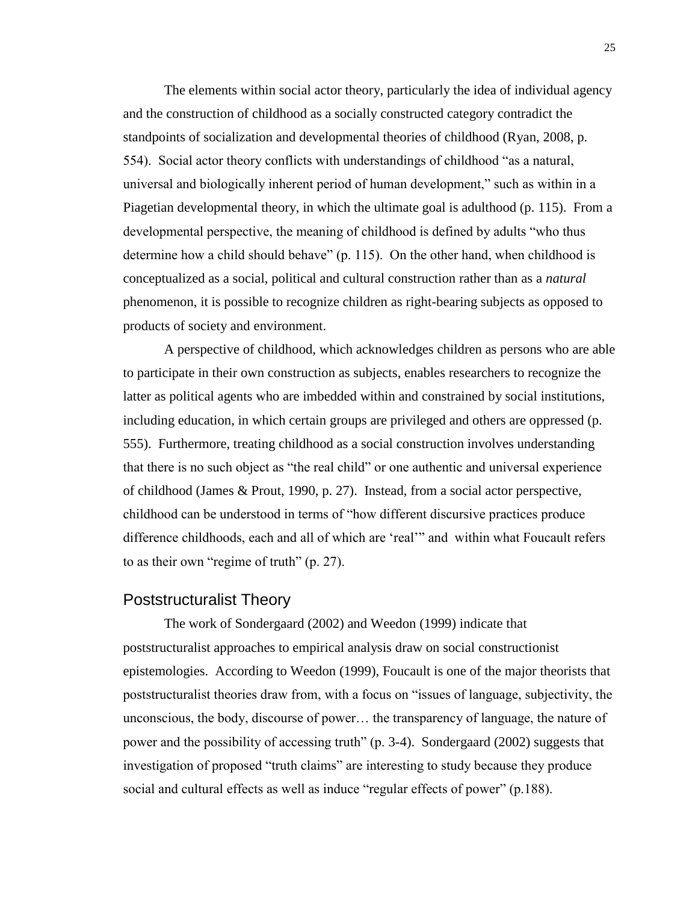The elements within social actor theory, particularly the idea of individual agency and the construction of childhood as a socially constructed category contradict the standpoints of socialization and developmental theories of childhood (Ryan, 2008, p. 554). Social actor theory conflicts with understandings of childhood "as a natural, universal and biologically inherent period of human development," such as within in a Piagetian developmental theory, in which the ultimate goal is adulthood (p. 115). From a developmental perspective, the meaning of childhood is defined by adults "who thus determine how a child should behave" (p. 115). On the other hand, when childhood is conceptualized as a social, political and cultural construction rather than as a *natural* phenomenon, it is possible to recognize children as right-bearing subjects as opposed to products of society and environment.

A perspective of childhood, which acknowledges children as persons who are able to participate in their own construction as subjects, enables researchers to recognize the latter as political agents who are imbedded within and constrained by social institutions, including education, in which certain groups are privileged and others are oppressed (p. 555). Furthermore, treating childhood as a social construction involves understanding that there is no such object as "the real child" or one authentic and universal experience of childhood (James & Prout, 1990, p. 27). Instead, from a social actor perspective, childhood can be understood in terms of "how different discursive practices produce difference childhoods, each and all of which are 'real'" and within what Foucault refers to as their own "regime of truth" (p. 27).

### <span id="page-31-0"></span>Poststructuralist Theory

The work of Sondergaard (2002) and Weedon (1999) indicate that poststructuralist approaches to empirical analysis draw on social constructionist epistemologies. According to Weedon (1999), Foucault is one of the major theorists that poststructuralist theories draw from, with a focus on "issues of language, subjectivity, the unconscious, the body, discourse of power… the transparency of language, the nature of power and the possibility of accessing truth" (p. 3-4). Sondergaard (2002) suggests that investigation of proposed "truth claims" are interesting to study because they produce social and cultural effects as well as induce "regular effects of power" (p.188).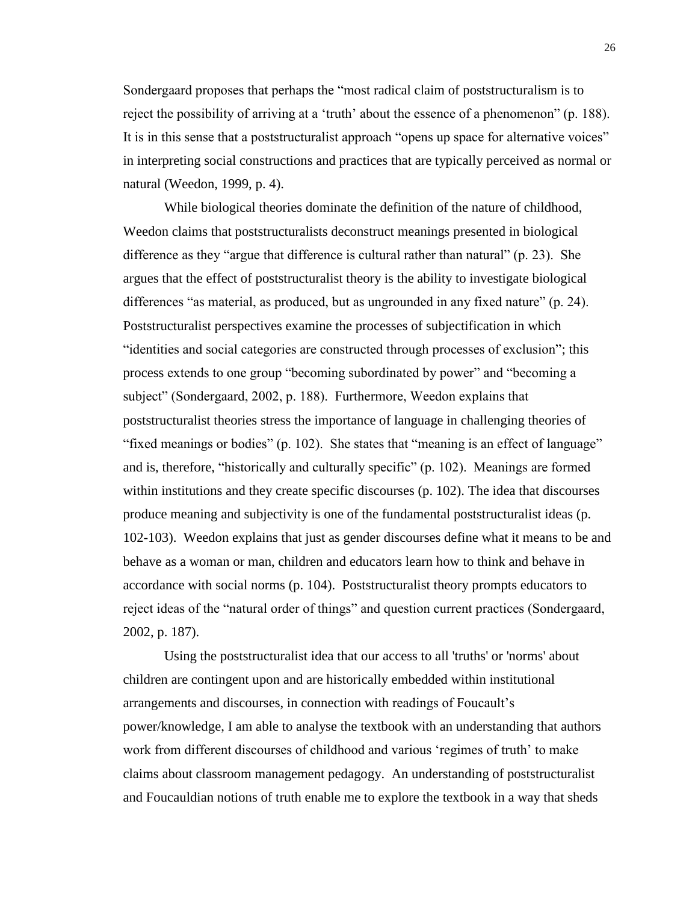Sondergaard proposes that perhaps the "most radical claim of poststructuralism is to reject the possibility of arriving at a 'truth' about the essence of a phenomenon" (p. 188). It is in this sense that a poststructuralist approach "opens up space for alternative voices" in interpreting social constructions and practices that are typically perceived as normal or natural (Weedon, 1999, p. 4).

While biological theories dominate the definition of the nature of childhood, Weedon claims that poststructuralists deconstruct meanings presented in biological difference as they "argue that difference is cultural rather than natural" (p. 23). She argues that the effect of poststructuralist theory is the ability to investigate biological differences "as material, as produced, but as ungrounded in any fixed nature" (p. 24). Poststructuralist perspectives examine the processes of subjectification in which "identities and social categories are constructed through processes of exclusion"; this process extends to one group "becoming subordinated by power" and "becoming a subject" (Sondergaard, 2002, p. 188). Furthermore, Weedon explains that poststructuralist theories stress the importance of language in challenging theories of "fixed meanings or bodies" (p. 102). She states that "meaning is an effect of language" and is, therefore, "historically and culturally specific" (p. 102). Meanings are formed within institutions and they create specific discourses (p. 102). The idea that discourses produce meaning and subjectivity is one of the fundamental poststructuralist ideas (p. 102-103). Weedon explains that just as gender discourses define what it means to be and behave as a woman or man, children and educators learn how to think and behave in accordance with social norms (p. 104). Poststructuralist theory prompts educators to reject ideas of the "natural order of things" and question current practices (Sondergaard, 2002, p. 187).

Using the poststructuralist idea that our access to all 'truths' or 'norms' about children are contingent upon and are historically embedded within institutional arrangements and discourses, in connection with readings of Foucault's power/knowledge, I am able to analyse the textbook with an understanding that authors work from different discourses of childhood and various 'regimes of truth' to make claims about classroom management pedagogy. An understanding of poststructuralist and Foucauldian notions of truth enable me to explore the textbook in a way that sheds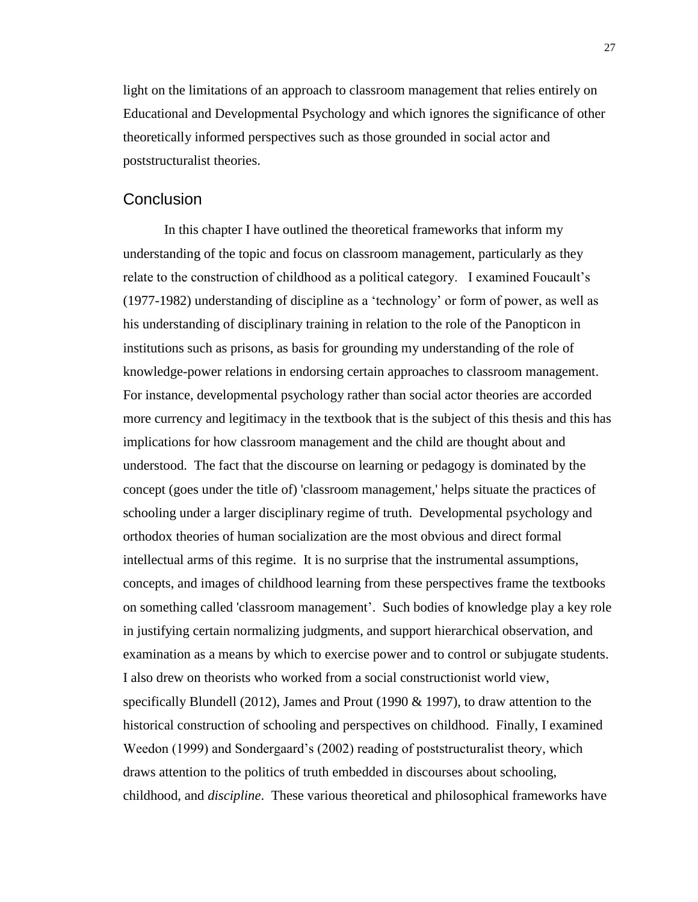light on the limitations of an approach to classroom management that relies entirely on Educational and Developmental Psychology and which ignores the significance of other theoretically informed perspectives such as those grounded in social actor and poststructuralist theories.

### <span id="page-33-0"></span>Conclusion

In this chapter I have outlined the theoretical frameworks that inform my understanding of the topic and focus on classroom management, particularly as they relate to the construction of childhood as a political category. I examined Foucault's (1977-1982) understanding of discipline as a 'technology' or form of power, as well as his understanding of disciplinary training in relation to the role of the Panopticon in institutions such as prisons, as basis for grounding my understanding of the role of knowledge-power relations in endorsing certain approaches to classroom management. For instance, developmental psychology rather than social actor theories are accorded more currency and legitimacy in the textbook that is the subject of this thesis and this has implications for how classroom management and the child are thought about and understood. The fact that the discourse on learning or pedagogy is dominated by the concept (goes under the title of) 'classroom management,' helps situate the practices of schooling under a larger disciplinary regime of truth. Developmental psychology and orthodox theories of human socialization are the most obvious and direct formal intellectual arms of this regime. It is no surprise that the instrumental assumptions, concepts, and images of childhood learning from these perspectives frame the textbooks on something called 'classroom management'. Such bodies of knowledge play a key role in justifying certain normalizing judgments, and support hierarchical observation, and examination as a means by which to exercise power and to control or subjugate students. I also drew on theorists who worked from a social constructionist world view, specifically Blundell (2012), James and Prout (1990 & 1997), to draw attention to the historical construction of schooling and perspectives on childhood. Finally, I examined Weedon (1999) and Sondergaard's (2002) reading of poststructuralist theory, which draws attention to the politics of truth embedded in discourses about schooling, childhood, and *discipline*. These various theoretical and philosophical frameworks have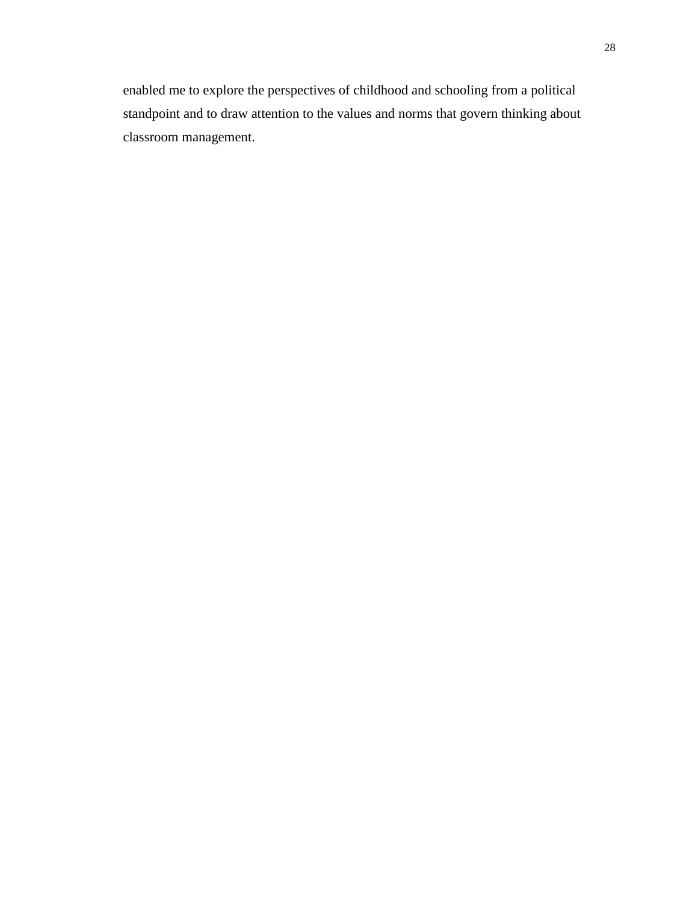enabled me to explore the perspectives of childhood and schooling from a political standpoint and to draw attention to the values and norms that govern thinking about classroom management.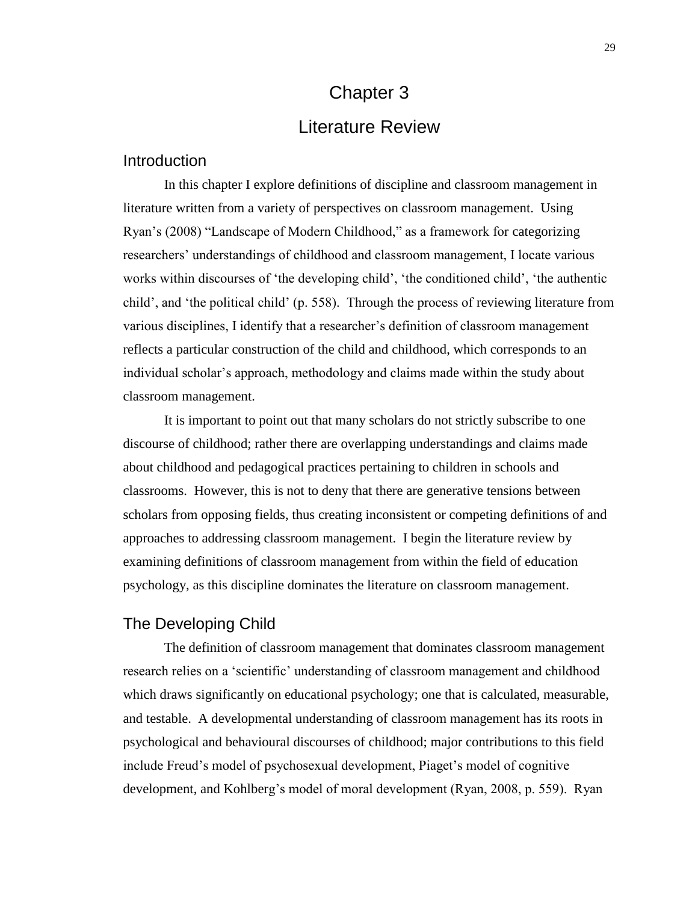# Chapter 3 Literature Review

### <span id="page-35-2"></span><span id="page-35-1"></span><span id="page-35-0"></span>**Introduction**

In this chapter I explore definitions of discipline and classroom management in literature written from a variety of perspectives on classroom management. Using Ryan's (2008) "Landscape of Modern Childhood," as a framework for categorizing researchers' understandings of childhood and classroom management, I locate various works within discourses of 'the developing child', 'the conditioned child', 'the authentic child', and 'the political child' (p. 558). Through the process of reviewing literature from various disciplines, I identify that a researcher's definition of classroom management reflects a particular construction of the child and childhood, which corresponds to an individual scholar's approach, methodology and claims made within the study about classroom management.

It is important to point out that many scholars do not strictly subscribe to one discourse of childhood; rather there are overlapping understandings and claims made about childhood and pedagogical practices pertaining to children in schools and classrooms. However, this is not to deny that there are generative tensions between scholars from opposing fields, thus creating inconsistent or competing definitions of and approaches to addressing classroom management. I begin the literature review by examining definitions of classroom management from within the field of education psychology, as this discipline dominates the literature on classroom management.

### <span id="page-35-3"></span>The Developing Child

The definition of classroom management that dominates classroom management research relies on a 'scientific' understanding of classroom management and childhood which draws significantly on educational psychology; one that is calculated, measurable, and testable. A developmental understanding of classroom management has its roots in psychological and behavioural discourses of childhood; major contributions to this field include Freud's model of psychosexual development, Piaget's model of cognitive development, and Kohlberg's model of moral development (Ryan, 2008, p. 559). Ryan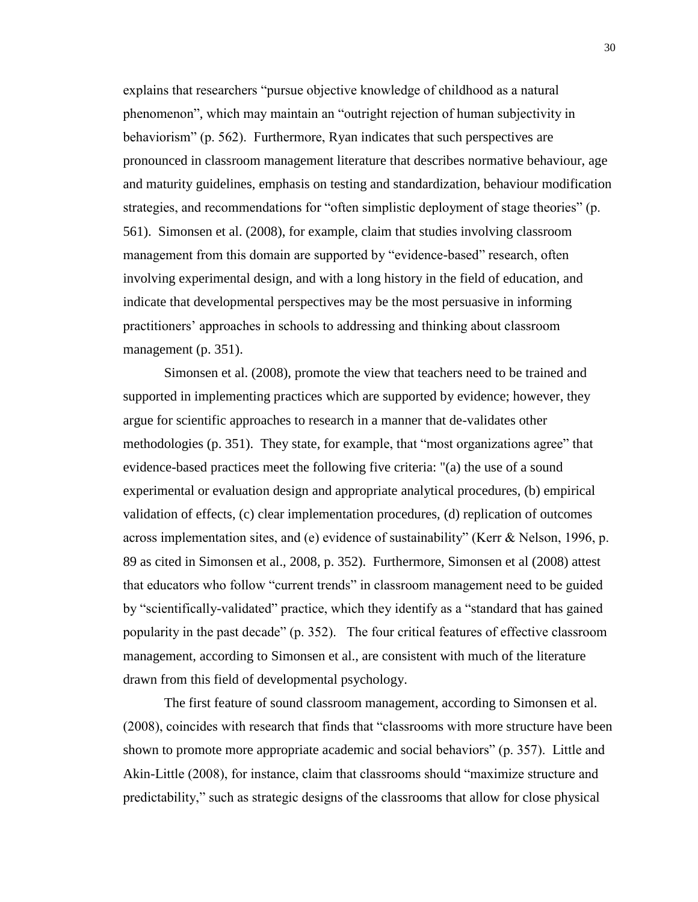explains that researchers "pursue objective knowledge of childhood as a natural phenomenon", which may maintain an "outright rejection of human subjectivity in behaviorism" (p. 562). Furthermore, Ryan indicates that such perspectives are pronounced in classroom management literature that describes normative behaviour, age and maturity guidelines, emphasis on testing and standardization, behaviour modification strategies, and recommendations for "often simplistic deployment of stage theories" (p. 561). Simonsen et al. (2008), for example, claim that studies involving classroom management from this domain are supported by "evidence-based" research, often involving experimental design, and with a long history in the field of education, and indicate that developmental perspectives may be the most persuasive in informing practitioners' approaches in schools to addressing and thinking about classroom management (p. 351).

Simonsen et al. (2008), promote the view that teachers need to be trained and supported in implementing practices which are supported by evidence; however, they argue for scientific approaches to research in a manner that de-validates other methodologies (p. 351). They state, for example, that "most organizations agree" that evidence-based practices meet the following five criteria: "(a) the use of a sound experimental or evaluation design and appropriate analytical procedures, (b) empirical validation of effects, (c) clear implementation procedures, (d) replication of outcomes across implementation sites, and (e) evidence of sustainability" (Kerr & Nelson, 1996, p. 89 as cited in Simonsen et al., 2008, p. 352). Furthermore, Simonsen et al (2008) attest that educators who follow "current trends" in classroom management need to be guided by "scientifically-validated" practice, which they identify as a "standard that has gained popularity in the past decade" (p. 352). The four critical features of effective classroom management, according to Simonsen et al., are consistent with much of the literature drawn from this field of developmental psychology.

The first feature of sound classroom management, according to Simonsen et al. (2008), coincides with research that finds that "classrooms with more structure have been shown to promote more appropriate academic and social behaviors" (p. 357). Little and Akin-Little (2008), for instance, claim that classrooms should "maximize structure and predictability," such as strategic designs of the classrooms that allow for close physical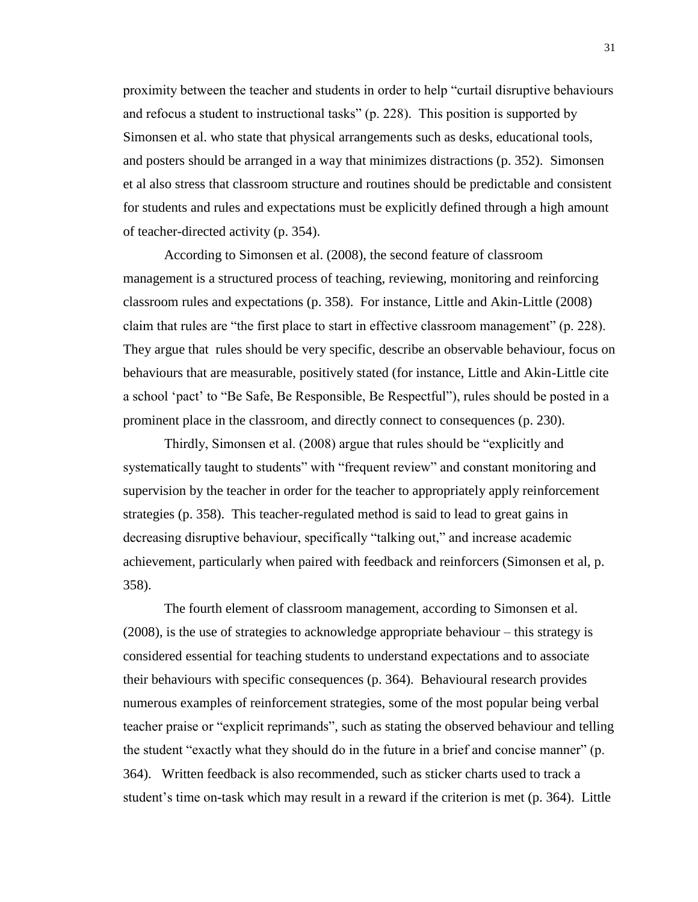proximity between the teacher and students in order to help "curtail disruptive behaviours and refocus a student to instructional tasks" (p. 228). This position is supported by Simonsen et al. who state that physical arrangements such as desks, educational tools, and posters should be arranged in a way that minimizes distractions (p. 352). Simonsen et al also stress that classroom structure and routines should be predictable and consistent for students and rules and expectations must be explicitly defined through a high amount of teacher-directed activity (p. 354).

According to Simonsen et al. (2008), the second feature of classroom management is a structured process of teaching, reviewing, monitoring and reinforcing classroom rules and expectations (p. 358). For instance, Little and Akin-Little (2008) claim that rules are "the first place to start in effective classroom management" (p. 228). They argue that rules should be very specific, describe an observable behaviour, focus on behaviours that are measurable, positively stated (for instance, Little and Akin-Little cite a school 'pact' to "Be Safe, Be Responsible, Be Respectful"), rules should be posted in a prominent place in the classroom, and directly connect to consequences (p. 230).

Thirdly, Simonsen et al. (2008) argue that rules should be "explicitly and systematically taught to students" with "frequent review" and constant monitoring and supervision by the teacher in order for the teacher to appropriately apply reinforcement strategies (p. 358). This teacher-regulated method is said to lead to great gains in decreasing disruptive behaviour, specifically "talking out," and increase academic achievement, particularly when paired with feedback and reinforcers (Simonsen et al, p. 358).

The fourth element of classroom management, according to Simonsen et al. (2008), is the use of strategies to acknowledge appropriate behaviour – this strategy is considered essential for teaching students to understand expectations and to associate their behaviours with specific consequences (p. 364). Behavioural research provides numerous examples of reinforcement strategies, some of the most popular being verbal teacher praise or "explicit reprimands", such as stating the observed behaviour and telling the student "exactly what they should do in the future in a brief and concise manner" (p. 364). Written feedback is also recommended, such as sticker charts used to track a student's time on-task which may result in a reward if the criterion is met (p. 364). Little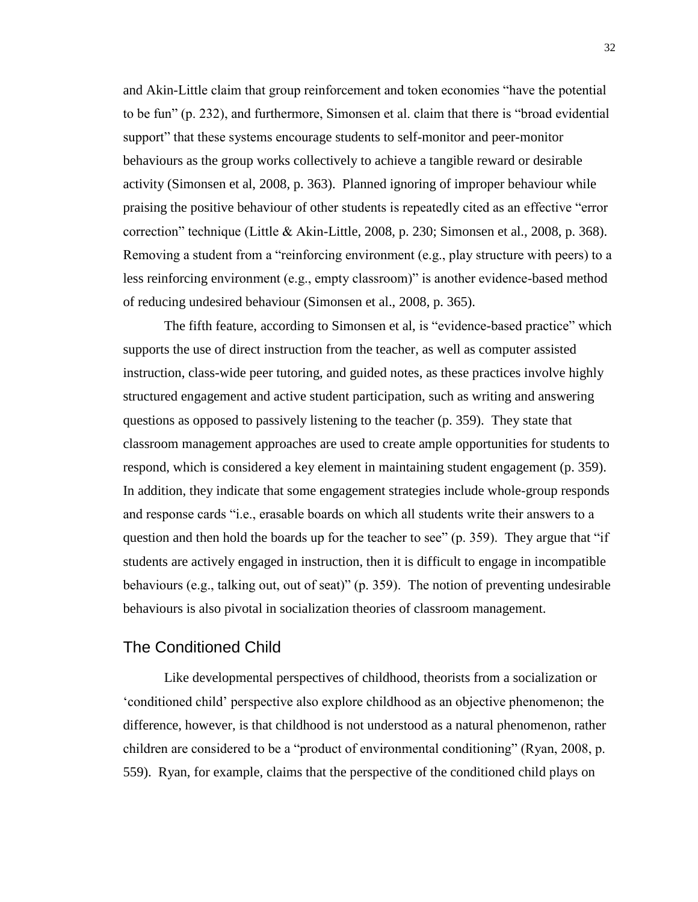and Akin-Little claim that group reinforcement and token economies "have the potential to be fun" (p. 232), and furthermore, Simonsen et al. claim that there is "broad evidential support" that these systems encourage students to self-monitor and peer-monitor behaviours as the group works collectively to achieve a tangible reward or desirable activity (Simonsen et al, 2008, p. 363). Planned ignoring of improper behaviour while praising the positive behaviour of other students is repeatedly cited as an effective "error correction" technique (Little & Akin-Little, 2008, p. 230; Simonsen et al., 2008, p. 368). Removing a student from a "reinforcing environment (e.g., play structure with peers) to a less reinforcing environment (e.g., empty classroom)" is another evidence-based method of reducing undesired behaviour (Simonsen et al., 2008, p. 365).

The fifth feature, according to Simonsen et al, is "evidence-based practice" which supports the use of direct instruction from the teacher, as well as computer assisted instruction, class-wide peer tutoring, and guided notes, as these practices involve highly structured engagement and active student participation, such as writing and answering questions as opposed to passively listening to the teacher (p. 359). They state that classroom management approaches are used to create ample opportunities for students to respond, which is considered a key element in maintaining student engagement (p. 359). In addition, they indicate that some engagement strategies include whole-group responds and response cards "i.e., erasable boards on which all students write their answers to a question and then hold the boards up for the teacher to see" (p. 359). They argue that "if students are actively engaged in instruction, then it is difficult to engage in incompatible behaviours (e.g., talking out, out of seat)" (p. 359). The notion of preventing undesirable behaviours is also pivotal in socialization theories of classroom management.

## The Conditioned Child

Like developmental perspectives of childhood, theorists from a socialization or 'conditioned child' perspective also explore childhood as an objective phenomenon; the difference, however, is that childhood is not understood as a natural phenomenon, rather children are considered to be a "product of environmental conditioning" (Ryan, 2008, p. 559). Ryan, for example, claims that the perspective of the conditioned child plays on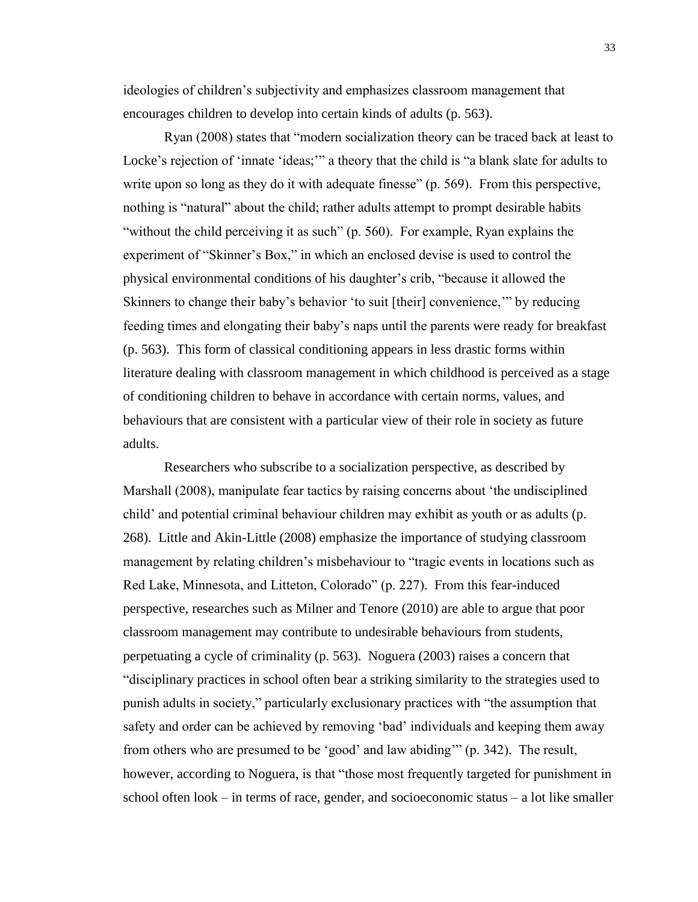ideologies of children's subjectivity and emphasizes classroom management that encourages children to develop into certain kinds of adults (p. 563).

Ryan (2008) states that "modern socialization theory can be traced back at least to Locke's rejection of 'innate 'ideas;" a theory that the child is "a blank slate for adults to write upon so long as they do it with adequate finesse" (p. 569). From this perspective, nothing is "natural" about the child; rather adults attempt to prompt desirable habits "without the child perceiving it as such" (p. 560). For example, Ryan explains the experiment of "Skinner's Box," in which an enclosed devise is used to control the physical environmental conditions of his daughter's crib, "because it allowed the Skinners to change their baby's behavior 'to suit [their] convenience,'" by reducing feeding times and elongating their baby's naps until the parents were ready for breakfast (p. 563). This form of classical conditioning appears in less drastic forms within literature dealing with classroom management in which childhood is perceived as a stage of conditioning children to behave in accordance with certain norms, values, and behaviours that are consistent with a particular view of their role in society as future adults.

Researchers who subscribe to a socialization perspective, as described by Marshall (2008), manipulate fear tactics by raising concerns about 'the undisciplined child' and potential criminal behaviour children may exhibit as youth or as adults (p. 268). Little and Akin-Little (2008) emphasize the importance of studying classroom management by relating children's misbehaviour to "tragic events in locations such as Red Lake, Minnesota, and Litteton, Colorado" (p. 227). From this fear-induced perspective, researches such as Milner and Tenore (2010) are able to argue that poor classroom management may contribute to undesirable behaviours from students, perpetuating a cycle of criminality (p. 563). Noguera (2003) raises a concern that "disciplinary practices in school often bear a striking similarity to the strategies used to punish adults in society," particularly exclusionary practices with "the assumption that safety and order can be achieved by removing 'bad' individuals and keeping them away from others who are presumed to be 'good' and law abiding'" (p. 342). The result, however, according to Noguera, is that "those most frequently targeted for punishment in school often look – in terms of race, gender, and socioeconomic status – a lot like smaller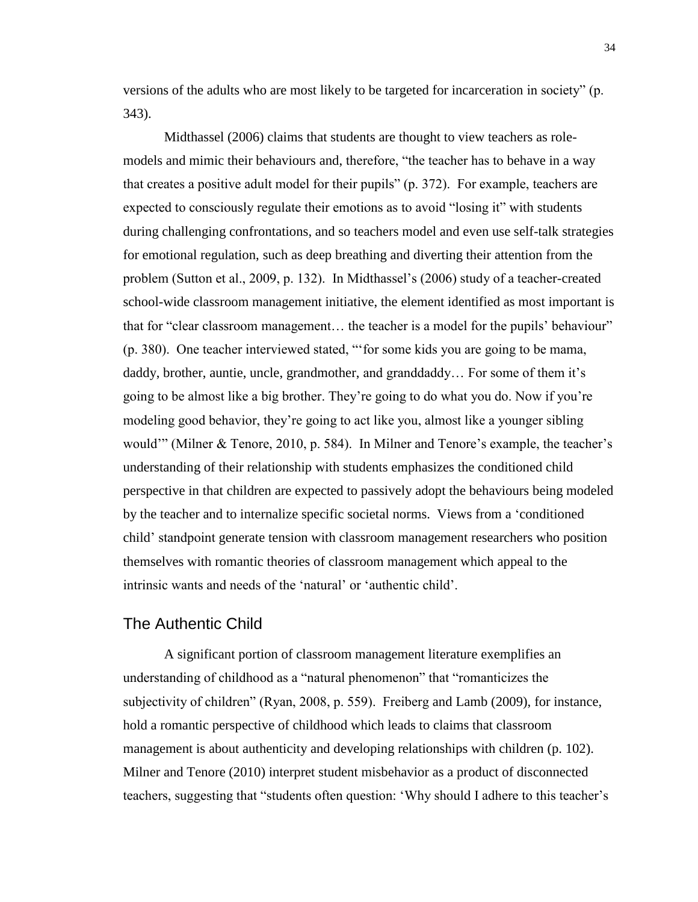versions of the adults who are most likely to be targeted for incarceration in society" (p. 343).

Midthassel (2006) claims that students are thought to view teachers as rolemodels and mimic their behaviours and, therefore, "the teacher has to behave in a way that creates a positive adult model for their pupils" (p. 372). For example, teachers are expected to consciously regulate their emotions as to avoid "losing it" with students during challenging confrontations, and so teachers model and even use self-talk strategies for emotional regulation, such as deep breathing and diverting their attention from the problem (Sutton et al., 2009, p. 132). In Midthassel's (2006) study of a teacher-created school-wide classroom management initiative, the element identified as most important is that for "clear classroom management… the teacher is a model for the pupils' behaviour" (p. 380). One teacher interviewed stated, "'for some kids you are going to be mama, daddy, brother, auntie, uncle, grandmother, and granddaddy… For some of them it's going to be almost like a big brother. They're going to do what you do. Now if you're modeling good behavior, they're going to act like you, almost like a younger sibling would'" (Milner & Tenore, 2010, p. 584). In Milner and Tenore's example, the teacher's understanding of their relationship with students emphasizes the conditioned child perspective in that children are expected to passively adopt the behaviours being modeled by the teacher and to internalize specific societal norms. Views from a 'conditioned child' standpoint generate tension with classroom management researchers who position themselves with romantic theories of classroom management which appeal to the intrinsic wants and needs of the 'natural' or 'authentic child'.

## The Authentic Child

A significant portion of classroom management literature exemplifies an understanding of childhood as a "natural phenomenon" that "romanticizes the subjectivity of children" (Ryan, 2008, p. 559). Freiberg and Lamb (2009), for instance, hold a romantic perspective of childhood which leads to claims that classroom management is about authenticity and developing relationships with children (p. 102). Milner and Tenore (2010) interpret student misbehavior as a product of disconnected teachers, suggesting that "students often question: 'Why should I adhere to this teacher's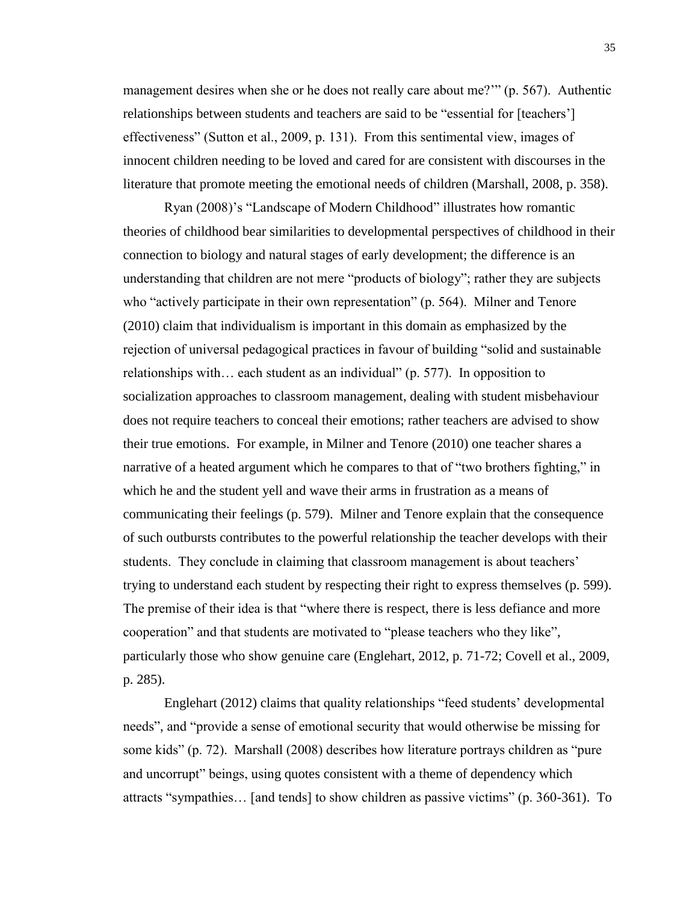management desires when she or he does not really care about me?'" (p. 567). Authentic relationships between students and teachers are said to be "essential for [teachers'] effectiveness" (Sutton et al., 2009, p. 131). From this sentimental view, images of innocent children needing to be loved and cared for are consistent with discourses in the literature that promote meeting the emotional needs of children (Marshall, 2008, p. 358).

Ryan (2008)'s "Landscape of Modern Childhood" illustrates how romantic theories of childhood bear similarities to developmental perspectives of childhood in their connection to biology and natural stages of early development; the difference is an understanding that children are not mere "products of biology"; rather they are subjects who "actively participate in their own representation" (p. 564). Milner and Tenore (2010) claim that individualism is important in this domain as emphasized by the rejection of universal pedagogical practices in favour of building "solid and sustainable relationships with… each student as an individual" (p. 577). In opposition to socialization approaches to classroom management, dealing with student misbehaviour does not require teachers to conceal their emotions; rather teachers are advised to show their true emotions. For example, in Milner and Tenore (2010) one teacher shares a narrative of a heated argument which he compares to that of "two brothers fighting," in which he and the student yell and wave their arms in frustration as a means of communicating their feelings (p. 579). Milner and Tenore explain that the consequence of such outbursts contributes to the powerful relationship the teacher develops with their students. They conclude in claiming that classroom management is about teachers' trying to understand each student by respecting their right to express themselves (p. 599). The premise of their idea is that "where there is respect, there is less defiance and more cooperation" and that students are motivated to "please teachers who they like", particularly those who show genuine care (Englehart, 2012, p. 71-72; Covell et al., 2009, p. 285).

Englehart (2012) claims that quality relationships "feed students' developmental needs", and "provide a sense of emotional security that would otherwise be missing for some kids" (p. 72). Marshall (2008) describes how literature portrays children as "pure and uncorrupt" beings, using quotes consistent with a theme of dependency which attracts "sympathies… [and tends] to show children as passive victims" (p. 360-361). To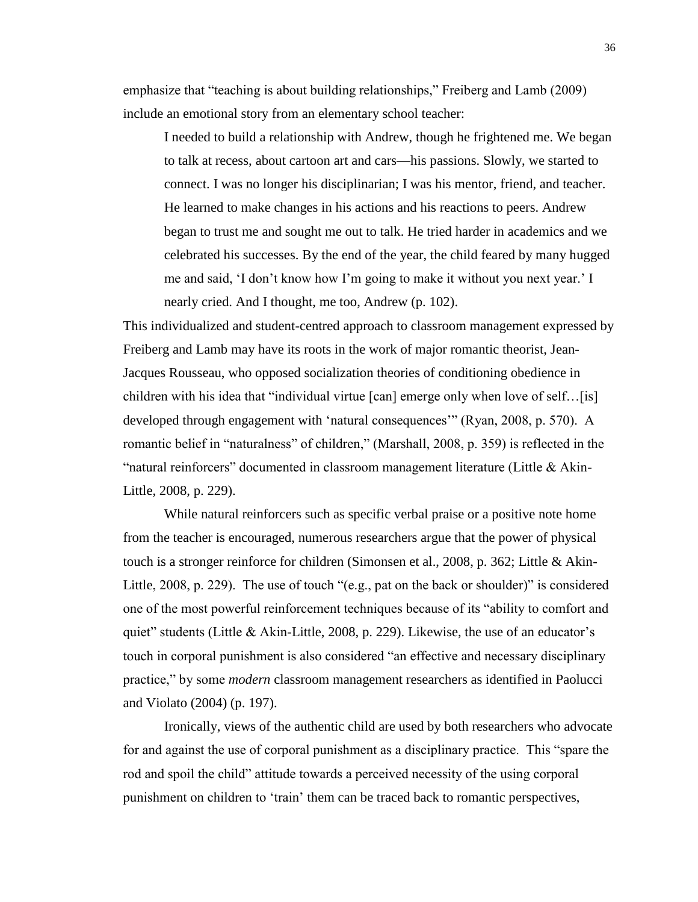emphasize that "teaching is about building relationships," Freiberg and Lamb (2009) include an emotional story from an elementary school teacher:

I needed to build a relationship with Andrew, though he frightened me. We began to talk at recess, about cartoon art and cars—his passions. Slowly, we started to connect. I was no longer his disciplinarian; I was his mentor, friend, and teacher. He learned to make changes in his actions and his reactions to peers. Andrew began to trust me and sought me out to talk. He tried harder in academics and we celebrated his successes. By the end of the year, the child feared by many hugged me and said, 'I don't know how I'm going to make it without you next year.' I nearly cried. And I thought, me too, Andrew (p. 102).

This individualized and student-centred approach to classroom management expressed by Freiberg and Lamb may have its roots in the work of major romantic theorist, Jean-Jacques Rousseau, who opposed socialization theories of conditioning obedience in children with his idea that "individual virtue [can] emerge only when love of self…[is] developed through engagement with 'natural consequences'" (Ryan, 2008, p. 570). A romantic belief in "naturalness" of children," (Marshall, 2008, p. 359) is reflected in the "natural reinforcers" documented in classroom management literature (Little & Akin-Little, 2008, p. 229).

While natural reinforcers such as specific verbal praise or a positive note home from the teacher is encouraged, numerous researchers argue that the power of physical touch is a stronger reinforce for children (Simonsen et al., 2008, p. 362; Little & Akin-Little, 2008, p. 229). The use of touch "(e.g., pat on the back or shoulder)" is considered one of the most powerful reinforcement techniques because of its "ability to comfort and quiet" students (Little & Akin-Little, 2008, p. 229). Likewise, the use of an educator's touch in corporal punishment is also considered "an effective and necessary disciplinary practice," by some *modern* classroom management researchers as identified in Paolucci and Violato (2004) (p. 197).

Ironically, views of the authentic child are used by both researchers who advocate for and against the use of corporal punishment as a disciplinary practice. This "spare the rod and spoil the child" attitude towards a perceived necessity of the using corporal punishment on children to 'train' them can be traced back to romantic perspectives,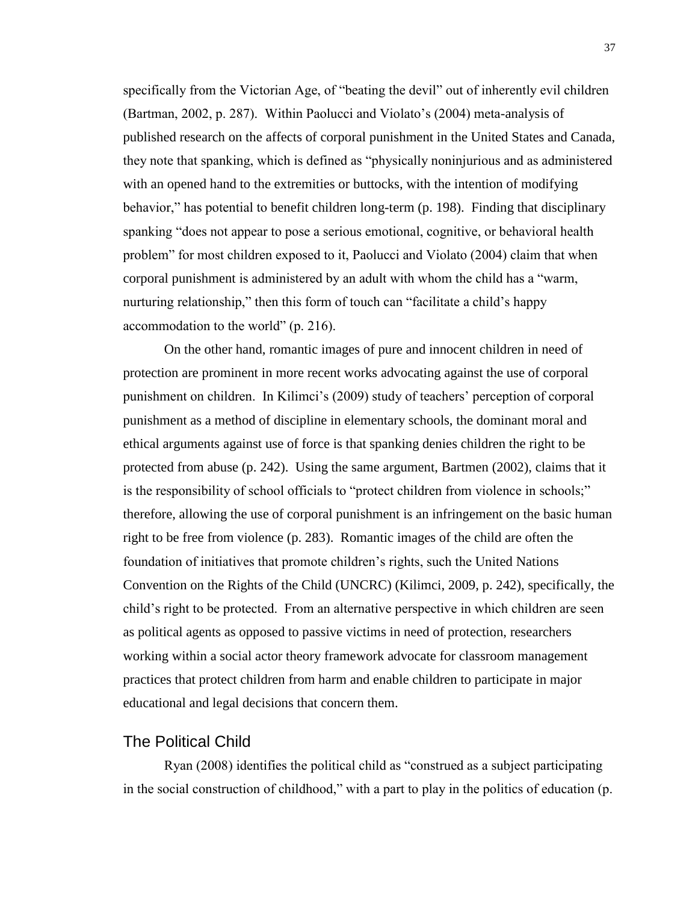specifically from the Victorian Age, of "beating the devil" out of inherently evil children (Bartman, 2002, p. 287). Within Paolucci and Violato's (2004) meta-analysis of published research on the affects of corporal punishment in the United States and Canada, they note that spanking, which is defined as "physically noninjurious and as administered with an opened hand to the extremities or buttocks, with the intention of modifying behavior," has potential to benefit children long-term (p. 198). Finding that disciplinary spanking "does not appear to pose a serious emotional, cognitive, or behavioral health problem" for most children exposed to it, Paolucci and Violato (2004) claim that when corporal punishment is administered by an adult with whom the child has a "warm, nurturing relationship," then this form of touch can "facilitate a child's happy accommodation to the world" (p. 216).

On the other hand, romantic images of pure and innocent children in need of protection are prominent in more recent works advocating against the use of corporal punishment on children. In Kilimci's (2009) study of teachers' perception of corporal punishment as a method of discipline in elementary schools, the dominant moral and ethical arguments against use of force is that spanking denies children the right to be protected from abuse (p. 242). Using the same argument, Bartmen (2002), claims that it is the responsibility of school officials to "protect children from violence in schools;" therefore, allowing the use of corporal punishment is an infringement on the basic human right to be free from violence (p. 283). Romantic images of the child are often the foundation of initiatives that promote children's rights, such the United Nations Convention on the Rights of the Child (UNCRC) (Kilimci, 2009, p. 242), specifically, the child's right to be protected. From an alternative perspective in which children are seen as political agents as opposed to passive victims in need of protection, researchers working within a social actor theory framework advocate for classroom management practices that protect children from harm and enable children to participate in major educational and legal decisions that concern them.

#### The Political Child

Ryan (2008) identifies the political child as "construed as a subject participating in the social construction of childhood," with a part to play in the politics of education (p.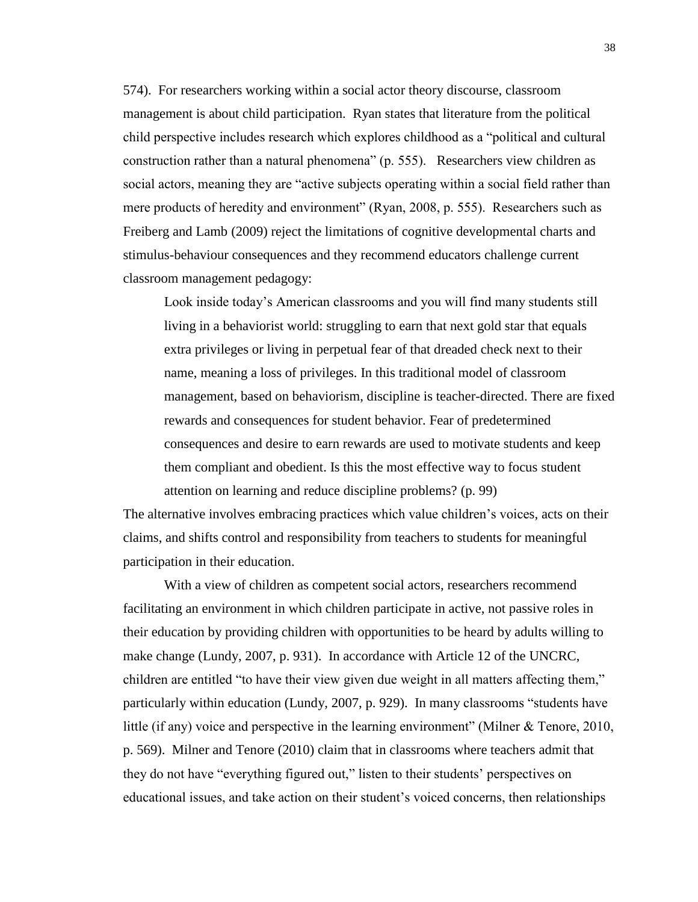574). For researchers working within a social actor theory discourse, classroom management is about child participation. Ryan states that literature from the political child perspective includes research which explores childhood as a "political and cultural construction rather than a natural phenomena" (p. 555). Researchers view children as social actors, meaning they are "active subjects operating within a social field rather than mere products of heredity and environment" (Ryan, 2008, p. 555). Researchers such as Freiberg and Lamb (2009) reject the limitations of cognitive developmental charts and stimulus-behaviour consequences and they recommend educators challenge current classroom management pedagogy:

Look inside today's American classrooms and you will find many students still living in a behaviorist world: struggling to earn that next gold star that equals extra privileges or living in perpetual fear of that dreaded check next to their name, meaning a loss of privileges. In this traditional model of classroom management, based on behaviorism, discipline is teacher-directed. There are fixed rewards and consequences for student behavior. Fear of predetermined consequences and desire to earn rewards are used to motivate students and keep them compliant and obedient. Is this the most effective way to focus student attention on learning and reduce discipline problems? (p. 99)

The alternative involves embracing practices which value children's voices, acts on their claims, and shifts control and responsibility from teachers to students for meaningful participation in their education.

With a view of children as competent social actors, researchers recommend facilitating an environment in which children participate in active, not passive roles in their education by providing children with opportunities to be heard by adults willing to make change (Lundy, 2007, p. 931). In accordance with Article 12 of the UNCRC, children are entitled "to have their view given due weight in all matters affecting them," particularly within education (Lundy, 2007, p. 929). In many classrooms "students have little (if any) voice and perspective in the learning environment" (Milner & Tenore, 2010, p. 569). Milner and Tenore (2010) claim that in classrooms where teachers admit that they do not have "everything figured out," listen to their students' perspectives on educational issues, and take action on their student's voiced concerns, then relationships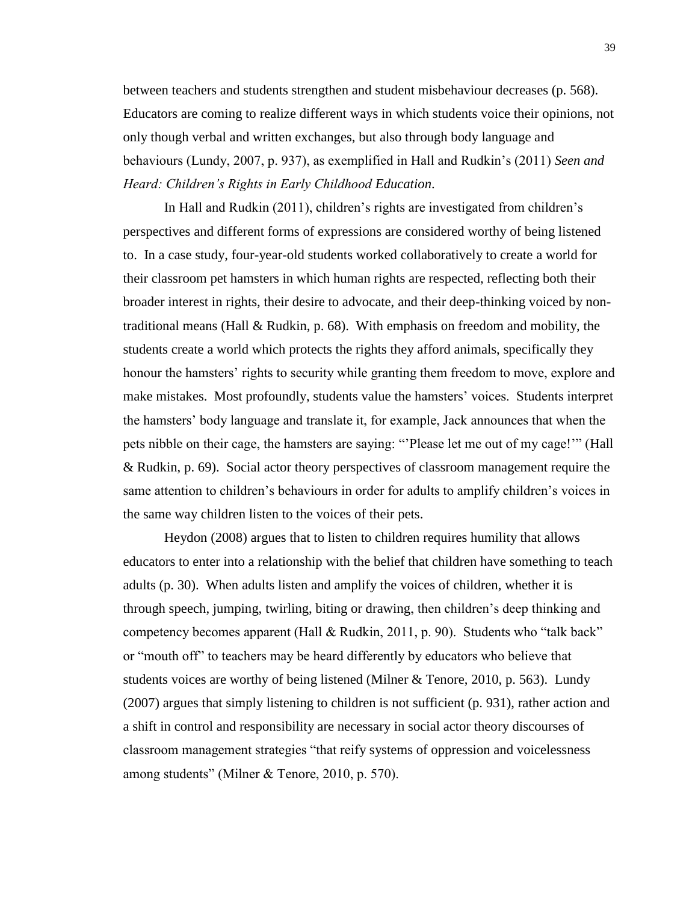between teachers and students strengthen and student misbehaviour decreases (p. 568). Educators are coming to realize different ways in which students voice their opinions, not only though verbal and written exchanges, but also through body language and behaviours (Lundy, 2007, p. 937), as exemplified in Hall and Rudkin's (2011) *Seen and Heard: Children's Rights in Early Childhood Education*.

In Hall and Rudkin (2011), children's rights are investigated from children's perspectives and different forms of expressions are considered worthy of being listened to. In a case study, four-year-old students worked collaboratively to create a world for their classroom pet hamsters in which human rights are respected, reflecting both their broader interest in rights, their desire to advocate, and their deep-thinking voiced by nontraditional means (Hall & Rudkin, p.  $68$ ). With emphasis on freedom and mobility, the students create a world which protects the rights they afford animals, specifically they honour the hamsters' rights to security while granting them freedom to move, explore and make mistakes. Most profoundly, students value the hamsters' voices. Students interpret the hamsters' body language and translate it, for example, Jack announces that when the pets nibble on their cage, the hamsters are saying: "'Please let me out of my cage!'" (Hall & Rudkin, p. 69). Social actor theory perspectives of classroom management require the same attention to children's behaviours in order for adults to amplify children's voices in the same way children listen to the voices of their pets.

Heydon (2008) argues that to listen to children requires humility that allows educators to enter into a relationship with the belief that children have something to teach adults (p. 30). When adults listen and amplify the voices of children, whether it is through speech, jumping, twirling, biting or drawing, then children's deep thinking and competency becomes apparent (Hall & Rudkin, 2011, p. 90). Students who "talk back" or "mouth off" to teachers may be heard differently by educators who believe that students voices are worthy of being listened (Milner & Tenore, 2010, p. 563). Lundy (2007) argues that simply listening to children is not sufficient (p. 931), rather action and a shift in control and responsibility are necessary in social actor theory discourses of classroom management strategies "that reify systems of oppression and voicelessness among students" (Milner & Tenore, 2010, p. 570).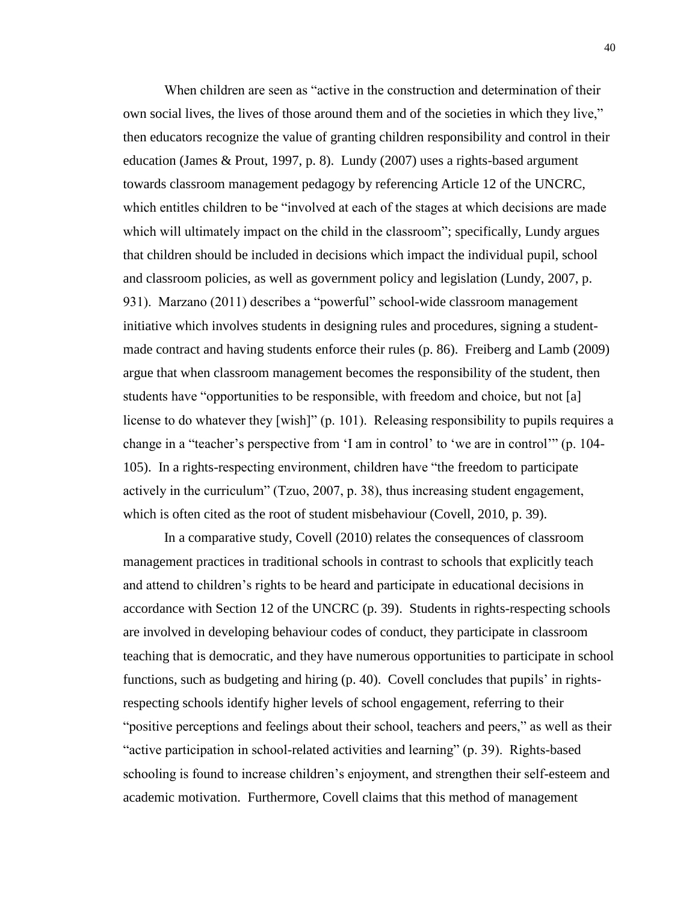When children are seen as "active in the construction and determination of their own social lives, the lives of those around them and of the societies in which they live," then educators recognize the value of granting children responsibility and control in their education (James & Prout, 1997, p. 8). Lundy (2007) uses a rights-based argument towards classroom management pedagogy by referencing Article 12 of the UNCRC, which entitles children to be "involved at each of the stages at which decisions are made which will ultimately impact on the child in the classroom"; specifically, Lundy argues that children should be included in decisions which impact the individual pupil, school and classroom policies, as well as government policy and legislation (Lundy, 2007, p. 931). Marzano (2011) describes a "powerful" school-wide classroom management initiative which involves students in designing rules and procedures, signing a studentmade contract and having students enforce their rules (p. 86). Freiberg and Lamb (2009) argue that when classroom management becomes the responsibility of the student, then students have "opportunities to be responsible, with freedom and choice, but not [a] license to do whatever they [wish]" (p. 101). Releasing responsibility to pupils requires a change in a "teacher's perspective from 'I am in control' to 'we are in control'" (p. 104- 105). In a rights-respecting environment, children have "the freedom to participate actively in the curriculum" (Tzuo, 2007, p. 38), thus increasing student engagement, which is often cited as the root of student misbehaviour (Covell, 2010, p. 39).

In a comparative study, Covell (2010) relates the consequences of classroom management practices in traditional schools in contrast to schools that explicitly teach and attend to children's rights to be heard and participate in educational decisions in accordance with Section 12 of the UNCRC (p. 39). Students in rights-respecting schools are involved in developing behaviour codes of conduct, they participate in classroom teaching that is democratic, and they have numerous opportunities to participate in school functions, such as budgeting and hiring (p. 40). Covell concludes that pupils' in rightsrespecting schools identify higher levels of school engagement, referring to their "positive perceptions and feelings about their school, teachers and peers," as well as their "active participation in school-related activities and learning" (p. 39). Rights-based schooling is found to increase children's enjoyment, and strengthen their self-esteem and academic motivation. Furthermore, Covell claims that this method of management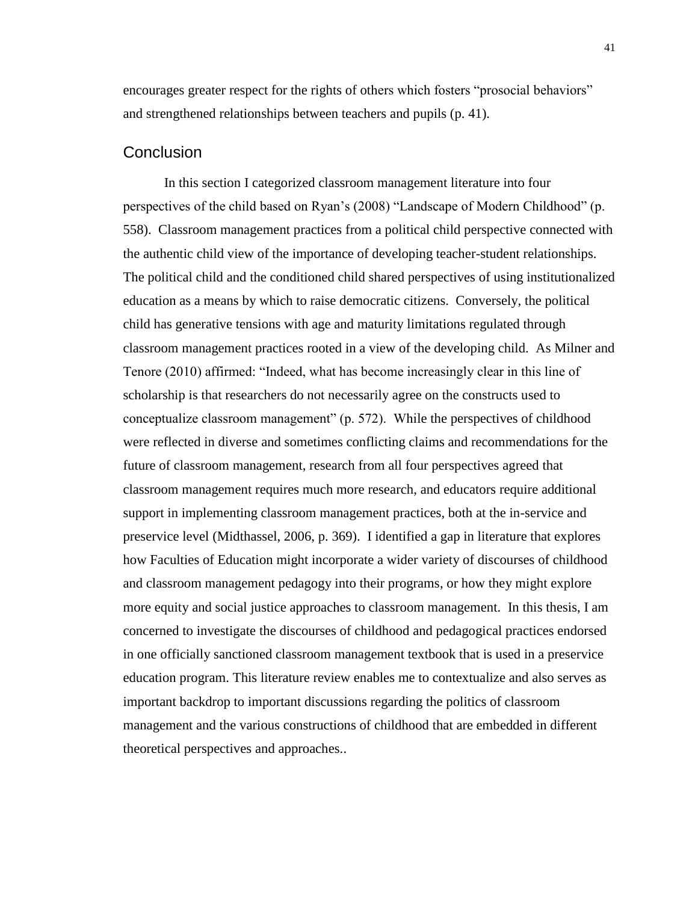encourages greater respect for the rights of others which fosters "prosocial behaviors" and strengthened relationships between teachers and pupils (p. 41).

## **Conclusion**

In this section I categorized classroom management literature into four perspectives of the child based on Ryan's (2008) "Landscape of Modern Childhood" (p. 558). Classroom management practices from a political child perspective connected with the authentic child view of the importance of developing teacher-student relationships. The political child and the conditioned child shared perspectives of using institutionalized education as a means by which to raise democratic citizens. Conversely, the political child has generative tensions with age and maturity limitations regulated through classroom management practices rooted in a view of the developing child. As Milner and Tenore (2010) affirmed: "Indeed, what has become increasingly clear in this line of scholarship is that researchers do not necessarily agree on the constructs used to conceptualize classroom management" (p. 572). While the perspectives of childhood were reflected in diverse and sometimes conflicting claims and recommendations for the future of classroom management, research from all four perspectives agreed that classroom management requires much more research, and educators require additional support in implementing classroom management practices, both at the in-service and preservice level (Midthassel, 2006, p. 369). I identified a gap in literature that explores how Faculties of Education might incorporate a wider variety of discourses of childhood and classroom management pedagogy into their programs, or how they might explore more equity and social justice approaches to classroom management. In this thesis, I am concerned to investigate the discourses of childhood and pedagogical practices endorsed in one officially sanctioned classroom management textbook that is used in a preservice education program. This literature review enables me to contextualize and also serves as important backdrop to important discussions regarding the politics of classroom management and the various constructions of childhood that are embedded in different theoretical perspectives and approaches..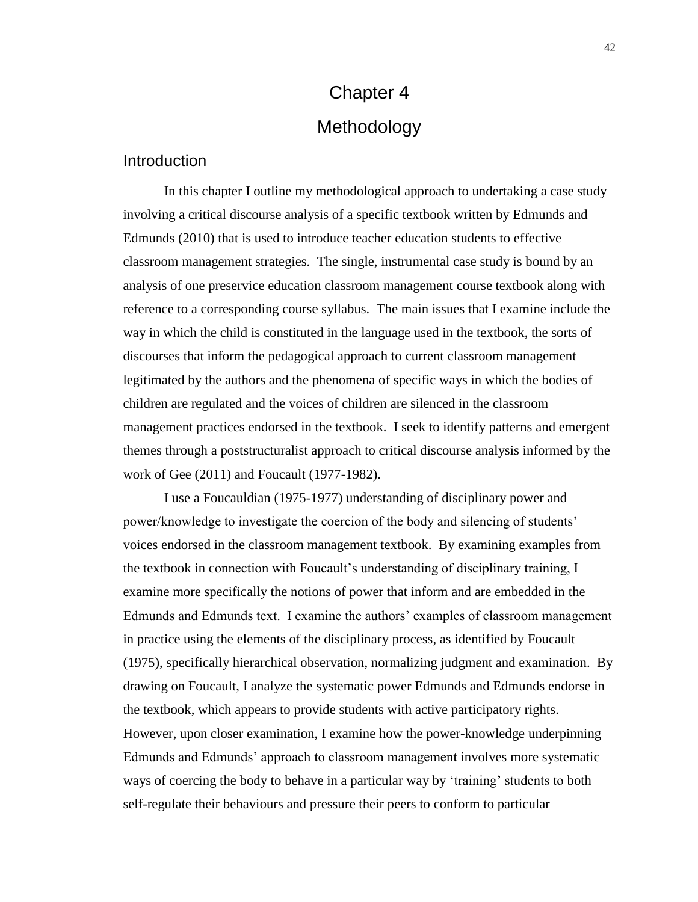# Chapter 4 Methodology

## Introduction

In this chapter I outline my methodological approach to undertaking a case study involving a critical discourse analysis of a specific textbook written by Edmunds and Edmunds (2010) that is used to introduce teacher education students to effective classroom management strategies. The single, instrumental case study is bound by an analysis of one preservice education classroom management course textbook along with reference to a corresponding course syllabus. The main issues that I examine include the way in which the child is constituted in the language used in the textbook, the sorts of discourses that inform the pedagogical approach to current classroom management legitimated by the authors and the phenomena of specific ways in which the bodies of children are regulated and the voices of children are silenced in the classroom management practices endorsed in the textbook. I seek to identify patterns and emergent themes through a poststructuralist approach to critical discourse analysis informed by the work of Gee (2011) and Foucault (1977-1982).

I use a Foucauldian (1975-1977) understanding of disciplinary power and power/knowledge to investigate the coercion of the body and silencing of students' voices endorsed in the classroom management textbook. By examining examples from the textbook in connection with Foucault's understanding of disciplinary training, I examine more specifically the notions of power that inform and are embedded in the Edmunds and Edmunds text. I examine the authors' examples of classroom management in practice using the elements of the disciplinary process, as identified by Foucault (1975), specifically hierarchical observation, normalizing judgment and examination. By drawing on Foucault, I analyze the systematic power Edmunds and Edmunds endorse in the textbook, which appears to provide students with active participatory rights. However, upon closer examination, I examine how the power-knowledge underpinning Edmunds and Edmunds' approach to classroom management involves more systematic ways of coercing the body to behave in a particular way by 'training' students to both self-regulate their behaviours and pressure their peers to conform to particular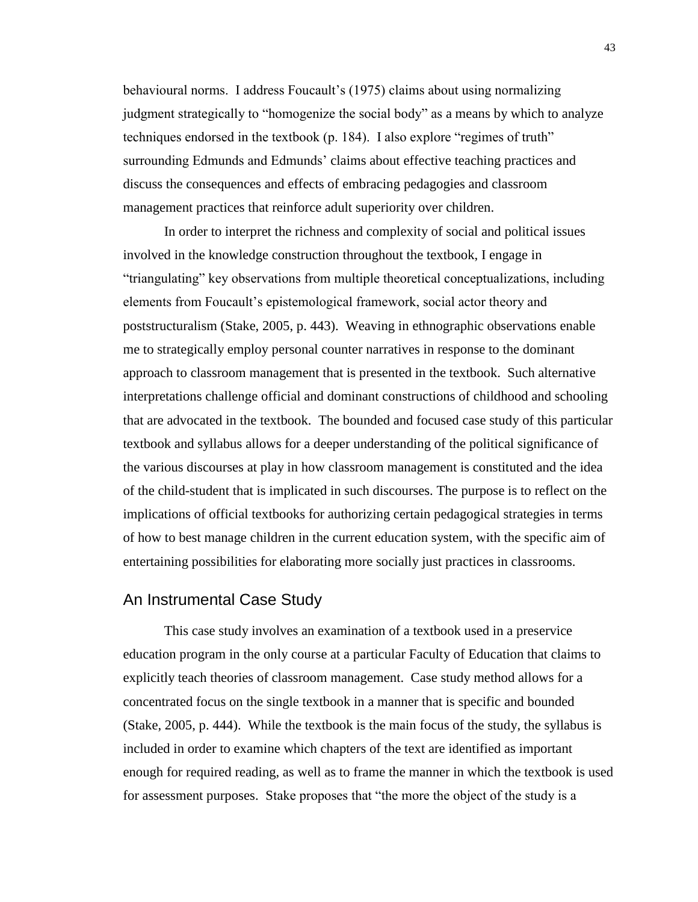behavioural norms. I address Foucault's (1975) claims about using normalizing judgment strategically to "homogenize the social body" as a means by which to analyze techniques endorsed in the textbook (p. 184). I also explore "regimes of truth" surrounding Edmunds and Edmunds' claims about effective teaching practices and discuss the consequences and effects of embracing pedagogies and classroom management practices that reinforce adult superiority over children.

In order to interpret the richness and complexity of social and political issues involved in the knowledge construction throughout the textbook, I engage in "triangulating" key observations from multiple theoretical conceptualizations, including elements from Foucault's epistemological framework, social actor theory and poststructuralism (Stake, 2005, p. 443). Weaving in ethnographic observations enable me to strategically employ personal counter narratives in response to the dominant approach to classroom management that is presented in the textbook. Such alternative interpretations challenge official and dominant constructions of childhood and schooling that are advocated in the textbook. The bounded and focused case study of this particular textbook and syllabus allows for a deeper understanding of the political significance of the various discourses at play in how classroom management is constituted and the idea of the child-student that is implicated in such discourses. The purpose is to reflect on the implications of official textbooks for authorizing certain pedagogical strategies in terms of how to best manage children in the current education system, with the specific aim of entertaining possibilities for elaborating more socially just practices in classrooms.

## An Instrumental Case Study

This case study involves an examination of a textbook used in a preservice education program in the only course at a particular Faculty of Education that claims to explicitly teach theories of classroom management. Case study method allows for a concentrated focus on the single textbook in a manner that is specific and bounded (Stake, 2005, p. 444). While the textbook is the main focus of the study, the syllabus is included in order to examine which chapters of the text are identified as important enough for required reading, as well as to frame the manner in which the textbook is used for assessment purposes. Stake proposes that "the more the object of the study is a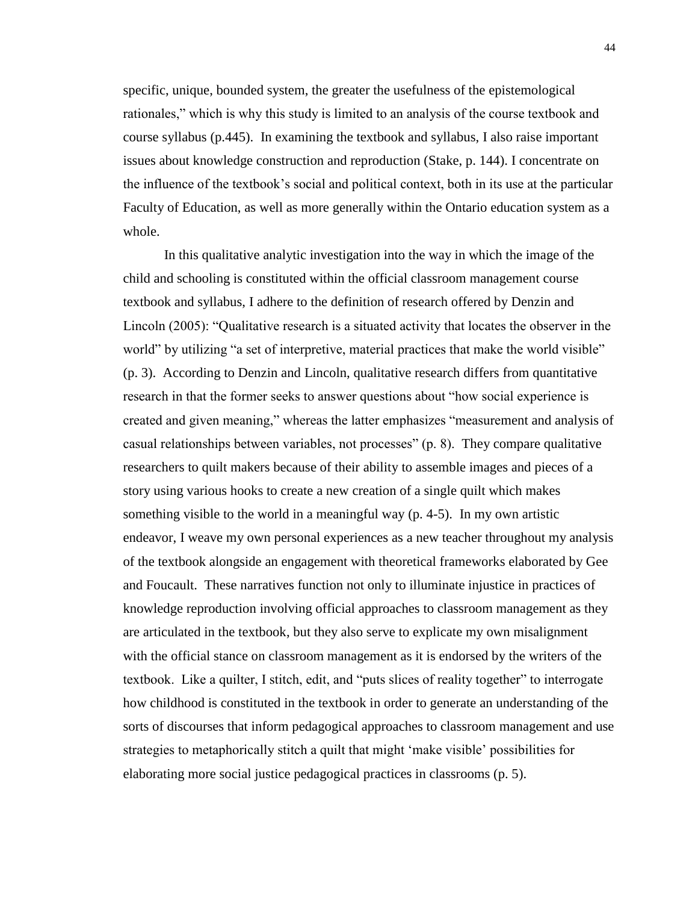specific, unique, bounded system, the greater the usefulness of the epistemological rationales," which is why this study is limited to an analysis of the course textbook and course syllabus (p.445). In examining the textbook and syllabus, I also raise important issues about knowledge construction and reproduction (Stake, p. 144). I concentrate on the influence of the textbook's social and political context, both in its use at the particular Faculty of Education, as well as more generally within the Ontario education system as a whole.

In this qualitative analytic investigation into the way in which the image of the child and schooling is constituted within the official classroom management course textbook and syllabus, I adhere to the definition of research offered by Denzin and Lincoln (2005): "Qualitative research is a situated activity that locates the observer in the world" by utilizing "a set of interpretive, material practices that make the world visible" (p. 3). According to Denzin and Lincoln, qualitative research differs from quantitative research in that the former seeks to answer questions about "how social experience is created and given meaning," whereas the latter emphasizes "measurement and analysis of casual relationships between variables, not processes" (p. 8). They compare qualitative researchers to quilt makers because of their ability to assemble images and pieces of a story using various hooks to create a new creation of a single quilt which makes something visible to the world in a meaningful way (p. 4-5). In my own artistic endeavor, I weave my own personal experiences as a new teacher throughout my analysis of the textbook alongside an engagement with theoretical frameworks elaborated by Gee and Foucault. These narratives function not only to illuminate injustice in practices of knowledge reproduction involving official approaches to classroom management as they are articulated in the textbook, but they also serve to explicate my own misalignment with the official stance on classroom management as it is endorsed by the writers of the textbook. Like a quilter, I stitch, edit, and "puts slices of reality together" to interrogate how childhood is constituted in the textbook in order to generate an understanding of the sorts of discourses that inform pedagogical approaches to classroom management and use strategies to metaphorically stitch a quilt that might 'make visible' possibilities for elaborating more social justice pedagogical practices in classrooms (p. 5).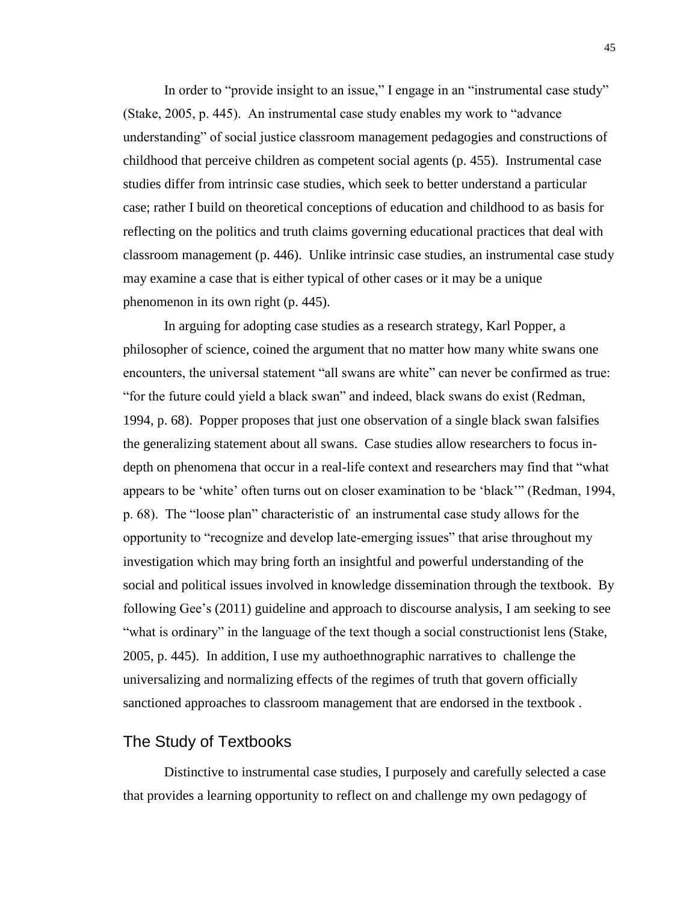In order to "provide insight to an issue," I engage in an "instrumental case study" (Stake, 2005, p. 445). An instrumental case study enables my work to "advance understanding" of social justice classroom management pedagogies and constructions of childhood that perceive children as competent social agents (p. 455). Instrumental case studies differ from intrinsic case studies, which seek to better understand a particular case; rather I build on theoretical conceptions of education and childhood to as basis for reflecting on the politics and truth claims governing educational practices that deal with classroom management (p. 446). Unlike intrinsic case studies, an instrumental case study may examine a case that is either typical of other cases or it may be a unique phenomenon in its own right (p. 445).

In arguing for adopting case studies as a research strategy, Karl Popper, a philosopher of science, coined the argument that no matter how many white swans one encounters, the universal statement "all swans are white" can never be confirmed as true: "for the future could yield a black swan" and indeed, black swans do exist (Redman, 1994, p. 68). Popper proposes that just one observation of a single black swan falsifies the generalizing statement about all swans. Case studies allow researchers to focus indepth on phenomena that occur in a real-life context and researchers may find that "what appears to be 'white' often turns out on closer examination to be 'black'" (Redman, 1994, p. 68). The "loose plan" characteristic of an instrumental case study allows for the opportunity to "recognize and develop late-emerging issues" that arise throughout my investigation which may bring forth an insightful and powerful understanding of the social and political issues involved in knowledge dissemination through the textbook. By following Gee's (2011) guideline and approach to discourse analysis, I am seeking to see "what is ordinary" in the language of the text though a social constructionist lens (Stake, 2005, p. 445). In addition, I use my authoethnographic narratives to challenge the universalizing and normalizing effects of the regimes of truth that govern officially sanctioned approaches to classroom management that are endorsed in the textbook .

## The Study of Textbooks

Distinctive to instrumental case studies, I purposely and carefully selected a case that provides a learning opportunity to reflect on and challenge my own pedagogy of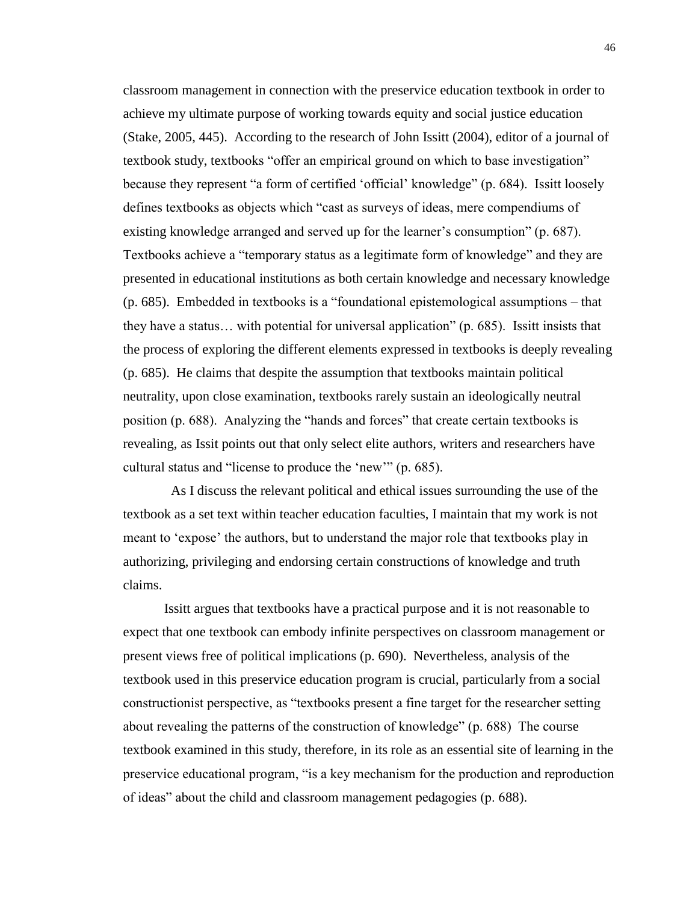classroom management in connection with the preservice education textbook in order to achieve my ultimate purpose of working towards equity and social justice education (Stake, 2005, 445). According to the research of John Issitt (2004), editor of a journal of textbook study, textbooks "offer an empirical ground on which to base investigation" because they represent "a form of certified 'official' knowledge" (p. 684). Issitt loosely defines textbooks as objects which "cast as surveys of ideas, mere compendiums of existing knowledge arranged and served up for the learner's consumption" (p. 687). Textbooks achieve a "temporary status as a legitimate form of knowledge" and they are presented in educational institutions as both certain knowledge and necessary knowledge (p. 685). Embedded in textbooks is a "foundational epistemological assumptions – that they have a status… with potential for universal application" (p. 685). Issitt insists that the process of exploring the different elements expressed in textbooks is deeply revealing (p. 685). He claims that despite the assumption that textbooks maintain political neutrality, upon close examination, textbooks rarely sustain an ideologically neutral position (p. 688). Analyzing the "hands and forces" that create certain textbooks is revealing, as Issit points out that only select elite authors, writers and researchers have cultural status and "license to produce the 'new'" (p. 685).

 As I discuss the relevant political and ethical issues surrounding the use of the textbook as a set text within teacher education faculties, I maintain that my work is not meant to 'expose' the authors, but to understand the major role that textbooks play in authorizing, privileging and endorsing certain constructions of knowledge and truth claims.

Issitt argues that textbooks have a practical purpose and it is not reasonable to expect that one textbook can embody infinite perspectives on classroom management or present views free of political implications (p. 690). Nevertheless, analysis of the textbook used in this preservice education program is crucial, particularly from a social constructionist perspective, as "textbooks present a fine target for the researcher setting about revealing the patterns of the construction of knowledge" (p. 688) The course textbook examined in this study, therefore, in its role as an essential site of learning in the preservice educational program, "is a key mechanism for the production and reproduction of ideas" about the child and classroom management pedagogies (p. 688).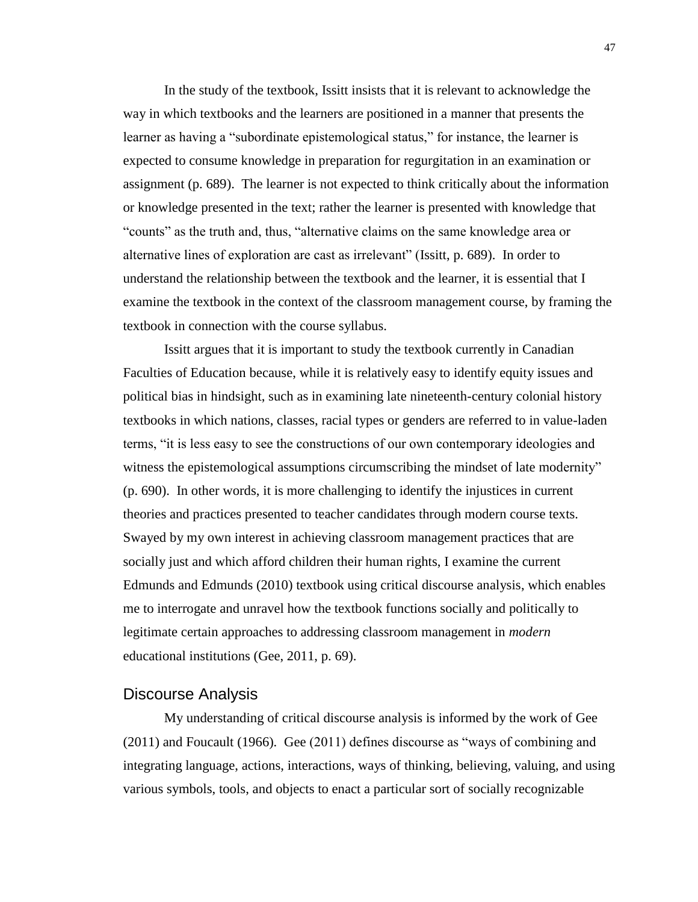In the study of the textbook, Issitt insists that it is relevant to acknowledge the way in which textbooks and the learners are positioned in a manner that presents the learner as having a "subordinate epistemological status," for instance, the learner is expected to consume knowledge in preparation for regurgitation in an examination or assignment (p. 689). The learner is not expected to think critically about the information or knowledge presented in the text; rather the learner is presented with knowledge that "counts" as the truth and, thus, "alternative claims on the same knowledge area or alternative lines of exploration are cast as irrelevant" (Issitt, p. 689). In order to understand the relationship between the textbook and the learner, it is essential that I examine the textbook in the context of the classroom management course, by framing the textbook in connection with the course syllabus.

Issitt argues that it is important to study the textbook currently in Canadian Faculties of Education because, while it is relatively easy to identify equity issues and political bias in hindsight, such as in examining late nineteenth-century colonial history textbooks in which nations, classes, racial types or genders are referred to in value-laden terms, "it is less easy to see the constructions of our own contemporary ideologies and witness the epistemological assumptions circumscribing the mindset of late modernity" (p. 690). In other words, it is more challenging to identify the injustices in current theories and practices presented to teacher candidates through modern course texts. Swayed by my own interest in achieving classroom management practices that are socially just and which afford children their human rights, I examine the current Edmunds and Edmunds (2010) textbook using critical discourse analysis, which enables me to interrogate and unravel how the textbook functions socially and politically to legitimate certain approaches to addressing classroom management in *modern* educational institutions (Gee, 2011, p. 69).

#### Discourse Analysis

My understanding of critical discourse analysis is informed by the work of Gee (2011) and Foucault (1966)*.* Gee (2011) defines discourse as "ways of combining and integrating language, actions, interactions, ways of thinking, believing, valuing, and using various symbols, tools, and objects to enact a particular sort of socially recognizable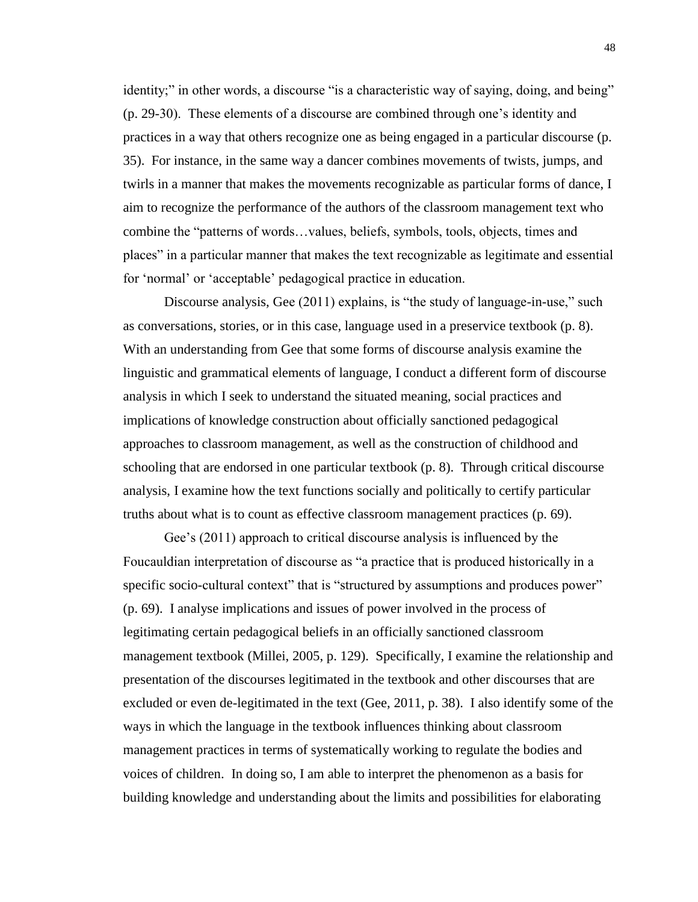identity;" in other words, a discourse "is a characteristic way of saying, doing, and being" (p. 29-30). These elements of a discourse are combined through one's identity and practices in a way that others recognize one as being engaged in a particular discourse (p. 35). For instance, in the same way a dancer combines movements of twists, jumps, and twirls in a manner that makes the movements recognizable as particular forms of dance, I aim to recognize the performance of the authors of the classroom management text who combine the "patterns of words…values, beliefs, symbols, tools, objects, times and places" in a particular manner that makes the text recognizable as legitimate and essential for 'normal' or 'acceptable' pedagogical practice in education.

Discourse analysis, Gee (2011) explains, is "the study of language-in-use," such as conversations, stories, or in this case, language used in a preservice textbook (p. 8). With an understanding from Gee that some forms of discourse analysis examine the linguistic and grammatical elements of language, I conduct a different form of discourse analysis in which I seek to understand the situated meaning, social practices and implications of knowledge construction about officially sanctioned pedagogical approaches to classroom management, as well as the construction of childhood and schooling that are endorsed in one particular textbook (p. 8). Through critical discourse analysis, I examine how the text functions socially and politically to certify particular truths about what is to count as effective classroom management practices (p. 69).

Gee's (2011) approach to critical discourse analysis is influenced by the Foucauldian interpretation of discourse as "a practice that is produced historically in a specific socio-cultural context" that is "structured by assumptions and produces power" (p. 69). I analyse implications and issues of power involved in the process of legitimating certain pedagogical beliefs in an officially sanctioned classroom management textbook (Millei, 2005, p. 129). Specifically, I examine the relationship and presentation of the discourses legitimated in the textbook and other discourses that are excluded or even de-legitimated in the text (Gee, 2011, p. 38). I also identify some of the ways in which the language in the textbook influences thinking about classroom management practices in terms of systematically working to regulate the bodies and voices of children. In doing so, I am able to interpret the phenomenon as a basis for building knowledge and understanding about the limits and possibilities for elaborating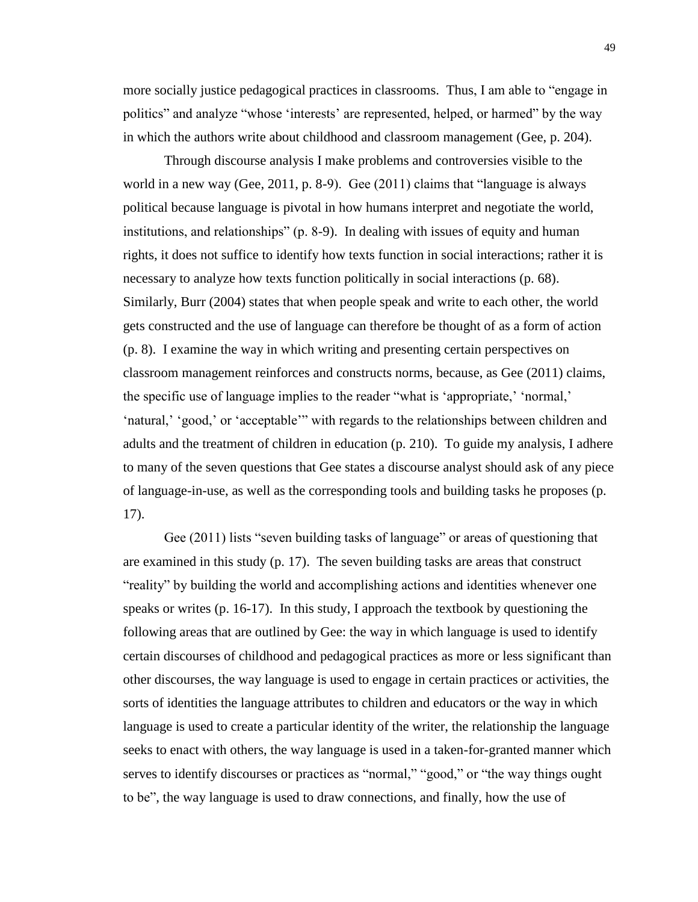more socially justice pedagogical practices in classrooms. Thus, I am able to "engage in politics" and analyze "whose 'interests' are represented, helped, or harmed" by the way in which the authors write about childhood and classroom management (Gee, p. 204).

Through discourse analysis I make problems and controversies visible to the world in a new way (Gee, 2011, p. 8-9). Gee (2011) claims that "language is always political because language is pivotal in how humans interpret and negotiate the world, institutions, and relationships" (p. 8-9). In dealing with issues of equity and human rights, it does not suffice to identify how texts function in social interactions; rather it is necessary to analyze how texts function politically in social interactions (p. 68). Similarly, Burr (2004) states that when people speak and write to each other, the world gets constructed and the use of language can therefore be thought of as a form of action (p. 8). I examine the way in which writing and presenting certain perspectives on classroom management reinforces and constructs norms, because, as Gee (2011) claims, the specific use of language implies to the reader "what is 'appropriate,' 'normal,' 'natural,' 'good,' or 'acceptable'" with regards to the relationships between children and adults and the treatment of children in education (p. 210). To guide my analysis, I adhere to many of the seven questions that Gee states a discourse analyst should ask of any piece of language-in-use, as well as the corresponding tools and building tasks he proposes (p. 17).

Gee (2011) lists "seven building tasks of language" or areas of questioning that are examined in this study (p. 17). The seven building tasks are areas that construct "reality" by building the world and accomplishing actions and identities whenever one speaks or writes (p. 16-17). In this study, I approach the textbook by questioning the following areas that are outlined by Gee: the way in which language is used to identify certain discourses of childhood and pedagogical practices as more or less significant than other discourses, the way language is used to engage in certain practices or activities, the sorts of identities the language attributes to children and educators or the way in which language is used to create a particular identity of the writer, the relationship the language seeks to enact with others, the way language is used in a taken-for-granted manner which serves to identify discourses or practices as "normal," "good," or "the way things ought to be", the way language is used to draw connections, and finally, how the use of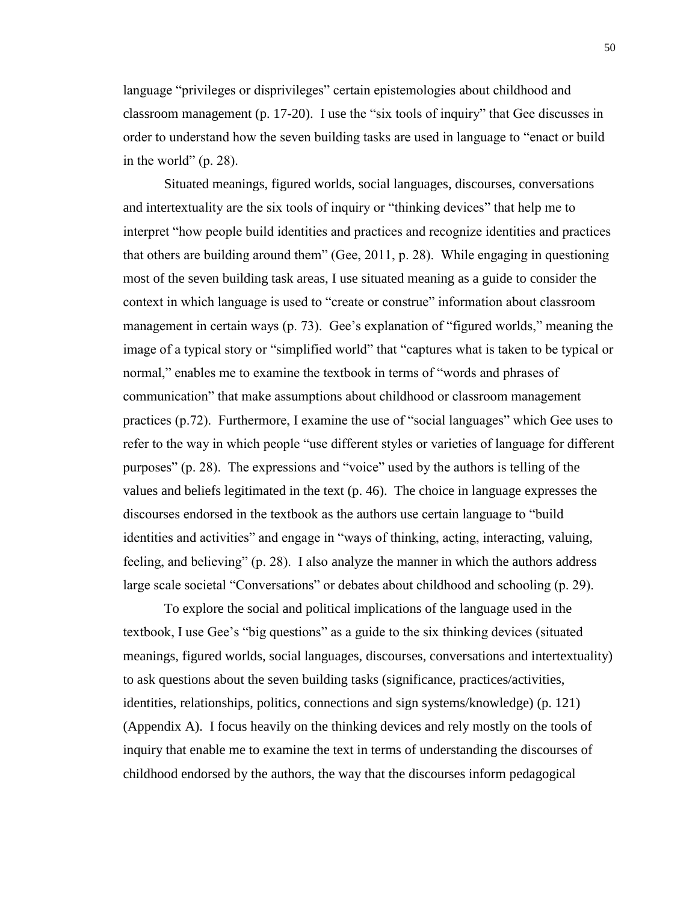language "privileges or disprivileges" certain epistemologies about childhood and classroom management (p. 17-20). I use the "six tools of inquiry" that Gee discusses in order to understand how the seven building tasks are used in language to "enact or build in the world" (p. 28).

Situated meanings, figured worlds, social languages, discourses, conversations and intertextuality are the six tools of inquiry or "thinking devices" that help me to interpret "how people build identities and practices and recognize identities and practices that others are building around them" (Gee, 2011, p. 28). While engaging in questioning most of the seven building task areas, I use situated meaning as a guide to consider the context in which language is used to "create or construe" information about classroom management in certain ways (p. 73). Gee's explanation of "figured worlds," meaning the image of a typical story or "simplified world" that "captures what is taken to be typical or normal," enables me to examine the textbook in terms of "words and phrases of communication" that make assumptions about childhood or classroom management practices (p.72). Furthermore, I examine the use of "social languages" which Gee uses to refer to the way in which people "use different styles or varieties of language for different purposes" (p. 28). The expressions and "voice" used by the authors is telling of the values and beliefs legitimated in the text (p. 46). The choice in language expresses the discourses endorsed in the textbook as the authors use certain language to "build identities and activities" and engage in "ways of thinking, acting, interacting, valuing, feeling, and believing" (p. 28). I also analyze the manner in which the authors address large scale societal "Conversations" or debates about childhood and schooling (p. 29).

To explore the social and political implications of the language used in the textbook, I use Gee's "big questions" as a guide to the six thinking devices (situated meanings, figured worlds, social languages, discourses, conversations and intertextuality) to ask questions about the seven building tasks (significance, practices/activities, identities, relationships, politics, connections and sign systems/knowledge) (p. 121) (Appendix A). I focus heavily on the thinking devices and rely mostly on the tools of inquiry that enable me to examine the text in terms of understanding the discourses of childhood endorsed by the authors, the way that the discourses inform pedagogical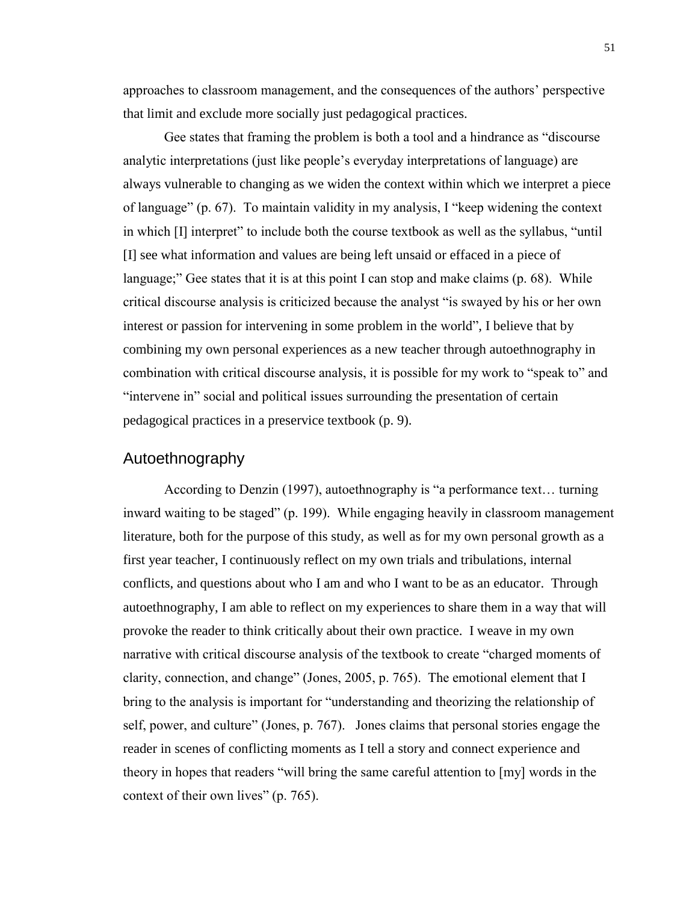approaches to classroom management, and the consequences of the authors' perspective that limit and exclude more socially just pedagogical practices.

Gee states that framing the problem is both a tool and a hindrance as "discourse analytic interpretations (just like people's everyday interpretations of language) are always vulnerable to changing as we widen the context within which we interpret a piece of language" (p. 67). To maintain validity in my analysis, I "keep widening the context in which [I] interpret" to include both the course textbook as well as the syllabus, "until [I] see what information and values are being left unsaid or effaced in a piece of language;" Gee states that it is at this point I can stop and make claims (p. 68). While critical discourse analysis is criticized because the analyst "is swayed by his or her own interest or passion for intervening in some problem in the world", I believe that by combining my own personal experiences as a new teacher through autoethnography in combination with critical discourse analysis, it is possible for my work to "speak to" and "intervene in" social and political issues surrounding the presentation of certain pedagogical practices in a preservice textbook (p. 9).

#### Autoethnography

According to Denzin (1997), autoethnography is "a performance text… turning inward waiting to be staged" (p. 199). While engaging heavily in classroom management literature, both for the purpose of this study, as well as for my own personal growth as a first year teacher, I continuously reflect on my own trials and tribulations, internal conflicts, and questions about who I am and who I want to be as an educator. Through autoethnography, I am able to reflect on my experiences to share them in a way that will provoke the reader to think critically about their own practice. I weave in my own narrative with critical discourse analysis of the textbook to create "charged moments of clarity, connection, and change" (Jones, 2005, p. 765). The emotional element that I bring to the analysis is important for "understanding and theorizing the relationship of self, power, and culture" (Jones, p. 767). Jones claims that personal stories engage the reader in scenes of conflicting moments as I tell a story and connect experience and theory in hopes that readers "will bring the same careful attention to [my] words in the context of their own lives" (p. 765).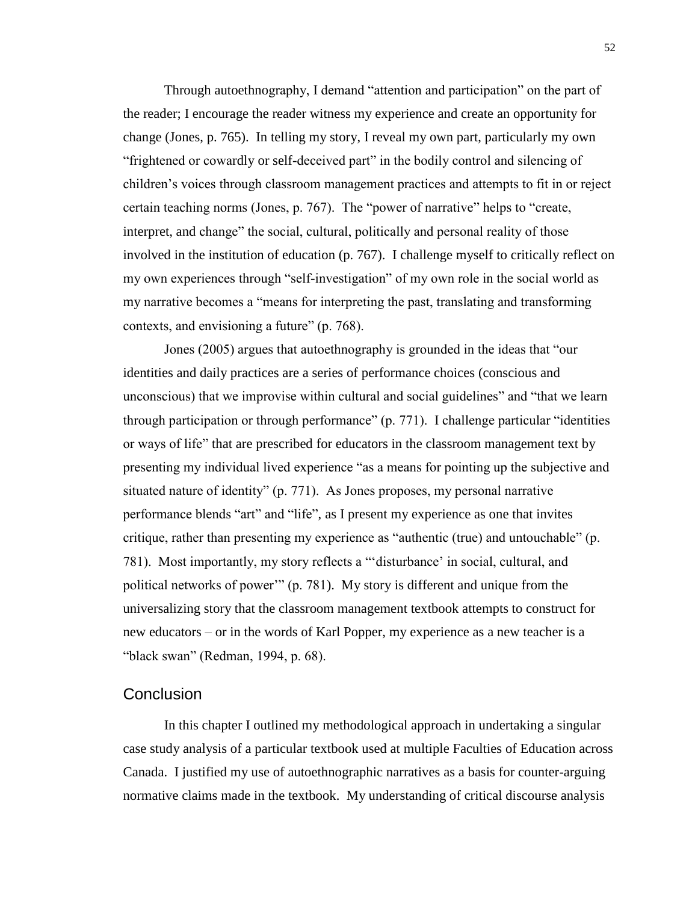Through autoethnography, I demand "attention and participation" on the part of the reader; I encourage the reader witness my experience and create an opportunity for change (Jones, p. 765). In telling my story, I reveal my own part, particularly my own "frightened or cowardly or self-deceived part" in the bodily control and silencing of children's voices through classroom management practices and attempts to fit in or reject certain teaching norms (Jones, p. 767). The "power of narrative" helps to "create, interpret, and change" the social, cultural, politically and personal reality of those involved in the institution of education (p. 767). I challenge myself to critically reflect on my own experiences through "self-investigation" of my own role in the social world as my narrative becomes a "means for interpreting the past, translating and transforming contexts, and envisioning a future" (p. 768).

Jones (2005) argues that autoethnography is grounded in the ideas that "our identities and daily practices are a series of performance choices (conscious and unconscious) that we improvise within cultural and social guidelines" and "that we learn through participation or through performance" (p. 771). I challenge particular "identities or ways of life" that are prescribed for educators in the classroom management text by presenting my individual lived experience "as a means for pointing up the subjective and situated nature of identity" (p. 771). As Jones proposes, my personal narrative performance blends "art" and "life", as I present my experience as one that invites critique, rather than presenting my experience as "authentic (true) and untouchable" (p. 781). Most importantly, my story reflects a "'disturbance' in social, cultural, and political networks of power'" (p. 781). My story is different and unique from the universalizing story that the classroom management textbook attempts to construct for new educators – or in the words of Karl Popper, my experience as a new teacher is a "black swan" (Redman, 1994, p. 68).

#### **Conclusion**

In this chapter I outlined my methodological approach in undertaking a singular case study analysis of a particular textbook used at multiple Faculties of Education across Canada. I justified my use of autoethnographic narratives as a basis for counter-arguing normative claims made in the textbook. My understanding of critical discourse analysis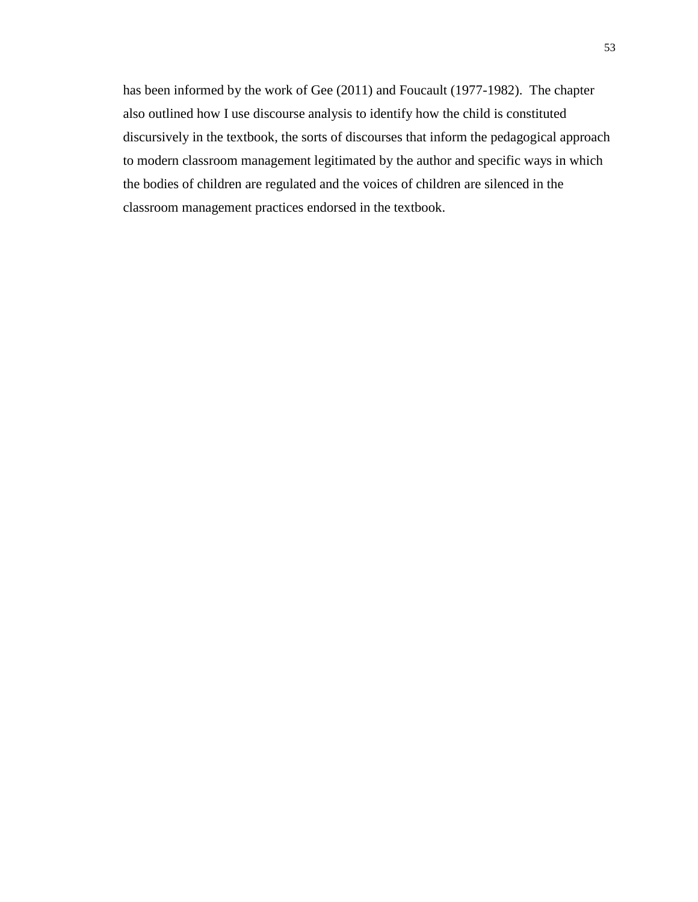has been informed by the work of Gee (2011) and Foucault (1977-1982). The chapter also outlined how I use discourse analysis to identify how the child is constituted discursively in the textbook, the sorts of discourses that inform the pedagogical approach to modern classroom management legitimated by the author and specific ways in which the bodies of children are regulated and the voices of children are silenced in the classroom management practices endorsed in the textbook.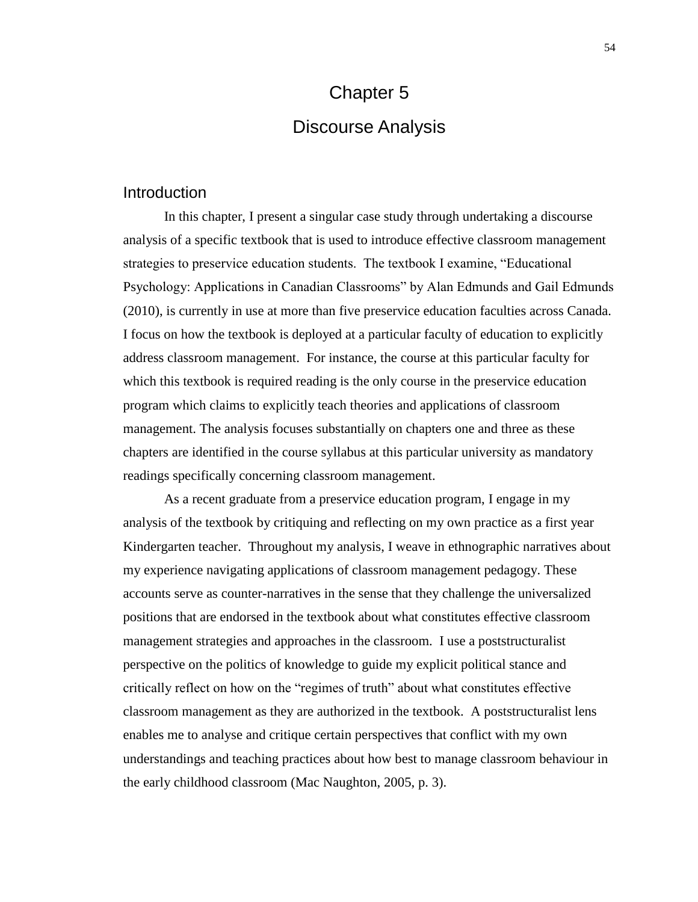## Chapter 5 Discourse Analysis

#### Introduction

In this chapter, I present a singular case study through undertaking a discourse analysis of a specific textbook that is used to introduce effective classroom management strategies to preservice education students. The textbook I examine, "Educational Psychology: Applications in Canadian Classrooms" by Alan Edmunds and Gail Edmunds (2010), is currently in use at more than five preservice education faculties across Canada. I focus on how the textbook is deployed at a particular faculty of education to explicitly address classroom management. For instance, the course at this particular faculty for which this textbook is required reading is the only course in the preservice education program which claims to explicitly teach theories and applications of classroom management. The analysis focuses substantially on chapters one and three as these chapters are identified in the course syllabus at this particular university as mandatory readings specifically concerning classroom management.

As a recent graduate from a preservice education program, I engage in my analysis of the textbook by critiquing and reflecting on my own practice as a first year Kindergarten teacher. Throughout my analysis, I weave in ethnographic narratives about my experience navigating applications of classroom management pedagogy. These accounts serve as counter-narratives in the sense that they challenge the universalized positions that are endorsed in the textbook about what constitutes effective classroom management strategies and approaches in the classroom. I use a poststructuralist perspective on the politics of knowledge to guide my explicit political stance and critically reflect on how on the "regimes of truth" about what constitutes effective classroom management as they are authorized in the textbook. A poststructuralist lens enables me to analyse and critique certain perspectives that conflict with my own understandings and teaching practices about how best to manage classroom behaviour in the early childhood classroom (Mac Naughton, 2005, p. 3).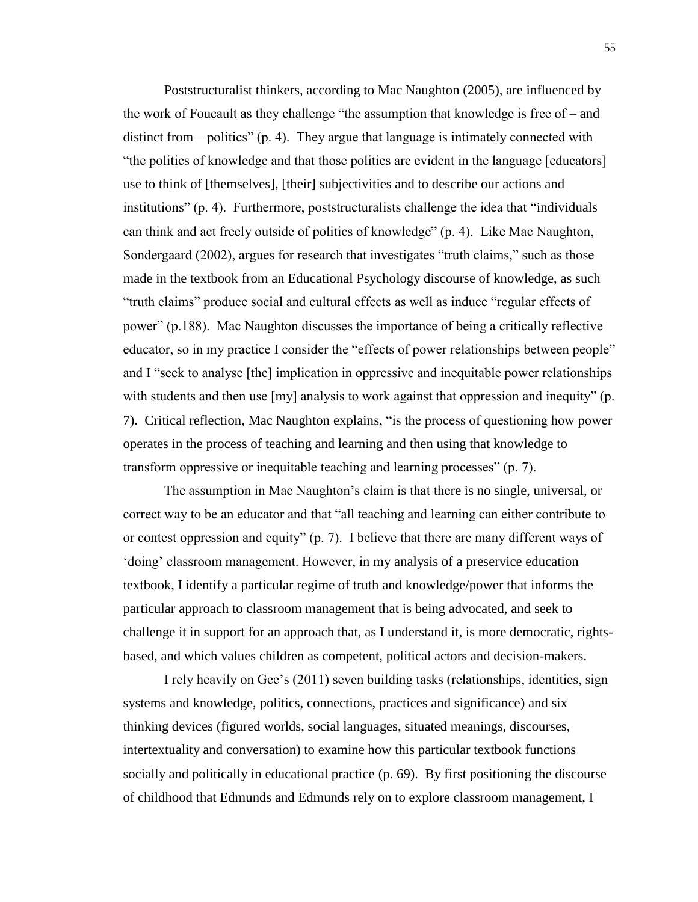Poststructuralist thinkers, according to Mac Naughton (2005), are influenced by the work of Foucault as they challenge "the assumption that knowledge is free of – and distinct from – politics" (p. 4). They argue that language is intimately connected with "the politics of knowledge and that those politics are evident in the language [educators] use to think of [themselves], [their] subjectivities and to describe our actions and institutions" (p. 4). Furthermore, poststructuralists challenge the idea that "individuals can think and act freely outside of politics of knowledge" (p. 4). Like Mac Naughton, Sondergaard (2002), argues for research that investigates "truth claims," such as those made in the textbook from an Educational Psychology discourse of knowledge, as such "truth claims" produce social and cultural effects as well as induce "regular effects of power" (p.188). Mac Naughton discusses the importance of being a critically reflective educator, so in my practice I consider the "effects of power relationships between people" and I "seek to analyse [the] implication in oppressive and inequitable power relationships with students and then use [my] analysis to work against that oppression and inequity" (p. 7). Critical reflection, Mac Naughton explains, "is the process of questioning how power operates in the process of teaching and learning and then using that knowledge to transform oppressive or inequitable teaching and learning processes" (p. 7).

The assumption in Mac Naughton's claim is that there is no single, universal, or correct way to be an educator and that "all teaching and learning can either contribute to or contest oppression and equity" (p. 7). I believe that there are many different ways of 'doing' classroom management. However, in my analysis of a preservice education textbook, I identify a particular regime of truth and knowledge/power that informs the particular approach to classroom management that is being advocated, and seek to challenge it in support for an approach that, as I understand it, is more democratic, rightsbased, and which values children as competent, political actors and decision-makers.

I rely heavily on Gee's (2011) seven building tasks (relationships, identities, sign systems and knowledge, politics, connections, practices and significance) and six thinking devices (figured worlds, social languages, situated meanings, discourses, intertextuality and conversation) to examine how this particular textbook functions socially and politically in educational practice (p. 69). By first positioning the discourse of childhood that Edmunds and Edmunds rely on to explore classroom management, I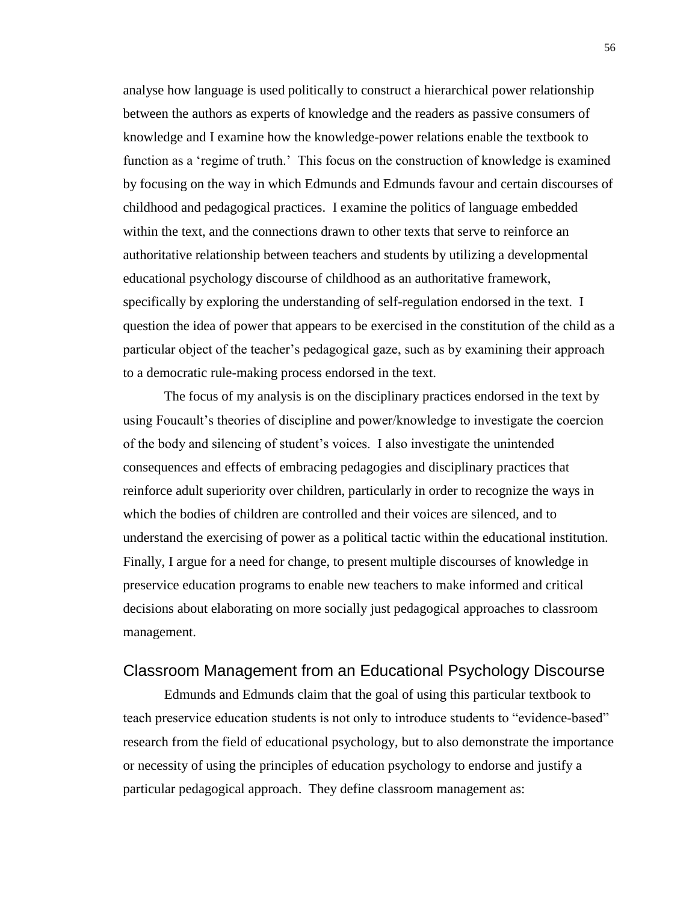analyse how language is used politically to construct a hierarchical power relationship between the authors as experts of knowledge and the readers as passive consumers of knowledge and I examine how the knowledge-power relations enable the textbook to function as a 'regime of truth.' This focus on the construction of knowledge is examined by focusing on the way in which Edmunds and Edmunds favour and certain discourses of childhood and pedagogical practices. I examine the politics of language embedded within the text, and the connections drawn to other texts that serve to reinforce an authoritative relationship between teachers and students by utilizing a developmental educational psychology discourse of childhood as an authoritative framework, specifically by exploring the understanding of self-regulation endorsed in the text. I question the idea of power that appears to be exercised in the constitution of the child as a particular object of the teacher's pedagogical gaze, such as by examining their approach to a democratic rule-making process endorsed in the text.

The focus of my analysis is on the disciplinary practices endorsed in the text by using Foucault's theories of discipline and power/knowledge to investigate the coercion of the body and silencing of student's voices. I also investigate the unintended consequences and effects of embracing pedagogies and disciplinary practices that reinforce adult superiority over children, particularly in order to recognize the ways in which the bodies of children are controlled and their voices are silenced, and to understand the exercising of power as a political tactic within the educational institution. Finally, I argue for a need for change, to present multiple discourses of knowledge in preservice education programs to enable new teachers to make informed and critical decisions about elaborating on more socially just pedagogical approaches to classroom management.

#### Classroom Management from an Educational Psychology Discourse

Edmunds and Edmunds claim that the goal of using this particular textbook to teach preservice education students is not only to introduce students to "evidence-based" research from the field of educational psychology, but to also demonstrate the importance or necessity of using the principles of education psychology to endorse and justify a particular pedagogical approach. They define classroom management as: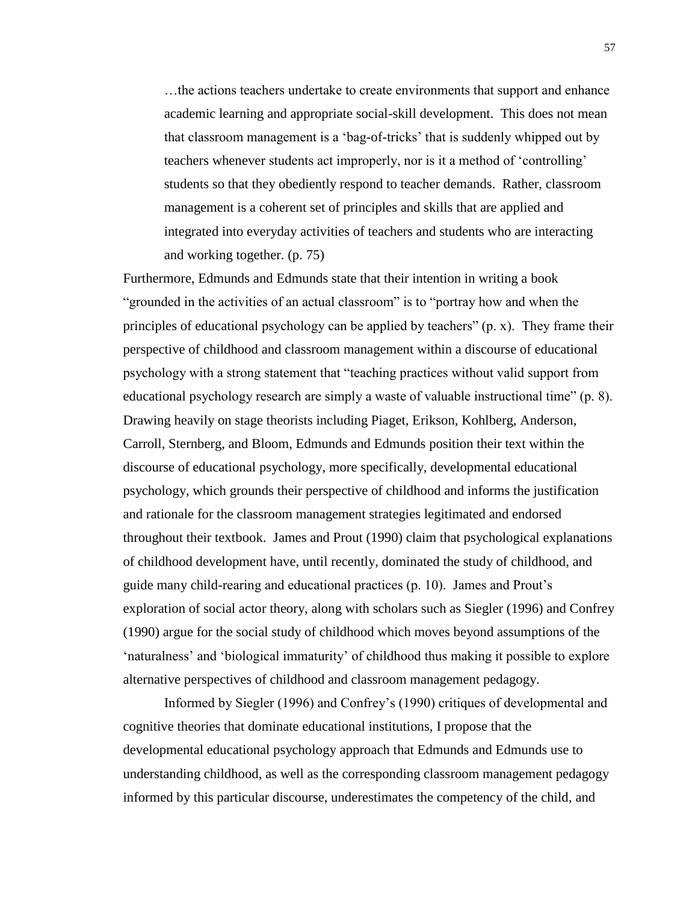…the actions teachers undertake to create environments that support and enhance academic learning and appropriate social-skill development. This does not mean that classroom management is a 'bag-of-tricks' that is suddenly whipped out by teachers whenever students act improperly, nor is it a method of 'controlling' students so that they obediently respond to teacher demands. Rather, classroom management is a coherent set of principles and skills that are applied and integrated into everyday activities of teachers and students who are interacting and working together. (p. 75)

Furthermore, Edmunds and Edmunds state that their intention in writing a book "grounded in the activities of an actual classroom" is to "portray how and when the principles of educational psychology can be applied by teachers" (p. x). They frame their perspective of childhood and classroom management within a discourse of educational psychology with a strong statement that "teaching practices without valid support from educational psychology research are simply a waste of valuable instructional time" (p. 8). Drawing heavily on stage theorists including Piaget, Erikson, Kohlberg, Anderson, Carroll, Sternberg, and Bloom, Edmunds and Edmunds position their text within the discourse of educational psychology, more specifically, developmental educational psychology, which grounds their perspective of childhood and informs the justification and rationale for the classroom management strategies legitimated and endorsed throughout their textbook. James and Prout (1990) claim that psychological explanations of childhood development have, until recently, dominated the study of childhood, and guide many child-rearing and educational practices (p. 10). James and Prout's exploration of social actor theory, along with scholars such as Siegler (1996) and Confrey (1990) argue for the social study of childhood which moves beyond assumptions of the 'naturalness' and 'biological immaturity' of childhood thus making it possible to explore alternative perspectives of childhood and classroom management pedagogy.

Informed by Siegler (1996) and Confrey's (1990) critiques of developmental and cognitive theories that dominate educational institutions, I propose that the developmental educational psychology approach that Edmunds and Edmunds use to understanding childhood, as well as the corresponding classroom management pedagogy informed by this particular discourse, underestimates the competency of the child, and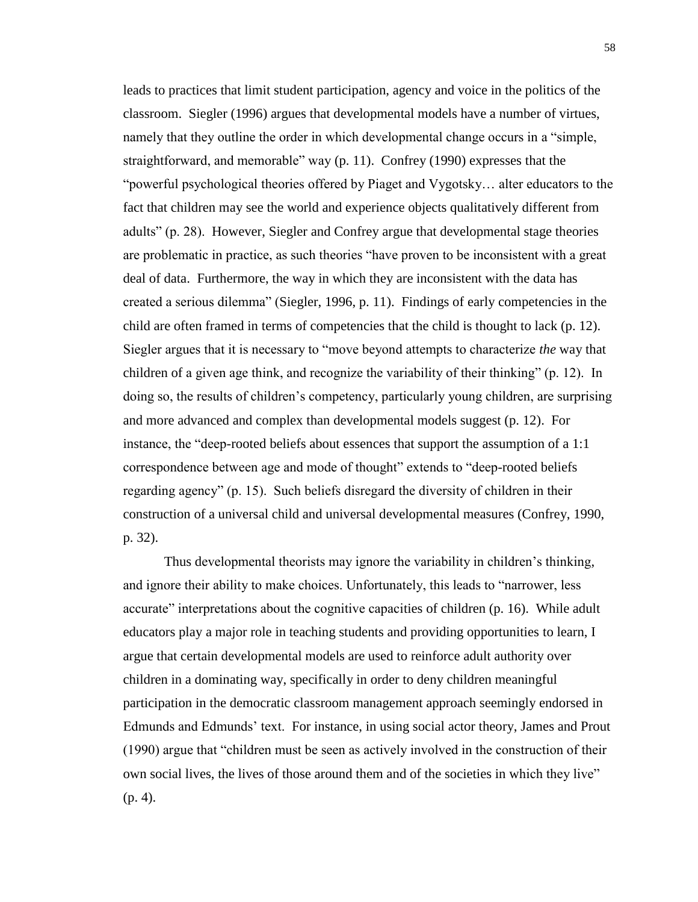leads to practices that limit student participation, agency and voice in the politics of the classroom. Siegler (1996) argues that developmental models have a number of virtues, namely that they outline the order in which developmental change occurs in a "simple, straightforward, and memorable" way (p. 11). Confrey (1990) expresses that the "powerful psychological theories offered by Piaget and Vygotsky… alter educators to the fact that children may see the world and experience objects qualitatively different from adults" (p. 28). However, Siegler and Confrey argue that developmental stage theories are problematic in practice, as such theories "have proven to be inconsistent with a great deal of data. Furthermore, the way in which they are inconsistent with the data has created a serious dilemma" (Siegler, 1996, p. 11). Findings of early competencies in the child are often framed in terms of competencies that the child is thought to lack (p. 12). Siegler argues that it is necessary to "move beyond attempts to characterize *the* way that children of a given age think, and recognize the variability of their thinking" (p. 12). In doing so, the results of children's competency, particularly young children, are surprising and more advanced and complex than developmental models suggest (p. 12). For instance, the "deep-rooted beliefs about essences that support the assumption of a 1:1 correspondence between age and mode of thought" extends to "deep-rooted beliefs regarding agency" (p. 15). Such beliefs disregard the diversity of children in their construction of a universal child and universal developmental measures (Confrey, 1990, p. 32).

Thus developmental theorists may ignore the variability in children's thinking, and ignore their ability to make choices. Unfortunately, this leads to "narrower, less accurate" interpretations about the cognitive capacities of children (p. 16). While adult educators play a major role in teaching students and providing opportunities to learn, I argue that certain developmental models are used to reinforce adult authority over children in a dominating way, specifically in order to deny children meaningful participation in the democratic classroom management approach seemingly endorsed in Edmunds and Edmunds' text. For instance, in using social actor theory, James and Prout (1990) argue that "children must be seen as actively involved in the construction of their own social lives, the lives of those around them and of the societies in which they live" (p. 4).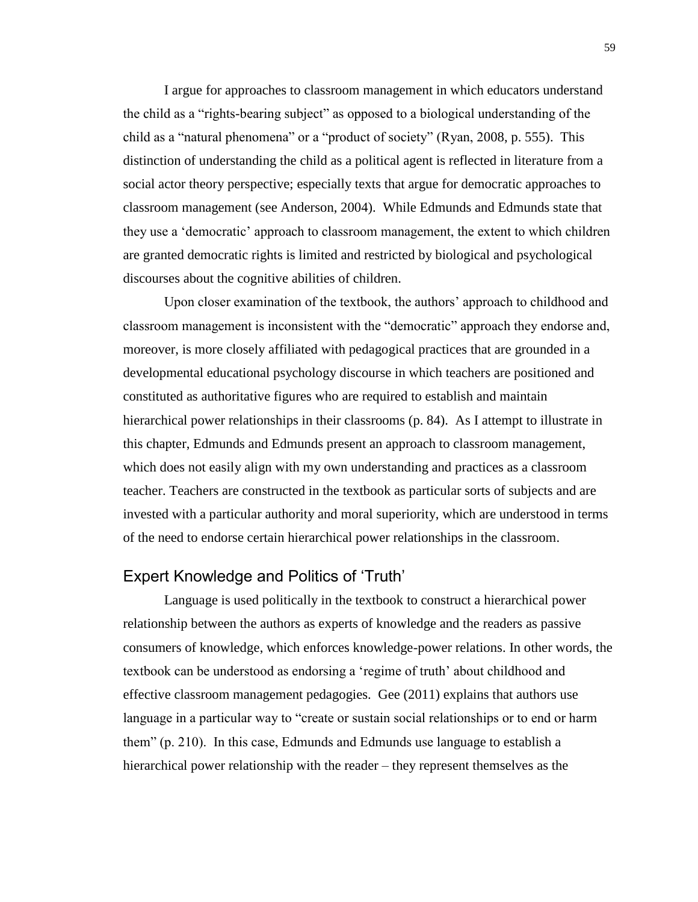I argue for approaches to classroom management in which educators understand the child as a "rights-bearing subject" as opposed to a biological understanding of the child as a "natural phenomena" or a "product of society" (Ryan, 2008, p. 555). This distinction of understanding the child as a political agent is reflected in literature from a social actor theory perspective; especially texts that argue for democratic approaches to classroom management (see Anderson, 2004). While Edmunds and Edmunds state that they use a 'democratic' approach to classroom management, the extent to which children are granted democratic rights is limited and restricted by biological and psychological discourses about the cognitive abilities of children.

Upon closer examination of the textbook, the authors' approach to childhood and classroom management is inconsistent with the "democratic" approach they endorse and, moreover, is more closely affiliated with pedagogical practices that are grounded in a developmental educational psychology discourse in which teachers are positioned and constituted as authoritative figures who are required to establish and maintain hierarchical power relationships in their classrooms (p. 84). As I attempt to illustrate in this chapter, Edmunds and Edmunds present an approach to classroom management, which does not easily align with my own understanding and practices as a classroom teacher. Teachers are constructed in the textbook as particular sorts of subjects and are invested with a particular authority and moral superiority, which are understood in terms of the need to endorse certain hierarchical power relationships in the classroom.

## Expert Knowledge and Politics of 'Truth'

Language is used politically in the textbook to construct a hierarchical power relationship between the authors as experts of knowledge and the readers as passive consumers of knowledge, which enforces knowledge-power relations. In other words, the textbook can be understood as endorsing a 'regime of truth' about childhood and effective classroom management pedagogies. Gee (2011) explains that authors use language in a particular way to "create or sustain social relationships or to end or harm them" (p. 210). In this case, Edmunds and Edmunds use language to establish a hierarchical power relationship with the reader – they represent themselves as the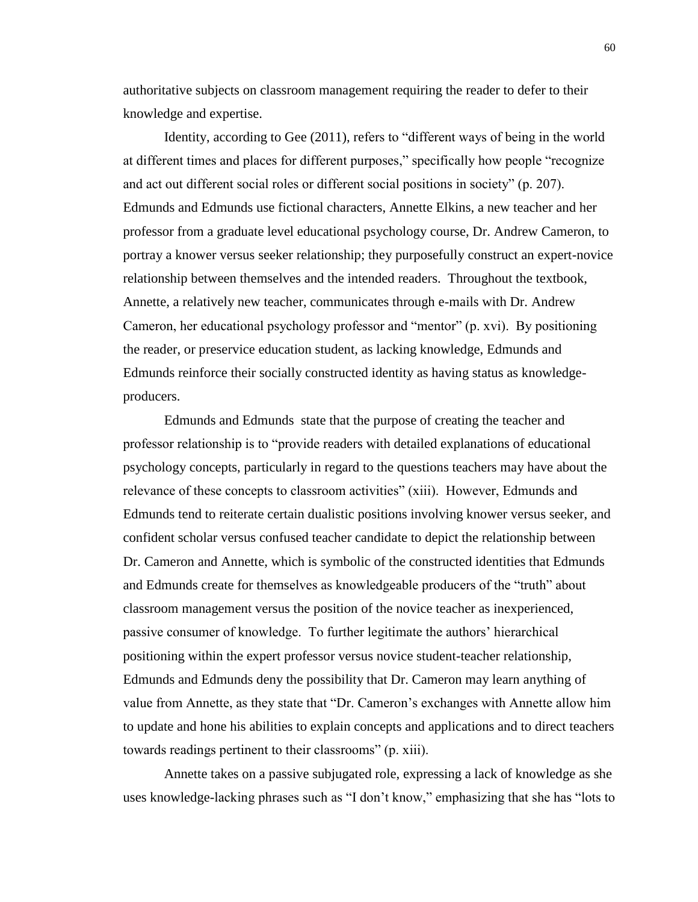authoritative subjects on classroom management requiring the reader to defer to their knowledge and expertise.

Identity, according to Gee (2011), refers to "different ways of being in the world at different times and places for different purposes," specifically how people "recognize and act out different social roles or different social positions in society" (p. 207). Edmunds and Edmunds use fictional characters, Annette Elkins, a new teacher and her professor from a graduate level educational psychology course, Dr. Andrew Cameron, to portray a knower versus seeker relationship; they purposefully construct an expert-novice relationship between themselves and the intended readers. Throughout the textbook, Annette, a relatively new teacher, communicates through e-mails with Dr. Andrew Cameron, her educational psychology professor and "mentor" (p. xvi). By positioning the reader, or preservice education student, as lacking knowledge, Edmunds and Edmunds reinforce their socially constructed identity as having status as knowledgeproducers.

Edmunds and Edmunds state that the purpose of creating the teacher and professor relationship is to "provide readers with detailed explanations of educational psychology concepts, particularly in regard to the questions teachers may have about the relevance of these concepts to classroom activities" (xiii). However, Edmunds and Edmunds tend to reiterate certain dualistic positions involving knower versus seeker, and confident scholar versus confused teacher candidate to depict the relationship between Dr. Cameron and Annette, which is symbolic of the constructed identities that Edmunds and Edmunds create for themselves as knowledgeable producers of the "truth" about classroom management versus the position of the novice teacher as inexperienced, passive consumer of knowledge. To further legitimate the authors' hierarchical positioning within the expert professor versus novice student-teacher relationship, Edmunds and Edmunds deny the possibility that Dr. Cameron may learn anything of value from Annette, as they state that "Dr. Cameron's exchanges with Annette allow him to update and hone his abilities to explain concepts and applications and to direct teachers towards readings pertinent to their classrooms" (p. xiii).

Annette takes on a passive subjugated role, expressing a lack of knowledge as she uses knowledge-lacking phrases such as "I don't know," emphasizing that she has "lots to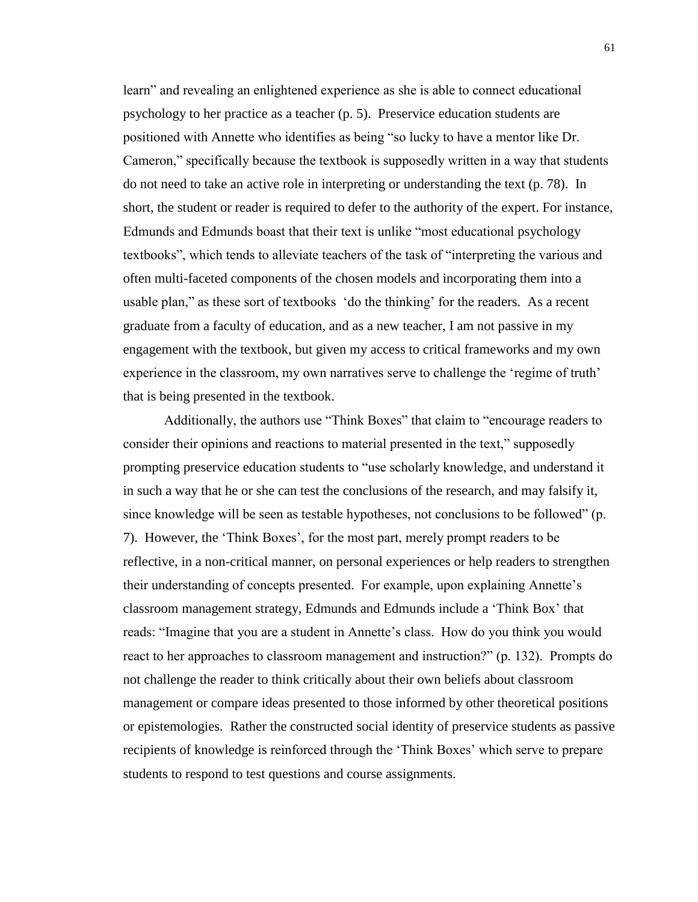learn" and revealing an enlightened experience as she is able to connect educational psychology to her practice as a teacher (p. 5). Preservice education students are positioned with Annette who identifies as being "so lucky to have a mentor like Dr. Cameron," specifically because the textbook is supposedly written in a way that students do not need to take an active role in interpreting or understanding the text (p. 78). In short, the student or reader is required to defer to the authority of the expert. For instance, Edmunds and Edmunds boast that their text is unlike "most educational psychology textbooks", which tends to alleviate teachers of the task of "interpreting the various and often multi-faceted components of the chosen models and incorporating them into a usable plan," as these sort of textbooks 'do the thinking' for the readers. As a recent graduate from a faculty of education, and as a new teacher, I am not passive in my engagement with the textbook, but given my access to critical frameworks and my own experience in the classroom, my own narratives serve to challenge the 'regime of truth' that is being presented in the textbook.

Additionally, the authors use "Think Boxes" that claim to "encourage readers to consider their opinions and reactions to material presented in the text," supposedly prompting preservice education students to "use scholarly knowledge, and understand it in such a way that he or she can test the conclusions of the research, and may falsify it, since knowledge will be seen as testable hypotheses, not conclusions to be followed" (p. 7). However, the 'Think Boxes', for the most part, merely prompt readers to be reflective, in a non-critical manner, on personal experiences or help readers to strengthen their understanding of concepts presented. For example, upon explaining Annette's classroom management strategy, Edmunds and Edmunds include a 'Think Box' that reads: "Imagine that you are a student in Annette's class. How do you think you would react to her approaches to classroom management and instruction?" (p. 132). Prompts do not challenge the reader to think critically about their own beliefs about classroom management or compare ideas presented to those informed by other theoretical positions or epistemologies. Rather the constructed social identity of preservice students as passive recipients of knowledge is reinforced through the 'Think Boxes' which serve to prepare students to respond to test questions and course assignments.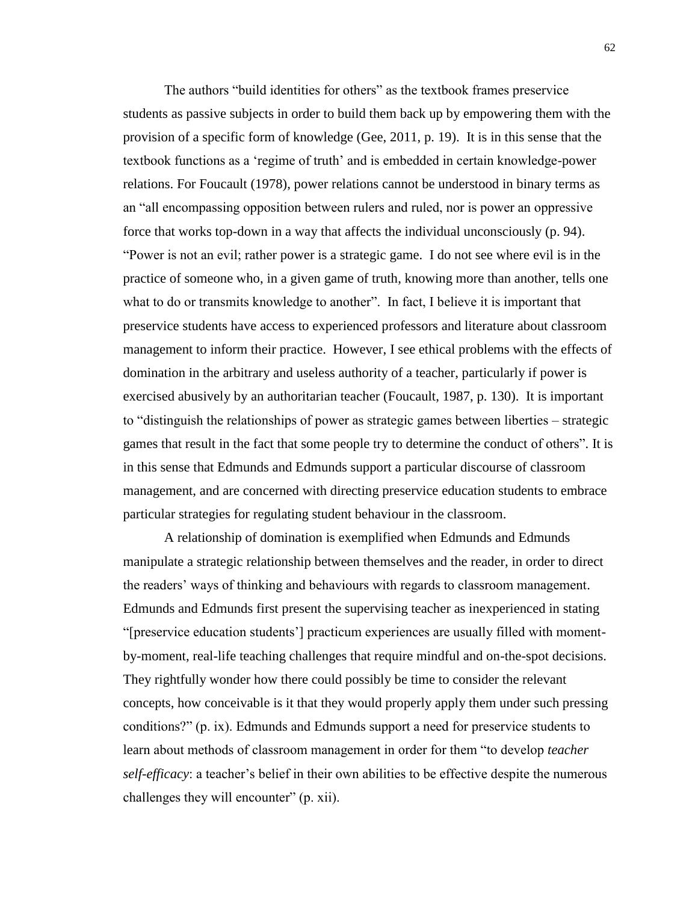The authors "build identities for others" as the textbook frames preservice students as passive subjects in order to build them back up by empowering them with the provision of a specific form of knowledge (Gee, 2011, p. 19). It is in this sense that the textbook functions as a 'regime of truth' and is embedded in certain knowledge-power relations. For Foucault (1978), power relations cannot be understood in binary terms as an "all encompassing opposition between rulers and ruled, nor is power an oppressive force that works top-down in a way that affects the individual unconsciously (p. 94). "Power is not an evil; rather power is a strategic game. I do not see where evil is in the practice of someone who, in a given game of truth, knowing more than another, tells one what to do or transmits knowledge to another". In fact, I believe it is important that preservice students have access to experienced professors and literature about classroom management to inform their practice. However, I see ethical problems with the effects of domination in the arbitrary and useless authority of a teacher, particularly if power is exercised abusively by an authoritarian teacher (Foucault, 1987, p. 130). It is important to "distinguish the relationships of power as strategic games between liberties – strategic games that result in the fact that some people try to determine the conduct of others". It is in this sense that Edmunds and Edmunds support a particular discourse of classroom management, and are concerned with directing preservice education students to embrace particular strategies for regulating student behaviour in the classroom.

A relationship of domination is exemplified when Edmunds and Edmunds manipulate a strategic relationship between themselves and the reader, in order to direct the readers' ways of thinking and behaviours with regards to classroom management. Edmunds and Edmunds first present the supervising teacher as inexperienced in stating "[preservice education students'] practicum experiences are usually filled with momentby-moment, real-life teaching challenges that require mindful and on-the-spot decisions. They rightfully wonder how there could possibly be time to consider the relevant concepts, how conceivable is it that they would properly apply them under such pressing conditions?" (p. ix). Edmunds and Edmunds support a need for preservice students to learn about methods of classroom management in order for them "to develop *teacher self-efficacy*: a teacher's belief in their own abilities to be effective despite the numerous challenges they will encounter" (p. xii).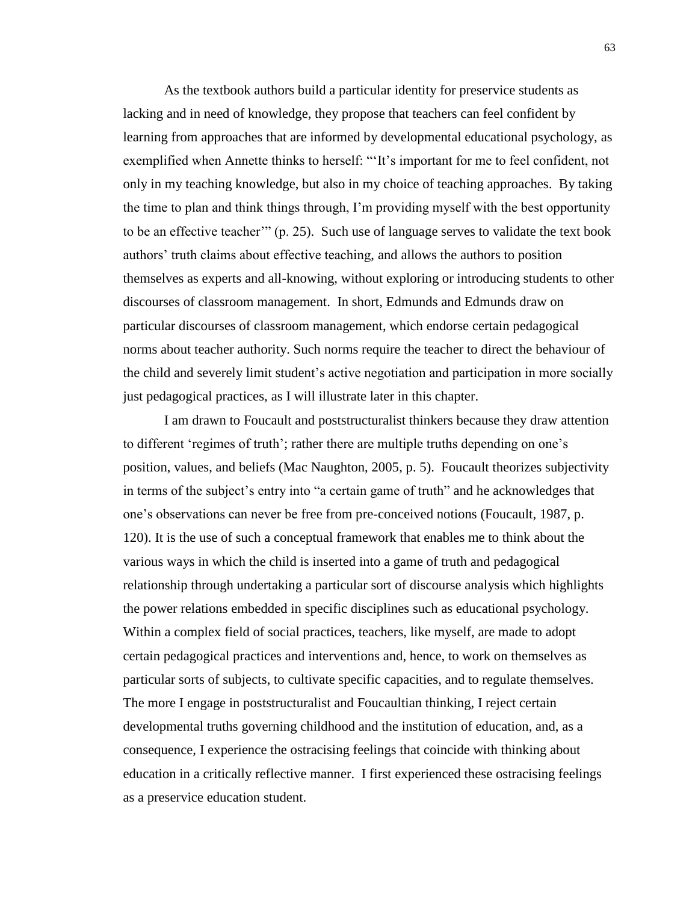As the textbook authors build a particular identity for preservice students as lacking and in need of knowledge, they propose that teachers can feel confident by learning from approaches that are informed by developmental educational psychology, as exemplified when Annette thinks to herself: "'It's important for me to feel confident, not only in my teaching knowledge, but also in my choice of teaching approaches. By taking the time to plan and think things through, I'm providing myself with the best opportunity to be an effective teacher'" (p. 25). Such use of language serves to validate the text book authors' truth claims about effective teaching, and allows the authors to position themselves as experts and all-knowing, without exploring or introducing students to other discourses of classroom management. In short, Edmunds and Edmunds draw on particular discourses of classroom management, which endorse certain pedagogical norms about teacher authority. Such norms require the teacher to direct the behaviour of the child and severely limit student's active negotiation and participation in more socially just pedagogical practices, as I will illustrate later in this chapter.

I am drawn to Foucault and poststructuralist thinkers because they draw attention to different 'regimes of truth'; rather there are multiple truths depending on one's position, values, and beliefs (Mac Naughton, 2005, p. 5). Foucault theorizes subjectivity in terms of the subject's entry into "a certain game of truth" and he acknowledges that one's observations can never be free from pre-conceived notions (Foucault, 1987, p. 120). It is the use of such a conceptual framework that enables me to think about the various ways in which the child is inserted into a game of truth and pedagogical relationship through undertaking a particular sort of discourse analysis which highlights the power relations embedded in specific disciplines such as educational psychology. Within a complex field of social practices, teachers, like myself, are made to adopt certain pedagogical practices and interventions and, hence, to work on themselves as particular sorts of subjects, to cultivate specific capacities, and to regulate themselves. The more I engage in poststructuralist and Foucaultian thinking, I reject certain developmental truths governing childhood and the institution of education, and, as a consequence, I experience the ostracising feelings that coincide with thinking about education in a critically reflective manner. I first experienced these ostracising feelings as a preservice education student.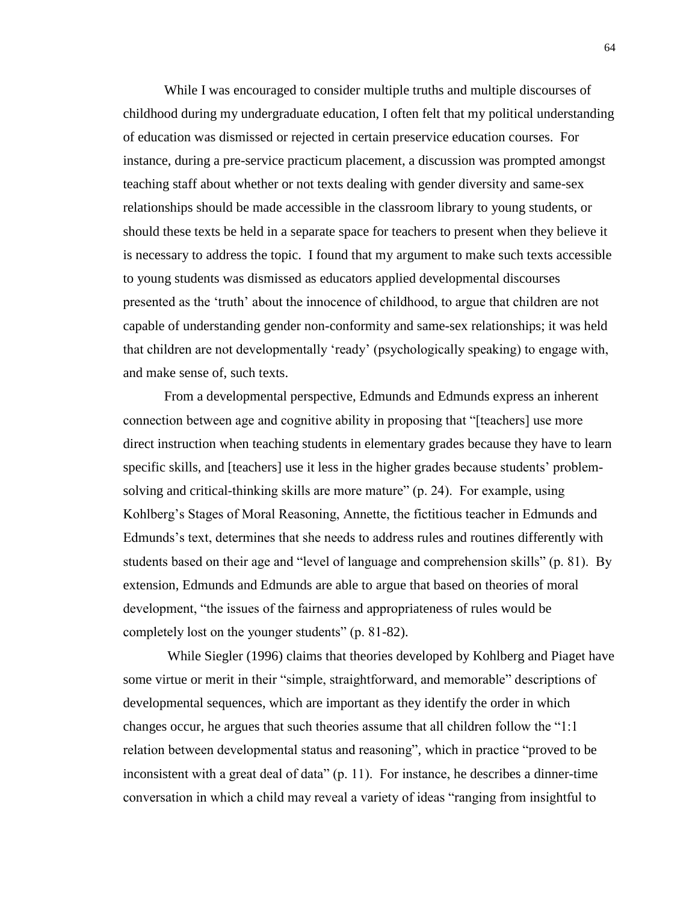While I was encouraged to consider multiple truths and multiple discourses of childhood during my undergraduate education, I often felt that my political understanding of education was dismissed or rejected in certain preservice education courses. For instance, during a pre-service practicum placement, a discussion was prompted amongst teaching staff about whether or not texts dealing with gender diversity and same-sex relationships should be made accessible in the classroom library to young students, or should these texts be held in a separate space for teachers to present when they believe it is necessary to address the topic. I found that my argument to make such texts accessible to young students was dismissed as educators applied developmental discourses presented as the 'truth' about the innocence of childhood, to argue that children are not capable of understanding gender non-conformity and same-sex relationships; it was held that children are not developmentally 'ready' (psychologically speaking) to engage with, and make sense of, such texts.

From a developmental perspective, Edmunds and Edmunds express an inherent connection between age and cognitive ability in proposing that "[teachers] use more direct instruction when teaching students in elementary grades because they have to learn specific skills, and [teachers] use it less in the higher grades because students' problemsolving and critical-thinking skills are more mature" (p. 24). For example, using Kohlberg's Stages of Moral Reasoning, Annette, the fictitious teacher in Edmunds and Edmunds's text, determines that she needs to address rules and routines differently with students based on their age and "level of language and comprehension skills" (p. 81). By extension, Edmunds and Edmunds are able to argue that based on theories of moral development, "the issues of the fairness and appropriateness of rules would be completely lost on the younger students" (p. 81-82).

While Siegler (1996) claims that theories developed by Kohlberg and Piaget have some virtue or merit in their "simple, straightforward, and memorable" descriptions of developmental sequences, which are important as they identify the order in which changes occur, he argues that such theories assume that all children follow the "1:1 relation between developmental status and reasoning", which in practice "proved to be inconsistent with a great deal of data" (p. 11). For instance, he describes a dinner-time conversation in which a child may reveal a variety of ideas "ranging from insightful to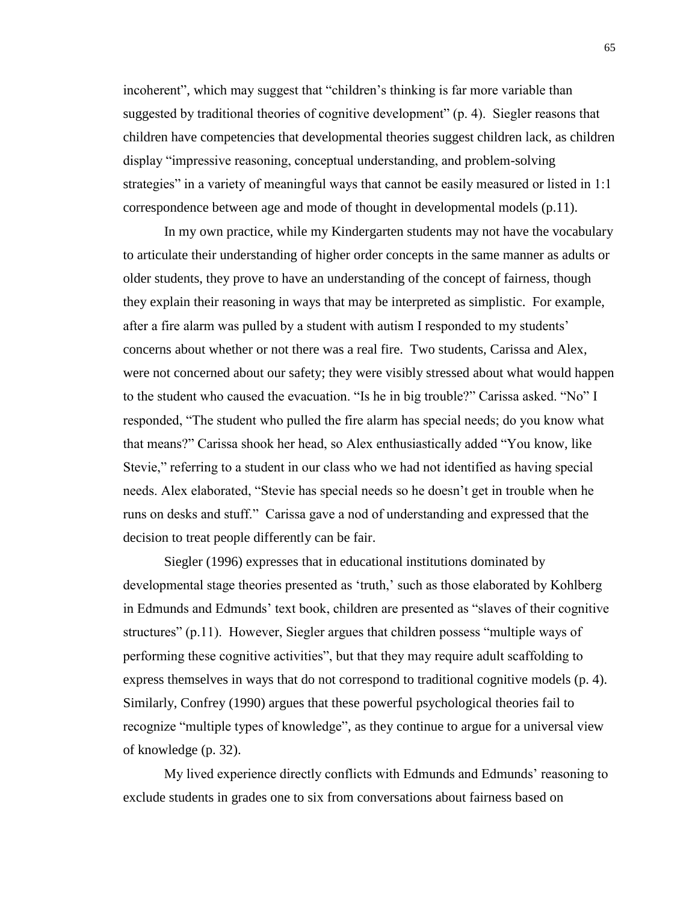incoherent", which may suggest that "children's thinking is far more variable than suggested by traditional theories of cognitive development" (p. 4). Siegler reasons that children have competencies that developmental theories suggest children lack, as children display "impressive reasoning, conceptual understanding, and problem-solving strategies" in a variety of meaningful ways that cannot be easily measured or listed in 1:1 correspondence between age and mode of thought in developmental models (p.11).

In my own practice, while my Kindergarten students may not have the vocabulary to articulate their understanding of higher order concepts in the same manner as adults or older students, they prove to have an understanding of the concept of fairness, though they explain their reasoning in ways that may be interpreted as simplistic. For example, after a fire alarm was pulled by a student with autism I responded to my students' concerns about whether or not there was a real fire. Two students, Carissa and Alex, were not concerned about our safety; they were visibly stressed about what would happen to the student who caused the evacuation. "Is he in big trouble?" Carissa asked. "No" I responded, "The student who pulled the fire alarm has special needs; do you know what that means?" Carissa shook her head, so Alex enthusiastically added "You know, like Stevie," referring to a student in our class who we had not identified as having special needs. Alex elaborated, "Stevie has special needs so he doesn't get in trouble when he runs on desks and stuff." Carissa gave a nod of understanding and expressed that the decision to treat people differently can be fair.

Siegler (1996) expresses that in educational institutions dominated by developmental stage theories presented as 'truth,' such as those elaborated by Kohlberg in Edmunds and Edmunds' text book, children are presented as "slaves of their cognitive structures" (p.11). However, Siegler argues that children possess "multiple ways of performing these cognitive activities", but that they may require adult scaffolding to express themselves in ways that do not correspond to traditional cognitive models (p. 4). Similarly, Confrey (1990) argues that these powerful psychological theories fail to recognize "multiple types of knowledge", as they continue to argue for a universal view of knowledge (p. 32).

My lived experience directly conflicts with Edmunds and Edmunds' reasoning to exclude students in grades one to six from conversations about fairness based on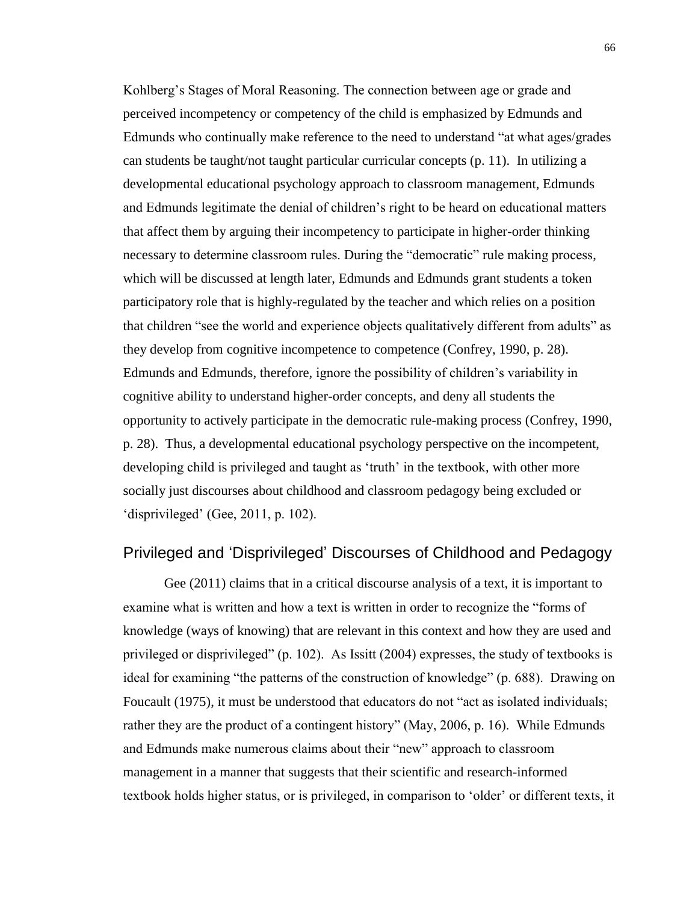Kohlberg's Stages of Moral Reasoning. The connection between age or grade and perceived incompetency or competency of the child is emphasized by Edmunds and Edmunds who continually make reference to the need to understand "at what ages/grades can students be taught/not taught particular curricular concepts (p. 11). In utilizing a developmental educational psychology approach to classroom management, Edmunds and Edmunds legitimate the denial of children's right to be heard on educational matters that affect them by arguing their incompetency to participate in higher-order thinking necessary to determine classroom rules. During the "democratic" rule making process, which will be discussed at length later, Edmunds and Edmunds grant students a token participatory role that is highly-regulated by the teacher and which relies on a position that children "see the world and experience objects qualitatively different from adults" as they develop from cognitive incompetence to competence (Confrey, 1990, p. 28). Edmunds and Edmunds, therefore, ignore the possibility of children's variability in cognitive ability to understand higher-order concepts, and deny all students the opportunity to actively participate in the democratic rule-making process (Confrey, 1990, p. 28). Thus, a developmental educational psychology perspective on the incompetent, developing child is privileged and taught as 'truth' in the textbook, with other more socially just discourses about childhood and classroom pedagogy being excluded or 'disprivileged' (Gee, 2011, p. 102).

# Privileged and 'Disprivileged' Discourses of Childhood and Pedagogy

Gee (2011) claims that in a critical discourse analysis of a text, it is important to examine what is written and how a text is written in order to recognize the "forms of knowledge (ways of knowing) that are relevant in this context and how they are used and privileged or disprivileged" (p. 102). As Issitt (2004) expresses, the study of textbooks is ideal for examining "the patterns of the construction of knowledge" (p. 688). Drawing on Foucault (1975), it must be understood that educators do not "act as isolated individuals; rather they are the product of a contingent history" (May, 2006, p. 16). While Edmunds and Edmunds make numerous claims about their "new" approach to classroom management in a manner that suggests that their scientific and research-informed textbook holds higher status, or is privileged, in comparison to 'older' or different texts, it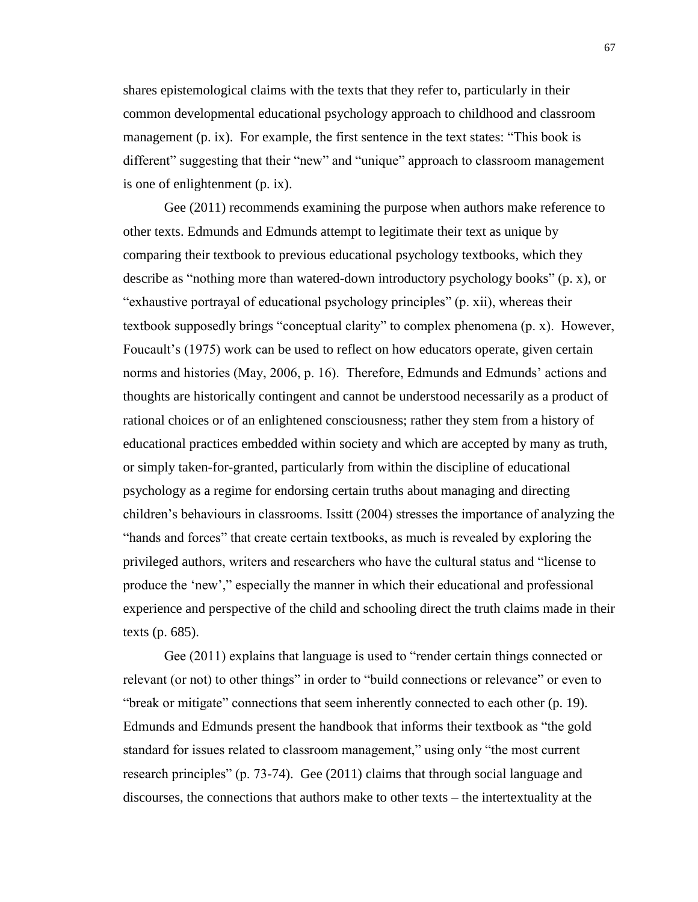shares epistemological claims with the texts that they refer to, particularly in their common developmental educational psychology approach to childhood and classroom management (p. ix). For example, the first sentence in the text states: "This book is different" suggesting that their "new" and "unique" approach to classroom management is one of enlightenment (p. ix).

Gee (2011) recommends examining the purpose when authors make reference to other texts. Edmunds and Edmunds attempt to legitimate their text as unique by comparing their textbook to previous educational psychology textbooks, which they describe as "nothing more than watered-down introductory psychology books" (p. x), or "exhaustive portrayal of educational psychology principles" (p. xii), whereas their textbook supposedly brings "conceptual clarity" to complex phenomena (p. x). However, Foucault's (1975) work can be used to reflect on how educators operate, given certain norms and histories (May, 2006, p. 16). Therefore, Edmunds and Edmunds' actions and thoughts are historically contingent and cannot be understood necessarily as a product of rational choices or of an enlightened consciousness; rather they stem from a history of educational practices embedded within society and which are accepted by many as truth, or simply taken-for-granted, particularly from within the discipline of educational psychology as a regime for endorsing certain truths about managing and directing children's behaviours in classrooms. Issitt (2004) stresses the importance of analyzing the "hands and forces" that create certain textbooks, as much is revealed by exploring the privileged authors, writers and researchers who have the cultural status and "license to produce the 'new'," especially the manner in which their educational and professional experience and perspective of the child and schooling direct the truth claims made in their texts (p. 685).

Gee (2011) explains that language is used to "render certain things connected or relevant (or not) to other things" in order to "build connections or relevance" or even to "break or mitigate" connections that seem inherently connected to each other (p. 19). Edmunds and Edmunds present the handbook that informs their textbook as "the gold standard for issues related to classroom management," using only "the most current research principles" (p. 73-74). Gee (2011) claims that through social language and discourses, the connections that authors make to other texts – the intertextuality at the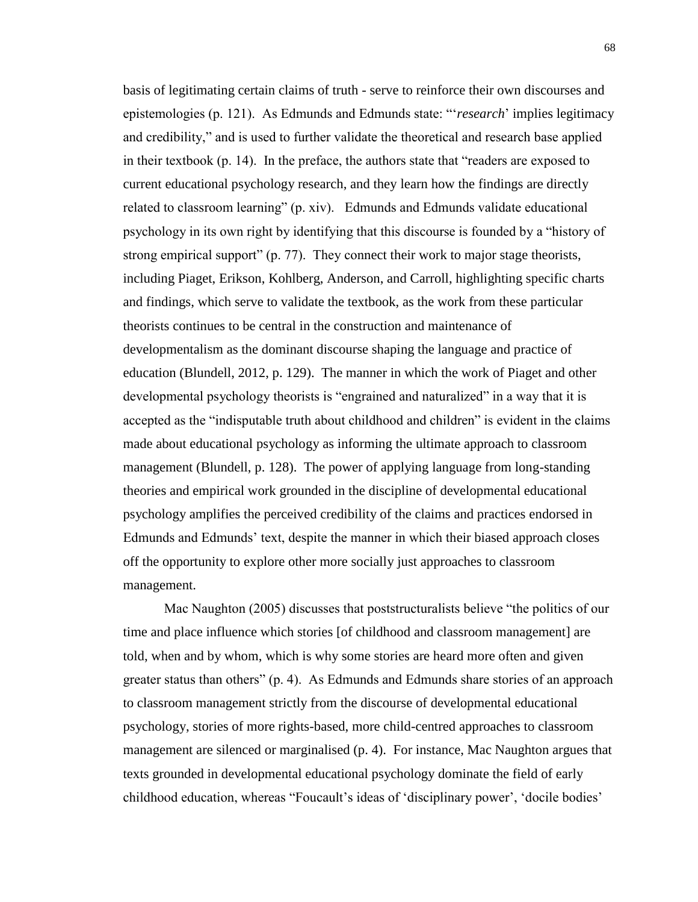basis of legitimating certain claims of truth - serve to reinforce their own discourses and epistemologies (p. 121). As Edmunds and Edmunds state: "'*research*' implies legitimacy and credibility," and is used to further validate the theoretical and research base applied in their textbook (p. 14). In the preface, the authors state that "readers are exposed to current educational psychology research, and they learn how the findings are directly related to classroom learning" (p. xiv). Edmunds and Edmunds validate educational psychology in its own right by identifying that this discourse is founded by a "history of strong empirical support" (p. 77). They connect their work to major stage theorists, including Piaget, Erikson, Kohlberg, Anderson, and Carroll, highlighting specific charts and findings, which serve to validate the textbook, as the work from these particular theorists continues to be central in the construction and maintenance of developmentalism as the dominant discourse shaping the language and practice of education (Blundell, 2012, p. 129). The manner in which the work of Piaget and other developmental psychology theorists is "engrained and naturalized" in a way that it is accepted as the "indisputable truth about childhood and children" is evident in the claims made about educational psychology as informing the ultimate approach to classroom management (Blundell, p. 128). The power of applying language from long-standing theories and empirical work grounded in the discipline of developmental educational psychology amplifies the perceived credibility of the claims and practices endorsed in Edmunds and Edmunds' text, despite the manner in which their biased approach closes off the opportunity to explore other more socially just approaches to classroom management.

Mac Naughton (2005) discusses that poststructuralists believe "the politics of our time and place influence which stories [of childhood and classroom management] are told, when and by whom, which is why some stories are heard more often and given greater status than others" (p. 4). As Edmunds and Edmunds share stories of an approach to classroom management strictly from the discourse of developmental educational psychology, stories of more rights-based, more child-centred approaches to classroom management are silenced or marginalised (p. 4). For instance, Mac Naughton argues that texts grounded in developmental educational psychology dominate the field of early childhood education, whereas "Foucault's ideas of 'disciplinary power', 'docile bodies'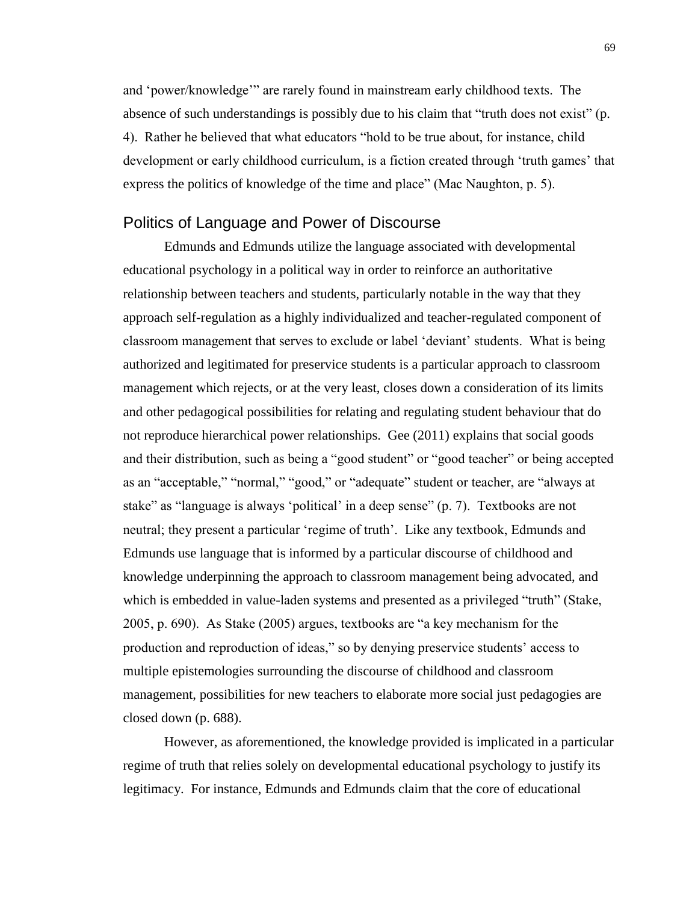and 'power/knowledge'" are rarely found in mainstream early childhood texts. The absence of such understandings is possibly due to his claim that "truth does not exist" (p. 4). Rather he believed that what educators "hold to be true about, for instance, child development or early childhood curriculum, is a fiction created through 'truth games' that express the politics of knowledge of the time and place" (Mac Naughton, p. 5).

## Politics of Language and Power of Discourse

Edmunds and Edmunds utilize the language associated with developmental educational psychology in a political way in order to reinforce an authoritative relationship between teachers and students, particularly notable in the way that they approach self-regulation as a highly individualized and teacher-regulated component of classroom management that serves to exclude or label 'deviant' students. What is being authorized and legitimated for preservice students is a particular approach to classroom management which rejects, or at the very least, closes down a consideration of its limits and other pedagogical possibilities for relating and regulating student behaviour that do not reproduce hierarchical power relationships. Gee (2011) explains that social goods and their distribution, such as being a "good student" or "good teacher" or being accepted as an "acceptable," "normal," "good," or "adequate" student or teacher, are "always at stake" as "language is always 'political' in a deep sense" (p. 7). Textbooks are not neutral; they present a particular 'regime of truth'. Like any textbook, Edmunds and Edmunds use language that is informed by a particular discourse of childhood and knowledge underpinning the approach to classroom management being advocated, and which is embedded in value-laden systems and presented as a privileged "truth" (Stake, 2005, p. 690). As Stake (2005) argues, textbooks are "a key mechanism for the production and reproduction of ideas," so by denying preservice students' access to multiple epistemologies surrounding the discourse of childhood and classroom management, possibilities for new teachers to elaborate more social just pedagogies are closed down (p. 688).

However, as aforementioned, the knowledge provided is implicated in a particular regime of truth that relies solely on developmental educational psychology to justify its legitimacy. For instance, Edmunds and Edmunds claim that the core of educational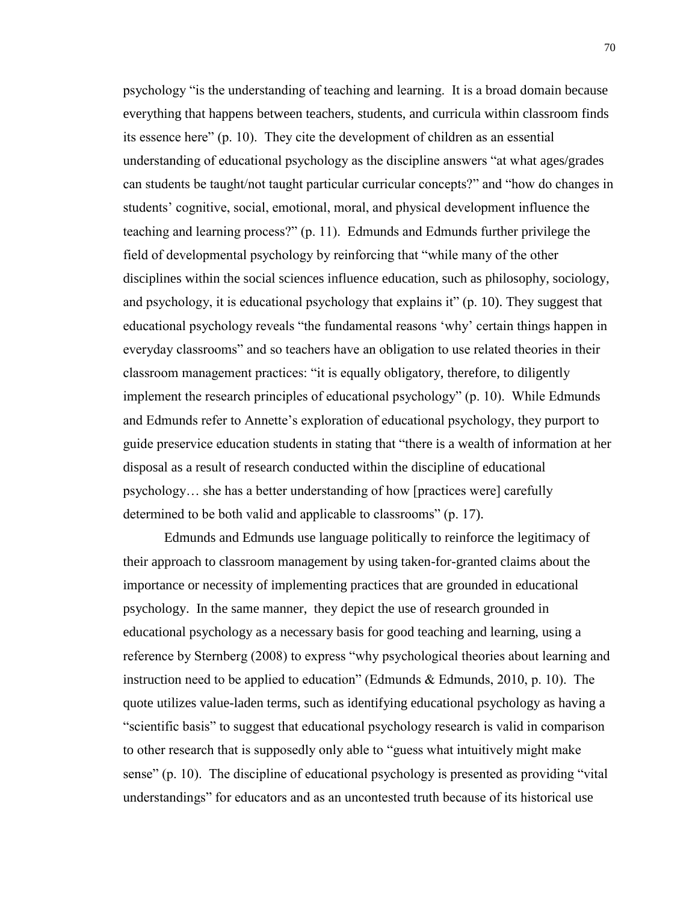psychology "is the understanding of teaching and learning. It is a broad domain because everything that happens between teachers, students, and curricula within classroom finds its essence here" (p. 10). They cite the development of children as an essential understanding of educational psychology as the discipline answers "at what ages/grades can students be taught/not taught particular curricular concepts?" and "how do changes in students' cognitive, social, emotional, moral, and physical development influence the teaching and learning process?" (p. 11). Edmunds and Edmunds further privilege the field of developmental psychology by reinforcing that "while many of the other disciplines within the social sciences influence education, such as philosophy, sociology, and psychology, it is educational psychology that explains it" (p. 10). They suggest that educational psychology reveals "the fundamental reasons 'why' certain things happen in everyday classrooms" and so teachers have an obligation to use related theories in their classroom management practices: "it is equally obligatory, therefore, to diligently implement the research principles of educational psychology" (p. 10). While Edmunds and Edmunds refer to Annette's exploration of educational psychology, they purport to guide preservice education students in stating that "there is a wealth of information at her disposal as a result of research conducted within the discipline of educational psychology… she has a better understanding of how [practices were] carefully determined to be both valid and applicable to classrooms" (p. 17).

 Edmunds and Edmunds use language politically to reinforce the legitimacy of their approach to classroom management by using taken-for-granted claims about the importance or necessity of implementing practices that are grounded in educational psychology. In the same manner, they depict the use of research grounded in educational psychology as a necessary basis for good teaching and learning, using a reference by Sternberg (2008) to express "why psychological theories about learning and instruction need to be applied to education" (Edmunds  $\&$  Edmunds, 2010, p. 10). The quote utilizes value-laden terms, such as identifying educational psychology as having a "scientific basis" to suggest that educational psychology research is valid in comparison to other research that is supposedly only able to "guess what intuitively might make sense" (p. 10). The discipline of educational psychology is presented as providing "vital understandings" for educators and as an uncontested truth because of its historical use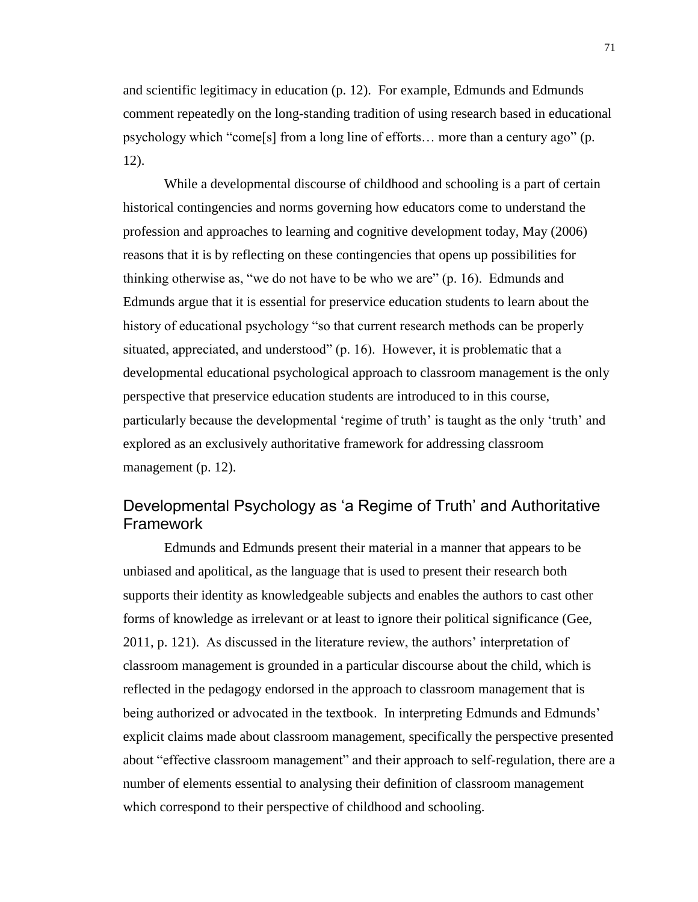and scientific legitimacy in education (p. 12). For example, Edmunds and Edmunds comment repeatedly on the long-standing tradition of using research based in educational psychology which "come[s] from a long line of efforts… more than a century ago" (p. 12).

While a developmental discourse of childhood and schooling is a part of certain historical contingencies and norms governing how educators come to understand the profession and approaches to learning and cognitive development today, May (2006) reasons that it is by reflecting on these contingencies that opens up possibilities for thinking otherwise as, "we do not have to be who we are" (p. 16). Edmunds and Edmunds argue that it is essential for preservice education students to learn about the history of educational psychology "so that current research methods can be properly situated, appreciated, and understood" (p. 16). However, it is problematic that a developmental educational psychological approach to classroom management is the only perspective that preservice education students are introduced to in this course, particularly because the developmental 'regime of truth' is taught as the only 'truth' and explored as an exclusively authoritative framework for addressing classroom management (p. 12).

# Developmental Psychology as 'a Regime of Truth' and Authoritative Framework

Edmunds and Edmunds present their material in a manner that appears to be unbiased and apolitical, as the language that is used to present their research both supports their identity as knowledgeable subjects and enables the authors to cast other forms of knowledge as irrelevant or at least to ignore their political significance (Gee, 2011, p. 121). As discussed in the literature review, the authors' interpretation of classroom management is grounded in a particular discourse about the child, which is reflected in the pedagogy endorsed in the approach to classroom management that is being authorized or advocated in the textbook. In interpreting Edmunds and Edmunds' explicit claims made about classroom management, specifically the perspective presented about "effective classroom management" and their approach to self-regulation, there are a number of elements essential to analysing their definition of classroom management which correspond to their perspective of childhood and schooling.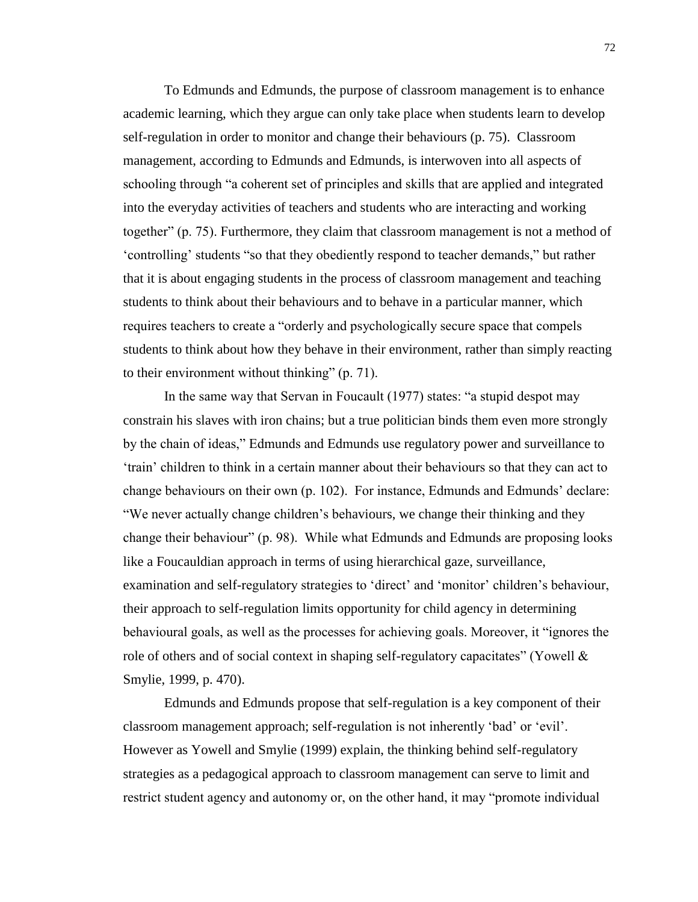To Edmunds and Edmunds, the purpose of classroom management is to enhance academic learning, which they argue can only take place when students learn to develop self-regulation in order to monitor and change their behaviours (p. 75). Classroom management, according to Edmunds and Edmunds, is interwoven into all aspects of schooling through "a coherent set of principles and skills that are applied and integrated into the everyday activities of teachers and students who are interacting and working together" (p. 75). Furthermore, they claim that classroom management is not a method of 'controlling' students "so that they obediently respond to teacher demands," but rather that it is about engaging students in the process of classroom management and teaching students to think about their behaviours and to behave in a particular manner, which requires teachers to create a "orderly and psychologically secure space that compels students to think about how they behave in their environment, rather than simply reacting to their environment without thinking" (p. 71).

In the same way that Servan in Foucault (1977) states: "a stupid despot may constrain his slaves with iron chains; but a true politician binds them even more strongly by the chain of ideas," Edmunds and Edmunds use regulatory power and surveillance to 'train' children to think in a certain manner about their behaviours so that they can act to change behaviours on their own (p. 102). For instance, Edmunds and Edmunds' declare: "We never actually change children's behaviours, we change their thinking and they change their behaviour" (p. 98). While what Edmunds and Edmunds are proposing looks like a Foucauldian approach in terms of using hierarchical gaze, surveillance, examination and self-regulatory strategies to 'direct' and 'monitor' children's behaviour, their approach to self-regulation limits opportunity for child agency in determining behavioural goals, as well as the processes for achieving goals. Moreover, it "ignores the role of others and of social context in shaping self-regulatory capacitates" (Yowell  $\&$ Smylie, 1999, p. 470).

Edmunds and Edmunds propose that self-regulation is a key component of their classroom management approach; self-regulation is not inherently 'bad' or 'evil'. However as Yowell and Smylie (1999) explain, the thinking behind self-regulatory strategies as a pedagogical approach to classroom management can serve to limit and restrict student agency and autonomy or, on the other hand, it may "promote individual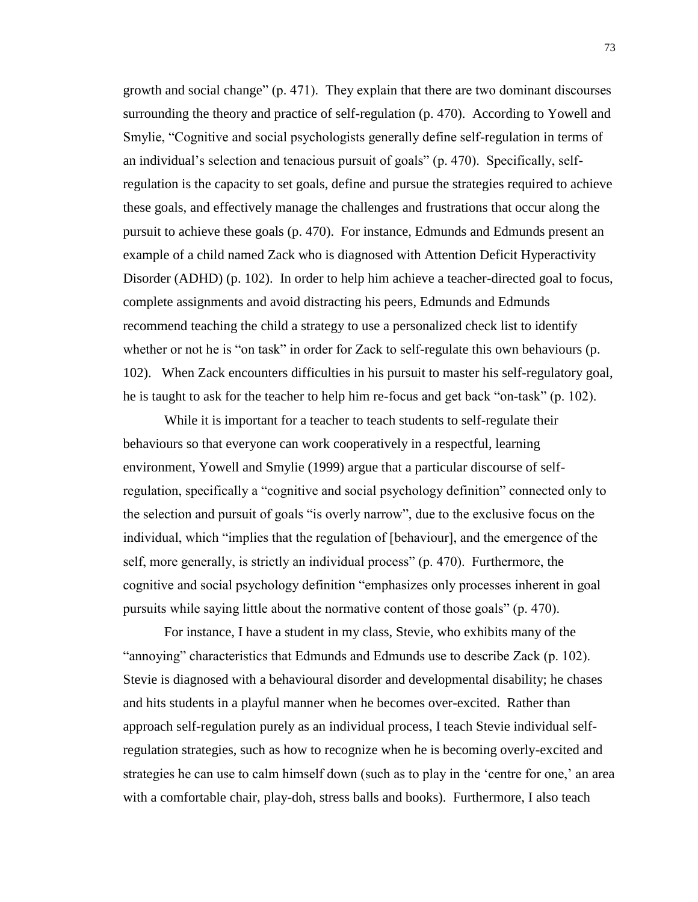growth and social change" (p. 471). They explain that there are two dominant discourses surrounding the theory and practice of self-regulation (p. 470). According to Yowell and Smylie, "Cognitive and social psychologists generally define self-regulation in terms of an individual's selection and tenacious pursuit of goals" (p. 470). Specifically, selfregulation is the capacity to set goals, define and pursue the strategies required to achieve these goals, and effectively manage the challenges and frustrations that occur along the pursuit to achieve these goals (p. 470). For instance, Edmunds and Edmunds present an example of a child named Zack who is diagnosed with Attention Deficit Hyperactivity Disorder (ADHD) (p. 102). In order to help him achieve a teacher-directed goal to focus, complete assignments and avoid distracting his peers, Edmunds and Edmunds recommend teaching the child a strategy to use a personalized check list to identify whether or not he is "on task" in order for Zack to self-regulate this own behaviours (p. 102). When Zack encounters difficulties in his pursuit to master his self-regulatory goal, he is taught to ask for the teacher to help him re-focus and get back "on-task" (p. 102).

While it is important for a teacher to teach students to self-regulate their behaviours so that everyone can work cooperatively in a respectful, learning environment, Yowell and Smylie (1999) argue that a particular discourse of selfregulation, specifically a "cognitive and social psychology definition" connected only to the selection and pursuit of goals "is overly narrow", due to the exclusive focus on the individual, which "implies that the regulation of [behaviour], and the emergence of the self, more generally, is strictly an individual process" (p. 470). Furthermore, the cognitive and social psychology definition "emphasizes only processes inherent in goal pursuits while saying little about the normative content of those goals" (p. 470).

For instance, I have a student in my class, Stevie, who exhibits many of the "annoying" characteristics that Edmunds and Edmunds use to describe Zack (p. 102). Stevie is diagnosed with a behavioural disorder and developmental disability; he chases and hits students in a playful manner when he becomes over-excited. Rather than approach self-regulation purely as an individual process, I teach Stevie individual selfregulation strategies, such as how to recognize when he is becoming overly-excited and strategies he can use to calm himself down (such as to play in the 'centre for one,' an area with a comfortable chair, play-doh, stress balls and books). Furthermore, I also teach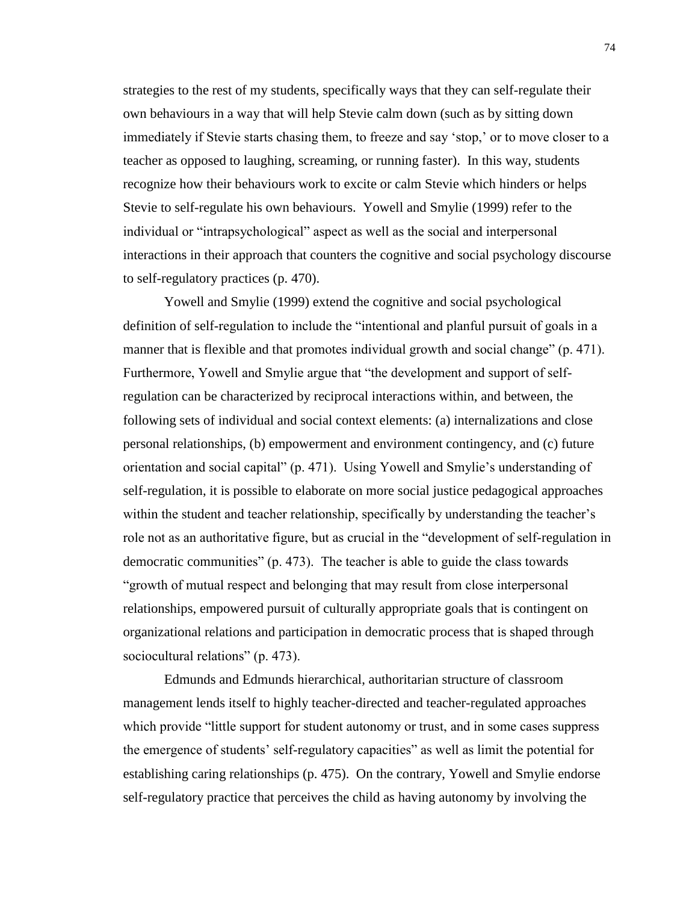strategies to the rest of my students, specifically ways that they can self-regulate their own behaviours in a way that will help Stevie calm down (such as by sitting down immediately if Stevie starts chasing them, to freeze and say 'stop,' or to move closer to a teacher as opposed to laughing, screaming, or running faster). In this way, students recognize how their behaviours work to excite or calm Stevie which hinders or helps Stevie to self-regulate his own behaviours. Yowell and Smylie (1999) refer to the individual or "intrapsychological" aspect as well as the social and interpersonal interactions in their approach that counters the cognitive and social psychology discourse to self-regulatory practices (p. 470).

Yowell and Smylie (1999) extend the cognitive and social psychological definition of self-regulation to include the "intentional and planful pursuit of goals in a manner that is flexible and that promotes individual growth and social change" (p. 471). Furthermore, Yowell and Smylie argue that "the development and support of selfregulation can be characterized by reciprocal interactions within, and between, the following sets of individual and social context elements: (a) internalizations and close personal relationships, (b) empowerment and environment contingency, and (c) future orientation and social capital" (p. 471). Using Yowell and Smylie's understanding of self-regulation, it is possible to elaborate on more social justice pedagogical approaches within the student and teacher relationship, specifically by understanding the teacher's role not as an authoritative figure, but as crucial in the "development of self-regulation in democratic communities" (p. 473). The teacher is able to guide the class towards "growth of mutual respect and belonging that may result from close interpersonal relationships, empowered pursuit of culturally appropriate goals that is contingent on organizational relations and participation in democratic process that is shaped through sociocultural relations" (p. 473).

Edmunds and Edmunds hierarchical, authoritarian structure of classroom management lends itself to highly teacher-directed and teacher-regulated approaches which provide "little support for student autonomy or trust, and in some cases suppress the emergence of students' self-regulatory capacities" as well as limit the potential for establishing caring relationships (p. 475). On the contrary, Yowell and Smylie endorse self-regulatory practice that perceives the child as having autonomy by involving the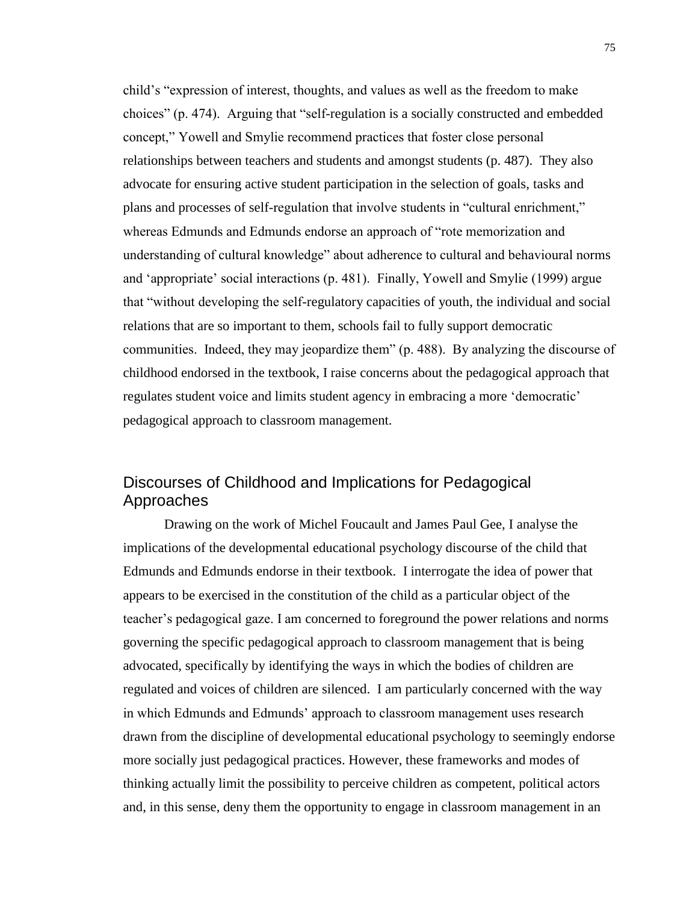child's "expression of interest, thoughts, and values as well as the freedom to make choices" (p. 474). Arguing that "self-regulation is a socially constructed and embedded concept," Yowell and Smylie recommend practices that foster close personal relationships between teachers and students and amongst students (p. 487). They also advocate for ensuring active student participation in the selection of goals, tasks and plans and processes of self-regulation that involve students in "cultural enrichment," whereas Edmunds and Edmunds endorse an approach of "rote memorization and understanding of cultural knowledge" about adherence to cultural and behavioural norms and 'appropriate' social interactions (p. 481). Finally, Yowell and Smylie (1999) argue that "without developing the self-regulatory capacities of youth, the individual and social relations that are so important to them, schools fail to fully support democratic communities. Indeed, they may jeopardize them" (p. 488). By analyzing the discourse of childhood endorsed in the textbook, I raise concerns about the pedagogical approach that regulates student voice and limits student agency in embracing a more 'democratic' pedagogical approach to classroom management.

# Discourses of Childhood and Implications for Pedagogical Approaches

Drawing on the work of Michel Foucault and James Paul Gee, I analyse the implications of the developmental educational psychology discourse of the child that Edmunds and Edmunds endorse in their textbook. I interrogate the idea of power that appears to be exercised in the constitution of the child as a particular object of the teacher's pedagogical gaze. I am concerned to foreground the power relations and norms governing the specific pedagogical approach to classroom management that is being advocated, specifically by identifying the ways in which the bodies of children are regulated and voices of children are silenced. I am particularly concerned with the way in which Edmunds and Edmunds' approach to classroom management uses research drawn from the discipline of developmental educational psychology to seemingly endorse more socially just pedagogical practices. However, these frameworks and modes of thinking actually limit the possibility to perceive children as competent, political actors and, in this sense, deny them the opportunity to engage in classroom management in an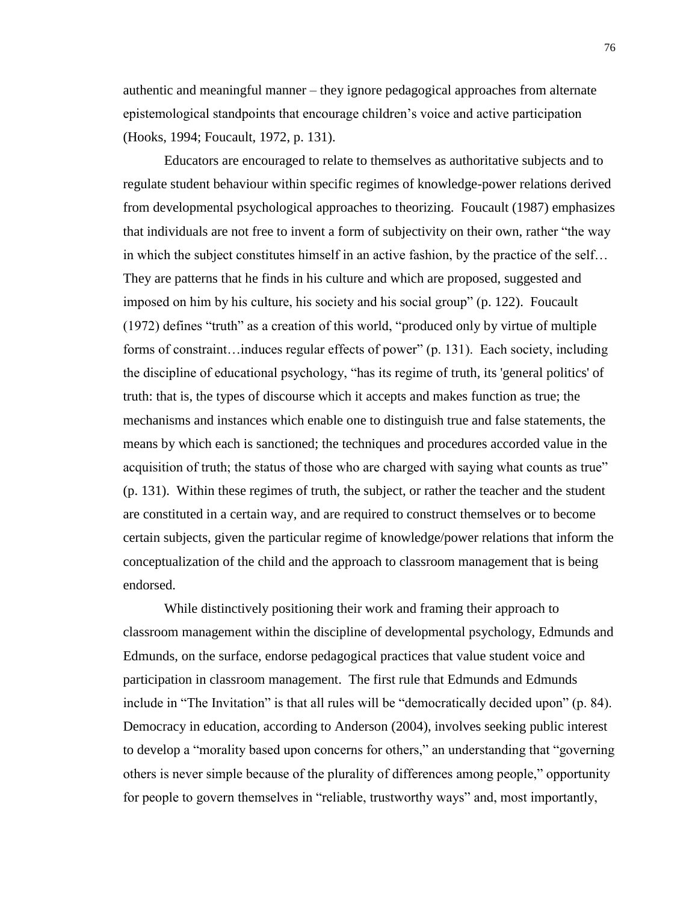authentic and meaningful manner – they ignore pedagogical approaches from alternate epistemological standpoints that encourage children's voice and active participation (Hooks, 1994; Foucault, 1972, p. 131).

Educators are encouraged to relate to themselves as authoritative subjects and to regulate student behaviour within specific regimes of knowledge-power relations derived from developmental psychological approaches to theorizing. Foucault (1987) emphasizes that individuals are not free to invent a form of subjectivity on their own, rather "the way in which the subject constitutes himself in an active fashion, by the practice of the self… They are patterns that he finds in his culture and which are proposed, suggested and imposed on him by his culture, his society and his social group" (p. 122). Foucault (1972) defines "truth" as a creation of this world, "produced only by virtue of multiple forms of constraint…induces regular effects of power" (p. 131). Each society, including the discipline of educational psychology, "has its regime of truth, its 'general politics' of truth: that is, the types of discourse which it accepts and makes function as true; the mechanisms and instances which enable one to distinguish true and false statements, the means by which each is sanctioned; the techniques and procedures accorded value in the acquisition of truth; the status of those who are charged with saying what counts as true" (p. 131). Within these regimes of truth, the subject, or rather the teacher and the student are constituted in a certain way, and are required to construct themselves or to become certain subjects, given the particular regime of knowledge/power relations that inform the conceptualization of the child and the approach to classroom management that is being endorsed.

While distinctively positioning their work and framing their approach to classroom management within the discipline of developmental psychology, Edmunds and Edmunds, on the surface, endorse pedagogical practices that value student voice and participation in classroom management. The first rule that Edmunds and Edmunds include in "The Invitation" is that all rules will be "democratically decided upon" (p. 84). Democracy in education, according to Anderson (2004), involves seeking public interest to develop a "morality based upon concerns for others," an understanding that "governing others is never simple because of the plurality of differences among people," opportunity for people to govern themselves in "reliable, trustworthy ways" and, most importantly,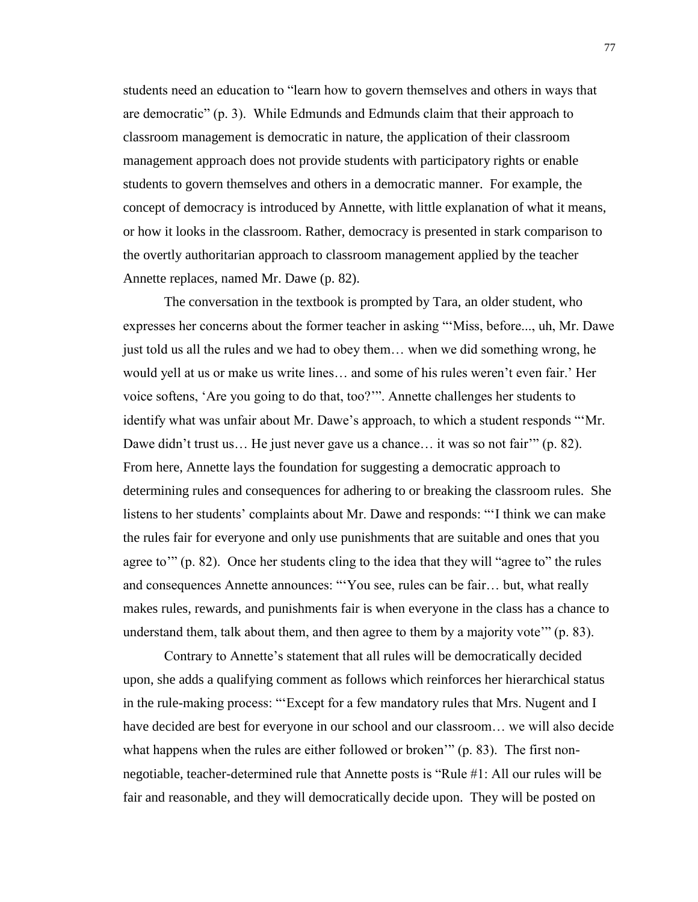students need an education to "learn how to govern themselves and others in ways that are democratic" (p. 3). While Edmunds and Edmunds claim that their approach to classroom management is democratic in nature, the application of their classroom management approach does not provide students with participatory rights or enable students to govern themselves and others in a democratic manner. For example, the concept of democracy is introduced by Annette, with little explanation of what it means, or how it looks in the classroom. Rather, democracy is presented in stark comparison to the overtly authoritarian approach to classroom management applied by the teacher Annette replaces, named Mr. Dawe (p. 82).

The conversation in the textbook is prompted by Tara, an older student, who expresses her concerns about the former teacher in asking "'Miss, before..., uh, Mr. Dawe just told us all the rules and we had to obey them… when we did something wrong, he would yell at us or make us write lines… and some of his rules weren't even fair.' Her voice softens, 'Are you going to do that, too?'". Annette challenges her students to identify what was unfair about Mr. Dawe's approach, to which a student responds "'Mr. Dawe didn't trust us... He just never gave us a chance... it was so not fair'" (p. 82). From here, Annette lays the foundation for suggesting a democratic approach to determining rules and consequences for adhering to or breaking the classroom rules. She listens to her students' complaints about Mr. Dawe and responds: "'I think we can make the rules fair for everyone and only use punishments that are suitable and ones that you agree to'" (p. 82). Once her students cling to the idea that they will "agree to" the rules and consequences Annette announces: "'You see, rules can be fair… but, what really makes rules, rewards, and punishments fair is when everyone in the class has a chance to understand them, talk about them, and then agree to them by a majority vote'" (p. 83).

Contrary to Annette's statement that all rules will be democratically decided upon, she adds a qualifying comment as follows which reinforces her hierarchical status in the rule-making process: "'Except for a few mandatory rules that Mrs. Nugent and I have decided are best for everyone in our school and our classroom… we will also decide what happens when the rules are either followed or broken'" (p. 83). The first nonnegotiable, teacher-determined rule that Annette posts is "Rule #1: All our rules will be fair and reasonable, and they will democratically decide upon. They will be posted on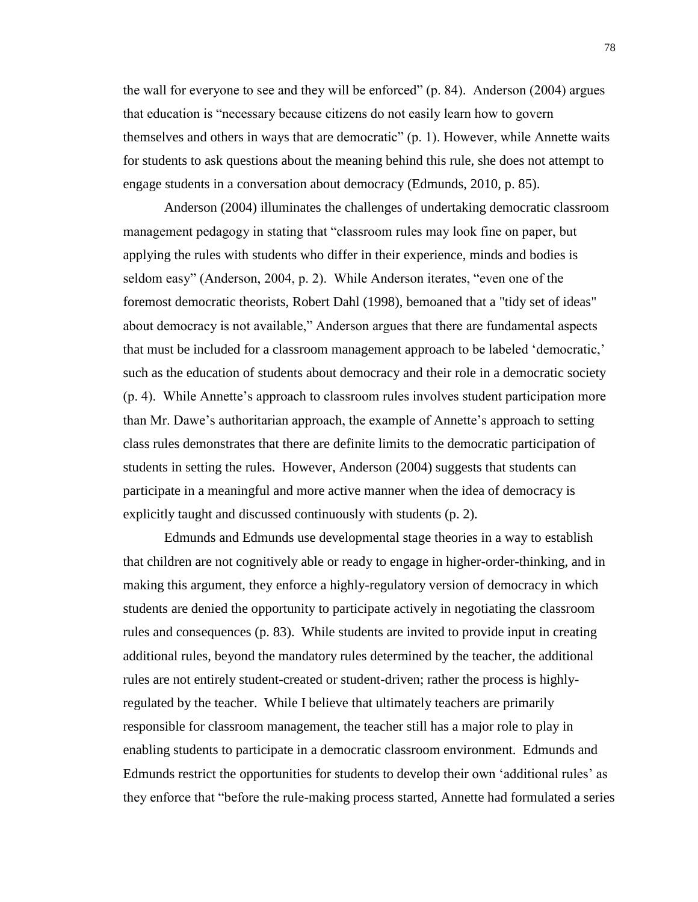the wall for everyone to see and they will be enforced" (p. 84). Anderson (2004) argues that education is "necessary because citizens do not easily learn how to govern themselves and others in ways that are democratic" (p. 1). However, while Annette waits for students to ask questions about the meaning behind this rule, she does not attempt to engage students in a conversation about democracy (Edmunds, 2010, p. 85).

Anderson (2004) illuminates the challenges of undertaking democratic classroom management pedagogy in stating that "classroom rules may look fine on paper, but applying the rules with students who differ in their experience, minds and bodies is seldom easy" (Anderson, 2004, p. 2). While Anderson iterates, "even one of the foremost democratic theorists, Robert Dahl (1998), bemoaned that a "tidy set of ideas" about democracy is not available," Anderson argues that there are fundamental aspects that must be included for a classroom management approach to be labeled 'democratic,' such as the education of students about democracy and their role in a democratic society (p. 4). While Annette's approach to classroom rules involves student participation more than Mr. Dawe's authoritarian approach, the example of Annette's approach to setting class rules demonstrates that there are definite limits to the democratic participation of students in setting the rules. However, Anderson (2004) suggests that students can participate in a meaningful and more active manner when the idea of democracy is explicitly taught and discussed continuously with students (p. 2).

Edmunds and Edmunds use developmental stage theories in a way to establish that children are not cognitively able or ready to engage in higher-order-thinking, and in making this argument, they enforce a highly-regulatory version of democracy in which students are denied the opportunity to participate actively in negotiating the classroom rules and consequences (p. 83). While students are invited to provide input in creating additional rules, beyond the mandatory rules determined by the teacher, the additional rules are not entirely student-created or student-driven; rather the process is highlyregulated by the teacher. While I believe that ultimately teachers are primarily responsible for classroom management, the teacher still has a major role to play in enabling students to participate in a democratic classroom environment. Edmunds and Edmunds restrict the opportunities for students to develop their own 'additional rules' as they enforce that "before the rule-making process started, Annette had formulated a series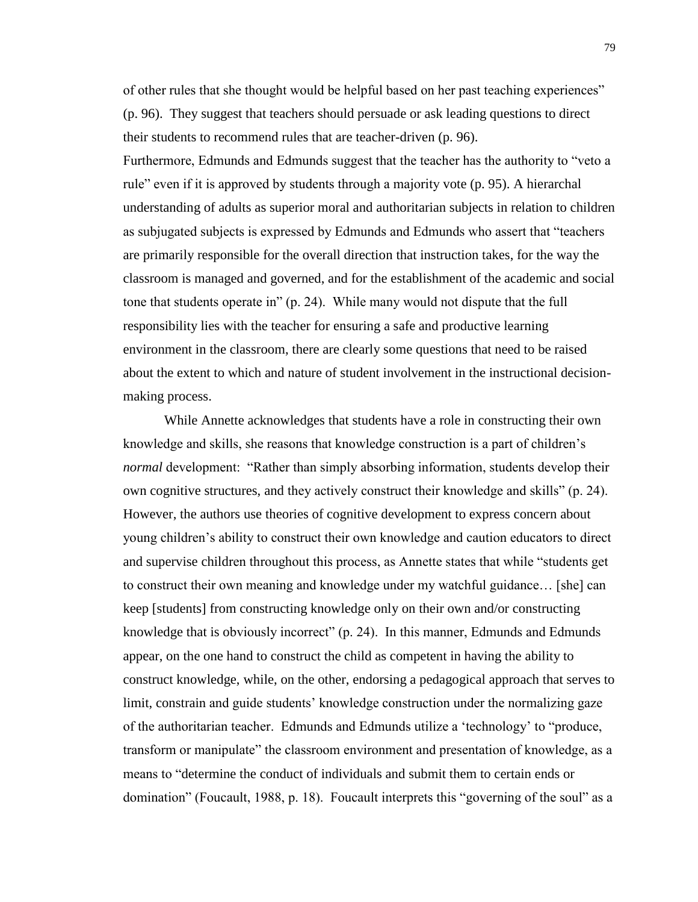of other rules that she thought would be helpful based on her past teaching experiences" (p. 96). They suggest that teachers should persuade or ask leading questions to direct their students to recommend rules that are teacher-driven (p. 96). Furthermore, Edmunds and Edmunds suggest that the teacher has the authority to "veto a rule" even if it is approved by students through a majority vote (p. 95). A hierarchal understanding of adults as superior moral and authoritarian subjects in relation to children as subjugated subjects is expressed by Edmunds and Edmunds who assert that "teachers are primarily responsible for the overall direction that instruction takes, for the way the classroom is managed and governed, and for the establishment of the academic and social tone that students operate in" (p. 24). While many would not dispute that the full responsibility lies with the teacher for ensuring a safe and productive learning environment in the classroom, there are clearly some questions that need to be raised about the extent to which and nature of student involvement in the instructional decisionmaking process.

While Annette acknowledges that students have a role in constructing their own knowledge and skills, she reasons that knowledge construction is a part of children's *normal* development: "Rather than simply absorbing information, students develop their own cognitive structures, and they actively construct their knowledge and skills" (p. 24). However, the authors use theories of cognitive development to express concern about young children's ability to construct their own knowledge and caution educators to direct and supervise children throughout this process, as Annette states that while "students get to construct their own meaning and knowledge under my watchful guidance… [she] can keep [students] from constructing knowledge only on their own and/or constructing knowledge that is obviously incorrect" (p. 24). In this manner, Edmunds and Edmunds appear, on the one hand to construct the child as competent in having the ability to construct knowledge, while, on the other, endorsing a pedagogical approach that serves to limit, constrain and guide students' knowledge construction under the normalizing gaze of the authoritarian teacher. Edmunds and Edmunds utilize a 'technology' to "produce, transform or manipulate" the classroom environment and presentation of knowledge, as a means to "determine the conduct of individuals and submit them to certain ends or domination" (Foucault, 1988, p. 18). Foucault interprets this "governing of the soul" as a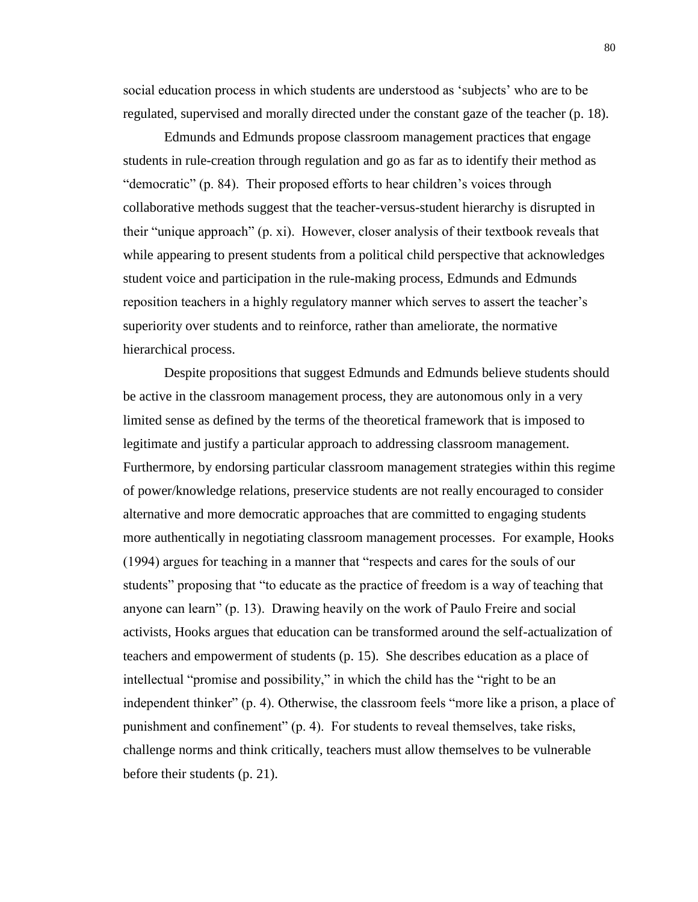social education process in which students are understood as 'subjects' who are to be regulated, supervised and morally directed under the constant gaze of the teacher (p. 18).

Edmunds and Edmunds propose classroom management practices that engage students in rule-creation through regulation and go as far as to identify their method as "democratic" (p. 84). Their proposed efforts to hear children's voices through collaborative methods suggest that the teacher-versus-student hierarchy is disrupted in their "unique approach" (p. xi). However, closer analysis of their textbook reveals that while appearing to present students from a political child perspective that acknowledges student voice and participation in the rule-making process, Edmunds and Edmunds reposition teachers in a highly regulatory manner which serves to assert the teacher's superiority over students and to reinforce, rather than ameliorate, the normative hierarchical process.

Despite propositions that suggest Edmunds and Edmunds believe students should be active in the classroom management process, they are autonomous only in a very limited sense as defined by the terms of the theoretical framework that is imposed to legitimate and justify a particular approach to addressing classroom management. Furthermore, by endorsing particular classroom management strategies within this regime of power/knowledge relations, preservice students are not really encouraged to consider alternative and more democratic approaches that are committed to engaging students more authentically in negotiating classroom management processes. For example, Hooks (1994) argues for teaching in a manner that "respects and cares for the souls of our students" proposing that "to educate as the practice of freedom is a way of teaching that anyone can learn" (p. 13). Drawing heavily on the work of Paulo Freire and social activists, Hooks argues that education can be transformed around the self-actualization of teachers and empowerment of students (p. 15). She describes education as a place of intellectual "promise and possibility," in which the child has the "right to be an independent thinker" (p. 4). Otherwise, the classroom feels "more like a prison, a place of punishment and confinement" (p. 4). For students to reveal themselves, take risks, challenge norms and think critically, teachers must allow themselves to be vulnerable before their students (p. 21).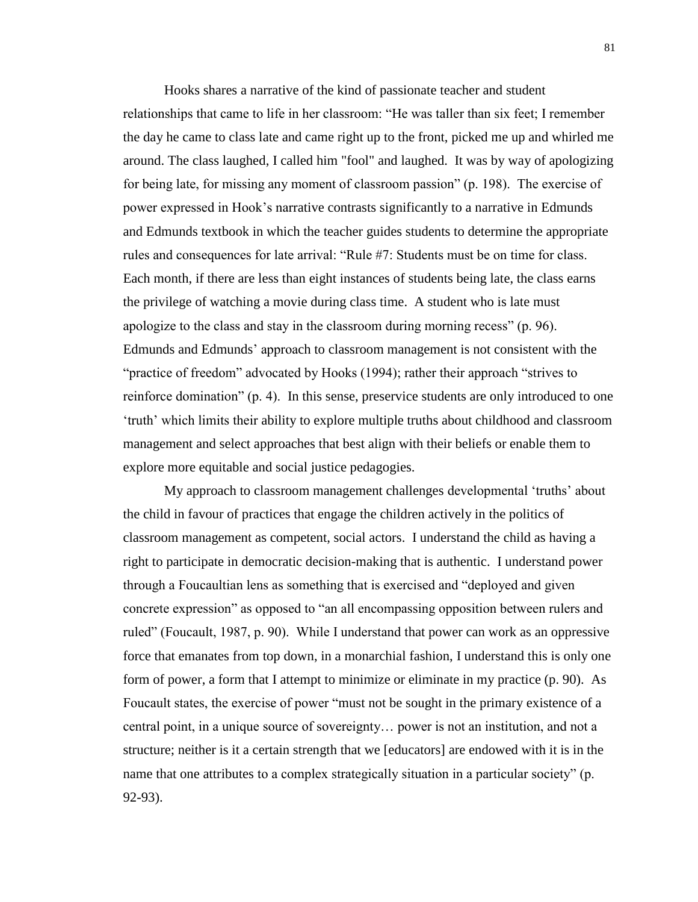Hooks shares a narrative of the kind of passionate teacher and student relationships that came to life in her classroom: "He was taller than six feet; I remember the day he came to class late and came right up to the front, picked me up and whirled me around. The class laughed, I called him "fool" and laughed. It was by way of apologizing for being late, for missing any moment of classroom passion" (p. 198). The exercise of power expressed in Hook's narrative contrasts significantly to a narrative in Edmunds and Edmunds textbook in which the teacher guides students to determine the appropriate rules and consequences for late arrival: "Rule #7: Students must be on time for class. Each month, if there are less than eight instances of students being late, the class earns the privilege of watching a movie during class time. A student who is late must apologize to the class and stay in the classroom during morning recess" (p. 96). Edmunds and Edmunds' approach to classroom management is not consistent with the "practice of freedom" advocated by Hooks (1994); rather their approach "strives to reinforce domination" (p. 4). In this sense, preservice students are only introduced to one 'truth' which limits their ability to explore multiple truths about childhood and classroom management and select approaches that best align with their beliefs or enable them to explore more equitable and social justice pedagogies.

My approach to classroom management challenges developmental 'truths' about the child in favour of practices that engage the children actively in the politics of classroom management as competent, social actors. I understand the child as having a right to participate in democratic decision-making that is authentic. I understand power through a Foucaultian lens as something that is exercised and "deployed and given concrete expression" as opposed to "an all encompassing opposition between rulers and ruled" (Foucault, 1987, p. 90). While I understand that power can work as an oppressive force that emanates from top down, in a monarchial fashion, I understand this is only one form of power, a form that I attempt to minimize or eliminate in my practice (p. 90). As Foucault states, the exercise of power "must not be sought in the primary existence of a central point, in a unique source of sovereignty… power is not an institution, and not a structure; neither is it a certain strength that we [educators] are endowed with it is in the name that one attributes to a complex strategically situation in a particular society" (p. 92-93).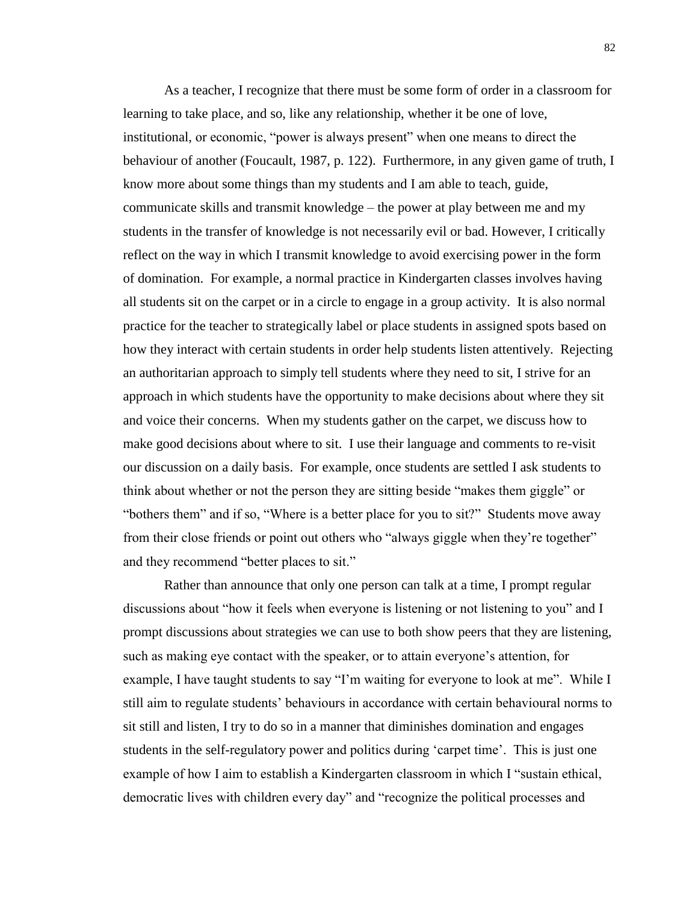As a teacher, I recognize that there must be some form of order in a classroom for learning to take place, and so, like any relationship, whether it be one of love, institutional, or economic, "power is always present" when one means to direct the behaviour of another (Foucault, 1987, p. 122). Furthermore, in any given game of truth, I know more about some things than my students and I am able to teach, guide, communicate skills and transmit knowledge – the power at play between me and my students in the transfer of knowledge is not necessarily evil or bad. However, I critically reflect on the way in which I transmit knowledge to avoid exercising power in the form of domination. For example, a normal practice in Kindergarten classes involves having all students sit on the carpet or in a circle to engage in a group activity. It is also normal practice for the teacher to strategically label or place students in assigned spots based on how they interact with certain students in order help students listen attentively. Rejecting an authoritarian approach to simply tell students where they need to sit, I strive for an approach in which students have the opportunity to make decisions about where they sit and voice their concerns. When my students gather on the carpet, we discuss how to make good decisions about where to sit. I use their language and comments to re-visit our discussion on a daily basis. For example, once students are settled I ask students to think about whether or not the person they are sitting beside "makes them giggle" or "bothers them" and if so, "Where is a better place for you to sit?" Students move away from their close friends or point out others who "always giggle when they're together" and they recommend "better places to sit."

Rather than announce that only one person can talk at a time, I prompt regular discussions about "how it feels when everyone is listening or not listening to you" and I prompt discussions about strategies we can use to both show peers that they are listening, such as making eye contact with the speaker, or to attain everyone's attention, for example, I have taught students to say "I'm waiting for everyone to look at me". While I still aim to regulate students' behaviours in accordance with certain behavioural norms to sit still and listen, I try to do so in a manner that diminishes domination and engages students in the self-regulatory power and politics during 'carpet time'. This is just one example of how I aim to establish a Kindergarten classroom in which I "sustain ethical, democratic lives with children every day" and "recognize the political processes and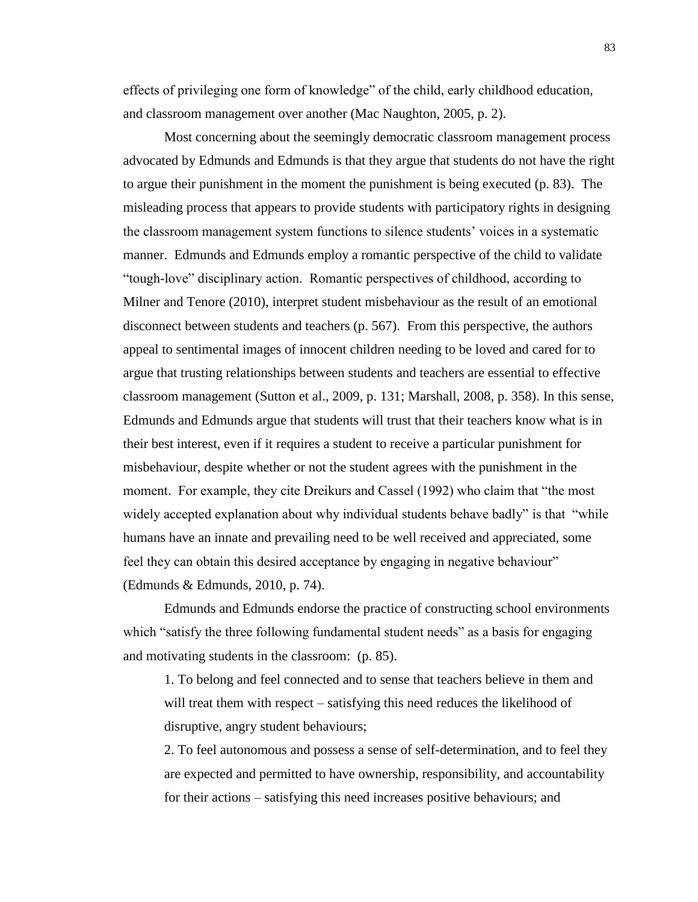effects of privileging one form of knowledge" of the child, early childhood education, and classroom management over another (Mac Naughton, 2005, p. 2).

Most concerning about the seemingly democratic classroom management process advocated by Edmunds and Edmunds is that they argue that students do not have the right to argue their punishment in the moment the punishment is being executed (p. 83). The misleading process that appears to provide students with participatory rights in designing the classroom management system functions to silence students' voices in a systematic manner. Edmunds and Edmunds employ a romantic perspective of the child to validate "tough-love" disciplinary action. Romantic perspectives of childhood, according to Milner and Tenore (2010), interpret student misbehaviour as the result of an emotional disconnect between students and teachers (p. 567). From this perspective, the authors appeal to sentimental images of innocent children needing to be loved and cared for to argue that trusting relationships between students and teachers are essential to effective classroom management (Sutton et al., 2009, p. 131; Marshall, 2008, p. 358). In this sense, Edmunds and Edmunds argue that students will trust that their teachers know what is in their best interest, even if it requires a student to receive a particular punishment for misbehaviour, despite whether or not the student agrees with the punishment in the moment. For example, they cite Dreikurs and Cassel (1992) who claim that "the most widely accepted explanation about why individual students behave badly" is that "while humans have an innate and prevailing need to be well received and appreciated, some feel they can obtain this desired acceptance by engaging in negative behaviour" (Edmunds & Edmunds, 2010, p. 74).

Edmunds and Edmunds endorse the practice of constructing school environments which "satisfy the three following fundamental student needs" as a basis for engaging and motivating students in the classroom: (p. 85).

1. To belong and feel connected and to sense that teachers believe in them and will treat them with respect – satisfying this need reduces the likelihood of disruptive, angry student behaviours;

2. To feel autonomous and possess a sense of self-determination, and to feel they are expected and permitted to have ownership, responsibility, and accountability for their actions – satisfying this need increases positive behaviours; and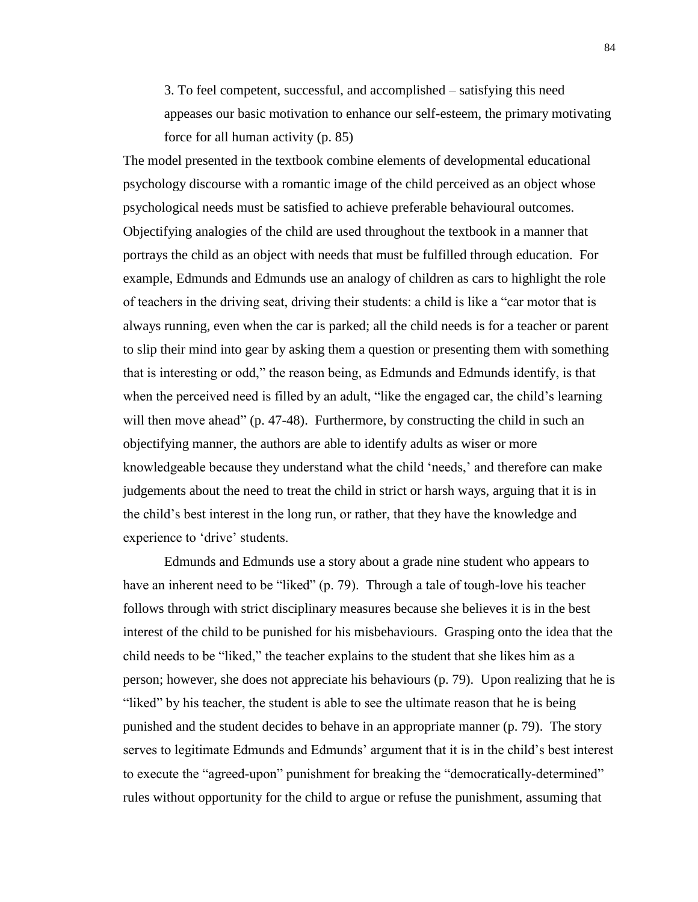3. To feel competent, successful, and accomplished – satisfying this need appeases our basic motivation to enhance our self-esteem, the primary motivating force for all human activity (p. 85)

The model presented in the textbook combine elements of developmental educational psychology discourse with a romantic image of the child perceived as an object whose psychological needs must be satisfied to achieve preferable behavioural outcomes. Objectifying analogies of the child are used throughout the textbook in a manner that portrays the child as an object with needs that must be fulfilled through education. For example, Edmunds and Edmunds use an analogy of children as cars to highlight the role of teachers in the driving seat, driving their students: a child is like a "car motor that is always running, even when the car is parked; all the child needs is for a teacher or parent to slip their mind into gear by asking them a question or presenting them with something that is interesting or odd," the reason being, as Edmunds and Edmunds identify, is that when the perceived need is filled by an adult, "like the engaged car, the child's learning will then move ahead" (p. 47-48). Furthermore, by constructing the child in such an objectifying manner, the authors are able to identify adults as wiser or more knowledgeable because they understand what the child 'needs,' and therefore can make judgements about the need to treat the child in strict or harsh ways, arguing that it is in the child's best interest in the long run, or rather, that they have the knowledge and experience to 'drive' students.

Edmunds and Edmunds use a story about a grade nine student who appears to have an inherent need to be "liked" (p. 79). Through a tale of tough-love his teacher follows through with strict disciplinary measures because she believes it is in the best interest of the child to be punished for his misbehaviours. Grasping onto the idea that the child needs to be "liked," the teacher explains to the student that she likes him as a person; however, she does not appreciate his behaviours (p. 79). Upon realizing that he is "liked" by his teacher, the student is able to see the ultimate reason that he is being punished and the student decides to behave in an appropriate manner (p. 79). The story serves to legitimate Edmunds and Edmunds' argument that it is in the child's best interest to execute the "agreed-upon" punishment for breaking the "democratically-determined" rules without opportunity for the child to argue or refuse the punishment, assuming that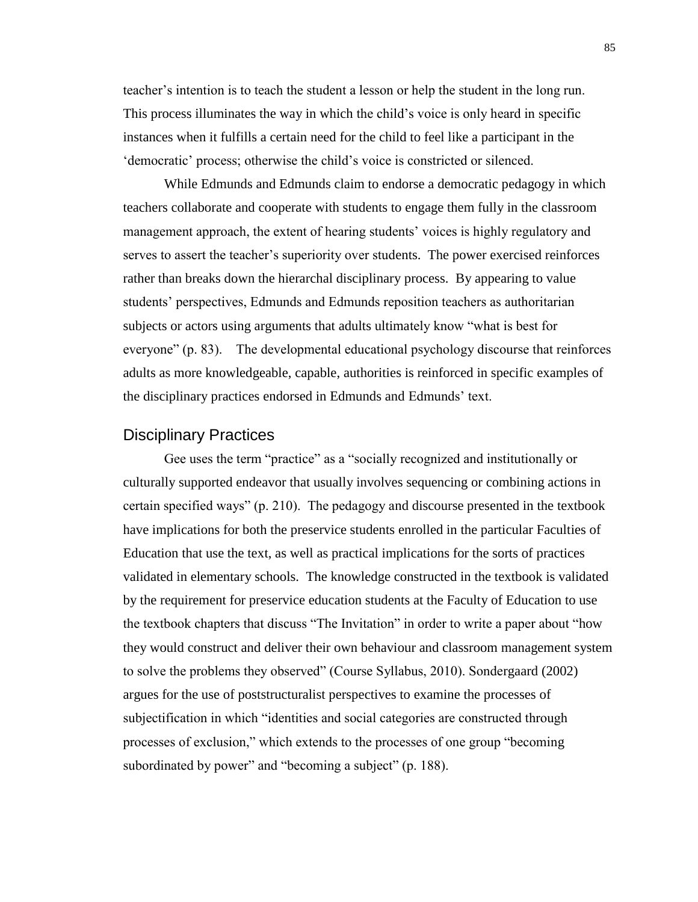teacher's intention is to teach the student a lesson or help the student in the long run. This process illuminates the way in which the child's voice is only heard in specific instances when it fulfills a certain need for the child to feel like a participant in the 'democratic' process; otherwise the child's voice is constricted or silenced.

While Edmunds and Edmunds claim to endorse a democratic pedagogy in which teachers collaborate and cooperate with students to engage them fully in the classroom management approach, the extent of hearing students' voices is highly regulatory and serves to assert the teacher's superiority over students. The power exercised reinforces rather than breaks down the hierarchal disciplinary process. By appearing to value students' perspectives, Edmunds and Edmunds reposition teachers as authoritarian subjects or actors using arguments that adults ultimately know "what is best for everyone" (p. 83). The developmental educational psychology discourse that reinforces adults as more knowledgeable, capable, authorities is reinforced in specific examples of the disciplinary practices endorsed in Edmunds and Edmunds' text.

## Disciplinary Practices

Gee uses the term "practice" as a "socially recognized and institutionally or culturally supported endeavor that usually involves sequencing or combining actions in certain specified ways" (p. 210). The pedagogy and discourse presented in the textbook have implications for both the preservice students enrolled in the particular Faculties of Education that use the text, as well as practical implications for the sorts of practices validated in elementary schools. The knowledge constructed in the textbook is validated by the requirement for preservice education students at the Faculty of Education to use the textbook chapters that discuss "The Invitation" in order to write a paper about "how they would construct and deliver their own behaviour and classroom management system to solve the problems they observed" (Course Syllabus, 2010). Sondergaard (2002) argues for the use of poststructuralist perspectives to examine the processes of subjectification in which "identities and social categories are constructed through processes of exclusion," which extends to the processes of one group "becoming subordinated by power" and "becoming a subject" (p. 188).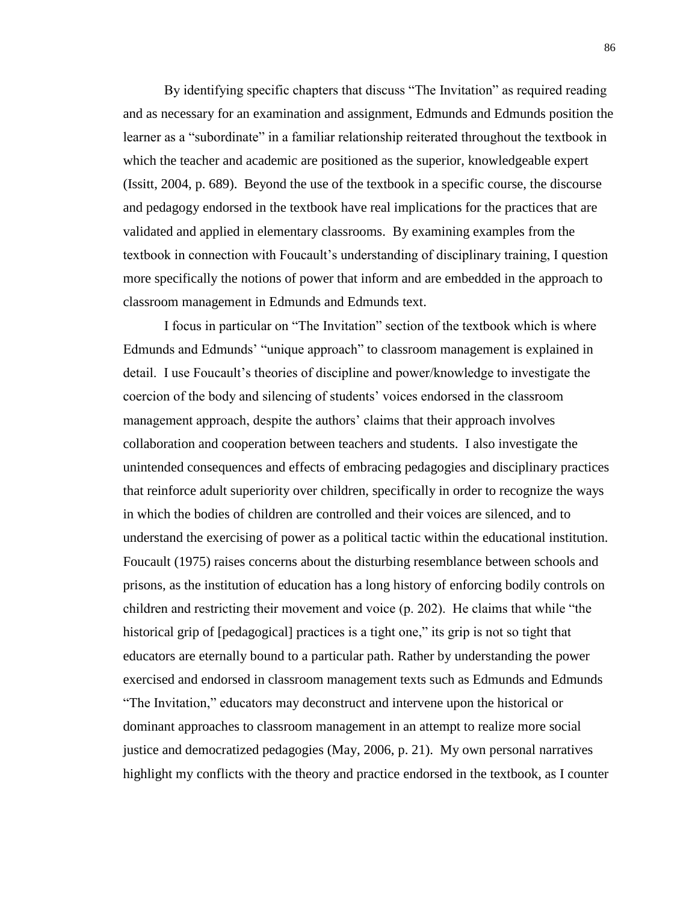By identifying specific chapters that discuss "The Invitation" as required reading and as necessary for an examination and assignment, Edmunds and Edmunds position the learner as a "subordinate" in a familiar relationship reiterated throughout the textbook in which the teacher and academic are positioned as the superior, knowledgeable expert (Issitt, 2004, p. 689). Beyond the use of the textbook in a specific course, the discourse and pedagogy endorsed in the textbook have real implications for the practices that are validated and applied in elementary classrooms. By examining examples from the textbook in connection with Foucault's understanding of disciplinary training, I question more specifically the notions of power that inform and are embedded in the approach to classroom management in Edmunds and Edmunds text.

I focus in particular on "The Invitation" section of the textbook which is where Edmunds and Edmunds' "unique approach" to classroom management is explained in detail. I use Foucault's theories of discipline and power/knowledge to investigate the coercion of the body and silencing of students' voices endorsed in the classroom management approach, despite the authors' claims that their approach involves collaboration and cooperation between teachers and students. I also investigate the unintended consequences and effects of embracing pedagogies and disciplinary practices that reinforce adult superiority over children, specifically in order to recognize the ways in which the bodies of children are controlled and their voices are silenced, and to understand the exercising of power as a political tactic within the educational institution. Foucault (1975) raises concerns about the disturbing resemblance between schools and prisons, as the institution of education has a long history of enforcing bodily controls on children and restricting their movement and voice (p. 202). He claims that while "the historical grip of [pedagogical] practices is a tight one," its grip is not so tight that educators are eternally bound to a particular path. Rather by understanding the power exercised and endorsed in classroom management texts such as Edmunds and Edmunds "The Invitation," educators may deconstruct and intervene upon the historical or dominant approaches to classroom management in an attempt to realize more social justice and democratized pedagogies (May, 2006, p. 21). My own personal narratives highlight my conflicts with the theory and practice endorsed in the textbook, as I counter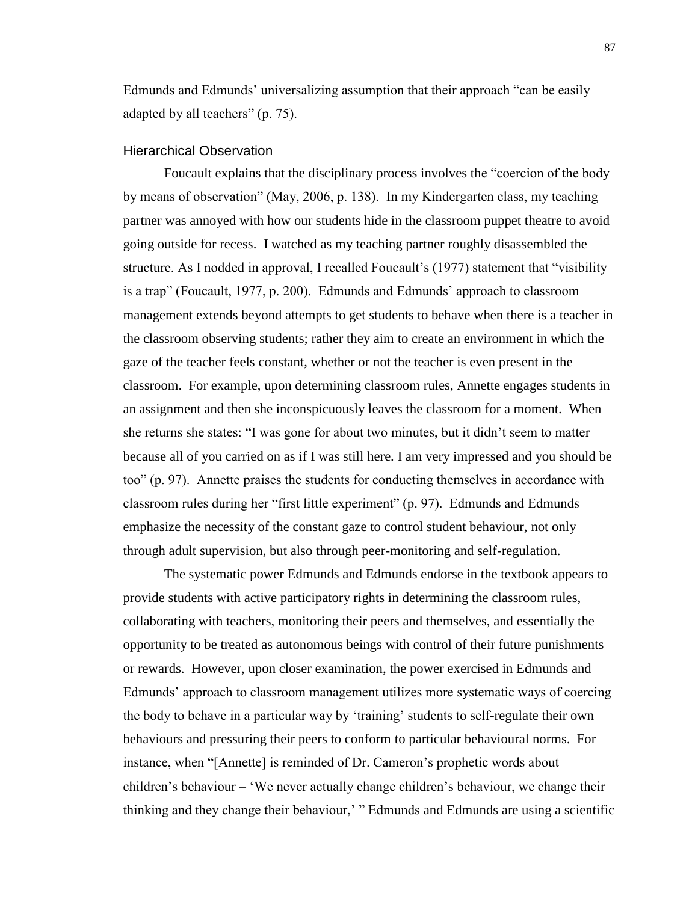Edmunds and Edmunds' universalizing assumption that their approach "can be easily adapted by all teachers" (p. 75).

#### Hierarchical Observation

Foucault explains that the disciplinary process involves the "coercion of the body by means of observation" (May, 2006, p. 138). In my Kindergarten class, my teaching partner was annoyed with how our students hide in the classroom puppet theatre to avoid going outside for recess. I watched as my teaching partner roughly disassembled the structure. As I nodded in approval, I recalled Foucault's (1977) statement that "visibility is a trap" (Foucault, 1977, p. 200). Edmunds and Edmunds' approach to classroom management extends beyond attempts to get students to behave when there is a teacher in the classroom observing students; rather they aim to create an environment in which the gaze of the teacher feels constant, whether or not the teacher is even present in the classroom. For example, upon determining classroom rules, Annette engages students in an assignment and then she inconspicuously leaves the classroom for a moment. When she returns she states: "I was gone for about two minutes, but it didn't seem to matter because all of you carried on as if I was still here. I am very impressed and you should be too" (p. 97). Annette praises the students for conducting themselves in accordance with classroom rules during her "first little experiment" (p. 97). Edmunds and Edmunds emphasize the necessity of the constant gaze to control student behaviour, not only through adult supervision, but also through peer-monitoring and self-regulation.

The systematic power Edmunds and Edmunds endorse in the textbook appears to provide students with active participatory rights in determining the classroom rules, collaborating with teachers, monitoring their peers and themselves, and essentially the opportunity to be treated as autonomous beings with control of their future punishments or rewards. However, upon closer examination, the power exercised in Edmunds and Edmunds' approach to classroom management utilizes more systematic ways of coercing the body to behave in a particular way by 'training' students to self-regulate their own behaviours and pressuring their peers to conform to particular behavioural norms. For instance, when "[Annette] is reminded of Dr. Cameron's prophetic words about children's behaviour – 'We never actually change children's behaviour, we change their thinking and they change their behaviour,' " Edmunds and Edmunds are using a scientific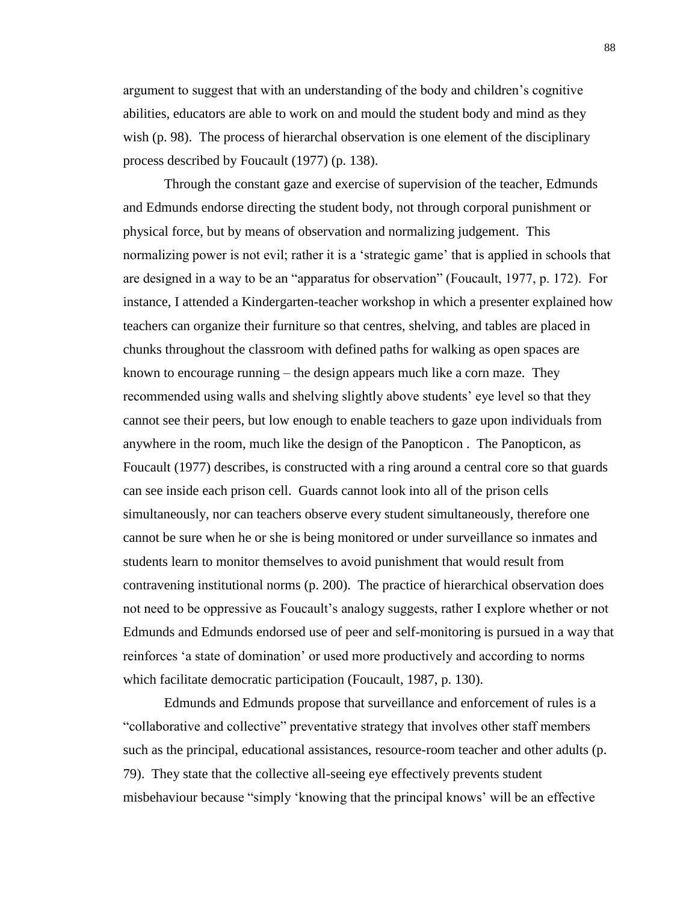argument to suggest that with an understanding of the body and children's cognitive abilities, educators are able to work on and mould the student body and mind as they wish (p. 98). The process of hierarchal observation is one element of the disciplinary process described by Foucault (1977) (p. 138).

Through the constant gaze and exercise of supervision of the teacher, Edmunds and Edmunds endorse directing the student body, not through corporal punishment or physical force, but by means of observation and normalizing judgement. This normalizing power is not evil; rather it is a 'strategic game' that is applied in schools that are designed in a way to be an "apparatus for observation" (Foucault, 1977, p. 172). For instance, I attended a Kindergarten-teacher workshop in which a presenter explained how teachers can organize their furniture so that centres, shelving, and tables are placed in chunks throughout the classroom with defined paths for walking as open spaces are known to encourage running – the design appears much like a corn maze. They recommended using walls and shelving slightly above students' eye level so that they cannot see their peers, but low enough to enable teachers to gaze upon individuals from anywhere in the room, much like the design of the Panopticon . The Panopticon, as Foucault (1977) describes, is constructed with a ring around a central core so that guards can see inside each prison cell. Guards cannot look into all of the prison cells simultaneously, nor can teachers observe every student simultaneously, therefore one cannot be sure when he or she is being monitored or under surveillance so inmates and students learn to monitor themselves to avoid punishment that would result from contravening institutional norms (p. 200). The practice of hierarchical observation does not need to be oppressive as Foucault's analogy suggests, rather I explore whether or not Edmunds and Edmunds endorsed use of peer and self-monitoring is pursued in a way that reinforces 'a state of domination' or used more productively and according to norms which facilitate democratic participation (Foucault, 1987, p. 130).

Edmunds and Edmunds propose that surveillance and enforcement of rules is a "collaborative and collective" preventative strategy that involves other staff members such as the principal, educational assistances, resource-room teacher and other adults (p. 79). They state that the collective all-seeing eye effectively prevents student misbehaviour because "simply 'knowing that the principal knows' will be an effective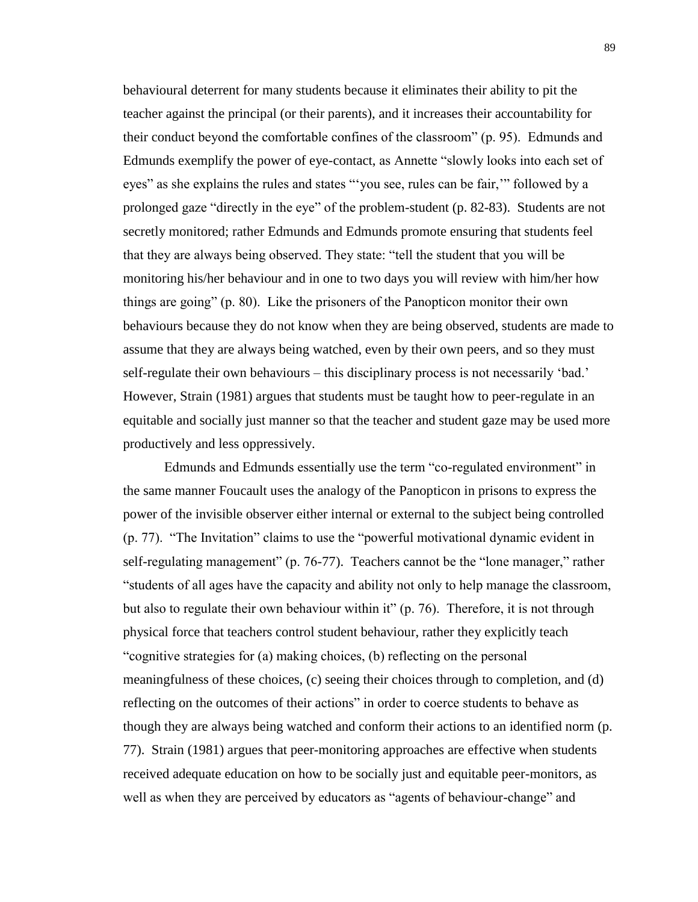behavioural deterrent for many students because it eliminates their ability to pit the teacher against the principal (or their parents), and it increases their accountability for their conduct beyond the comfortable confines of the classroom" (p. 95). Edmunds and Edmunds exemplify the power of eye-contact, as Annette "slowly looks into each set of eyes" as she explains the rules and states "'you see, rules can be fair,'" followed by a prolonged gaze "directly in the eye" of the problem-student (p. 82-83). Students are not secretly monitored; rather Edmunds and Edmunds promote ensuring that students feel that they are always being observed. They state: "tell the student that you will be monitoring his/her behaviour and in one to two days you will review with him/her how things are going" (p. 80). Like the prisoners of the Panopticon monitor their own behaviours because they do not know when they are being observed, students are made to assume that they are always being watched, even by their own peers, and so they must self-regulate their own behaviours – this disciplinary process is not necessarily 'bad.' However, Strain (1981) argues that students must be taught how to peer-regulate in an equitable and socially just manner so that the teacher and student gaze may be used more productively and less oppressively.

Edmunds and Edmunds essentially use the term "co-regulated environment" in the same manner Foucault uses the analogy of the Panopticon in prisons to express the power of the invisible observer either internal or external to the subject being controlled (p. 77). "The Invitation" claims to use the "powerful motivational dynamic evident in self-regulating management" (p. 76-77). Teachers cannot be the "lone manager," rather "students of all ages have the capacity and ability not only to help manage the classroom, but also to regulate their own behaviour within it" (p. 76). Therefore, it is not through physical force that teachers control student behaviour, rather they explicitly teach "cognitive strategies for (a) making choices, (b) reflecting on the personal meaningfulness of these choices, (c) seeing their choices through to completion, and (d) reflecting on the outcomes of their actions" in order to coerce students to behave as though they are always being watched and conform their actions to an identified norm (p. 77). Strain (1981) argues that peer-monitoring approaches are effective when students received adequate education on how to be socially just and equitable peer-monitors, as well as when they are perceived by educators as "agents of behaviour-change" and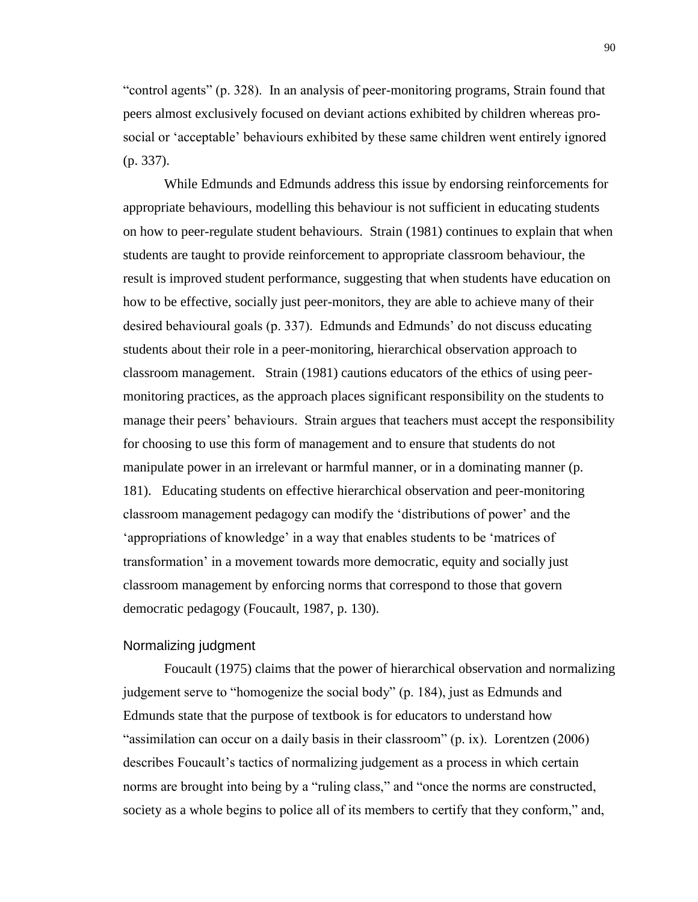"control agents" (p. 328). In an analysis of peer-monitoring programs, Strain found that peers almost exclusively focused on deviant actions exhibited by children whereas prosocial or 'acceptable' behaviours exhibited by these same children went entirely ignored (p. 337).

While Edmunds and Edmunds address this issue by endorsing reinforcements for appropriate behaviours, modelling this behaviour is not sufficient in educating students on how to peer-regulate student behaviours. Strain (1981) continues to explain that when students are taught to provide reinforcement to appropriate classroom behaviour, the result is improved student performance, suggesting that when students have education on how to be effective, socially just peer-monitors, they are able to achieve many of their desired behavioural goals (p. 337). Edmunds and Edmunds' do not discuss educating students about their role in a peer-monitoring, hierarchical observation approach to classroom management. Strain (1981) cautions educators of the ethics of using peermonitoring practices, as the approach places significant responsibility on the students to manage their peers' behaviours. Strain argues that teachers must accept the responsibility for choosing to use this form of management and to ensure that students do not manipulate power in an irrelevant or harmful manner, or in a dominating manner (p. 181). Educating students on effective hierarchical observation and peer-monitoring classroom management pedagogy can modify the 'distributions of power' and the 'appropriations of knowledge' in a way that enables students to be 'matrices of transformation' in a movement towards more democratic, equity and socially just classroom management by enforcing norms that correspond to those that govern democratic pedagogy (Foucault, 1987, p. 130).

#### Normalizing judgment

Foucault (1975) claims that the power of hierarchical observation and normalizing judgement serve to "homogenize the social body" (p. 184), just as Edmunds and Edmunds state that the purpose of textbook is for educators to understand how "assimilation can occur on a daily basis in their classroom" (p. ix). Lorentzen (2006) describes Foucault's tactics of normalizing judgement as a process in which certain norms are brought into being by a "ruling class," and "once the norms are constructed, society as a whole begins to police all of its members to certify that they conform," and,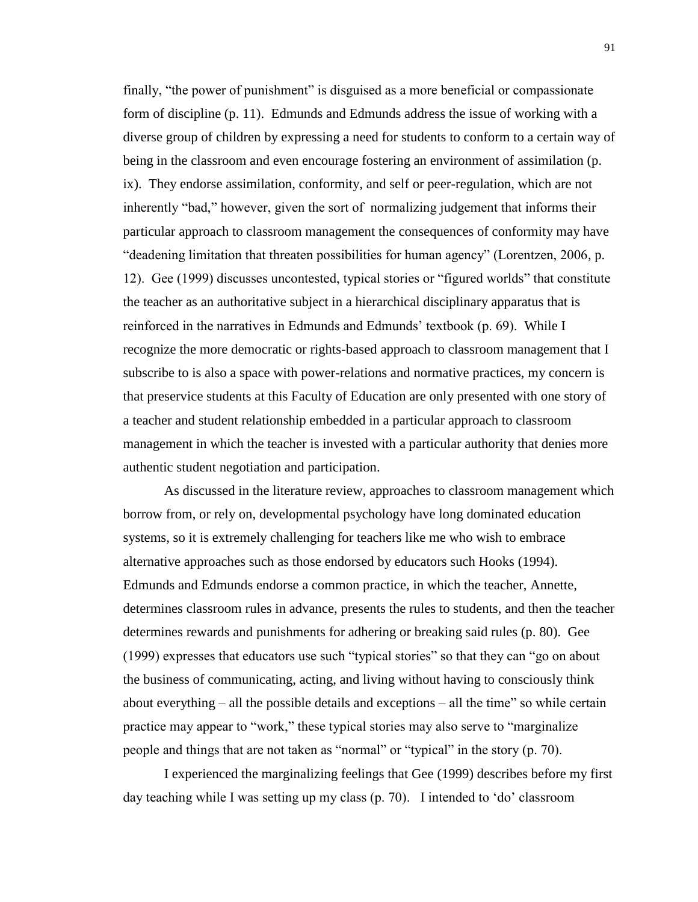finally, "the power of punishment" is disguised as a more beneficial or compassionate form of discipline (p. 11). Edmunds and Edmunds address the issue of working with a diverse group of children by expressing a need for students to conform to a certain way of being in the classroom and even encourage fostering an environment of assimilation (p. ix). They endorse assimilation, conformity, and self or peer-regulation, which are not inherently "bad," however, given the sort of normalizing judgement that informs their particular approach to classroom management the consequences of conformity may have "deadening limitation that threaten possibilities for human agency" (Lorentzen, 2006, p. 12). Gee (1999) discusses uncontested, typical stories or "figured worlds" that constitute the teacher as an authoritative subject in a hierarchical disciplinary apparatus that is reinforced in the narratives in Edmunds and Edmunds' textbook (p. 69). While I recognize the more democratic or rights-based approach to classroom management that I subscribe to is also a space with power-relations and normative practices, my concern is that preservice students at this Faculty of Education are only presented with one story of a teacher and student relationship embedded in a particular approach to classroom management in which the teacher is invested with a particular authority that denies more authentic student negotiation and participation.

As discussed in the literature review, approaches to classroom management which borrow from, or rely on, developmental psychology have long dominated education systems, so it is extremely challenging for teachers like me who wish to embrace alternative approaches such as those endorsed by educators such Hooks (1994). Edmunds and Edmunds endorse a common practice, in which the teacher, Annette, determines classroom rules in advance, presents the rules to students, and then the teacher determines rewards and punishments for adhering or breaking said rules (p. 80). Gee (1999) expresses that educators use such "typical stories" so that they can "go on about the business of communicating, acting, and living without having to consciously think about everything – all the possible details and exceptions – all the time" so while certain practice may appear to "work," these typical stories may also serve to "marginalize people and things that are not taken as "normal" or "typical" in the story (p. 70).

I experienced the marginalizing feelings that Gee (1999) describes before my first day teaching while I was setting up my class (p. 70). I intended to 'do' classroom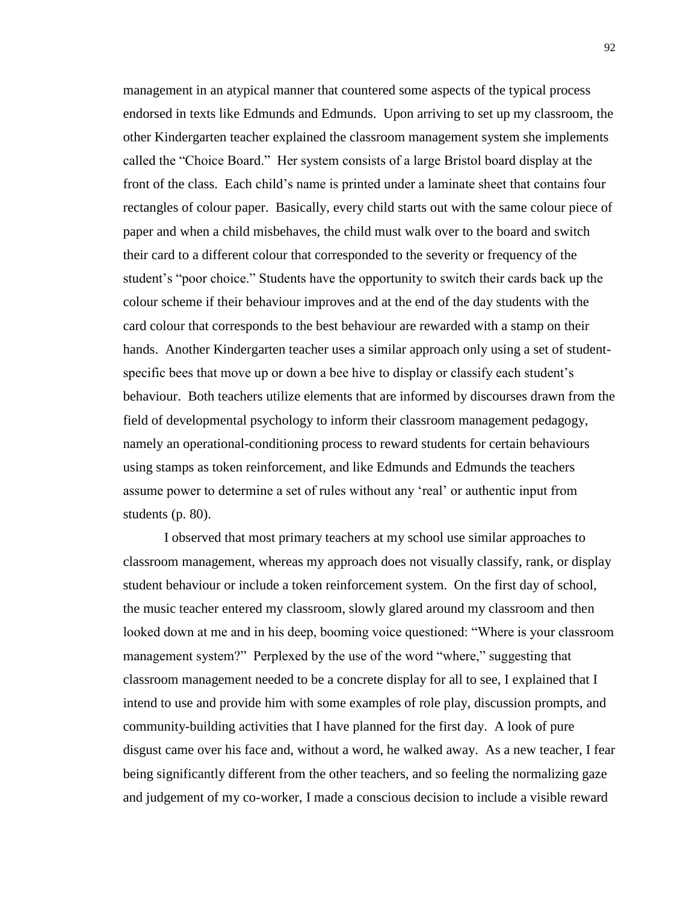management in an atypical manner that countered some aspects of the typical process endorsed in texts like Edmunds and Edmunds. Upon arriving to set up my classroom, the other Kindergarten teacher explained the classroom management system she implements called the "Choice Board." Her system consists of a large Bristol board display at the front of the class. Each child's name is printed under a laminate sheet that contains four rectangles of colour paper. Basically, every child starts out with the same colour piece of paper and when a child misbehaves, the child must walk over to the board and switch their card to a different colour that corresponded to the severity or frequency of the student's "poor choice." Students have the opportunity to switch their cards back up the colour scheme if their behaviour improves and at the end of the day students with the card colour that corresponds to the best behaviour are rewarded with a stamp on their hands. Another Kindergarten teacher uses a similar approach only using a set of studentspecific bees that move up or down a bee hive to display or classify each student's behaviour. Both teachers utilize elements that are informed by discourses drawn from the field of developmental psychology to inform their classroom management pedagogy, namely an operational-conditioning process to reward students for certain behaviours using stamps as token reinforcement, and like Edmunds and Edmunds the teachers assume power to determine a set of rules without any 'real' or authentic input from students (p. 80).

I observed that most primary teachers at my school use similar approaches to classroom management, whereas my approach does not visually classify, rank, or display student behaviour or include a token reinforcement system. On the first day of school, the music teacher entered my classroom, slowly glared around my classroom and then looked down at me and in his deep, booming voice questioned: "Where is your classroom management system?" Perplexed by the use of the word "where," suggesting that classroom management needed to be a concrete display for all to see, I explained that I intend to use and provide him with some examples of role play, discussion prompts, and community-building activities that I have planned for the first day. A look of pure disgust came over his face and, without a word, he walked away. As a new teacher, I fear being significantly different from the other teachers, and so feeling the normalizing gaze and judgement of my co-worker, I made a conscious decision to include a visible reward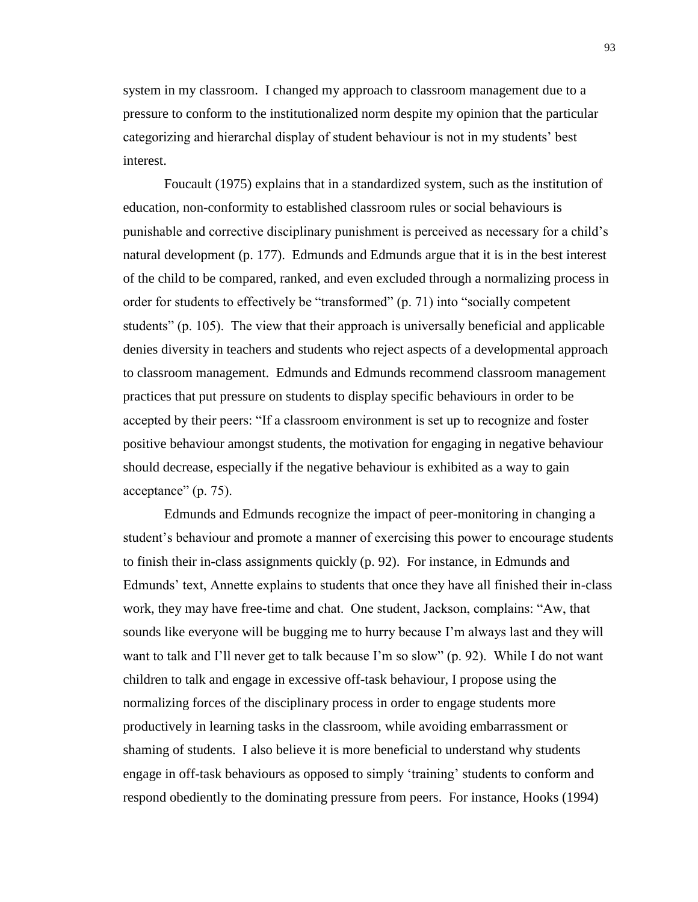system in my classroom. I changed my approach to classroom management due to a pressure to conform to the institutionalized norm despite my opinion that the particular categorizing and hierarchal display of student behaviour is not in my students' best interest.

Foucault (1975) explains that in a standardized system, such as the institution of education, non-conformity to established classroom rules or social behaviours is punishable and corrective disciplinary punishment is perceived as necessary for a child's natural development (p. 177). Edmunds and Edmunds argue that it is in the best interest of the child to be compared, ranked, and even excluded through a normalizing process in order for students to effectively be "transformed" (p. 71) into "socially competent students" (p. 105). The view that their approach is universally beneficial and applicable denies diversity in teachers and students who reject aspects of a developmental approach to classroom management. Edmunds and Edmunds recommend classroom management practices that put pressure on students to display specific behaviours in order to be accepted by their peers: "If a classroom environment is set up to recognize and foster positive behaviour amongst students, the motivation for engaging in negative behaviour should decrease, especially if the negative behaviour is exhibited as a way to gain acceptance" (p. 75).

Edmunds and Edmunds recognize the impact of peer-monitoring in changing a student's behaviour and promote a manner of exercising this power to encourage students to finish their in-class assignments quickly (p. 92). For instance, in Edmunds and Edmunds' text, Annette explains to students that once they have all finished their in-class work, they may have free-time and chat. One student, Jackson, complains: "Aw, that sounds like everyone will be bugging me to hurry because I'm always last and they will want to talk and I'll never get to talk because I'm so slow" (p. 92). While I do not want children to talk and engage in excessive off-task behaviour, I propose using the normalizing forces of the disciplinary process in order to engage students more productively in learning tasks in the classroom, while avoiding embarrassment or shaming of students. I also believe it is more beneficial to understand why students engage in off-task behaviours as opposed to simply 'training' students to conform and respond obediently to the dominating pressure from peers. For instance, Hooks (1994)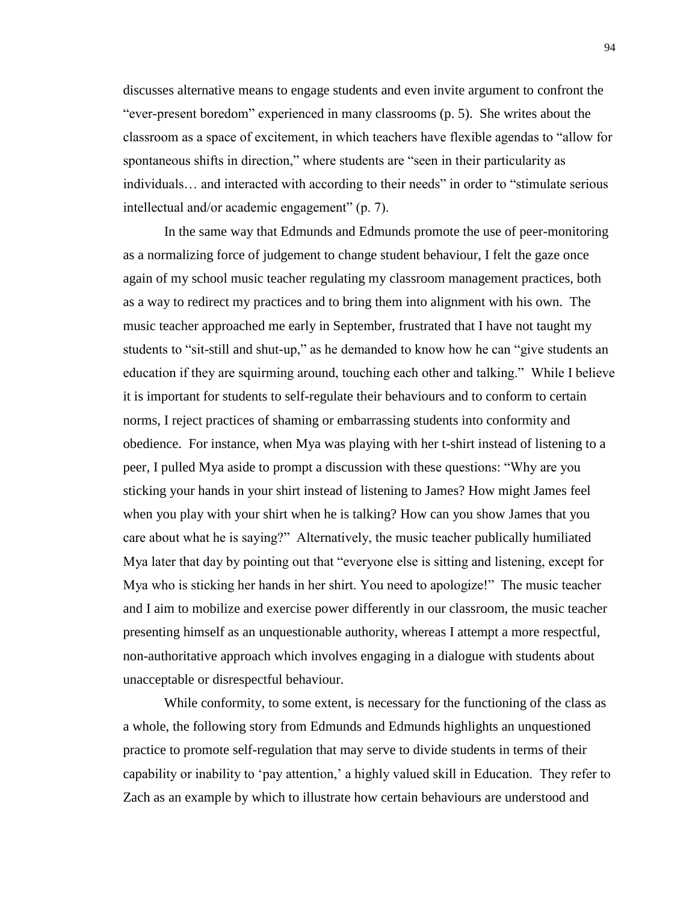discusses alternative means to engage students and even invite argument to confront the "ever-present boredom" experienced in many classrooms (p. 5). She writes about the classroom as a space of excitement, in which teachers have flexible agendas to "allow for spontaneous shifts in direction," where students are "seen in their particularity as individuals… and interacted with according to their needs" in order to "stimulate serious intellectual and/or academic engagement" (p. 7).

In the same way that Edmunds and Edmunds promote the use of peer-monitoring as a normalizing force of judgement to change student behaviour, I felt the gaze once again of my school music teacher regulating my classroom management practices, both as a way to redirect my practices and to bring them into alignment with his own. The music teacher approached me early in September, frustrated that I have not taught my students to "sit-still and shut-up," as he demanded to know how he can "give students an education if they are squirming around, touching each other and talking." While I believe it is important for students to self-regulate their behaviours and to conform to certain norms, I reject practices of shaming or embarrassing students into conformity and obedience. For instance, when Mya was playing with her t-shirt instead of listening to a peer, I pulled Mya aside to prompt a discussion with these questions: "Why are you sticking your hands in your shirt instead of listening to James? How might James feel when you play with your shirt when he is talking? How can you show James that you care about what he is saying?" Alternatively, the music teacher publically humiliated Mya later that day by pointing out that "everyone else is sitting and listening, except for Mya who is sticking her hands in her shirt. You need to apologize!" The music teacher and I aim to mobilize and exercise power differently in our classroom, the music teacher presenting himself as an unquestionable authority, whereas I attempt a more respectful, non-authoritative approach which involves engaging in a dialogue with students about unacceptable or disrespectful behaviour.

While conformity, to some extent, is necessary for the functioning of the class as a whole, the following story from Edmunds and Edmunds highlights an unquestioned practice to promote self-regulation that may serve to divide students in terms of their capability or inability to 'pay attention,' a highly valued skill in Education. They refer to Zach as an example by which to illustrate how certain behaviours are understood and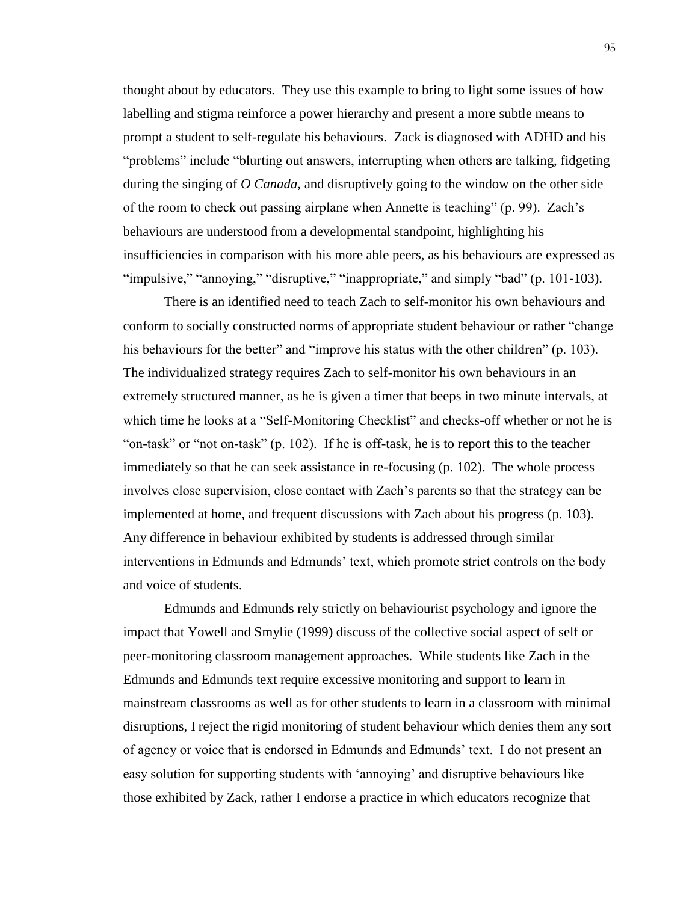thought about by educators. They use this example to bring to light some issues of how labelling and stigma reinforce a power hierarchy and present a more subtle means to prompt a student to self-regulate his behaviours. Zack is diagnosed with ADHD and his "problems" include "blurting out answers, interrupting when others are talking, fidgeting during the singing of *O Canada*, and disruptively going to the window on the other side of the room to check out passing airplane when Annette is teaching" (p. 99). Zach's behaviours are understood from a developmental standpoint, highlighting his insufficiencies in comparison with his more able peers, as his behaviours are expressed as "impulsive," "annoying," "disruptive," "inappropriate," and simply "bad" (p. 101-103).

There is an identified need to teach Zach to self-monitor his own behaviours and conform to socially constructed norms of appropriate student behaviour or rather "change his behaviours for the better" and "improve his status with the other children" (p. 103). The individualized strategy requires Zach to self-monitor his own behaviours in an extremely structured manner, as he is given a timer that beeps in two minute intervals, at which time he looks at a "Self-Monitoring Checklist" and checks-off whether or not he is "on-task" or "not on-task" (p. 102). If he is off-task, he is to report this to the teacher immediately so that he can seek assistance in re-focusing (p. 102). The whole process involves close supervision, close contact with Zach's parents so that the strategy can be implemented at home, and frequent discussions with Zach about his progress (p. 103). Any difference in behaviour exhibited by students is addressed through similar interventions in Edmunds and Edmunds' text, which promote strict controls on the body and voice of students.

Edmunds and Edmunds rely strictly on behaviourist psychology and ignore the impact that Yowell and Smylie (1999) discuss of the collective social aspect of self or peer-monitoring classroom management approaches. While students like Zach in the Edmunds and Edmunds text require excessive monitoring and support to learn in mainstream classrooms as well as for other students to learn in a classroom with minimal disruptions, I reject the rigid monitoring of student behaviour which denies them any sort of agency or voice that is endorsed in Edmunds and Edmunds' text. I do not present an easy solution for supporting students with 'annoying' and disruptive behaviours like those exhibited by Zack, rather I endorse a practice in which educators recognize that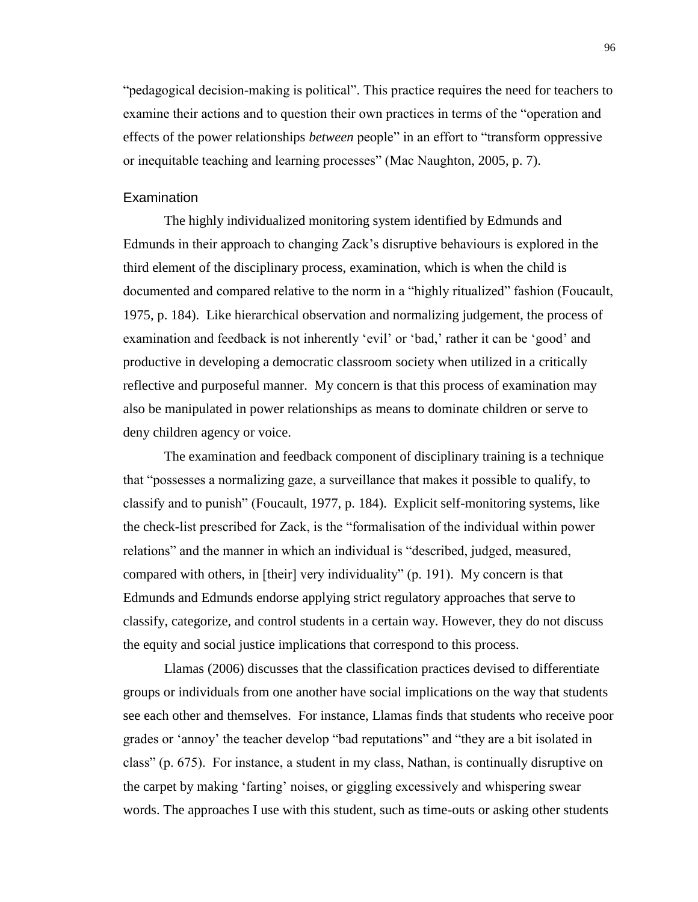"pedagogical decision-making is political". This practice requires the need for teachers to examine their actions and to question their own practices in terms of the "operation and effects of the power relationships *between* people" in an effort to "transform oppressive or inequitable teaching and learning processes" (Mac Naughton, 2005, p. 7).

#### **Examination**

The highly individualized monitoring system identified by Edmunds and Edmunds in their approach to changing Zack's disruptive behaviours is explored in the third element of the disciplinary process, examination, which is when the child is documented and compared relative to the norm in a "highly ritualized" fashion (Foucault, 1975, p. 184). Like hierarchical observation and normalizing judgement, the process of examination and feedback is not inherently 'evil' or 'bad,' rather it can be 'good' and productive in developing a democratic classroom society when utilized in a critically reflective and purposeful manner. My concern is that this process of examination may also be manipulated in power relationships as means to dominate children or serve to deny children agency or voice.

The examination and feedback component of disciplinary training is a technique that "possesses a normalizing gaze, a surveillance that makes it possible to qualify, to classify and to punish" (Foucault, 1977, p. 184). Explicit self-monitoring systems, like the check-list prescribed for Zack, is the "formalisation of the individual within power relations" and the manner in which an individual is "described, judged, measured, compared with others, in [their] very individuality" (p. 191). My concern is that Edmunds and Edmunds endorse applying strict regulatory approaches that serve to classify, categorize, and control students in a certain way. However, they do not discuss the equity and social justice implications that correspond to this process.

Llamas (2006) discusses that the classification practices devised to differentiate groups or individuals from one another have social implications on the way that students see each other and themselves. For instance, Llamas finds that students who receive poor grades or 'annoy' the teacher develop "bad reputations" and "they are a bit isolated in class" (p. 675). For instance, a student in my class, Nathan, is continually disruptive on the carpet by making 'farting' noises, or giggling excessively and whispering swear words. The approaches I use with this student, such as time-outs or asking other students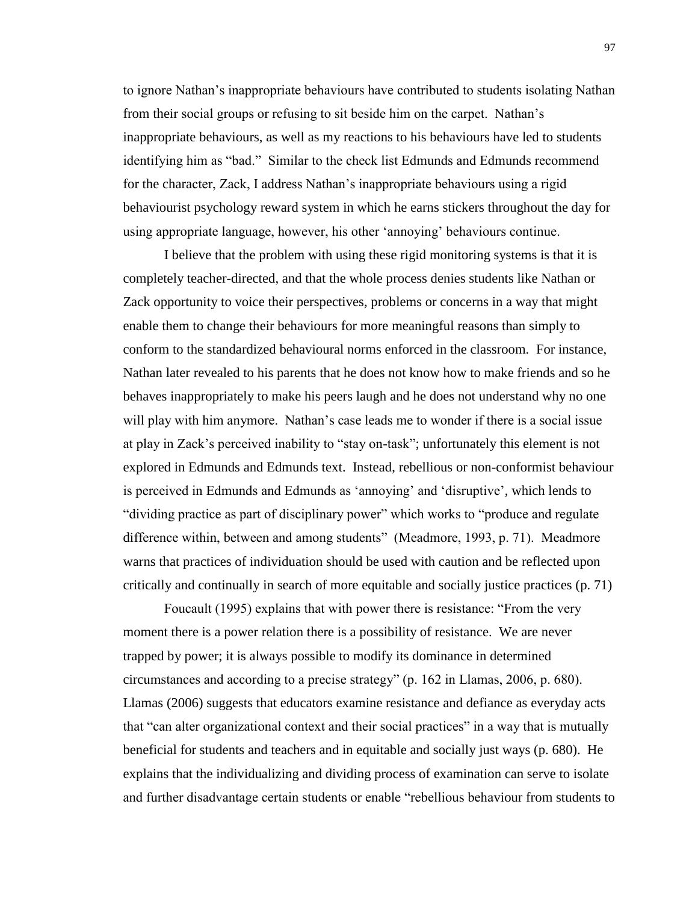to ignore Nathan's inappropriate behaviours have contributed to students isolating Nathan from their social groups or refusing to sit beside him on the carpet. Nathan's inappropriate behaviours, as well as my reactions to his behaviours have led to students identifying him as "bad." Similar to the check list Edmunds and Edmunds recommend for the character, Zack, I address Nathan's inappropriate behaviours using a rigid behaviourist psychology reward system in which he earns stickers throughout the day for using appropriate language, however, his other 'annoying' behaviours continue.

I believe that the problem with using these rigid monitoring systems is that it is completely teacher-directed, and that the whole process denies students like Nathan or Zack opportunity to voice their perspectives, problems or concerns in a way that might enable them to change their behaviours for more meaningful reasons than simply to conform to the standardized behavioural norms enforced in the classroom. For instance, Nathan later revealed to his parents that he does not know how to make friends and so he behaves inappropriately to make his peers laugh and he does not understand why no one will play with him anymore. Nathan's case leads me to wonder if there is a social issue at play in Zack's perceived inability to "stay on-task"; unfortunately this element is not explored in Edmunds and Edmunds text. Instead, rebellious or non-conformist behaviour is perceived in Edmunds and Edmunds as 'annoying' and 'disruptive', which lends to "dividing practice as part of disciplinary power" which works to "produce and regulate difference within, between and among students" (Meadmore, 1993, p. 71). Meadmore warns that practices of individuation should be used with caution and be reflected upon critically and continually in search of more equitable and socially justice practices (p. 71)

Foucault (1995) explains that with power there is resistance: "From the very moment there is a power relation there is a possibility of resistance. We are never trapped by power; it is always possible to modify its dominance in determined circumstances and according to a precise strategy" (p. 162 in Llamas, 2006, p. 680). Llamas (2006) suggests that educators examine resistance and defiance as everyday acts that "can alter organizational context and their social practices" in a way that is mutually beneficial for students and teachers and in equitable and socially just ways (p. 680). He explains that the individualizing and dividing process of examination can serve to isolate and further disadvantage certain students or enable "rebellious behaviour from students to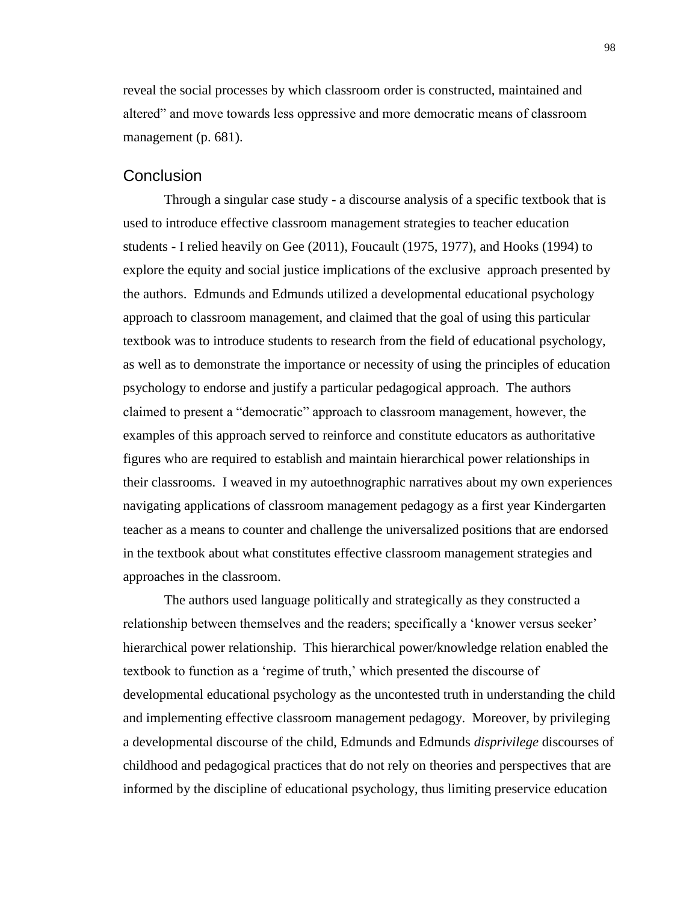reveal the social processes by which classroom order is constructed, maintained and altered" and move towards less oppressive and more democratic means of classroom management (p. 681).

### **Conclusion**

Through a singular case study - a discourse analysis of a specific textbook that is used to introduce effective classroom management strategies to teacher education students - I relied heavily on Gee (2011), Foucault (1975, 1977), and Hooks (1994) to explore the equity and social justice implications of the exclusive approach presented by the authors. Edmunds and Edmunds utilized a developmental educational psychology approach to classroom management, and claimed that the goal of using this particular textbook was to introduce students to research from the field of educational psychology, as well as to demonstrate the importance or necessity of using the principles of education psychology to endorse and justify a particular pedagogical approach. The authors claimed to present a "democratic" approach to classroom management, however, the examples of this approach served to reinforce and constitute educators as authoritative figures who are required to establish and maintain hierarchical power relationships in their classrooms. I weaved in my autoethnographic narratives about my own experiences navigating applications of classroom management pedagogy as a first year Kindergarten teacher as a means to counter and challenge the universalized positions that are endorsed in the textbook about what constitutes effective classroom management strategies and approaches in the classroom.

The authors used language politically and strategically as they constructed a relationship between themselves and the readers; specifically a 'knower versus seeker' hierarchical power relationship. This hierarchical power/knowledge relation enabled the textbook to function as a 'regime of truth,' which presented the discourse of developmental educational psychology as the uncontested truth in understanding the child and implementing effective classroom management pedagogy. Moreover, by privileging a developmental discourse of the child, Edmunds and Edmunds *disprivilege* discourses of childhood and pedagogical practices that do not rely on theories and perspectives that are informed by the discipline of educational psychology, thus limiting preservice education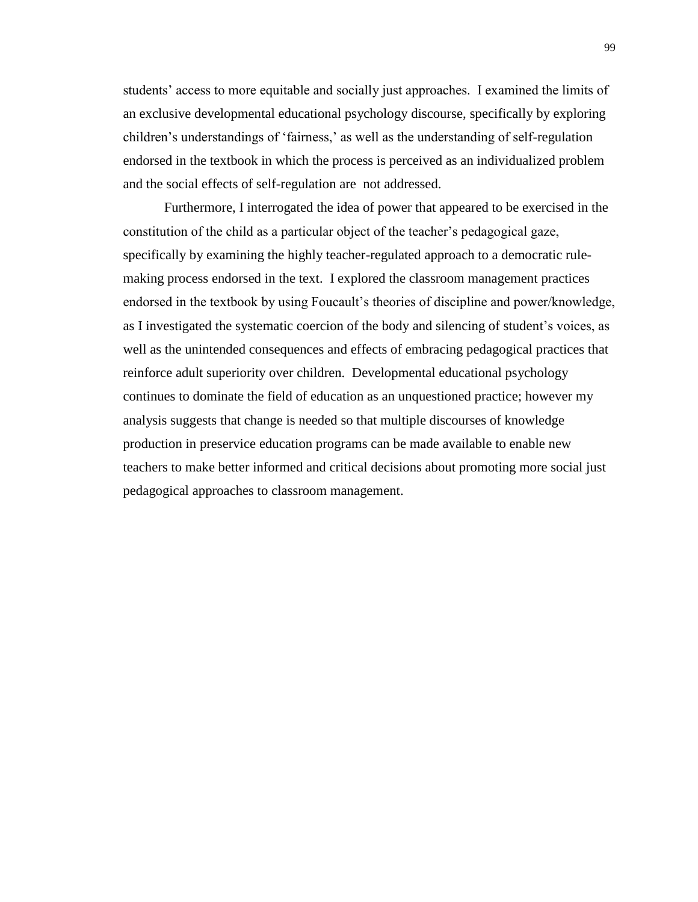students' access to more equitable and socially just approaches. I examined the limits of an exclusive developmental educational psychology discourse, specifically by exploring children's understandings of 'fairness,' as well as the understanding of self-regulation endorsed in the textbook in which the process is perceived as an individualized problem and the social effects of self-regulation are not addressed.

Furthermore, I interrogated the idea of power that appeared to be exercised in the constitution of the child as a particular object of the teacher's pedagogical gaze, specifically by examining the highly teacher-regulated approach to a democratic rulemaking process endorsed in the text. I explored the classroom management practices endorsed in the textbook by using Foucault's theories of discipline and power/knowledge, as I investigated the systematic coercion of the body and silencing of student's voices, as well as the unintended consequences and effects of embracing pedagogical practices that reinforce adult superiority over children. Developmental educational psychology continues to dominate the field of education as an unquestioned practice; however my analysis suggests that change is needed so that multiple discourses of knowledge production in preservice education programs can be made available to enable new teachers to make better informed and critical decisions about promoting more social just pedagogical approaches to classroom management.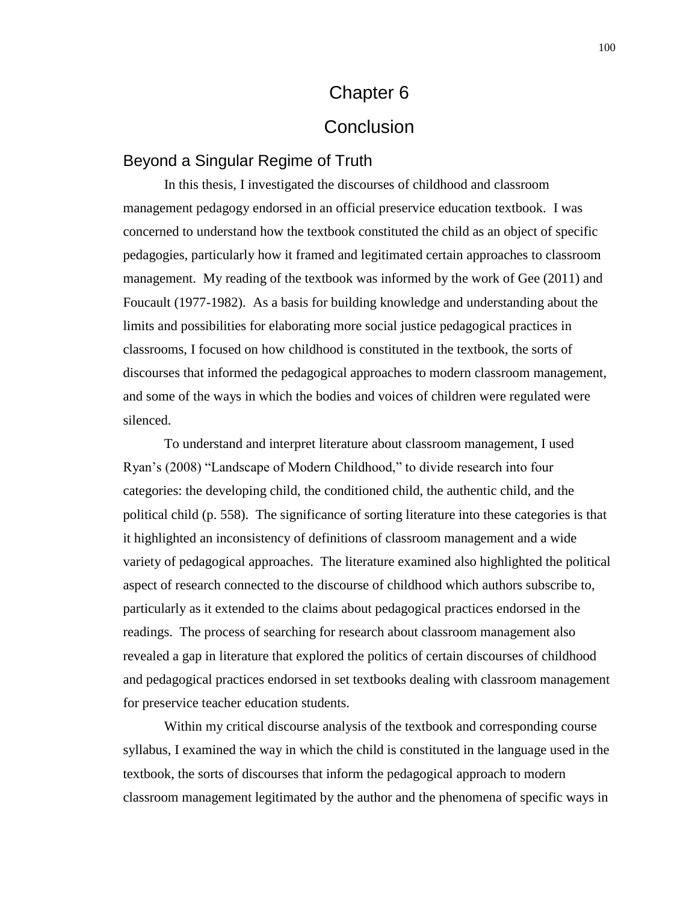# Chapter 6 **Conclusion**

## Beyond a Singular Regime of Truth

In this thesis, I investigated the discourses of childhood and classroom management pedagogy endorsed in an official preservice education textbook. I was concerned to understand how the textbook constituted the child as an object of specific pedagogies, particularly how it framed and legitimated certain approaches to classroom management. My reading of the textbook was informed by the work of Gee (2011) and Foucault (1977-1982). As a basis for building knowledge and understanding about the limits and possibilities for elaborating more social justice pedagogical practices in classrooms, I focused on how childhood is constituted in the textbook, the sorts of discourses that informed the pedagogical approaches to modern classroom management, and some of the ways in which the bodies and voices of children were regulated were silenced.

To understand and interpret literature about classroom management, I used Ryan's (2008) "Landscape of Modern Childhood," to divide research into four categories: the developing child, the conditioned child, the authentic child, and the political child (p. 558). The significance of sorting literature into these categories is that it highlighted an inconsistency of definitions of classroom management and a wide variety of pedagogical approaches. The literature examined also highlighted the political aspect of research connected to the discourse of childhood which authors subscribe to, particularly as it extended to the claims about pedagogical practices endorsed in the readings. The process of searching for research about classroom management also revealed a gap in literature that explored the politics of certain discourses of childhood and pedagogical practices endorsed in set textbooks dealing with classroom management for preservice teacher education students.

Within my critical discourse analysis of the textbook and corresponding course syllabus, I examined the way in which the child is constituted in the language used in the textbook, the sorts of discourses that inform the pedagogical approach to modern classroom management legitimated by the author and the phenomena of specific ways in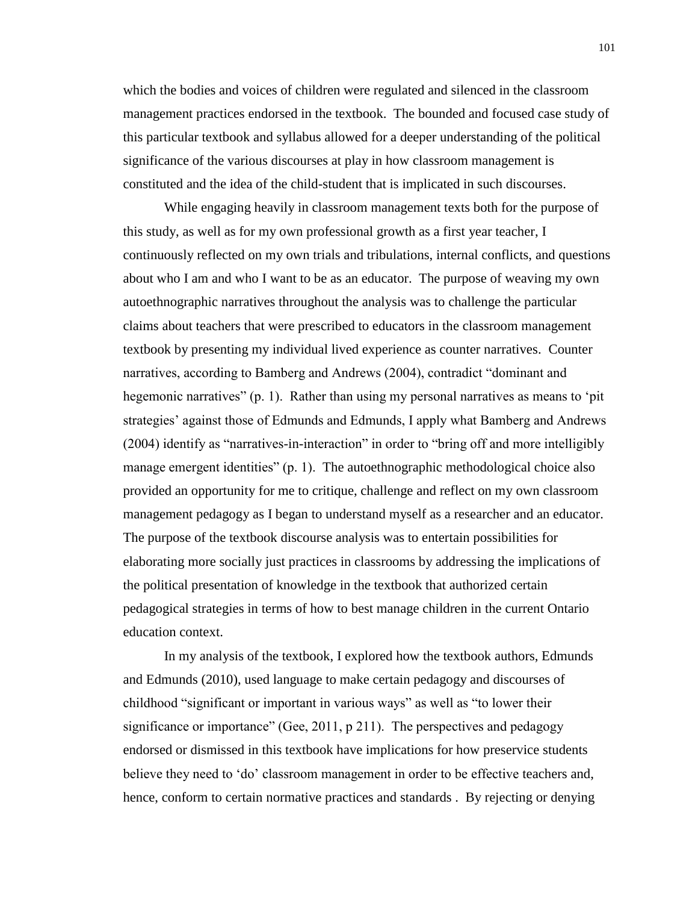which the bodies and voices of children were regulated and silenced in the classroom management practices endorsed in the textbook. The bounded and focused case study of this particular textbook and syllabus allowed for a deeper understanding of the political significance of the various discourses at play in how classroom management is constituted and the idea of the child-student that is implicated in such discourses.

While engaging heavily in classroom management texts both for the purpose of this study, as well as for my own professional growth as a first year teacher, I continuously reflected on my own trials and tribulations, internal conflicts, and questions about who I am and who I want to be as an educator. The purpose of weaving my own autoethnographic narratives throughout the analysis was to challenge the particular claims about teachers that were prescribed to educators in the classroom management textbook by presenting my individual lived experience as counter narratives. Counter narratives, according to Bamberg and Andrews (2004), contradict "dominant and hegemonic narratives" (p. 1). Rather than using my personal narratives as means to 'pit strategies' against those of Edmunds and Edmunds, I apply what Bamberg and Andrews (2004) identify as "narratives-in-interaction" in order to "bring off and more intelligibly manage emergent identities" (p. 1). The autoethnographic methodological choice also provided an opportunity for me to critique, challenge and reflect on my own classroom management pedagogy as I began to understand myself as a researcher and an educator. The purpose of the textbook discourse analysis was to entertain possibilities for elaborating more socially just practices in classrooms by addressing the implications of the political presentation of knowledge in the textbook that authorized certain pedagogical strategies in terms of how to best manage children in the current Ontario education context.

In my analysis of the textbook, I explored how the textbook authors, Edmunds and Edmunds (2010), used language to make certain pedagogy and discourses of childhood "significant or important in various ways" as well as "to lower their significance or importance" (Gee, 2011, p 211). The perspectives and pedagogy endorsed or dismissed in this textbook have implications for how preservice students believe they need to 'do' classroom management in order to be effective teachers and, hence, conform to certain normative practices and standards . By rejecting or denying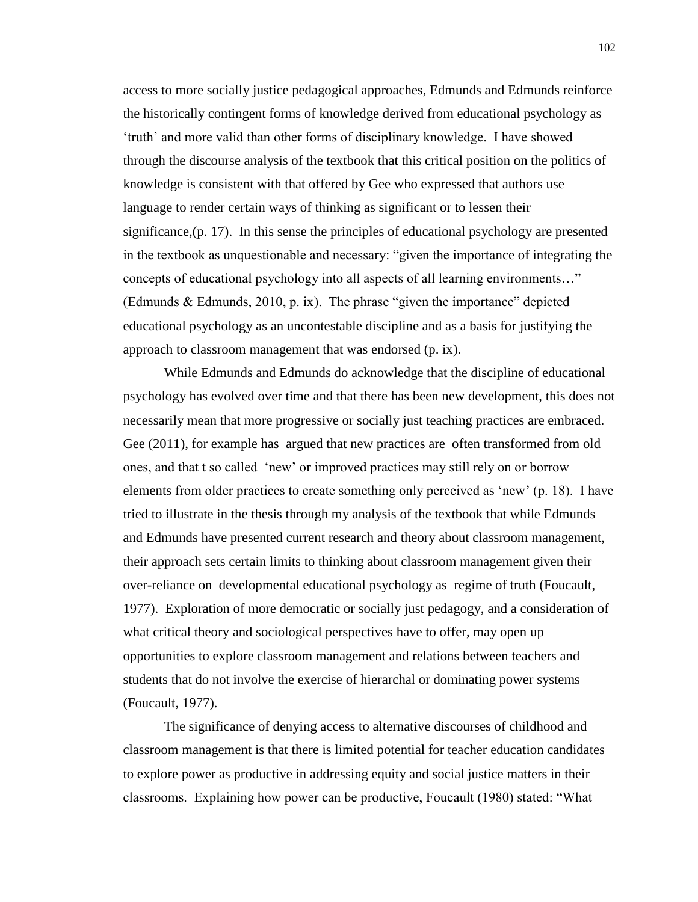access to more socially justice pedagogical approaches, Edmunds and Edmunds reinforce the historically contingent forms of knowledge derived from educational psychology as 'truth' and more valid than other forms of disciplinary knowledge. I have showed through the discourse analysis of the textbook that this critical position on the politics of knowledge is consistent with that offered by Gee who expressed that authors use language to render certain ways of thinking as significant or to lessen their significance,(p. 17). In this sense the principles of educational psychology are presented in the textbook as unquestionable and necessary: "given the importance of integrating the concepts of educational psychology into all aspects of all learning environments…" (Edmunds & Edmunds, 2010, p. ix). The phrase "given the importance" depicted educational psychology as an uncontestable discipline and as a basis for justifying the approach to classroom management that was endorsed (p. ix).

While Edmunds and Edmunds do acknowledge that the discipline of educational psychology has evolved over time and that there has been new development, this does not necessarily mean that more progressive or socially just teaching practices are embraced. Gee (2011), for example has argued that new practices are often transformed from old ones, and that t so called 'new' or improved practices may still rely on or borrow elements from older practices to create something only perceived as 'new' (p. 18). I have tried to illustrate in the thesis through my analysis of the textbook that while Edmunds and Edmunds have presented current research and theory about classroom management, their approach sets certain limits to thinking about classroom management given their over-reliance on developmental educational psychology as regime of truth (Foucault, 1977). Exploration of more democratic or socially just pedagogy, and a consideration of what critical theory and sociological perspectives have to offer, may open up opportunities to explore classroom management and relations between teachers and students that do not involve the exercise of hierarchal or dominating power systems (Foucault, 1977).

The significance of denying access to alternative discourses of childhood and classroom management is that there is limited potential for teacher education candidates to explore power as productive in addressing equity and social justice matters in their classrooms. Explaining how power can be productive, Foucault (1980) stated: "What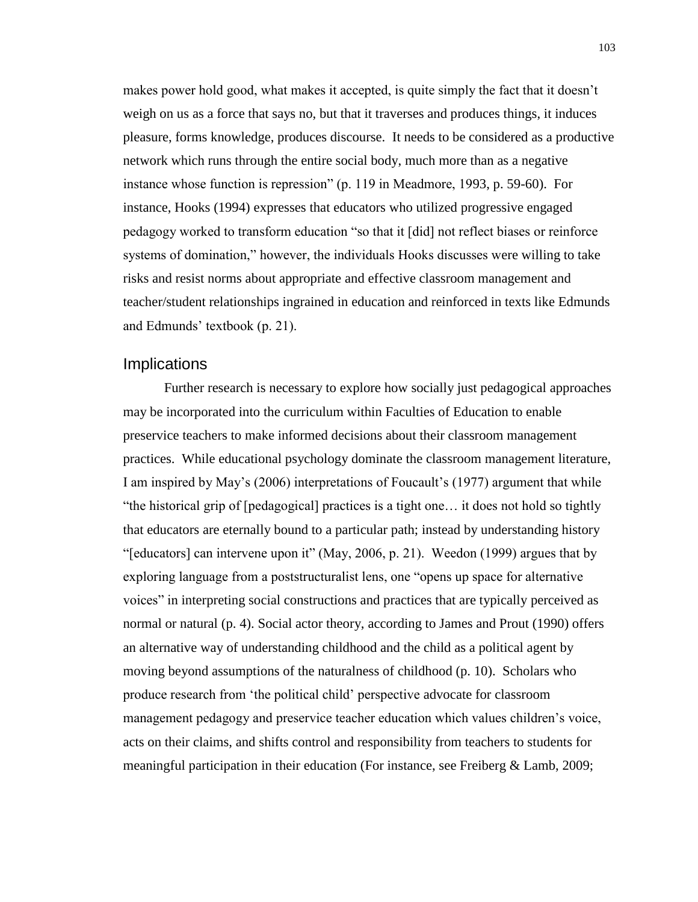makes power hold good, what makes it accepted, is quite simply the fact that it doesn't weigh on us as a force that says no, but that it traverses and produces things, it induces pleasure, forms knowledge, produces discourse. It needs to be considered as a productive network which runs through the entire social body, much more than as a negative instance whose function is repression" (p. 119 in Meadmore, 1993, p. 59-60). For instance, Hooks (1994) expresses that educators who utilized progressive engaged pedagogy worked to transform education "so that it [did] not reflect biases or reinforce systems of domination," however, the individuals Hooks discusses were willing to take risks and resist norms about appropriate and effective classroom management and teacher/student relationships ingrained in education and reinforced in texts like Edmunds and Edmunds' textbook (p. 21).

## **Implications**

Further research is necessary to explore how socially just pedagogical approaches may be incorporated into the curriculum within Faculties of Education to enable preservice teachers to make informed decisions about their classroom management practices. While educational psychology dominate the classroom management literature, I am inspired by May's (2006) interpretations of Foucault's (1977) argument that while "the historical grip of [pedagogical] practices is a tight one… it does not hold so tightly that educators are eternally bound to a particular path; instead by understanding history "[educators] can intervene upon it" (May, 2006, p. 21). Weedon (1999) argues that by exploring language from a poststructuralist lens, one "opens up space for alternative voices" in interpreting social constructions and practices that are typically perceived as normal or natural (p. 4). Social actor theory, according to James and Prout (1990) offers an alternative way of understanding childhood and the child as a political agent by moving beyond assumptions of the naturalness of childhood (p. 10). Scholars who produce research from 'the political child' perspective advocate for classroom management pedagogy and preservice teacher education which values children's voice, acts on their claims, and shifts control and responsibility from teachers to students for meaningful participation in their education (For instance, see Freiberg & Lamb, 2009;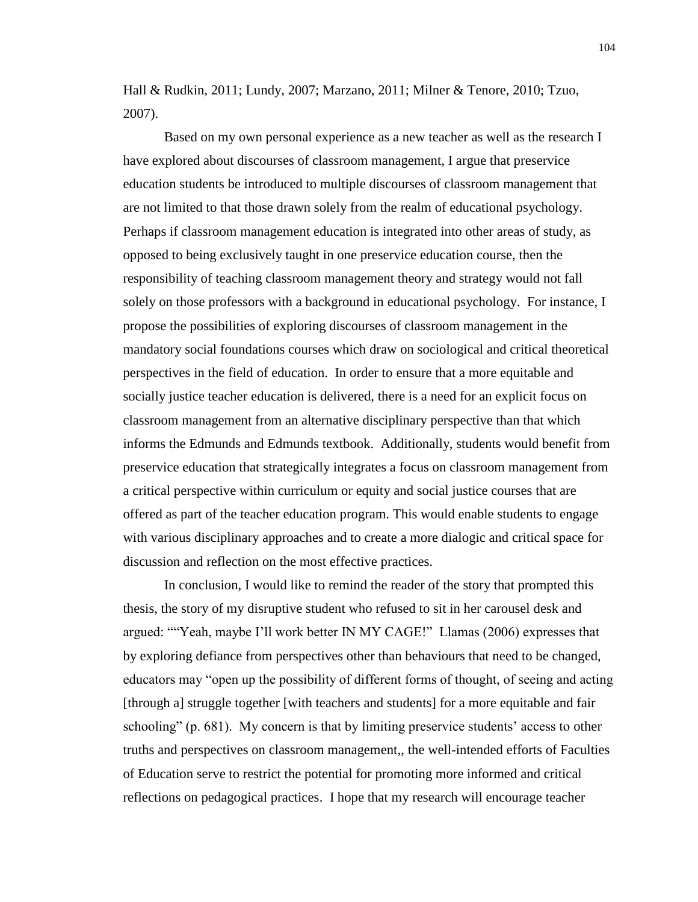Hall & Rudkin, 2011; Lundy, 2007; Marzano, 2011; Milner & Tenore, 2010; Tzuo, 2007).

Based on my own personal experience as a new teacher as well as the research I have explored about discourses of classroom management, I argue that preservice education students be introduced to multiple discourses of classroom management that are not limited to that those drawn solely from the realm of educational psychology. Perhaps if classroom management education is integrated into other areas of study, as opposed to being exclusively taught in one preservice education course, then the responsibility of teaching classroom management theory and strategy would not fall solely on those professors with a background in educational psychology. For instance, I propose the possibilities of exploring discourses of classroom management in the mandatory social foundations courses which draw on sociological and critical theoretical perspectives in the field of education. In order to ensure that a more equitable and socially justice teacher education is delivered, there is a need for an explicit focus on classroom management from an alternative disciplinary perspective than that which informs the Edmunds and Edmunds textbook. Additionally, students would benefit from preservice education that strategically integrates a focus on classroom management from a critical perspective within curriculum or equity and social justice courses that are offered as part of the teacher education program. This would enable students to engage with various disciplinary approaches and to create a more dialogic and critical space for discussion and reflection on the most effective practices.

In conclusion, I would like to remind the reader of the story that prompted this thesis, the story of my disruptive student who refused to sit in her carousel desk and argued: ""Yeah, maybe I'll work better IN MY CAGE!" Llamas (2006) expresses that by exploring defiance from perspectives other than behaviours that need to be changed, educators may "open up the possibility of different forms of thought, of seeing and acting [through a] struggle together [with teachers and students] for a more equitable and fair schooling" (p. 681). My concern is that by limiting preservice students' access to other truths and perspectives on classroom management,, the well-intended efforts of Faculties of Education serve to restrict the potential for promoting more informed and critical reflections on pedagogical practices. I hope that my research will encourage teacher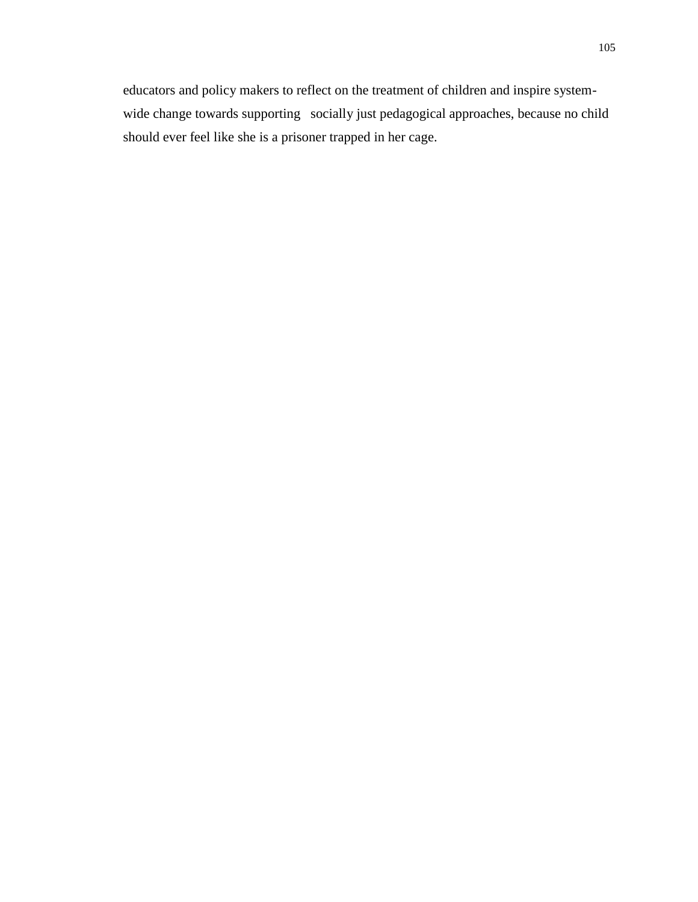educators and policy makers to reflect on the treatment of children and inspire systemwide change towards supporting socially just pedagogical approaches, because no child should ever feel like she is a prisoner trapped in her cage.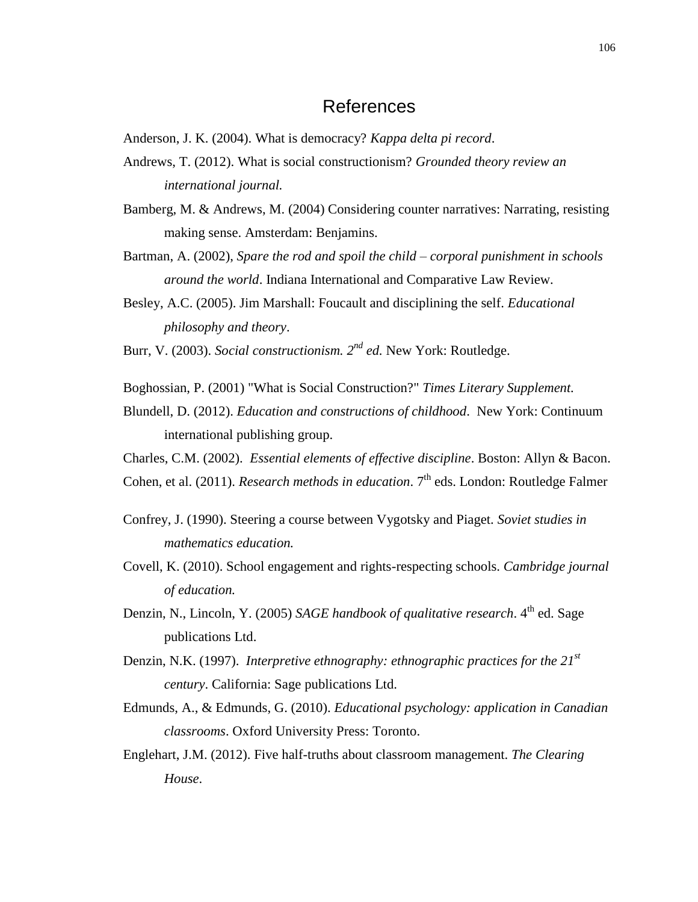## References

Anderson, J. K. (2004). What is democracy? *Kappa delta pi record*.

- Andrews, T. (2012). What is social constructionism? *Grounded theory review an international journal.*
- Bamberg, M. & Andrews, M. (2004) Considering counter narratives: Narrating, resisting making sense. Amsterdam: Benjamins.
- Bartman, A. (2002), *Spare the rod and spoil the child – corporal punishment in schools around the world*. Indiana International and Comparative Law Review.
- Besley, A.C. (2005). Jim Marshall: Foucault and disciplining the self. *Educational philosophy and theory*.
- Burr, V. (2003). *Social constructionism. 2nd ed.* New York: Routledge.
- Boghossian, P. (2001) "What is Social Construction?" *Times Literary Supplement.*
- Blundell, D. (2012). *Education and constructions of childhood*. New York: Continuum international publishing group.
- Charles, C.M. (2002). *Essential elements of effective discipline*. Boston: Allyn & Bacon.
- Cohen, et al. (2011). *Research methods in education*. 7<sup>th</sup> eds. London: Routledge Falmer
- Confrey, J. (1990). Steering a course between Vygotsky and Piaget. *Soviet studies in mathematics education.*
- Covell, K. (2010). School engagement and rights-respecting schools. *Cambridge journal of education.*
- Denzin, N., Lincoln, Y. (2005) *SAGE handbook of qualitative research*. 4<sup>th</sup> ed. Sage publications Ltd.
- Denzin, N.K. (1997). *Interpretive ethnography: ethnographic practices for the 21st century*. California: Sage publications Ltd.
- Edmunds, A., & Edmunds, G. (2010). *Educational psychology: application in Canadian classrooms*. Oxford University Press: Toronto.
- Englehart, J.M. (2012). Five half-truths about classroom management. *The Clearing House*.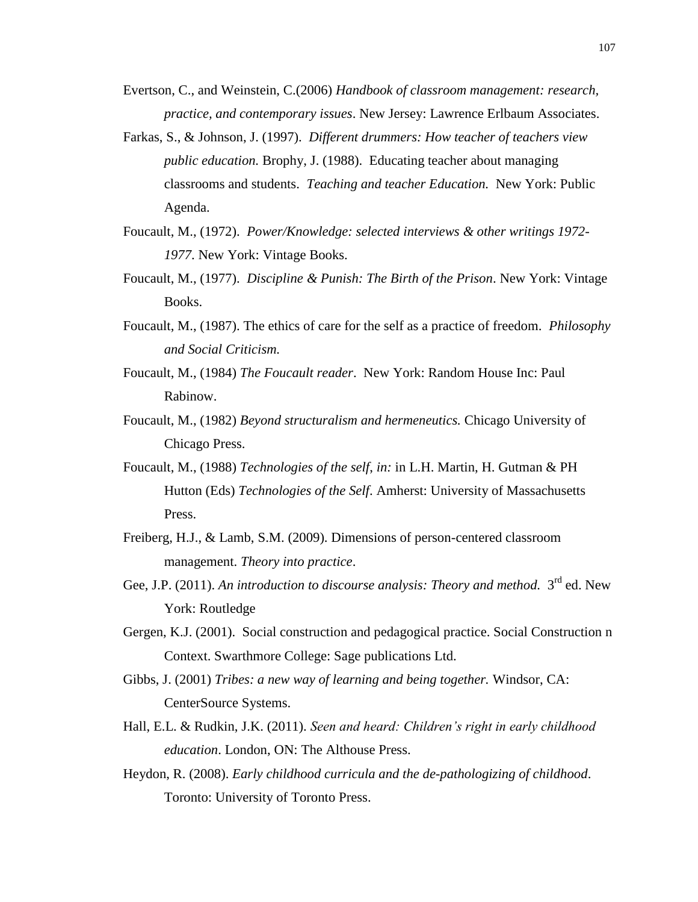- Evertson, C., and Weinstein, C.(2006) *Handbook of classroom management: research, practice, and contemporary issues*. New Jersey: Lawrence Erlbaum Associates.
- Farkas, S., & Johnson, J. (1997). *Different drummers: How teacher of teachers view public education.* Brophy, J. (1988). Educating teacher about managing classrooms and students. *Teaching and teacher Education.* New York: Public Agenda.
- Foucault, M., (1972). *Power/Knowledge: selected interviews & other writings 1972- 1977*. New York: Vintage Books.
- Foucault, M., (1977). *Discipline & Punish: The Birth of the Prison*. New York: Vintage Books.
- Foucault, M., (1987). The ethics of care for the self as a practice of freedom. *Philosophy and Social Criticism.*
- Foucault, M., (1984) *The Foucault reader*. New York: Random House Inc: Paul Rabinow.
- Foucault, M., (1982) *Beyond structuralism and hermeneutics.* Chicago University of Chicago Press.
- Foucault, M., (1988) *Technologies of the self*, *in:* in L.H. Martin, H. Gutman & PH Hutton (Eds) *Technologies of the Self*. Amherst: University of Massachusetts Press.
- Freiberg, H.J., & Lamb, S.M. (2009). Dimensions of person-centered classroom management. *Theory into practice*.
- Gee, J.P. (2011). An introduction to discourse analysis: Theory and method. 3<sup>rd</sup> ed. New York: Routledge
- Gergen, K.J. (2001). Social construction and pedagogical practice. Social Construction n Context. Swarthmore College: Sage publications Ltd.
- Gibbs, J. (2001) *Tribes: a new way of learning and being together.* Windsor, CA: CenterSource Systems.
- Hall, E.L. & Rudkin, J.K. (2011). *Seen and heard: Children's right in early childhood education*. London, ON: The Althouse Press.
- Heydon, R. (2008). *Early childhood curricula and the de-pathologizing of childhood*. Toronto: University of Toronto Press.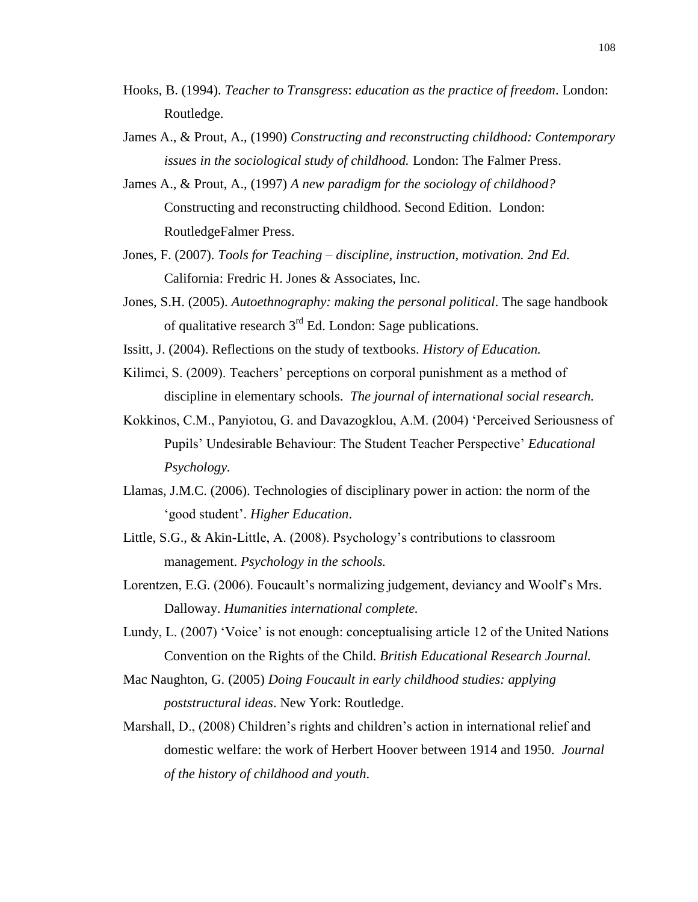- Hooks, B. (1994). *Teacher to Transgress*: *education as the practice of freedom*. London: Routledge.
- James A., & Prout, A., (1990) *Constructing and reconstructing childhood: Contemporary issues in the sociological study of childhood.* London: The Falmer Press.
- James A., & Prout, A., (1997) *A new paradigm for the sociology of childhood?* Constructing and reconstructing childhood. Second Edition. London: RoutledgeFalmer Press.
- Jones, F. (2007). *Tools for Teaching – discipline, instruction, motivation. 2nd Ed.*  California: Fredric H. Jones & Associates, Inc.
- Jones, S.H. (2005). *Autoethnography: making the personal political*. The sage handbook of qualitative research  $3<sup>rd</sup>$  Ed. London: Sage publications.
- Issitt, J. (2004). Reflections on the study of textbooks. *History of Education.*
- Kilimci, S. (2009). Teachers' perceptions on corporal punishment as a method of discipline in elementary schools. *The journal of international social research.*
- Kokkinos, C.M., Panyiotou, G. and Davazogklou, A.M. (2004) 'Perceived Seriousness of Pupils' Undesirable Behaviour: The Student Teacher Perspective' *Educational Psychology.*
- Llamas, J.M.C. (2006). Technologies of disciplinary power in action: the norm of the 'good student'. *Higher Education*.
- Little, S.G., & Akin-Little, A. (2008). Psychology's contributions to classroom management. *Psychology in the schools.*
- Lorentzen, E.G. (2006). Foucault's normalizing judgement, deviancy and Woolf's Mrs. Dalloway. *Humanities international complete.*
- Lundy, L. (2007) 'Voice' is not enough: conceptualising article 12 of the United Nations Convention on the Rights of the Child. *British Educational Research Journal.*
- Mac Naughton, G. (2005) *Doing Foucault in early childhood studies: applying poststructural ideas*. New York: Routledge.
- Marshall, D., (2008) Children's rights and children's action in international relief and domestic welfare: the work of Herbert Hoover between 1914 and 1950. *Journal of the history of childhood and youth*.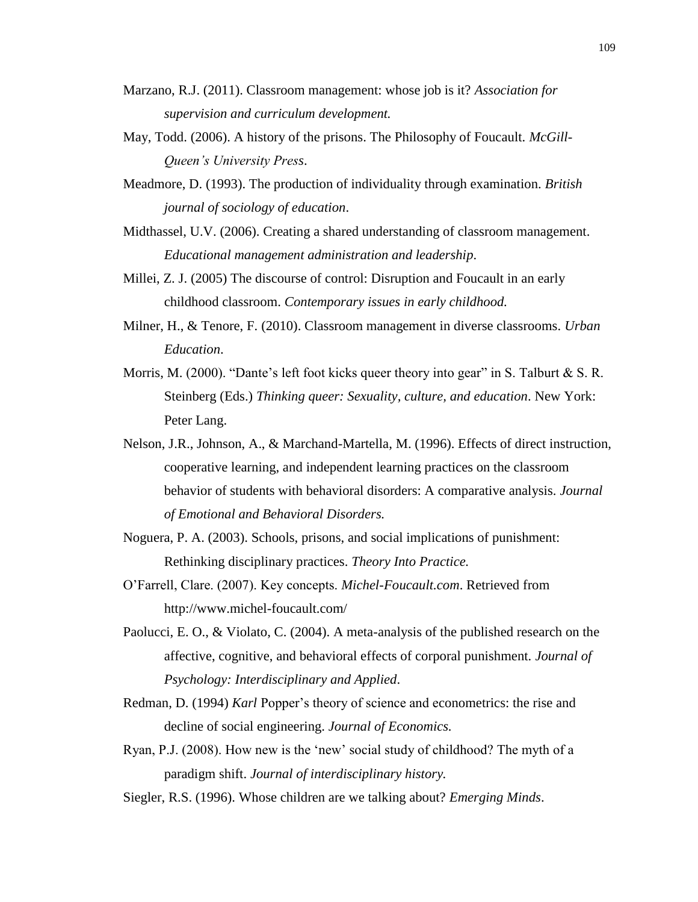- Marzano, R.J. (2011). Classroom management: whose job is it? *Association for supervision and curriculum development.*
- May, Todd. (2006). A history of the prisons. The Philosophy of Foucault. *McGill-Queen's University Press*.
- Meadmore, D. (1993). The production of individuality through examination. *British journal of sociology of education*.
- Midthassel, U.V. (2006). Creating a shared understanding of classroom management. *Educational management administration and leadership*.
- Millei, Z. J. (2005) The discourse of control: Disruption and Foucault in an early childhood classroom. *Contemporary issues in early childhood.*
- Milner, H., & Tenore, F. (2010). Classroom management in diverse classrooms. *Urban Education*.
- Morris, M. (2000). "Dante's left foot kicks queer theory into gear" in S. Talburt  $& S. R.$ Steinberg (Eds.) *Thinking queer: Sexuality, culture, and education*. New York: Peter Lang.
- Nelson, J.R., Johnson, A., & Marchand-Martella, M. (1996). Effects of direct instruction, cooperative learning, and independent learning practices on the classroom behavior of students with behavioral disorders: A comparative analysis. *Journal of Emotional and Behavioral Disorders.*
- Noguera, P. A. (2003). Schools, prisons, and social implications of punishment: Rethinking disciplinary practices. *Theory Into Practice.*
- O'Farrell, Clare. (2007). Key concepts. *Michel-Foucault.com*. Retrieved from http://www.michel-foucault.com/
- Paolucci, E. O., & Violato, C. (2004). A meta-analysis of the published research on the affective, cognitive, and behavioral effects of corporal punishment. *Journal of Psychology: Interdisciplinary and Applied*.
- Redman, D. (1994) *Karl* Popper's theory of science and econometrics: the rise and decline of social engineering. *Journal of Economics.*
- Ryan, P.J. (2008). How new is the 'new' social study of childhood? The myth of a paradigm shift. *Journal of interdisciplinary history.*
- Siegler, R.S. (1996). Whose children are we talking about? *Emerging Minds*.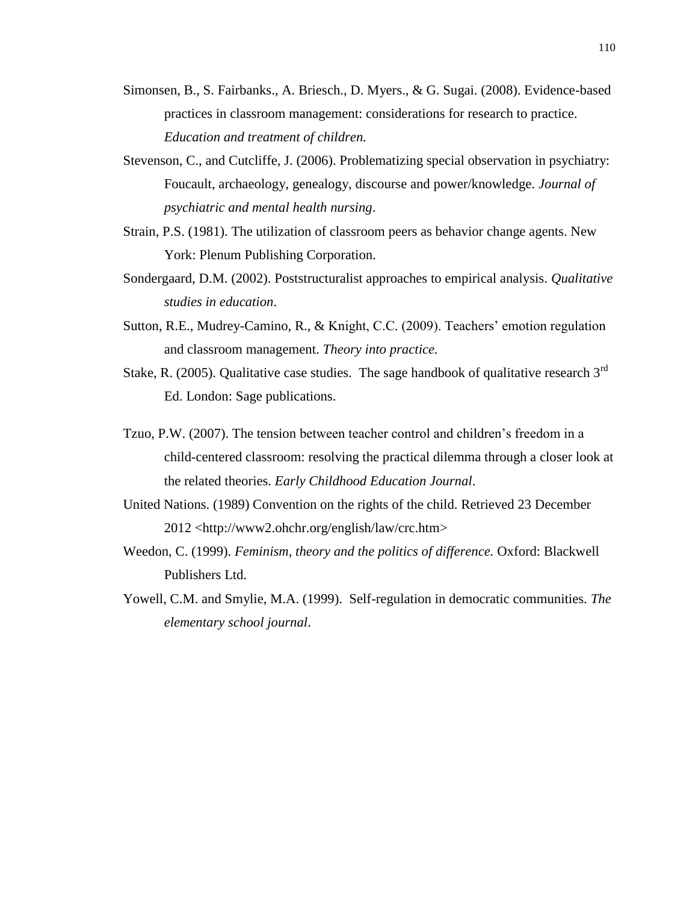- Simonsen, B., S. Fairbanks., A. Briesch., D. Myers., & G. Sugai. (2008). Evidence-based practices in classroom management: considerations for research to practice. *Education and treatment of children.*
- Stevenson, C., and Cutcliffe, J. (2006). Problematizing special observation in psychiatry: Foucault, archaeology, genealogy, discourse and power/knowledge. *Journal of psychiatric and mental health nursing*.
- Strain, P.S. (1981). The utilization of classroom peers as behavior change agents. New York: Plenum Publishing Corporation.
- Sondergaard, D.M. (2002). Poststructuralist approaches to empirical analysis. *Qualitative studies in education*.
- Sutton, R.E., Mudrey-Camino, R., & Knight, C.C. (2009). Teachers' emotion regulation and classroom management. *Theory into practice.*
- Stake, R. (2005). Qualitative case studies. The sage handbook of qualitative research  $3<sup>rd</sup>$ Ed. London: Sage publications.
- Tzuo, P.W. (2007). The tension between teacher control and children's freedom in a child-centered classroom: resolving the practical dilemma through a closer look at the related theories. *Early Childhood Education Journal*.
- United Nations. (1989) Convention on the rights of the child. Retrieved 23 December 2012 <http://www2.ohchr.org/english/law/crc.htm>
- Weedon, C. (1999). *Feminism, theory and the politics of difference.* Oxford: Blackwell Publishers Ltd.
- Yowell, C.M. and Smylie, M.A. (1999). Self-regulation in democratic communities. *The elementary school journal*.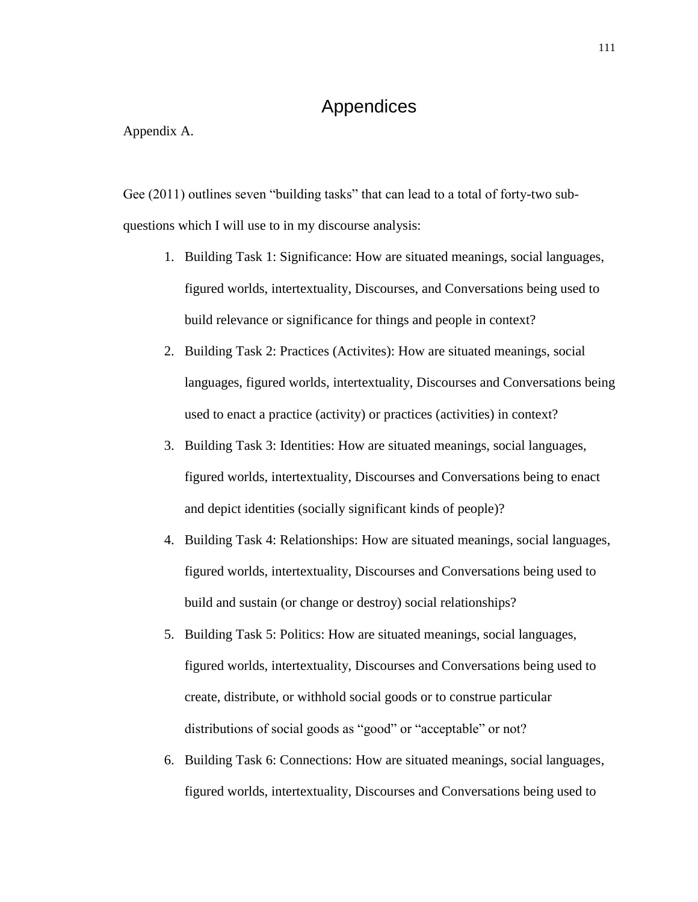## Appendices

Appendix A.

Gee (2011) outlines seven "building tasks" that can lead to a total of forty-two subquestions which I will use to in my discourse analysis:

- 1. Building Task 1: Significance: How are situated meanings, social languages, figured worlds, intertextuality, Discourses, and Conversations being used to build relevance or significance for things and people in context?
- 2. Building Task 2: Practices (Activites): How are situated meanings, social languages, figured worlds, intertextuality, Discourses and Conversations being used to enact a practice (activity) or practices (activities) in context?
- 3. Building Task 3: Identities: How are situated meanings, social languages, figured worlds, intertextuality, Discourses and Conversations being to enact and depict identities (socially significant kinds of people)?
- 4. Building Task 4: Relationships: How are situated meanings, social languages, figured worlds, intertextuality, Discourses and Conversations being used to build and sustain (or change or destroy) social relationships?
- 5. Building Task 5: Politics: How are situated meanings, social languages, figured worlds, intertextuality, Discourses and Conversations being used to create, distribute, or withhold social goods or to construe particular distributions of social goods as "good" or "acceptable" or not?
- 6. Building Task 6: Connections: How are situated meanings, social languages, figured worlds, intertextuality, Discourses and Conversations being used to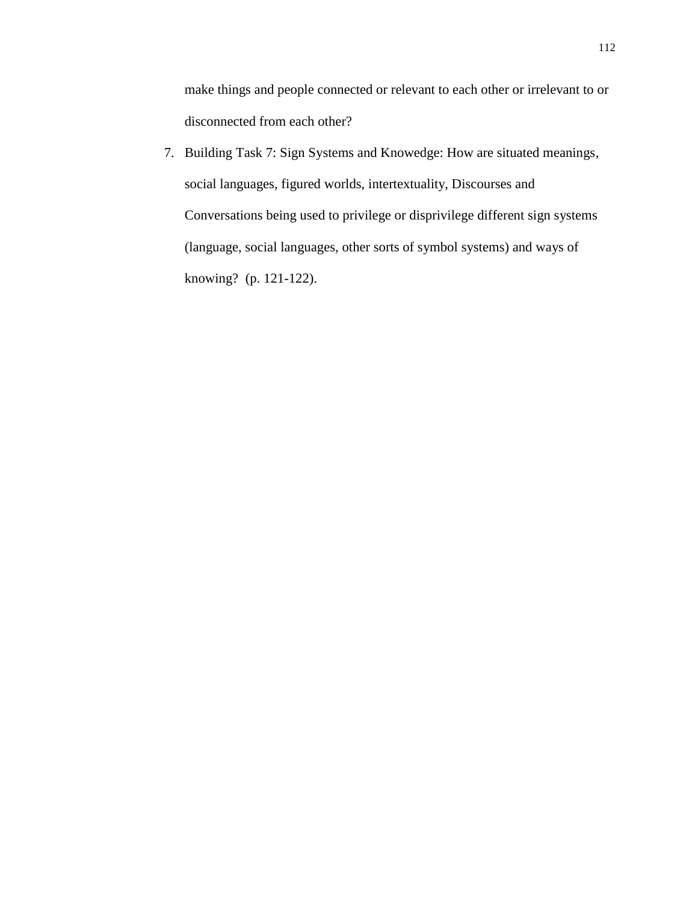make things and people connected or relevant to each other or irrelevant to or disconnected from each other?

7. Building Task 7: Sign Systems and Knowedge: How are situated meanings, social languages, figured worlds, intertextuality, Discourses and Conversations being used to privilege or disprivilege different sign systems (language, social languages, other sorts of symbol systems) and ways of knowing? (p. 121-122).